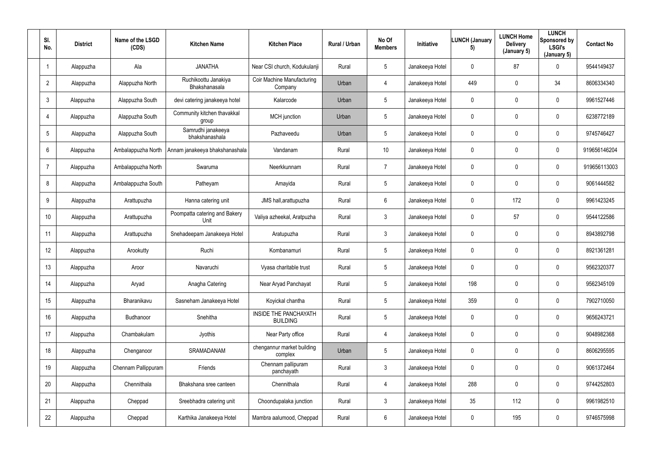| SI.<br>No.     | <b>District</b> | Name of the LSGD<br>(CDS) | <b>Kitchen Name</b>                   | <b>Kitchen Place</b>                            | Rural / Urban | No Of<br><b>Members</b> | Initiative      | <b>LUNCH (January</b><br>5) | <b>LUNCH Home</b><br><b>Delivery</b><br>(January 5) | <b>LUNCH</b><br>Sponsored by<br><b>LSGI's</b><br>(January 5) | <b>Contact No</b> |
|----------------|-----------------|---------------------------|---------------------------------------|-------------------------------------------------|---------------|-------------------------|-----------------|-----------------------------|-----------------------------------------------------|--------------------------------------------------------------|-------------------|
| -1             | Alappuzha       | Ala                       | <b>JANATHA</b>                        | Near CSI church, Kodukulanji                    | Rural         | $5\phantom{.0}$         | Janakeeya Hotel | $\mathbf 0$                 | 87                                                  | $\overline{0}$                                               | 9544149437        |
| $\overline{2}$ | Alappuzha       | Alappuzha North           | Ruchikoottu Janakiya<br>Bhakshanasala | Coir Machine Manufacturing<br>Company           | Urban         | 4                       | Janakeeya Hotel | 449                         | $\mathbf 0$                                         | 34                                                           | 8606334340        |
| $\mathbf{3}$   | Alappuzha       | Alappuzha South           | devi catering janakeeya hotel         | Kalarcode                                       | Urban         | $5\phantom{.0}$         | Janakeeya Hotel | $\mathbf 0$                 | $\mathbf 0$                                         | $\bf{0}$                                                     | 9961527446        |
| 4              | Alappuzha       | Alappuzha South           | Community kitchen thavakkal<br>group  | MCH junction                                    | Urban         | 5                       | Janakeeya Hotel | $\mathbf{0}$                | $\mathbf 0$                                         | $\mathbf 0$                                                  | 6238772189        |
| 5              | Alappuzha       | Alappuzha South           | Samrudhi janakeeya<br>bhakshanashala  | Pazhaveedu                                      | Urban         | 5                       | Janakeeya Hotel | $\mathbf 0$                 | $\mathbf 0$                                         | $\mathbf 0$                                                  | 9745746427        |
| 6              | Alappuzha       | Ambalappuzha North        | Annam janakeeya bhakshanashala        | Vandanam                                        | Rural         | 10                      | Janakeeya Hotel | $\mathbf 0$                 | $\mathbf 0$                                         | $\mathbf 0$                                                  | 919656146204      |
| $\overline{7}$ | Alappuzha       | Ambalappuzha North        | Swaruma                               | Neerkkunnam                                     | Rural         | $\overline{7}$          | Janakeeya Hotel | $\mathbf 0$                 | $\mathbf 0$                                         | $\overline{0}$                                               | 919656113003      |
| 8              | Alappuzha       | Ambalappuzha South        | Patheyam                              | Amayida                                         | Rural         | $5\phantom{.0}$         | Janakeeya Hotel | $\mathbf 0$                 | $\mathbf 0$                                         | $\mathbf 0$                                                  | 9061444582        |
| 9              | Alappuzha       | Arattupuzha               | Hanna catering unit                   | JMS hall, arattupuzha                           | Rural         | $6\phantom{.}$          | Janakeeya Hotel | $\mathbf 0$                 | 172                                                 | $\mathbf 0$                                                  | 9961423245        |
| 10             | Alappuzha       | Arattupuzha               | Poompatta catering and Bakery<br>Unit | Valiya azheekal, Aratpuzha                      | Rural         | $\mathfrak{Z}$          | Janakeeya Hotel | $\mathbf 0$                 | 57                                                  | $\mathbf 0$                                                  | 9544122586        |
| 11             | Alappuzha       | Arattupuzha               | Snehadeepam Janakeeya Hotel           | Aratupuzha                                      | Rural         | $\mathbf{3}$            | Janakeeya Hotel | $\mathbf 0$                 | $\mathbf 0$                                         | $\mathbf 0$                                                  | 8943892798        |
| 12             | Alappuzha       | Arookutty                 | Ruchi                                 | Kombanamuri                                     | Rural         | $5\phantom{.0}$         | Janakeeya Hotel | $\mathbf 0$                 | $\mathbf 0$                                         | $\mathbf 0$                                                  | 8921361281        |
| 13             | Alappuzha       | Aroor                     | Navaruchi                             | Vyasa charitable trust                          | Rural         | $5\phantom{.0}$         | Janakeeya Hotel | $\mathbf 0$                 | $\mathbf 0$                                         | $\mathbf 0$                                                  | 9562320377        |
| 14             | Alappuzha       | Aryad                     | Anagha Catering                       | Near Aryad Panchayat                            | Rural         | $5\phantom{.0}$         | Janakeeya Hotel | 198                         | $\mathbf 0$                                         | $\overline{0}$                                               | 9562345109        |
| 15             | Alappuzha       | Bharanikavu               | Sasneham Janakeeya Hotel              | Koyickal chantha                                | Rural         | $5\phantom{.0}$         | Janakeeya Hotel | 359                         | $\mathbf 0$                                         | $\overline{0}$                                               | 7902710050        |
| 16             | Alappuzha       | Budhanoor                 | Snehitha                              | <b>INSIDE THE PANCHAYATH</b><br><b>BUILDING</b> | Rural         | $5\phantom{.0}$         | Janakeeya Hotel | $\mathbf 0$                 | 0                                                   | $\overline{0}$                                               | 9656243721        |
| 17             | Alappuzha       | Chambakulam               | Jyothis                               | Near Party office                               | Rural         | $\overline{4}$          | Janakeeya Hotel | $\mathbf 0$                 | 0                                                   | $\overline{0}$                                               | 9048982368        |
| 18             | Alappuzha       | Chenganoor                | SRAMADANAM                            | chengannur market building<br>complex           | Urban         | $5\phantom{.0}$         | Janakeeya Hotel | $\mathbf 0$                 | $\mathbf 0$                                         | $\overline{0}$                                               | 8606295595        |
| 19             | Alappuzha       | Chennam Pallippuram       | Friends                               | Chennam pallipuram<br>panchayath                | Rural         | $\mathfrak{Z}$          | Janakeeya Hotel | $\mathbf 0$                 | 0                                                   | $\overline{0}$                                               | 9061372464        |
| 20             | Alappuzha       | Chennithala               | Bhakshana sree canteen                | Chennithala                                     | Rural         | 4                       | Janakeeya Hotel | 288                         | 0                                                   | $\overline{0}$                                               | 9744252803        |
| 21             | Alappuzha       | Cheppad                   | Sreebhadra catering unit              | Choondupalaka junction                          | Rural         | $\mathfrak{Z}$          | Janakeeya Hotel | 35                          | 112                                                 | $\overline{0}$                                               | 9961982510        |
| 22             | Alappuzha       | Cheppad                   | Karthika Janakeeya Hotel              | Mambra aalumood, Cheppad                        | Rural         | 6                       | Janakeeya Hotel | $\mathbf 0$                 | 195                                                 | $\mathbf 0$                                                  | 9746575998        |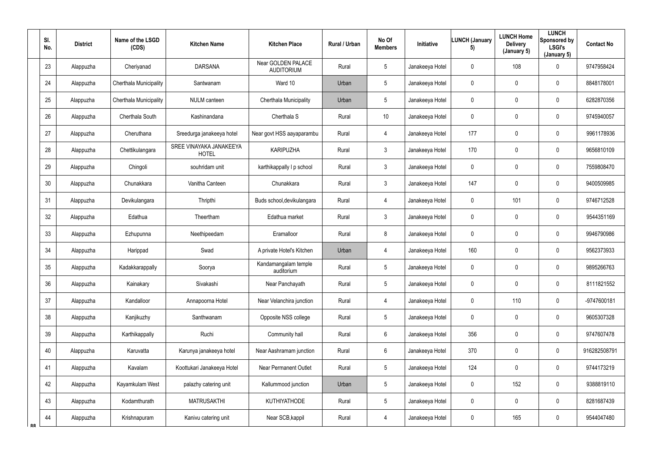|           | SI.<br>No.      | <b>District</b> | Name of the LSGD<br>(CDS) | <b>Kitchen Name</b>                     | <b>Kitchen Place</b>                           | Rural / Urban | No Of<br><b>Members</b> | <b>Initiative</b> | <b>LUNCH (January</b><br>5) | <b>LUNCH Home</b><br><b>Delivery</b><br>(January 5) | <b>LUNCH</b><br>Sponsored by<br>LSGI's<br>(January 5) | <b>Contact No</b> |
|-----------|-----------------|-----------------|---------------------------|-----------------------------------------|------------------------------------------------|---------------|-------------------------|-------------------|-----------------------------|-----------------------------------------------------|-------------------------------------------------------|-------------------|
|           | 23              | Alappuzha       | Cheriyanad                | <b>DARSANA</b>                          | <b>Near GOLDEN PALACE</b><br><b>AUDITORIUM</b> | Rural         | 5                       | Janakeeya Hotel   | $\mathbf 0$                 | 108                                                 | $\mathbf 0$                                           | 9747958424        |
|           | 24              | Alappuzha       | Cherthala Municipality    | Santwanam                               | Ward 10                                        | Urban         | $5\overline{)}$         | Janakeeya Hotel   | $\mathbf 0$                 | 0                                                   | $\overline{0}$                                        | 8848178001        |
|           | 25              | Alappuzha       | Cherthala Municipality    | <b>NULM</b> canteen                     | Cherthala Municipality                         | Urban         | 5                       | Janakeeya Hotel   | $\mathbf 0$                 | 0                                                   | $\mathbf 0$                                           | 6282870356        |
|           | 26              | Alappuzha       | Cherthala South           | Kashinandana                            | Cherthala S                                    | Rural         | 10                      | Janakeeya Hotel   | $\mathbf 0$                 | 0                                                   | $\mathbf 0$                                           | 9745940057        |
|           | 27              | Alappuzha       | Cheruthana                | Sreedurga janakeeya hotel               | Near govt HSS aayaparambu                      | Rural         | 4                       | Janakeeya Hotel   | 177                         | 0                                                   | $\mathbf 0$                                           | 9961178936        |
|           | 28              | Alappuzha       | Chettikulangara           | SREE VINAYAKA JANAKEEYA<br><b>HOTEL</b> | <b>KARIPUZHA</b>                               | Rural         | $\mathbf{3}$            | Janakeeya Hotel   | 170                         | 0                                                   | $\mathbf 0$                                           | 9656810109        |
|           | 29              | Alappuzha       | Chingoli                  | souhridam unit                          | karthikappally I p school                      | Rural         | $\mathbf{3}$            | Janakeeya Hotel   | $\overline{0}$              | 0                                                   | $\mathbf 0$                                           | 7559808470        |
|           | 30 <sup>°</sup> | Alappuzha       | Chunakkara                | Vanitha Canteen                         | Chunakkara                                     | Rural         | $\mathbf{3}$            | Janakeeya Hotel   | 147                         | 0                                                   | $\mathbf 0$                                           | 9400509985        |
|           | 31              | Alappuzha       | Devikulangara             | Thripthi                                | Buds school, devikulangara                     | Rural         | 4                       | Janakeeya Hotel   | $\overline{0}$              | 101                                                 | $\mathbf 0$                                           | 9746712528        |
|           | 32              | Alappuzha       | Edathua                   | Theertham                               | Edathua market                                 | Rural         | $\mathfrak{Z}$          | Janakeeya Hotel   | $\mathbf 0$                 | 0                                                   | $\mathbf 0$                                           | 9544351169        |
|           | 33              | Alappuzha       | Ezhupunna                 | Neethipeedam                            | Eramalloor                                     | Rural         | 8                       | Janakeeya Hotel   | $\mathbf 0$                 | 0                                                   | $\overline{0}$                                        | 9946790986        |
|           | 34              | Alappuzha       | Harippad                  | Swad                                    | A private Hotel's Kitchen                      | Urban         | 4                       | Janakeeya Hotel   | 160                         | 0                                                   | $\mathbf 0$                                           | 9562373933        |
|           | 35              | Alappuzha       | Kadakkarappally           | Soorya                                  | Kandamangalam temple<br>auditorium             | Rural         | 5                       | Janakeeya Hotel   | $\mathbf 0$                 | 0                                                   | $\overline{0}$                                        | 9895266763        |
|           | 36              | Alappuzha       | Kainakary                 | Sivakashi                               | Near Panchayath                                | Rural         | $5\phantom{.0}$         | Janakeeya Hotel   | $\mathbf 0$                 | $\mathbf 0$                                         | $\mathbf 0$                                           | 8111821552        |
|           | 37              | Alappuzha       | Kandalloor                | Annapoorna Hotel                        | Near Velanchira junction                       | Rural         | $\overline{4}$          | Janakeeya Hotel   | $\mathbf 0$                 | 110                                                 | $\overline{0}$                                        | -9747600181       |
|           | 38              | Alappuzha       | Kanjikuzhy                | Santhwanam                              | Opposite NSS college                           | Rural         | 5                       | Janakeeya Hotel   | $\mathbf 0$                 | 0                                                   | $\mathbf 0$                                           | 9605307328        |
|           | 39              | Alappuzha       | Karthikappally            | Ruchi                                   | Community hall                                 | Rural         | $6\overline{6}$         | Janakeeya Hotel   | 356                         | 0                                                   | $\mathbf 0$                                           | 9747607478        |
|           | 40              | Alappuzha       | Karuvatta                 | Karunya janakeeya hotel                 | Near Aashramam junction                        | Rural         | 6                       | Janakeeya Hotel   | 370                         | 0                                                   | $\mathbf 0$                                           | 916282508791      |
|           | 41              | Alappuzha       | Kavalam                   | Koottukari Janakeeya Hotel              | <b>Near Permanent Outlet</b>                   | Rural         | 5                       | Janakeeya Hotel   | 124                         | 0                                                   | $\overline{0}$                                        | 9744173219        |
|           | 42              | Alappuzha       | Kayamkulam West           | palazhy catering unit                   | Kallummood junction                            | Urban         | 5                       | Janakeeya Hotel   | $\mathbf 0$                 | 152                                                 | $\mathbf 0$                                           | 9388819110        |
|           | 43              | Alappuzha       | Kodamthurath              | <b>MATRUSAKTHI</b>                      | <b>KUTHIYATHODE</b>                            | Rural         | 5                       | Janakeeya Hotel   | $\mathbf 0$                 | $\pmb{0}$                                           | $\mathbf 0$                                           | 8281687439        |
| <b>RR</b> | 44              | Alappuzha       | Krishnapuram              | Kanivu catering unit                    | Near SCB, kappil                               | Rural         | $\overline{4}$          | Janakeeya Hotel   | $\overline{0}$              | 165                                                 | $\overline{0}$                                        | 9544047480        |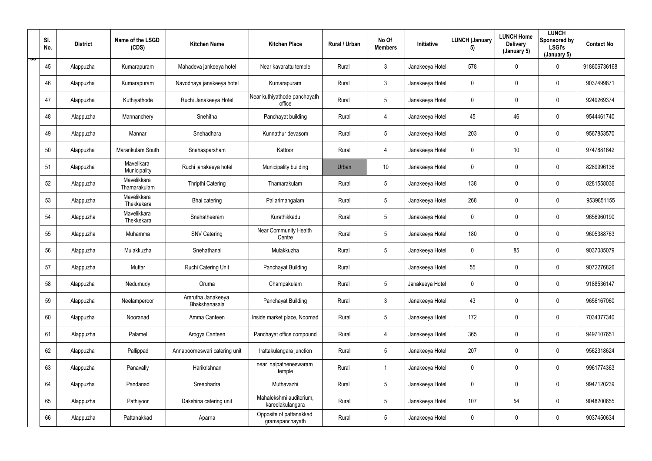|    | SI.<br>No. | <b>District</b> | Name of the LSGD<br>(CDS)   | <b>Kitchen Name</b>                | <b>Kitchen Place</b>                        | Rural / Urban | No Of<br><b>Members</b> | Initiative      | <b>LUNCH (January</b><br>5) | <b>LUNCH Home</b><br><b>Delivery</b><br>(January 5) | <b>LUNCH</b><br>Sponsored by<br><b>LSGI's</b><br>(January 5) | <b>Contact No</b> |
|----|------------|-----------------|-----------------------------|------------------------------------|---------------------------------------------|---------------|-------------------------|-----------------|-----------------------------|-----------------------------------------------------|--------------------------------------------------------------|-------------------|
| ÖÖ | 45         | Alappuzha       | Kumarapuram                 | Mahadeva jankeeya hotel            | Near kavarattu temple                       | Rural         | $\mathbf{3}$            | Janakeeya Hotel | 578                         | $\mathbf 0$                                         | $\overline{0}$                                               | 918606736168      |
|    | 46         | Alappuzha       | Kumarapuram                 | Navodhaya janakeeya hotel          | Kumarapuram                                 | Rural         | $\mathfrak{Z}$          | Janakeeya Hotel | $\mathbf 0$                 | $\mathbf 0$                                         | $\mathbf 0$                                                  | 9037499871        |
|    | 47         | Alappuzha       | Kuthiyathode                | Ruchi Janakeeya Hotel              | Near kuthiyathode panchayath<br>office      | Rural         | $5\phantom{.0}$         | Janakeeya Hotel | $\mathbf 0$                 | 0                                                   | $\bf{0}$                                                     | 9249269374        |
|    | 48         | Alappuzha       | Mannanchery                 | Snehitha                           | Panchayat building                          | Rural         | 4                       | Janakeeya Hotel | 45                          | 46                                                  | $\mathbf 0$                                                  | 9544461740        |
|    | 49         | Alappuzha       | Mannar                      | Snehadhara                         | Kunnathur devasom                           | Rural         | $5\phantom{.0}$         | Janakeeya Hotel | 203                         | $\mathbf 0$                                         | $\mathbf 0$                                                  | 9567853570        |
|    | 50         | Alappuzha       | Mararikulam South           | Snehasparsham                      | Kattoor                                     | Rural         | 4                       | Janakeeya Hotel | $\mathbf 0$                 | 10                                                  | $\mathbf 0$                                                  | 9747881642        |
|    | 51         | Alappuzha       | Mavelikara<br>Municipality  | Ruchi janakeeya hotel              | Municipality building                       | Urban         | 10 <sup>°</sup>         | Janakeeya Hotel | $\overline{0}$              | $\mathbf 0$                                         | $\mathbf 0$                                                  | 8289996136        |
|    | 52         | Alappuzha       | Mavelikkara<br>Thamarakulam | <b>Thripthi Catering</b>           | Thamarakulam                                | Rural         | $5\phantom{.0}$         | Janakeeya Hotel | 138                         | $\mathbf 0$                                         | $\mathbf 0$                                                  | 8281558036        |
|    | 53         | Alappuzha       | Mavelikkara<br>Thekkekara   | Bhai catering                      | Pallarimangalam                             | Rural         | $5\phantom{.0}$         | Janakeeya Hotel | 268                         | $\mathbf 0$                                         | $\mathbf 0$                                                  | 9539851155        |
|    | 54         | Alappuzha       | Mavelikkara<br>Thekkekara   | Snehatheeram                       | Kurathikkadu                                | Rural         | $5\phantom{.0}$         | Janakeeya Hotel | $\overline{0}$              | $\mathbf 0$                                         | $\mathbf 0$                                                  | 9656960190        |
|    | 55         | Alappuzha       | Muhamma                     | <b>SNV Catering</b>                | <b>Near Community Health</b><br>Centre      | Rural         | $5\phantom{.0}$         | Janakeeya Hotel | 180                         | $\mathbf 0$                                         | $\mathbf 0$                                                  | 9605388763        |
|    | 56         | Alappuzha       | Mulakkuzha                  | Snehathanal                        | Mulakkuzha                                  | Rural         | $5\phantom{.0}$         | Janakeeya Hotel | $\overline{0}$              | 85                                                  | $\mathbf 0$                                                  | 9037085079        |
|    | 57         | Alappuzha       | Muttar                      | Ruchi Catering Unit                | Panchayat Building                          | Rural         |                         | Janakeeya Hotel | 55                          | $\mathbf 0$                                         | $\mathbf 0$                                                  | 9072276826        |
|    | 58         | Alappuzha       | Nedumudy                    | Oruma                              | Champakulam                                 | Rural         | $5\phantom{.0}$         | Janakeeya Hotel | $\mathbf 0$                 | $\mathbf 0$                                         | $\overline{0}$                                               | 9188536147        |
|    | 59         | Alappuzha       | Neelamperoor                | Amrutha Janakeeya<br>Bhakshanasala | Panchayat Building                          | Rural         | $\mathfrak{Z}$          | Janakeeya Hotel | 43                          | $\mathbf 0$                                         | $\overline{0}$                                               | 9656167060        |
|    | 60         | Alappuzha       | Nooranad                    | Amma Canteen                       | Inside market place, Noornad                | Rural         | $5\phantom{.0}$         | Janakeeya Hotel | 172                         | 0                                                   | $\mathbf 0$                                                  | 7034377340        |
|    | 61         | Alappuzha       | Palamel                     | Arogya Canteen                     | Panchayat office compound                   | Rural         | 4                       | Janakeeya Hotel | 365                         | 0                                                   | $\overline{0}$                                               | 9497107651        |
|    | 62         | Alappuzha       | Pallippad                   | Annapoorneswari catering unit      | Irattakulangara junction                    | Rural         | $5\overline{)}$         | Janakeeya Hotel | 207                         | $\mathbf 0$                                         | $\overline{0}$                                               | 9562318624        |
|    | 63         | Alappuzha       | Panavally                   | Harikrishnan                       | near nalpatheneswaram<br>temple             | Rural         | -1                      | Janakeeya Hotel | $\mathbf 0$                 | 0                                                   | $\overline{0}$                                               | 9961774363        |
|    | 64         | Alappuzha       | Pandanad                    | Sreebhadra                         | Muthavazhi                                  | Rural         | $5\phantom{.0}$         | Janakeeya Hotel | $\overline{0}$              | 0                                                   | $\overline{0}$                                               | 9947120239        |
|    | 65         | Alappuzha       | Pathiyoor                   | Dakshina catering unit             | Mahalekshmi auditorium,<br>kareelakulangara | Rural         | $5\phantom{.0}$         | Janakeeya Hotel | 107                         | 54                                                  | $\mathbf 0$                                                  | 9048200655        |
|    | 66         | Alappuzha       | Pattanakkad                 | Aparna                             | Opposite of pattanakkad<br>gramapanchayath  | Rural         | $5\phantom{.0}$         | Janakeeya Hotel | $\overline{0}$              | 0                                                   | $\boldsymbol{0}$                                             | 9037450634        |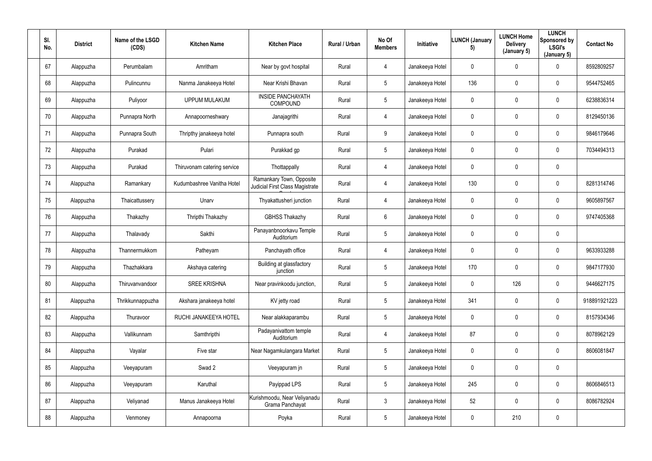| SI.<br>No. | <b>District</b> | Name of the LSGD<br>(CDS) | <b>Kitchen Name</b>         | <b>Kitchen Place</b>                                        | Rural / Urban | No Of<br><b>Members</b> | Initiative      | <b>LUNCH (January</b><br>5) | <b>LUNCH Home</b><br><b>Delivery</b><br>(January 5) | <b>LUNCH</b><br>Sponsored by<br><b>LSGI's</b><br>(January 5) | <b>Contact No</b> |
|------------|-----------------|---------------------------|-----------------------------|-------------------------------------------------------------|---------------|-------------------------|-----------------|-----------------------------|-----------------------------------------------------|--------------------------------------------------------------|-------------------|
| 67         | Alappuzha       | Perumbalam                | Amritham                    | Near by govt hospital                                       | Rural         | 4                       | Janakeeya Hotel | $\mathbf 0$                 | $\mathbf 0$                                         | $\mathbf 0$                                                  | 8592809257        |
| 68         | Alappuzha       | Pulincunnu                | Nanma Janakeeya Hotel       | Near Krishi Bhavan                                          | Rural         | $5\phantom{.0}$         | Janakeeya Hotel | 136                         | 0                                                   | $\overline{0}$                                               | 9544752465        |
| 69         | Alappuzha       | Puliyoor                  | <b>UPPUM MULAKUM</b>        | <b>INSIDE PANCHAYATH</b><br><b>COMPOUND</b>                 | Rural         | $5\phantom{.0}$         | Janakeeya Hotel | $\mathbf 0$                 | 0                                                   | $\mathbf 0$                                                  | 6238836314        |
| 70         | Alappuzha       | Punnapra North            | Annapoorneshwary            | Janajagrithi                                                | Rural         | 4                       | Janakeeya Hotel | $\mathbf{0}$                | $\mathbf 0$                                         | $\mathbf 0$                                                  | 8129450136        |
| 71         | Alappuzha       | Punnapra South            | Thripthy janakeeya hotel    | Punnapra south                                              | Rural         | 9                       | Janakeeya Hotel | $\mathbf 0$                 | $\mathbf 0$                                         | $\overline{0}$                                               | 9846179646        |
| 72         | Alappuzha       | Purakad                   | Pulari                      | Purakkad gp                                                 | Rural         | $5\phantom{.0}$         | Janakeeya Hotel | $\mathbf 0$                 | $\mathbf 0$                                         | $\mathbf 0$                                                  | 7034494313        |
| 73         | Alappuzha       | Purakad                   | Thiruvonam catering service | Thottappally                                                | Rural         | 4                       | Janakeeya Hotel | $\mathbf 0$                 | 0                                                   | $\overline{0}$                                               |                   |
| 74         | Alappuzha       | Ramankary                 | Kudumbashree Vanitha Hotel  | Ramankary Town, Opposite<br>Judicial First Class Magistrate | Rural         | 4                       | Janakeeya Hotel | 130                         | 0                                                   | $\mathbf 0$                                                  | 8281314746        |
| 75         | Alappuzha       | Thaicattussery            | Unarv                       | Thyakattusheri junction                                     | Rural         | 4                       | Janakeeya Hotel | $\mathbf 0$                 | $\mathbf 0$                                         | $\pmb{0}$                                                    | 9605897567        |
| 76         | Alappuzha       | Thakazhy                  | Thripthi Thakazhy           | <b>GBHSS Thakazhy</b>                                       | Rural         | 6                       | Janakeeya Hotel | $\mathbf 0$                 | $\mathbf 0$                                         | $\mathbf 0$                                                  | 9747405368        |
| 77         | Alappuzha       | Thalavady                 | Sakthi                      | Panayanbnoorkavu Temple<br>Auditorium                       | Rural         | $5\overline{)}$         | Janakeeya Hotel | $\mathbf 0$                 | $\mathbf 0$                                         | $\overline{0}$                                               |                   |
| 78         | Alappuzha       | Thannermukkom             | Patheyam                    | Panchayath office                                           | Rural         | 4                       | Janakeeya Hotel | $\mathbf 0$                 | $\mathbf 0$                                         | $\mathbf 0$                                                  | 9633933288        |
| 79         | Alappuzha       | Thazhakkara               | Akshaya catering            | Building at glassfactory<br>junction                        | Rural         | $5\phantom{.0}$         | Janakeeya Hotel | 170                         | $\mathbf 0$                                         | $\mathbf 0$                                                  | 9847177930        |
| $80\,$     | Alappuzha       | Thiruvanvandoor           | <b>SREE KRISHNA</b>         | Near pravinkoodu junction,                                  | Rural         | $5\phantom{.0}$         | Janakeeya Hotel | $\mathbf 0$                 | 126                                                 | $\mathbf 0$                                                  | 9446627175        |
| 81         | Alappuzha       | Thrikkunnappuzha          | Akshara janakeeya hotel     | KV jetty road                                               | Rural         | $5\phantom{.0}$         | Janakeeya Hotel | 341                         | 0                                                   | $\mathbf 0$                                                  | 918891921223      |
| 82         | Alappuzha       | Thuravoor                 | RUCHI JANAKEEYA HOTEL       | Near alakkaparambu                                          | Rural         | $5\phantom{.0}$         | Janakeeya Hotel | $\mathbf 0$                 | $\mathbf 0$                                         | $\overline{0}$                                               | 8157934346        |
| 83         | Alappuzha       | Vallikunnam               | Samthripthi                 | Padayanivattom temple<br>Auditorium                         | Rural         | $\overline{4}$          | Janakeeya Hotel | 87                          | 0                                                   | $\overline{0}$                                               | 8078962129        |
| 84         | Alappuzha       | Vayalar                   | Five star                   | Near Nagamkulangara Market                                  | Rural         | $5\phantom{.0}$         | Janakeeya Hotel | $\mathbf 0$                 | 0                                                   | $\mathbf 0$                                                  | 8606081847        |
| 85         | Alappuzha       | Veeyapuram                | Swad 2                      | Veeyapuram jn                                               | Rural         | $5\phantom{.0}$         | Janakeeya Hotel | $\mathbf 0$                 | $\pmb{0}$                                           | $\overline{0}$                                               |                   |
| 86         | Alappuzha       | Veeyapuram                | Karuthal                    | Payippad LPS                                                | Rural         | $5\phantom{.0}$         | Janakeeya Hotel | 245                         | $\pmb{0}$                                           | $\overline{0}$                                               | 8606846513        |
| 87         | Alappuzha       | Veliyanad                 | Manus Janakeeya Hotel       | Kurishmoodu, Near Veliyanadu<br>Grama Panchayat             | Rural         | $\mathbf{3}$            | Janakeeya Hotel | 52                          | 0                                                   | $\overline{0}$                                               | 8086782924        |
| 88         | Alappuzha       | Venmoney                  | Annapoorna                  | Poyka                                                       | Rural         | $5\phantom{.0}$         | Janakeeya Hotel | $\mathbf 0$                 | 210                                                 | $\pmb{0}$                                                    |                   |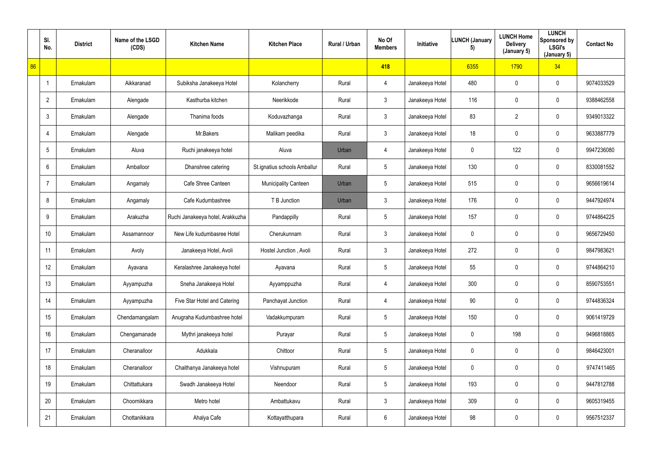|    | SI.<br>No.      | <b>District</b> | Name of the LSGD<br>(CDS) | <b>Kitchen Name</b>              | <b>Kitchen Place</b>         | Rural / Urban | No Of<br><b>Members</b> | Initiative      | <b>LUNCH (January</b><br>5) | <b>LUNCH Home</b><br><b>Delivery</b><br>(January 5) | <b>LUNCH</b><br>Sponsored by<br><b>LSGI's</b><br>(January 5) | <b>Contact No</b> |
|----|-----------------|-----------------|---------------------------|----------------------------------|------------------------------|---------------|-------------------------|-----------------|-----------------------------|-----------------------------------------------------|--------------------------------------------------------------|-------------------|
| 86 |                 |                 |                           |                                  |                              |               | 418                     |                 | 6355                        | 1790                                                | 34                                                           |                   |
|    | -1              | Ernakulam       | Aikkaranad                | Subiksha Janakeeya Hotel         | Kolancherry                  | Rural         | 4                       | Janakeeya Hotel | 480                         | 0                                                   | $\mathbf 0$                                                  | 9074033529        |
|    | $\overline{2}$  | Ernakulam       | Alengade                  | Kasthurba kitchen                | Neerikkode                   | Rural         | $\mathbf{3}$            | Janakeeya Hotel | 116                         | 0                                                   | $\mathbf 0$                                                  | 9388462558        |
|    | $\mathbf{3}$    | Ernakulam       | Alengade                  | Thanima foods                    | Koduvazhanga                 | Rural         | $\mathfrak{Z}$          | Janakeeya Hotel | 83                          | $\overline{2}$                                      | $\mathbf 0$                                                  | 9349013322        |
|    | 4               | Ernakulam       | Alengade                  | Mr.Bakers                        | Malikam peedika              | Rural         | $\mathbf{3}$            | Janakeeya Hotel | 18                          | $\mathbf 0$                                         | $\mathbf 0$                                                  | 9633887779        |
|    | $5\phantom{.0}$ | Ernakulam       | Aluva                     | Ruchi janakeeya hotel            | Aluva                        | Urban         | $\overline{4}$          | Janakeeya Hotel | $\mathbf 0$                 | 122                                                 | $\mathbf 0$                                                  | 9947236080        |
|    | 6               | Ernakulam       | Amballoor                 | Dhanshree catering               | St.ignatius schools Amballur | Rural         | $5\phantom{.0}$         | Janakeeya Hotel | 130                         | $\mathbf 0$                                         | $\overline{0}$                                               | 8330081552        |
|    | $\overline{7}$  | Ernakulam       | Angamaly                  | Cafe Shree Canteen               | <b>Municipality Canteen</b>  | Urban         | $5\phantom{.0}$         | Janakeeya Hotel | 515                         | 0                                                   | $\overline{0}$                                               | 9656619614        |
|    | 8               | Ernakulam       | Angamaly                  | Cafe Kudumbashree                | T B Junction                 | Urban         | $\mathfrak{Z}$          | Janakeeya Hotel | 176                         | $\mathbf 0$                                         | $\bf{0}$                                                     | 9447924974        |
|    | 9               | Ernakulam       | Arakuzha                  | Ruchi Janakeeya hotel, Arakkuzha | Pandappilly                  | Rural         | $5\phantom{.0}$         | Janakeeya Hotel | 157                         | 0                                                   | $\bf{0}$                                                     | 9744864225        |
|    | 10              | Ernakulam       | Assamannoor               | New Life kudumbasree Hotel       | Cherukunnam                  | Rural         | $\mathbf{3}$            | Janakeeya Hotel | $\mathbf 0$                 | $\mathbf 0$                                         | $\mathbf 0$                                                  | 9656729450        |
|    | 11              | Ernakulam       | Avoly                     | Janakeeya Hotel, Avoli           | Hostel Junction, Avoli       | Rural         | $\mathbf{3}$            | Janakeeya Hotel | 272                         | $\mathbf 0$                                         | $\mathbf 0$                                                  | 9847983621        |
|    | 12              | Ernakulam       | Ayavana                   | Keralashree Janakeeya hotel      | Ayavana                      | Rural         | $5\phantom{.0}$         | Janakeeya Hotel | 55                          | $\mathbf 0$                                         | $\bf{0}$                                                     | 9744864210        |
|    | 13              | Ernakulam       | Ayyampuzha                | Sneha Janakeeya Hotel            | Ayyamppuzha                  | Rural         | 4                       | Janakeeya Hotel | 300                         | $\mathbf 0$                                         | $\overline{0}$                                               | 8590753551        |
|    | 14              | Ernakulam       | Ayyampuzha                | Five Star Hotel and Catering     | Panchayat Junction           | Rural         | 4                       | Janakeeya Hotel | 90                          | $\pmb{0}$                                           | $\overline{0}$                                               | 9744836324        |
|    | 15              | Ernakulam       | Chendamangalam            | Anugraha Kudumbashree hotel      | Vadakkumpuram                | Rural         | $5\phantom{.0}$         | Janakeeya Hotel | 150                         | 0                                                   | $\overline{0}$                                               | 9061419729        |
|    | 16              | Ernakulam       | Chengamanade              | Mythri janakeeya hotel           | Purayar                      | Rural         | $5\overline{)}$         | Janakeeya Hotel | $\mathbf 0$                 | 198                                                 | $\mathbf 0$                                                  | 9496818865        |
|    | 17              | Ernakulam       | Cheranalloor              | Adukkala                         | Chittoor                     | Rural         | $5\overline{)}$         | Janakeeya Hotel | $\mathbf 0$                 | 0                                                   | $\overline{0}$                                               | 9846423001        |
|    | 18              | Ernakulam       | Cheranalloor              | Chaithanya Janakeeya hotel       | Vishnupuram                  | Rural         | $5\phantom{.0}$         | Janakeeya Hotel | $\mathbf 0$                 | 0                                                   | $\overline{0}$                                               | 9747411465        |
|    | 19              | Ernakulam       | Chittattukara             | Swadh Janakeeya Hotel            | Neendoor                     | Rural         | $5\phantom{.0}$         | Janakeeya Hotel | 193                         | 0                                                   | $\overline{0}$                                               | 9447812788        |
|    | 20              | Ernakulam       | Choornikkara              | Metro hotel                      | Ambattukavu                  | Rural         | $\mathbf{3}$            | Janakeeya Hotel | 309                         | $\pmb{0}$                                           | $\overline{0}$                                               | 9605319455        |
|    | 21              | Ernakulam       | Chottanikkara             | Ahalya Cafe                      | Kottayatthupara              | Rural         | 6                       | Janakeeya Hotel | 98                          | $\pmb{0}$                                           | $\pmb{0}$                                                    | 9567512337        |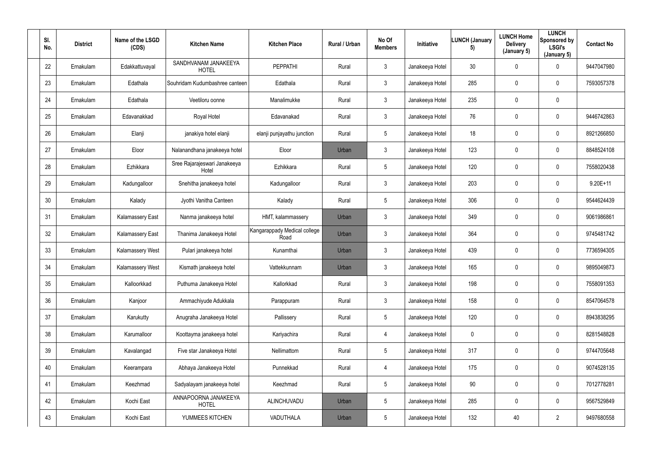| SI.<br>No. | <b>District</b> | Name of the LSGD<br>(CDS) | <b>Kitchen Name</b>                   | <b>Kitchen Place</b>                 | Rural / Urban | No Of<br><b>Members</b> | Initiative      | <b>LUNCH (January</b><br>5) | <b>LUNCH Home</b><br><b>Delivery</b><br>(January 5) | <b>LUNCH</b><br>Sponsored by<br><b>LSGI's</b><br>(January 5) | <b>Contact No</b> |
|------------|-----------------|---------------------------|---------------------------------------|--------------------------------------|---------------|-------------------------|-----------------|-----------------------------|-----------------------------------------------------|--------------------------------------------------------------|-------------------|
| 22         | Ernakulam       | Edakkattuvayal            | SANDHVANAM JANAKEEYA<br><b>HOTEL</b>  | <b>PEPPATHI</b>                      | Rural         | $\mathbf{3}$            | Janakeeya Hotel | 30                          | $\mathbf 0$                                         | $\mathbf 0$                                                  | 9447047980        |
| 23         | Ernakulam       | Edathala                  | Souhridam Kudumbashree canteen        | Edathala                             | Rural         | $\mathbf{3}$            | Janakeeya Hotel | 285                         | 0                                                   | $\mathbf 0$                                                  | 7593057378        |
| 24         | Ernakulam       | Edathala                  | Veetiloru oonne                       | Manalimukke                          | Rural         | $\mathbf{3}$            | Janakeeya Hotel | 235                         | 0                                                   | $\mathbf 0$                                                  |                   |
| 25         | Ernakulam       | Edavanakkad               | Royal Hotel                           | Edavanakad                           | Rural         | $\mathbf{3}$            | Janakeeya Hotel | 76                          | 0                                                   | $\overline{0}$                                               | 9446742863        |
| 26         | Ernakulam       | Elanji                    | janakiya hotel elanji                 | elanji punjayathu junction           | Rural         | $5\phantom{.0}$         | Janakeeya Hotel | 18                          | 0                                                   | $\mathbf 0$                                                  | 8921266850        |
| 27         | Ernakulam       | Eloor                     | Nalanandhana janakeeya hotel          | Eloor                                | Urban         | $\mathbf{3}$            | Janakeeya Hotel | 123                         | 0                                                   | $\mathbf 0$                                                  | 8848524108        |
| 28         | Ernakulam       | Ezhikkara                 | Sree Rajarajeswari Janakeeya<br>Hotel | Ezhikkara                            | Rural         | $5\phantom{.0}$         | Janakeeya Hotel | 120                         | 0                                                   | $\mathbf 0$                                                  | 7558020438        |
| 29         | Ernakulam       | Kadungalloor              | Snehitha janakeeya hotel              | Kadungalloor                         | Rural         | $\mathbf{3}$            | Janakeeya Hotel | 203                         | 0                                                   | $\mathbf 0$                                                  | $9.20E + 11$      |
| 30         | Ernakulam       | Kalady                    | Jyothi Vanitha Canteen                | Kalady                               | Rural         | $5\phantom{.0}$         | Janakeeya Hotel | 306                         | 0                                                   | $\overline{0}$                                               | 9544624439        |
| 31         | Ernakulam       | <b>Kalamassery East</b>   | Nanma janakeeya hotel                 | HMT, kalammassery                    | Urban         | $\mathbf{3}$            | Janakeeya Hotel | 349                         | 0                                                   | $\overline{0}$                                               | 9061986861        |
| 32         | Ernakulam       | <b>Kalamassery East</b>   | Thanima Janakeeya Hotel               | Kangarappady Medical college<br>Road | Urban         | $\mathbf{3}$            | Janakeeya Hotel | 364                         | 0                                                   | $\mathbf 0$                                                  | 9745481742        |
| 33         | Ernakulam       | Kalamassery West          | Pulari janakeeya hotel                | Kunamthai                            | Urban         | $\mathbf{3}$            | Janakeeya Hotel | 439                         | 0                                                   | $\mathbf 0$                                                  | 7736594305        |
| 34         | Ernakulam       | Kalamassery West          | Kismath janakeeya hotel               | Vattekkunnam                         | Urban         | $\mathbf{3}$            | Janakeeya Hotel | 165                         | 0                                                   | $\overline{0}$                                               | 9895049873        |
| 35         | Ernakulam       | Kalloorkkad               | Puthuma Janakeeya Hotel               | Kallorkkad                           | Rural         | $\mathbf{3}$            | Janakeeya Hotel | 198                         | $\mathbf 0$                                         | $\mathbf 0$                                                  | 7558091353        |
| 36         | Ernakulam       | Kanjoor                   | Ammachiyude Adukkala                  | Parappuram                           | Rural         | $\mathbf{3}$            | Janakeeya Hotel | 158                         | $\mathbf 0$                                         | $\mathbf 0$                                                  | 8547064578        |
| 37         | Ernakulam       | Karukutty                 | Anugraha Janakeeya Hotel              | Pallissery                           | Rural         | $5\overline{)}$         | Janakeeya Hotel | 120                         | 0                                                   | $\mathbf 0$                                                  | 8943838295        |
| 38         | Ernakulam       | Karumalloor               | Koottayma janakeeya hotel             | Kariyachira                          | Rural         | $\overline{4}$          | Janakeeya Hotel | $\pmb{0}$                   | 0                                                   | $\mathbf 0$                                                  | 8281548828        |
| 39         | Ernakulam       | Kavalangad                | Five star Janakeeya Hotel             | Nellimattom                          | Rural         | $5\phantom{.0}$         | Janakeeya Hotel | 317                         | 0                                                   | $\mathbf 0$                                                  | 9744705648        |
| 40         | Ernakulam       | Keerampara                | Abhaya Janakeeya Hotel                | Punnekkad                            | Rural         | $\overline{4}$          | Janakeeya Hotel | 175                         | $\mathbf 0$                                         | $\mathbf 0$                                                  | 9074528135        |
| 41         | Ernakulam       | Keezhmad                  | Sadyalayam janakeeya hotel            | Keezhmad                             | Rural         | $5\phantom{.0}$         | Janakeeya Hotel | $90\,$                      | 0                                                   | $\mathbf 0$                                                  | 7012778281        |
| 42         | Ernakulam       | Kochi East                | ANNAPOORNA JANAKEEYA<br><b>HOTEL</b>  | ALINCHUVADU                          | Urban         | $5\overline{)}$         | Janakeeya Hotel | 285                         | 0                                                   | $\mathbf 0$                                                  | 9567529849        |
| 43         | Ernakulam       | Kochi East                | YUMMEES KITCHEN                       | VADUTHALA                            | Urban         | $5\overline{)}$         | Janakeeya Hotel | 132                         | 40                                                  | $\overline{2}$                                               | 9497680558        |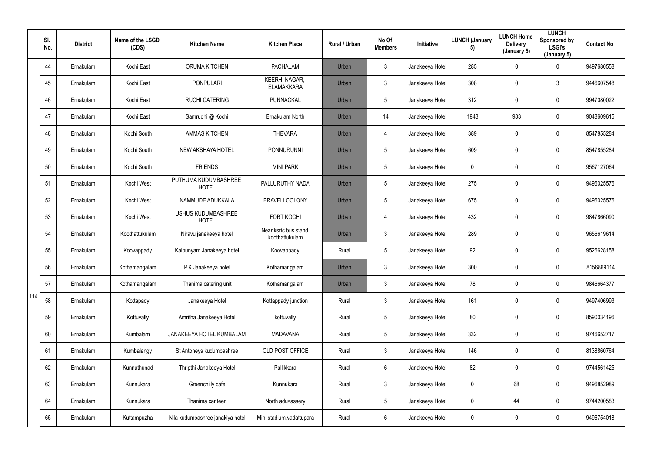|     | SI.<br>No. | <b>District</b> | Name of the LSGD<br>(CDS) | <b>Kitchen Name</b>                       | <b>Kitchen Place</b>                      | Rural / Urban | No Of<br><b>Members</b> | Initiative      | <b>LUNCH (January</b><br>5) | <b>LUNCH Home</b><br><b>Delivery</b><br>(January 5) | <b>LUNCH</b><br>Sponsored by<br><b>LSGI's</b><br>(January 5) | <b>Contact No</b> |
|-----|------------|-----------------|---------------------------|-------------------------------------------|-------------------------------------------|---------------|-------------------------|-----------------|-----------------------------|-----------------------------------------------------|--------------------------------------------------------------|-------------------|
|     | 44         | Ernakulam       | Kochi East                | <b>ORUMA KITCHEN</b>                      | <b>PACHALAM</b>                           | Urban         | $\mathbf{3}$            | Janakeeya Hotel | 285                         | $\mathbf 0$                                         | $\overline{0}$                                               | 9497680558        |
|     | 45         | Ernakulam       | Kochi East                | <b>PONPULARI</b>                          | <b>KEERHI NAGAR,</b><br><b>ELAMAKKARA</b> | Urban         | $\mathfrak{Z}$          | Janakeeya Hotel | 308                         | $\mathbf 0$                                         | $\mathbf{3}$                                                 | 9446607548        |
|     | 46         | Ernakulam       | Kochi East                | <b>RUCHI CATERING</b>                     | <b>PUNNACKAL</b>                          | Urban         | $5\phantom{.0}$         | Janakeeya Hotel | 312                         | $\mathbf 0$                                         | $\bf{0}$                                                     | 9947080022        |
|     | 47         | Ernakulam       | Kochi East                | Samrudhi @ Kochi                          | Ernakulam North                           | Urban         | 14                      | Janakeeya Hotel | 1943                        | 983                                                 | $\mathbf 0$                                                  | 9048609615        |
|     | 48         | Ernakulam       | Kochi South               | <b>AMMAS KITCHEN</b>                      | <b>THEVARA</b>                            | Urban         | 4                       | Janakeeya Hotel | 389                         | $\mathbf 0$                                         | $\bf{0}$                                                     | 8547855284        |
|     | 49         | Ernakulam       | Kochi South               | <b>NEW AKSHAYA HOTEL</b>                  | <b>PONNURUNNI</b>                         | Urban         | $5\phantom{.0}$         | Janakeeya Hotel | 609                         | $\mathbf 0$                                         | $\mathbf 0$                                                  | 8547855284        |
|     | 50         | Ernakulam       | Kochi South               | <b>FRIENDS</b>                            | <b>MINI PARK</b>                          | Urban         | $5\phantom{.0}$         | Janakeeya Hotel | $\overline{0}$              | $\mathbf 0$                                         | $\mathbf 0$                                                  | 9567127064        |
|     | 51         | Ernakulam       | Kochi West                | PUTHUMA KUDUMBASHREE<br><b>HOTEL</b>      | PALLURUTHY NADA                           | Urban         | $5\phantom{.0}$         | Janakeeya Hotel | 275                         | $\mathbf 0$                                         | $\mathbf 0$                                                  | 9496025576        |
|     | 52         | Ernakulam       | Kochi West                | NAMMUDE ADUKKALA                          | <b>ERAVELI COLONY</b>                     | Urban         | $5\phantom{.0}$         | Janakeeya Hotel | 675                         | $\mathbf 0$                                         | $\mathbf 0$                                                  | 9496025576        |
|     | 53         | Ernakulam       | Kochi West                | <b>USHUS KUDUMBASHREE</b><br><b>HOTEL</b> | <b>FORT KOCHI</b>                         | Urban         | 4                       | Janakeeya Hotel | 432                         | $\mathbf 0$                                         | $\mathbf 0$                                                  | 9847866090        |
|     | 54         | Ernakulam       | Koothattukulam            | Niravu janakeeya hotel                    | Near ksrtc bus stand<br>koothattukulam    | Urban         | $\mathbf{3}$            | Janakeeya Hotel | 289                         | $\mathbf 0$                                         | $\mathbf 0$                                                  | 9656619614        |
|     | 55         | Ernakulam       | Koovappady                | Kaipunyam Janakeeya hotel                 | Koovappady                                | Rural         | $5\phantom{.0}$         | Janakeeya Hotel | 92                          | $\mathbf 0$                                         | $\mathbf 0$                                                  | 9526628158        |
|     | 56         | Ernakulam       | Kothamangalam             | P.K Janakeeya hotel                       | Kothamangalam                             | Urban         | 3                       | Janakeeya Hotel | 300                         | $\mathbf 0$                                         | $\mathbf 0$                                                  | 8156869114        |
|     | 57         | Ernakulam       | Kothamangalam             | Thanima catering unit                     | Kothamangalam                             | Urban         | $\mathbf{3}$            | Janakeeya Hotel | 78                          | $\mathbf 0$                                         | $\overline{0}$                                               | 9846664377        |
| 114 | 58         | Ernakulam       | Kottapady                 | Janakeeya Hotel                           | Kottappady junction                       | Rural         | $\mathfrak{Z}$          | Janakeeya Hotel | 161                         | 0                                                   | $\overline{0}$                                               | 9497406993        |
|     | 59         | Ernakulam       | Kottuvally                | Amritha Janakeeya Hotel                   | kottuvally                                | Rural         | $5\phantom{.0}$         | Janakeeya Hotel | 80                          | 0                                                   | $\overline{0}$                                               | 8590034196        |
|     | 60         | Ernakulam       | Kumbalam                  | JANAKEEYA HOTEL KUMBALAM                  | <b>MADAVANA</b>                           | Rural         | $5\phantom{.0}$         | Janakeeya Hotel | 332                         | 0                                                   | $\overline{0}$                                               | 9746652717        |
|     | 61         | Ernakulam       | Kumbalangy                | St Antoneys kudumbashree                  | OLD POST OFFICE                           | Rural         | $\mathbf{3}$            | Janakeeya Hotel | 146                         | 0                                                   | $\overline{0}$                                               | 8138860764        |
|     | 62         | Ernakulam       | Kunnathunad               | Thripthi Janakeeya Hotel                  | Pallikkara                                | Rural         | $6\phantom{.0}$         | Janakeeya Hotel | 82                          | 0                                                   | $\overline{0}$                                               | 9744561425        |
|     | 63         | Ernakulam       | Kunnukara                 | Greenchilly cafe                          | Kunnukara                                 | Rural         | $\mathfrak{Z}$          | Janakeeya Hotel | $\mathbf 0$                 | 68                                                  | $\overline{0}$                                               | 9496852989        |
|     | 64         | Ernakulam       | Kunnukara                 | Thanima canteen                           | North aduvassery                          | Rural         | $5\phantom{.0}$         | Janakeeya Hotel | $\overline{0}$              | 44                                                  | $\bm{0}$                                                     | 9744200583        |
|     | 65         | Ernakulam       | Kuttampuzha               | Nila kudumbashree janakiya hotel          | Mini stadium, vadattupara                 | Rural         | 6                       | Janakeeya Hotel | $\mathbf 0$                 | $\pmb{0}$                                           | $\pmb{0}$                                                    | 9496754018        |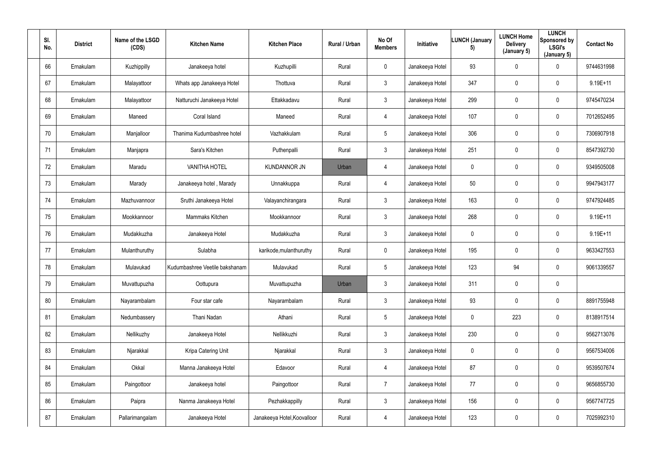| SI.<br>No. | <b>District</b> | Name of the LSGD<br>(CDS) | <b>Kitchen Name</b>            | <b>Kitchen Place</b>        | Rural / Urban | No Of<br><b>Members</b> | Initiative      | <b>LUNCH (January</b><br>5) | <b>LUNCH Home</b><br><b>Delivery</b><br>(January 5) | <b>LUNCH</b><br>Sponsored by<br><b>LSGI's</b><br>(January 5) | <b>Contact No</b> |
|------------|-----------------|---------------------------|--------------------------------|-----------------------------|---------------|-------------------------|-----------------|-----------------------------|-----------------------------------------------------|--------------------------------------------------------------|-------------------|
| 66         | Ernakulam       | Kuzhippilly               | Janakeeya hotel                | Kuzhupilli                  | Rural         | $\mathbf 0$             | Janakeeya Hotel | 93                          | $\mathbf 0$                                         | $\mathbf 0$                                                  | 9744631998        |
| 67         | Ernakulam       | Malayattoor               | Whats app Janakeeya Hotel      | Thottuva                    | Rural         | $\mathbf{3}$            | Janakeeya Hotel | 347                         | $\mathbf 0$                                         | $\mathbf 0$                                                  | $9.19E + 11$      |
| 68         | Ernakulam       | Malayattoor               | Natturuchi Janakeeya Hotel     | Ettakkadavu                 | Rural         | $\mathbf{3}$            | Janakeeya Hotel | 299                         | $\mathbf 0$                                         | $\mathbf 0$                                                  | 9745470234        |
| 69         | Ernakulam       | Maneed                    | Coral Island                   | Maneed                      | Rural         | $\overline{4}$          | Janakeeya Hotel | 107                         | 0                                                   | $\mathbf 0$                                                  | 7012652495        |
| 70         | Ernakulam       | Manjalloor                | Thanima Kudumbashree hotel     | Vazhakkulam                 | Rural         | $5\overline{)}$         | Janakeeya Hotel | 306                         | $\mathbf 0$                                         | $\mathbf 0$                                                  | 7306907918        |
| 71         | Ernakulam       | Manjapra                  | Sara's Kitchen                 | Puthenpalli                 | Rural         | $\mathbf{3}$            | Janakeeya Hotel | 251                         | 0                                                   | $\mathbf 0$                                                  | 8547392730        |
| 72         | Ernakulam       | Maradu                    | <b>VANITHA HOTEL</b>           | <b>KUNDANNOR JN</b>         | Urban         | $\overline{4}$          | Janakeeya Hotel | $\mathbf 0$                 | $\mathbf 0$                                         | $\mathbf 0$                                                  | 9349505008        |
| 73         | Ernakulam       | Marady                    | Janakeeya hotel, Marady        | Unnakkuppa                  | Rural         | $\overline{4}$          | Janakeeya Hotel | 50                          | $\mathbf 0$                                         | $\mathbf 0$                                                  | 9947943177        |
| 74         | Ernakulam       | Mazhuvannoor              | Sruthi Janakeeya Hotel         | Valayanchirangara           | Rural         | $3\phantom{.0}$         | Janakeeya Hotel | 163                         | $\mathbf 0$                                         | $\mathbf 0$                                                  | 9747924485        |
| 75         | Ernakulam       | Mookkannoor               | Mammaks Kitchen                | Mookkannoor                 | Rural         | $\mathbf{3}$            | Janakeeya Hotel | 268                         | 0                                                   | $\mathbf 0$                                                  | $9.19E+11$        |
| 76         | Ernakulam       | Mudakkuzha                | Janakeeya Hotel                | Mudakkuzha                  | Rural         | $\mathbf{3}$            | Janakeeya Hotel | $\mathbf 0$                 | $\mathbf 0$                                         | $\mathbf 0$                                                  | $9.19E + 11$      |
| 77         | Ernakulam       | Mulanthuruthy             | Sulabha                        | karikode, mulanthuruthy     | Rural         | $\mathbf 0$             | Janakeeya Hotel | 195                         | $\mathbf 0$                                         | $\mathbf 0$                                                  | 9633427553        |
| 78         | Ernakulam       | Mulavukad                 | Kudumbashree Veetile bakshanam | Mulavukad                   | Rural         | $5\phantom{.0}$         | Janakeeya Hotel | 123                         | 94                                                  | $\mathbf 0$                                                  | 9061339557        |
| 79         | Ernakulam       | Muvattupuzha              | Oottupura                      | Muvattupuzha                | Urban         | $\mathbf{3}$            | Janakeeya Hotel | 311                         | $\overline{0}$                                      | $\mathbf 0$                                                  |                   |
| 80         | Ernakulam       | Nayarambalam              | Four star cafe                 | Nayarambalam                | Rural         | 3                       | Janakeeya Hotel | 93                          | $\mathbf 0$                                         | $\overline{0}$                                               | 8891755948        |
| 81         | Ernakulam       | Nedumbassery              | Thani Nadan                    | Athani                      | Rural         | 5                       | Janakeeya Hotel | $\pmb{0}$                   | 223                                                 | $\mathbf 0$                                                  | 8138917514        |
| 82         | Ernakulam       | Nellikuzhy                | Janakeeya Hotel                | Nellikkuzhi                 | Rural         | 3                       | Janakeeya Hotel | 230                         | $\mathbf 0$                                         | $\mathbf 0$                                                  | 9562713076        |
| 83         | Ernakulam       | Njarakkal                 | Kripa Catering Unit            | Njarakkal                   | Rural         | 3 <sup>1</sup>          | Janakeeya Hotel | $\pmb{0}$                   | $\mathbf 0$                                         | $\mathbf 0$                                                  | 9567534006        |
| 84         | Ernakulam       | Okkal                     | Manna Janakeeya Hotel          | Edavoor                     | Rural         | $\overline{4}$          | Janakeeya Hotel | 87                          | $\mathbf 0$                                         | $\mathbf 0$                                                  | 9539507674        |
| 85         | Ernakulam       | Paingottoor               | Janakeeya hotel                | Paingottoor                 | Rural         | $\overline{7}$          | Janakeeya Hotel | 77                          | $\mathbf 0$                                         | $\mathbf 0$                                                  | 9656855730        |
| 86         | Ernakulam       | Paipra                    | Nanma Janakeeya Hotel          | Pezhakkappilly              | Rural         | $\mathbf{3}$            | Janakeeya Hotel | 156                         | $\mathbf 0$                                         | $\mathbf 0$                                                  | 9567747725        |
| 87         | Ernakulam       | Pallarimangalam           | Janakeeya Hotel                | Janakeeya Hotel, Koovalloor | Rural         | $\overline{4}$          | Janakeeya Hotel | 123                         | $\overline{0}$                                      | $\overline{0}$                                               | 7025992310        |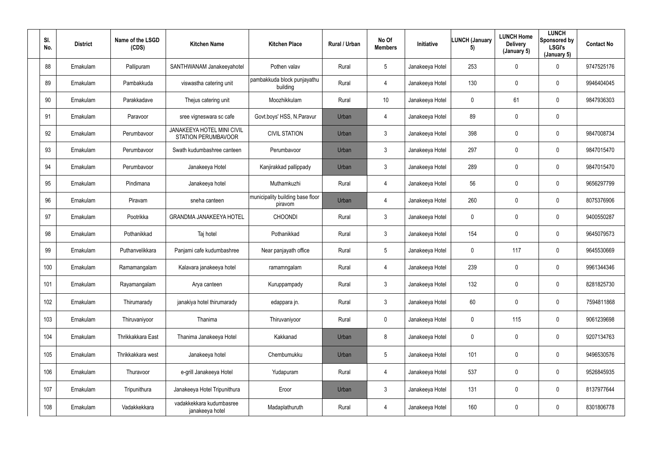| SI.<br>No. | <b>District</b> | Name of the LSGD<br>(CDS) | <b>Kitchen Name</b>                                             | <b>Kitchen Place</b>                        | Rural / Urban | No Of<br><b>Members</b> | <b>Initiative</b> | <b>LUNCH (January</b><br>5) | <b>LUNCH Home</b><br><b>Delivery</b><br>(January 5) | <b>LUNCH</b><br>Sponsored by<br><b>LSGI's</b><br>(January 5) | <b>Contact No</b> |
|------------|-----------------|---------------------------|-----------------------------------------------------------------|---------------------------------------------|---------------|-------------------------|-------------------|-----------------------------|-----------------------------------------------------|--------------------------------------------------------------|-------------------|
| 88         | Ernakulam       | Pallipuram                | SANTHWANAM Janakeeyahotel                                       | Pothen valav                                | Rural         | 5 <sup>5</sup>          | Janakeeya Hotel   | 253                         | $\mathbf 0$                                         | $\mathbf 0$                                                  | 9747525176        |
| 89         | Ernakulam       | Pambakkuda                | viswastha catering unit                                         | pambakkuda block punjayathu<br>building     | Rural         | 4                       | Janakeeya Hotel   | 130                         | 0                                                   | $\mathbf 0$                                                  | 9946404045        |
| 90         | Ernakulam       | Parakkadave               | Thejus catering unit                                            | Moozhikkulam                                | Rural         | 10                      | Janakeeya Hotel   | $\mathbf 0$                 | 61                                                  | $\overline{0}$                                               | 9847936303        |
| 91         | Ernakulam       | Paravoor                  | sree vigneswara sc cafe                                         | Govt.boys' HSS, N.Paravur                   | Urban         | 4                       | Janakeeya Hotel   | 89                          | 0                                                   | $\mathbf 0$                                                  |                   |
| 92         | Ernakulam       | Perumbavoor               | <b>JANAKEEYA HOTEL MINI CIVIL</b><br><b>STATION PERUMBAVOOR</b> | <b>CIVIL STATION</b>                        | Urban         | 3 <sup>1</sup>          | Janakeeya Hotel   | 398                         | 0                                                   | $\mathbf 0$                                                  | 9847008734        |
| 93         | Ernakulam       | Perumbavoor               | Swath kudumbashree canteen                                      | Perumbavoor                                 | Urban         | 3                       | Janakeeya Hotel   | 297                         | 0                                                   | $\mathbf 0$                                                  | 9847015470        |
| 94         | Ernakulam       | Perumbavoor               | Janakeeya Hotel                                                 | Kanjirakkad pallippady                      | Urban         | 3 <sup>1</sup>          | Janakeeya Hotel   | 289                         | 0                                                   | $\mathbf 0$                                                  | 9847015470        |
| 95         | Ernakulam       | Pindimana                 | Janakeeya hotel                                                 | Muthamkuzhi                                 | Rural         | 4                       | Janakeeya Hotel   | 56                          | 0                                                   | $\mathbf 0$                                                  | 9656297799        |
| 96         | Ernakulam       | Piravam                   | sneha canteen                                                   | municipality building base floor<br>piravom | Urban         | 4                       | Janakeeya Hotel   | 260                         | 0                                                   | $\mathbf 0$                                                  | 8075376906        |
| 97         | Ernakulam       | Pootrikka                 | <b>GRANDMA JANAKEEYA HOTEL</b>                                  | <b>CHOONDI</b>                              | Rural         | 3 <sup>1</sup>          | Janakeeya Hotel   | $\mathbf 0$                 | 0                                                   | $\mathbf 0$                                                  | 9400550287        |
| 98         | Ernakulam       | Pothanikkad               | Taj hotel                                                       | Pothanikkad                                 | Rural         | $\mathbf{3}$            | Janakeeya Hotel   | 154                         | 0                                                   | $\mathbf 0$                                                  | 9645079573        |
| 99         | Ernakulam       | Puthanvelikkara           | Panjami cafe kudumbashree                                       | Near panjayath office                       | Rural         | 5 <sup>5</sup>          | Janakeeya Hotel   | $\overline{0}$              | 117                                                 | $\mathbf 0$                                                  | 9645530669        |
| 100        | Ernakulam       | Ramamangalam              | Kalavara janakeeya hotel                                        | ramamngalam                                 | Rural         | 4                       | Janakeeya Hotel   | 239                         | 0                                                   | $\overline{0}$                                               | 9961344346        |
| 101        | Ernakulam       | Rayamangalam              | Arya canteen                                                    | Kuruppampady                                | Rural         | $\mathbf{3}$            | Janakeeya Hotel   | 132                         | 0                                                   | $\mathbf 0$                                                  | 8281825730        |
| 102        | Ernakulam       | Thirumarady               | janakiya hotel thirumarady                                      | edappara jn.                                | Rural         | 3 <sup>1</sup>          | Janakeeya Hotel   | 60                          | 0                                                   | $\mathbf 0$                                                  | 7594811868        |
| 103        | Ernakulam       | Thiruvaniyoor             | Thanima                                                         | Thiruvaniyoor                               | Rural         | $\mathbf 0$             | Janakeeya Hotel   | $\boldsymbol{0}$            | 115                                                 | $\mathbf 0$                                                  | 9061239698        |
| 104        | Ernakulam       | Thrikkakkara East         | Thanima Janakeeya Hotel                                         | Kakkanad                                    | Urban         | 8                       | Janakeeya Hotel   | $\mathbf 0$                 | 0                                                   | $\mathbf 0$                                                  | 9207134763        |
| 105        | Ernakulam       | Thrikkakkara west         | Janakeeya hotel                                                 | Chembumukku                                 | Urban         | $5\phantom{.0}$         | Janakeeya Hotel   | 101                         | $\mathbf 0$                                         | $\mathbf 0$                                                  | 9496530576        |
| 106        | Ernakulam       | Thuravoor                 | e-grill Janakeeya Hotel                                         | Yudapuram                                   | Rural         | $\overline{4}$          | Janakeeya Hotel   | 537                         | 0                                                   | $\mathbf 0$                                                  | 9526845935        |
| 107        | Ernakulam       | Tripunithura              | Janakeeya Hotel Tripunithura                                    | Eroor                                       | Urban         | $\mathbf{3}$            | Janakeeya Hotel   | 131                         | 0                                                   | $\mathbf 0$                                                  | 8137977644        |
| 108        | Ernakulam       | Vadakkekkara              | vadakkekkara kudumbasree<br>janakeeya hotel                     | Madaplathuruth                              | Rural         | $\overline{4}$          | Janakeeya Hotel   | 160                         | $\mathbf 0$                                         | $\mathbf 0$                                                  | 8301806778        |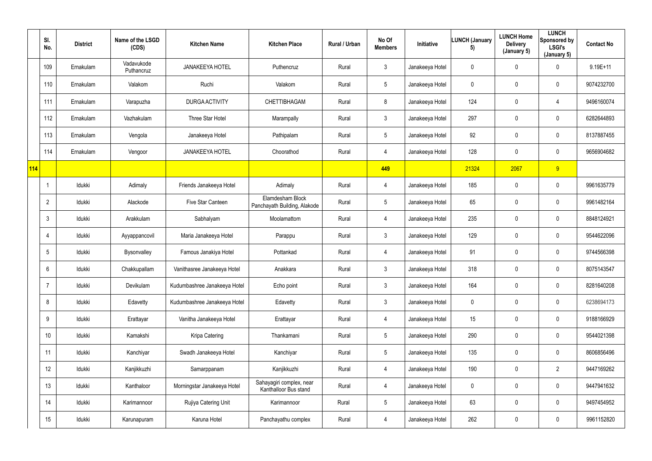|     | SI.<br>No.     | <b>District</b> | Name of the LSGD<br>(CDS) | <b>Kitchen Name</b>          | <b>Kitchen Place</b>                              | Rural / Urban | No Of<br><b>Members</b> | Initiative      | <b>LUNCH (January</b><br>5) | <b>LUNCH Home</b><br><b>Delivery</b><br>(January 5) | <b>LUNCH</b><br>Sponsored by<br><b>LSGI's</b><br>(January 5) | <b>Contact No</b> |
|-----|----------------|-----------------|---------------------------|------------------------------|---------------------------------------------------|---------------|-------------------------|-----------------|-----------------------------|-----------------------------------------------------|--------------------------------------------------------------|-------------------|
|     | 109            | Ernakulam       | Vadavukode<br>Puthancruz  | <b>JANAKEEYA HOTEL</b>       | Puthencruz                                        | Rural         | 3 <sup>1</sup>          | Janakeeya Hotel | $\mathbf 0$                 | 0                                                   | $\pmb{0}$                                                    | $9.19E + 11$      |
|     | 110            | Ernakulam       | Valakom                   | Ruchi                        | Valakom                                           | Rural         | $5\phantom{.0}$         | Janakeeya Hotel | $\mathbf{0}$                | $\mathbf 0$                                         | $\pmb{0}$                                                    | 9074232700        |
|     | 111            | Ernakulam       | Varapuzha                 | <b>DURGA ACTIVITY</b>        | CHETTIBHAGAM                                      | Rural         | 8                       | Janakeeya Hotel | 124                         | 0                                                   | 4                                                            | 9496160074        |
|     | 112            | Ernakulam       | Vazhakulam                | Three Star Hotel             | Marampally                                        | Rural         | $\mathfrak{Z}$          | Janakeeya Hotel | 297                         | 0                                                   | $\mathbf 0$                                                  | 6282644893        |
|     | 113            | Ernakulam       | Vengola                   | Janakeeya Hotel              | Pathipalam                                        | Rural         | 5                       | Janakeeya Hotel | 92                          | $\mathbf 0$                                         | $\mathbf 0$                                                  | 8137887455        |
|     | 114            | Ernakulam       | Vengoor                   | <b>JANAKEEYA HOTEL</b>       | Choorathod                                        | Rural         | 4                       | Janakeeya Hotel | 128                         | 0                                                   | $\mathbf 0$                                                  | 9656904682        |
| 114 |                |                 |                           |                              |                                                   |               | 449                     |                 | 21324                       | 2067                                                | 9                                                            |                   |
|     |                | Idukki          | Adimaly                   | Friends Janakeeya Hotel      | Adimaly                                           | Rural         | 4                       | Janakeeya Hotel | 185                         | 0                                                   | $\mathbf 0$                                                  | 9961635779        |
|     | $\overline{2}$ | Idukki          | Alackode                  | Five Star Canteen            | Elamdesham Block<br>Panchayath Building, Alakode  | Rural         | $5\phantom{.0}$         | Janakeeya Hotel | 65                          | 0                                                   | $\pmb{0}$                                                    | 9961482164        |
|     | -3             | Idukki          | Arakkulam                 | Sabhalyam                    | Moolamattom                                       | Rural         | 4                       | Janakeeya Hotel | 235                         | 0                                                   | $\mathbf 0$                                                  | 8848124921        |
|     |                | Idukki          | Ayyappancovil             | Maria Janakeeya Hotel        | Parappu                                           | Rural         | $\mathfrak{Z}$          | Janakeeya Hotel | 129                         | $\mathbf 0$                                         | $\mathbf 0$                                                  | 9544622096        |
|     | 5              | Idukki          | Bysonvalley               | Famous Janakiya Hotel        | Pottankad                                         | Rural         | 4                       | Janakeeya Hotel | 91                          | $\mathbf 0$                                         | $\mathbf 0$                                                  | 9744566398        |
|     | 6              | Idukki          | Chakkupallam              | Vanithasree Janakeeya Hotel  | Anakkara                                          | Rural         | $\mathfrak{Z}$          | Janakeeya Hotel | 318                         | 0                                                   | $\pmb{0}$                                                    | 8075143547        |
|     |                | Idukki          | Devikulam                 | Kudumbashree Janakeeya Hotel | Echo point                                        | Rural         | $\mathfrak{Z}$          | Janakeeya Hotel | 164                         | $\mathbf 0$                                         | $\overline{0}$                                               | 8281640208        |
|     | 8              | Idukki          | Edavetty                  | Kudumbashree Janakeeya Hotel | Edavetty                                          | Rural         | 3 <sup>1</sup>          | Janakeeya Hotel | $\mathbf 0$                 | $\pmb{0}$                                           | $\overline{0}$                                               | 6238694173        |
|     | 9              | Idukki          | Erattayar                 | Vanitha Janakeeya Hotel      | Erattayar                                         | Rural         | $\overline{4}$          | Janakeeya Hotel | 15                          | $\pmb{0}$                                           | $\overline{0}$                                               | 9188166929        |
|     | 10             | Idukki          | Kamakshi                  | Kripa Catering               | Thankamani                                        | Rural         | 5 <sub>5</sub>          | Janakeeya Hotel | 290                         | 0                                                   | $\overline{0}$                                               | 9544021398        |
|     | 11             | Idukki          | Kanchiyar                 | Swadh Janakeeya Hotel        | Kanchiyar                                         | Rural         | $5\overline{)}$         | Janakeeya Hotel | 135                         | 0                                                   | $\overline{0}$                                               | 8606856496        |
|     | 12             | Idukki          | Kanjikkuzhi               | Samarppanam                  | Kanjikkuzhi                                       | Rural         | 4                       | Janakeeya Hotel | 190                         | $\mathbf 0$                                         | $\overline{2}$                                               | 9447169262        |
|     | 13             | Idukki          | Kanthaloor                | Morningstar Janakeeya Hotel  | Sahayagiri complex, near<br>Kanthalloor Bus stand | Rural         | 4                       | Janakeeya Hotel | $\mathbf 0$                 | 0                                                   | $\overline{0}$                                               | 9447941632        |
|     | 14             | Idukki          | Karimannoor               | Rujiya Catering Unit         | Karimannoor                                       | Rural         | 5 <sub>5</sub>          | Janakeeya Hotel | 63                          | 0                                                   | $\overline{0}$                                               | 9497454952        |
|     | 15             | Idukki          | Karunapuram               | Karuna Hotel                 | Panchayathu complex                               | Rural         | 4                       | Janakeeya Hotel | 262                         | 0                                                   | $\overline{0}$                                               | 9961152820        |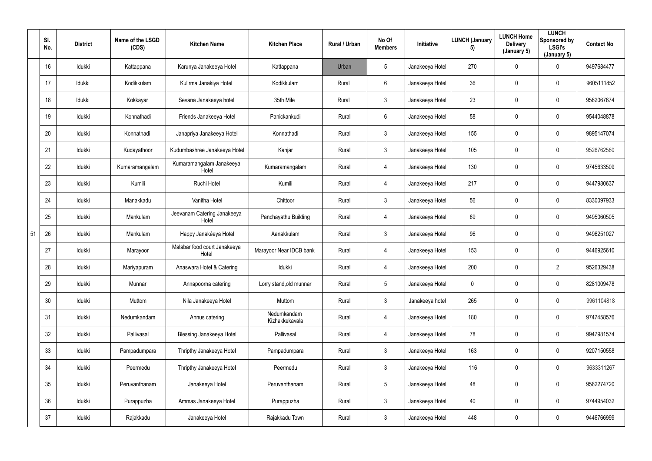|    | SI.<br>No. | <b>District</b> | Name of the LSGD<br>(CDS) | <b>Kitchen Name</b>                   | <b>Kitchen Place</b>          | Rural / Urban | No Of<br><b>Members</b> | <b>Initiative</b> | <b>LUNCH (January</b><br>5) | <b>LUNCH Home</b><br><b>Delivery</b><br>(January 5) | <b>LUNCH</b><br>Sponsored by<br>LSGI's<br>(January 5) | <b>Contact No</b> |
|----|------------|-----------------|---------------------------|---------------------------------------|-------------------------------|---------------|-------------------------|-------------------|-----------------------------|-----------------------------------------------------|-------------------------------------------------------|-------------------|
|    | 16         | Idukki          | Kattappana                | Karunya Janakeeya Hotel               | Kattappana                    | Urban         | $5\phantom{.0}$         | Janakeeya Hotel   | 270                         | 0                                                   | $\mathbf 0$                                           | 9497684477        |
|    | 17         | Idukki          | Kodikkulam                | Kulirma Janakiya Hotel                | Kodikkulam                    | Rural         | 6                       | Janakeeya Hotel   | 36                          | 0                                                   | $\mathbf 0$                                           | 9605111852        |
|    | 18         | Idukki          | Kokkayar                  | Sevana Janakeeya hotel                | 35th Mile                     | Rural         | $3\phantom{.0}$         | Janakeeya Hotel   | 23                          | 0                                                   | $\mathbf 0$                                           | 9562067674        |
|    | 19         | Idukki          | Konnathadi                | Friends Janakeeya Hotel               | Panickankudi                  | Rural         | $6\overline{6}$         | Janakeeya Hotel   | 58                          | 0                                                   | $\mathbf 0$                                           | 9544048878        |
|    | 20         | Idukki          | Konnathadi                | Janapriya Janakeeya Hotel             | Konnathadi                    | Rural         | $3\phantom{.0}$         | Janakeeya Hotel   | 155                         | 0                                                   | $\mathbf 0$                                           | 9895147074        |
|    | 21         | Idukki          | Kudayathoor               | Kudumbashree Janakeeya Hotel          | Kanjar                        | Rural         | $\mathbf{3}$            | Janakeeya Hotel   | 105                         | 0                                                   | $\mathbf 0$                                           | 9526762560        |
|    | 22         | Idukki          | Kumaramangalam            | Kumaramangalam Janakeeya<br>Hotel     | Kumaramangalam                | Rural         | 4                       | Janakeeya Hotel   | 130                         | 0                                                   | $\mathbf 0$                                           | 9745633509        |
|    | 23         | Idukki          | Kumili                    | Ruchi Hotel                           | Kumili                        | Rural         | 4                       | Janakeeya Hotel   | 217                         | 0                                                   | $\mathbf 0$                                           | 9447980637        |
|    | 24         | Idukki          | Manakkadu                 | Vanitha Hotel                         | Chittoor                      | Rural         | $3\phantom{.0}$         | Janakeeya Hotel   | 56                          | 0                                                   | $\mathbf 0$                                           | 8330097933        |
|    | 25         | Idukki          | Mankulam                  | Jeevanam Catering Janakeeya<br>Hotel  | Panchayathu Building          | Rural         | 4                       | Janakeeya Hotel   | 69                          | 0                                                   | $\mathbf 0$                                           | 9495060505        |
| 51 | 26         | Idukki          | Mankulam                  | Happy Janakéeya Hotel                 | Aanakkulam                    | Rural         | $\mathbf{3}$            | Janakeeya Hotel   | 96                          | 0                                                   | $\mathbf 0$                                           | 9496251027        |
|    | 27         | Idukki          | Marayoor                  | Malabar food court Janakeeya<br>Hotel | Marayoor Near IDCB bank       | Rural         | 4                       | Janakeeya Hotel   | 153                         | 0                                                   | $\mathbf 0$                                           | 9446925610        |
|    | 28         | Idukki          | Mariyapuram               | Anaswara Hotel & Catering             | Idukki                        | Rural         | 4                       | Janakeeya Hotel   | 200                         | 0                                                   | $\overline{2}$                                        | 9526329438        |
|    | 29         | Idukki          | Munnar                    | Annapoorna catering                   | Lorry stand, old munnar       | Rural         | $5\phantom{.0}$         | Janakeeya Hotel   | $\mathbf 0$                 | $\mathbf 0$                                         | $\mathbf 0$                                           | 8281009478        |
|    | 30         | Idukki          | Muttom                    | Nila Janakeeya Hotel                  | Muttom                        | Rural         | $\mathfrak{Z}$          | Janakeeya hotel   | 265                         | $\pmb{0}$                                           | $\overline{0}$                                        | 9961104818        |
|    | 31         | Idukki          | Nedumkandam               | Annus catering                        | Nedumkandam<br>Kizhakkekavala | Rural         | $\overline{4}$          | Janakeeya Hotel   | 180                         | $\pmb{0}$                                           | $\mathbf 0$                                           | 9747458576        |
|    | 32         | Idukki          | Pallivasal                | <b>Blessing Janakeeya Hotel</b>       | Pallivasal                    | Rural         | $\overline{4}$          | Janakeeya Hotel   | 78                          | $\mathbf 0$                                         | $\mathbf 0$                                           | 9947981574        |
|    | 33         | Idukki          | Pampadumpara              | Thripthy Janakeeya Hotel              | Pampadumpara                  | Rural         | 3 <sup>1</sup>          | Janakeeya Hotel   | 163                         | 0                                                   | $\mathbf 0$                                           | 9207150558        |
|    | 34         | Idukki          | Peermedu                  | Thripthy Janakeeya Hotel              | Peermedu                      | Rural         | 3 <sup>1</sup>          | Janakeeya Hotel   | 116                         | $\mathbf 0$                                         | $\overline{0}$                                        | 9633311267        |
|    | 35         | Idukki          | Peruvanthanam             | Janakeeya Hotel                       | Peruvanthanam                 | Rural         | 5 <sub>5</sub>          | Janakeeya Hotel   | 48                          | $\pmb{0}$                                           | $\mathbf 0$                                           | 9562274720        |
|    | 36         | Idukki          | Purappuzha                | Ammas Janakeeya Hotel                 | Purappuzha                    | Rural         | $\mathfrak{Z}$          | Janakeeya Hotel   | 40                          | 0                                                   | $\mathbf 0$                                           | 9744954032        |
|    | 37         | Idukki          | Rajakkadu                 | Janakeeya Hotel                       | Rajakkadu Town                | Rural         | 3 <sup>1</sup>          | Janakeeya Hotel   | 448                         | 0                                                   | $\overline{0}$                                        | 9446766999        |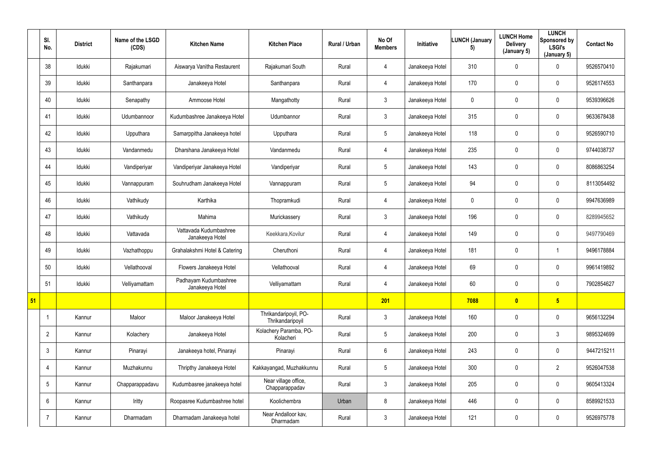|    | SI.<br>No.     | <b>District</b> | Name of the LSGD<br>(CDS) | <b>Kitchen Name</b>                       | <b>Kitchen Place</b>                      | Rural / Urban | No Of<br><b>Members</b> | <b>Initiative</b> | <b>LUNCH (January</b><br>5) | <b>LUNCH Home</b><br><b>Delivery</b><br>(January 5) | <b>LUNCH</b><br>Sponsored by<br><b>LSGI's</b><br>(January 5) | <b>Contact No</b> |
|----|----------------|-----------------|---------------------------|-------------------------------------------|-------------------------------------------|---------------|-------------------------|-------------------|-----------------------------|-----------------------------------------------------|--------------------------------------------------------------|-------------------|
|    | 38             | Idukki          | Rajakumari                | Aiswarya Vanitha Restaurent               | Rajakumari South                          | Rural         | 4                       | Janakeeya Hotel   | 310                         | $\mathbf 0$                                         | $\mathbf 0$                                                  | 9526570410        |
|    | 39             | Idukki          | Santhanpara               | Janakeeya Hotel                           | Santhanpara                               | Rural         | 4                       | Janakeeya Hotel   | 170                         | $\overline{0}$                                      | $\mathbf 0$                                                  | 9526174553        |
|    | 40             | Idukki          | Senapathy                 | Ammoose Hotel                             | Mangathotty                               | Rural         | $\mathbf{3}$            | Janakeeya Hotel   | $\mathbf 0$                 | $\mathbf 0$                                         | $\overline{0}$                                               | 9539396626        |
|    | 41             | Idukki          | Udumbannoor               | Kudumbashree Janakeeya Hotel              | Udumbannor                                | Rural         | 3                       | Janakeeya Hotel   | 315                         | $\mathbf 0$                                         | $\pmb{0}$                                                    | 9633678438        |
|    | 42             | Idukki          | Upputhara                 | Samarppitha Janakeeya hotel               | Upputhara                                 | Rural         | 5                       | Janakeeya Hotel   | 118                         | $\mathbf 0$                                         | $\mathbf 0$                                                  | 9526590710        |
|    | 43             | Idukki          | Vandanmedu                | Dharshana Janakeeya Hotel                 | Vandanmedu                                | Rural         | 4                       | Janakeeya Hotel   | 235                         | $\mathbf 0$                                         | $\pmb{0}$                                                    | 9744038737        |
|    | 44             | Idukki          | Vandiperiyar              | Vandiperiyar Janakeeya Hotel              | Vandiperiyar                              | Rural         | $5\phantom{.0}$         | Janakeeya Hotel   | 143                         | $\mathbf 0$                                         | $\overline{0}$                                               | 8086863254        |
|    | 45             | Idukki          | Vannappuram               | Souhrudham Janakeeya Hotel                | Vannappuram                               | Rural         | 5                       | Janakeeya Hotel   | 94                          | $\mathbf 0$                                         | $\mathbf 0$                                                  | 8113054492        |
|    | 46             | Idukki          | Vathikudy                 | Karthika                                  | Thopramkudi                               | Rural         | 4                       | Janakeeya Hotel   | $\mathbf 0$                 | $\mathbf 0$                                         | $\pmb{0}$                                                    | 9947636989        |
|    | 47             | Idukki          | Vathikudy                 | Mahima                                    | Murickassery                              | Rural         | 3                       | Janakeeya Hotel   | 196                         | $\mathbf 0$                                         | $\pmb{0}$                                                    | 8289945652        |
|    | 48             | Idukki          | Vattavada                 | Vattavada Kudumbashree<br>Janakeeya Hotel | Keekkara, Kovilur                         | Rural         | 4                       | Janakeeya Hotel   | 149                         | $\overline{0}$                                      | $\pmb{0}$                                                    | 9497790469        |
|    | 49             | Idukki          | Vazhathoppu               | Grahalakshmi Hotel & Catering             | Cheruthoni                                | Rural         | 4                       | Janakeeya Hotel   | 181                         | $\mathbf 0$                                         | 1                                                            | 9496178884        |
|    | 50             | Idukki          | Vellathooval              | Flowers Janakeeya Hotel                   | Vellathooval                              | Rural         | 4                       | Janakeeya Hotel   | 69                          | $\mathbf 0$                                         | $\pmb{0}$                                                    | 9961419892        |
|    | 51             | Idukki          | Velliyamattam             | Padhayam Kudumbashree<br>Janakeeya Hotel  | Velliyamattam                             | Rural         | 4                       | Janakeeya Hotel   | 60                          | $\mathbf 0$                                         | $\overline{0}$                                               | 7902854627        |
| 51 |                |                 |                           |                                           |                                           |               | 201                     |                   | 7088                        | $\overline{\mathbf{0}}$                             | 5 <sub>o</sub>                                               |                   |
|    | -1             | Kannur          | Maloor                    | Maloor Janakeeya Hotel                    | Thrikandaripoyil, PO-<br>Thrikandaripoyil | Rural         | $\mathbf{3}$            | Janakeeya Hotel   | 160                         | $\mathbf 0$                                         | $\overline{0}$                                               | 9656132294        |
|    | $\overline{2}$ | Kannur          | Kolachery                 | Janakeeya Hotel                           | Kolachery Paramba, PO-<br>Kolacheri       | Rural         | $5\phantom{.0}$         | Janakeeya Hotel   | 200                         | $\mathbf 0$                                         | $\mathbf{3}$                                                 | 9895324699        |
|    | 3              | Kannur          | Pinarayi                  | Janakeeya hotel, Pinarayi                 | Pinarayi                                  | Rural         | $6\phantom{.0}$         | Janakeeya Hotel   | 243                         | $\mathbf 0$                                         | $\overline{0}$                                               | 9447215211        |
|    | $\overline{4}$ | Kannur          | Muzhakunnu                | Thripthy Janakeeya Hotel                  | Kakkayangad, Muzhakkunnu                  | Rural         | $5\phantom{.0}$         | Janakeeya Hotel   | 300                         | $\mathbf 0$                                         | $\overline{2}$                                               | 9526047538        |
|    | 5              | Kannur          | Chapparappadavu           | Kudumbasree janakeeya hotel               | Near village office,<br>Chapparappadav    | Rural         | 3 <sup>1</sup>          | Janakeeya Hotel   | 205                         | $\pmb{0}$                                           | $\overline{0}$                                               | 9605413324        |
|    | 6              | Kannur          | Iritty                    | Roopasree Kudumbashree hotel              | Koolichembra                              | Urban         | 8                       | Janakeeya Hotel   | 446                         | $\mathbf 0$                                         | $\overline{0}$                                               | 8589921533        |
|    |                | Kannur          | Dharmadam                 | Dharmadam Janakeeya hotel                 | Near Andalloor kav,<br>Dharmadam          | Rural         | $3\phantom{.0}$         | Janakeeya Hotel   | 121                         | $\pmb{0}$                                           | $\pmb{0}$                                                    | 9526975778        |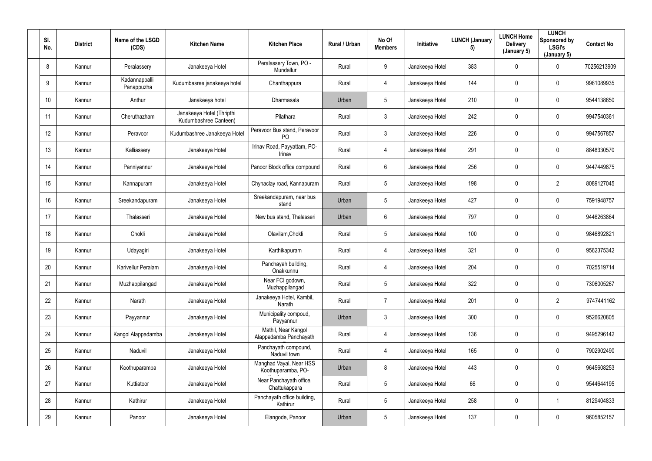| SI.<br>No.      | <b>District</b> | Name of the LSGD<br>(CDS)   | <b>Kitchen Name</b>                                | <b>Kitchen Place</b>                           | Rural / Urban | No Of<br><b>Members</b> | Initiative      | <b>LUNCH (January</b><br>5) | <b>LUNCH Home</b><br><b>Delivery</b><br>(January 5) | <b>LUNCH</b><br>Sponsored by<br><b>LSGI's</b><br>(January 5) | <b>Contact No</b> |
|-----------------|-----------------|-----------------------------|----------------------------------------------------|------------------------------------------------|---------------|-------------------------|-----------------|-----------------------------|-----------------------------------------------------|--------------------------------------------------------------|-------------------|
| 8               | Kannur          | Peralassery                 | Janakeeya Hotel                                    | Peralassery Town, PO -<br>Mundallur            | Rural         | 9                       | Janakeeya Hotel | 383                         | 0                                                   | $\mathbf 0$                                                  | 70256213909       |
| 9               | Kannur          | Kadannappalli<br>Panappuzha | Kudumbasree janakeeya hotel                        | Chanthappura                                   | Rural         | 4                       | Janakeeya Hotel | 144                         | 0                                                   | $\mathbf 0$                                                  | 9961089935        |
| 10 <sup>°</sup> | Kannur          | Anthur                      | Janakeeya hotel                                    | Dharmasala                                     | Urban         | $5\overline{)}$         | Janakeeya Hotel | 210                         | 0                                                   | $\mathbf 0$                                                  | 9544138650        |
| 11              | Kannur          | Cheruthazham                | Janakeeya Hotel (Thripthi<br>Kudumbashree Canteen) | Pilathara                                      | Rural         | $\mathfrak{Z}$          | Janakeeya Hotel | 242                         | 0                                                   | $\mathbf 0$                                                  | 9947540361        |
| 12              | Kannur          | Peravoor                    | Kudumbashree Janakeeya Hotel                       | Peravoor Bus stand, Peravoor<br>P <sub>O</sub> | Rural         | $\mathbf{3}$            | Janakeeya Hotel | 226                         | 0                                                   | $\mathbf 0$                                                  | 9947567857        |
| 13              | Kannur          | Kalliassery                 | Janakeeya Hotel                                    | Irinav Road, Payyattam, PO-<br>Irinav          | Rural         | 4                       | Janakeeya Hotel | 291                         | 0                                                   | $\mathbf 0$                                                  | 8848330570        |
| 14              | Kannur          | Panniyannur                 | Janakeeya Hotel                                    | Panoor Block office compound                   | Rural         | 6                       | Janakeeya Hotel | 256                         | 0                                                   | $\mathbf 0$                                                  | 9447449875        |
| 15              | Kannur          | Kannapuram                  | Janakeeya Hotel                                    | Chynaclay road, Kannapuram                     | Rural         | 5 <sup>5</sup>          | Janakeeya Hotel | 198                         | 0                                                   | $\overline{2}$                                               | 8089127045        |
| 16              | Kannur          | Sreekandapuram              | Janakeeya Hotel                                    | Sreekandapuram, near bus<br>stand              | Urban         | 5 <sup>5</sup>          | Janakeeya Hotel | 427                         | 0                                                   | $\overline{0}$                                               | 7591948757        |
| 17              | Kannur          | Thalasseri                  | Janakeeya Hotel                                    | New bus stand, Thalasseri                      | Urban         | 6                       | Janakeeya Hotel | 797                         | 0                                                   | $\overline{0}$                                               | 9446263864        |
| 18              | Kannur          | Chokli                      | Janakeeya Hotel                                    | Olavilam, Chokli                               | Rural         | 5 <sub>5</sub>          | Janakeeya Hotel | 100                         | 0                                                   | $\mathbf 0$                                                  | 9846892821        |
| 19              | Kannur          | Udayagiri                   | Janakeeya Hotel                                    | Karthikapuram                                  | Rural         | 4                       | Janakeeya Hotel | 321                         | $\mathbf 0$                                         | $\mathbf 0$                                                  | 9562375342        |
| 20              | Kannur          | Karivellur Peralam          | Janakeeya Hotel                                    | Panchayah building,<br>Onakkunnu               | Rural         | 4                       | Janakeeya Hotel | 204                         | 0                                                   | $\overline{0}$                                               | 7025519714        |
| 21              | Kannur          | Muzhappilangad              | Janakeeya Hotel                                    | Near FCI godown,<br>Muzhappilangad             | Rural         | $5\overline{)}$         | Janakeeya Hotel | 322                         | 0                                                   | $\mathbf 0$                                                  | 7306005267        |
| 22              | Kannur          | Narath                      | Janakeeya Hotel                                    | Janakeeya Hotel, Kambil,<br>Narath             | Rural         | $\overline{7}$          | Janakeeya Hotel | 201                         | 0                                                   | $\overline{2}$                                               | 9747441162        |
| 23              | Kannur          | Payyannur                   | Janakeeya Hotel                                    | Municipality compoud,<br>Payyannur             | Urban         | 3 <sup>1</sup>          | Janakeeya Hotel | 300                         | 0                                                   | $\mathbf 0$                                                  | 9526620805        |
| 24              | Kannur          | Kangol Alappadamba          | Janakeeya Hotel                                    | Mathil, Near Kangol<br>Alappadamba Panchayath  | Rural         | $\overline{4}$          | Janakeeya Hotel | 136                         | 0                                                   | $\mathbf 0$                                                  | 9495296142        |
| 25              | Kannur          | Naduvil                     | Janakeeya Hotel                                    | Panchayath compound,<br>Naduvil town           | Rural         | $\overline{4}$          | Janakeeya Hotel | 165                         | 0                                                   | $\mathbf 0$                                                  | 7902902490        |
| 26              | Kannur          | Koothuparamba               | Janakeeya Hotel                                    | Manghad Vayal, Near HSS<br>Koothuparamba, PO-  | Urban         | 8                       | Janakeeya Hotel | 443                         | 0                                                   | $\mathbf 0$                                                  | 9645608253        |
| 27              | Kannur          | Kuttiatoor                  | Janakeeya Hotel                                    | Near Panchayath office,<br>Chattukappara       | Rural         | 5 <sub>5</sub>          | Janakeeya Hotel | 66                          | 0                                                   | $\mathbf 0$                                                  | 9544644195        |
| 28              | Kannur          | Kathirur                    | Janakeeya Hotel                                    | Panchayath office building,<br>Kathirur        | Rural         | $5\overline{)}$         | Janakeeya Hotel | 258                         | 0                                                   |                                                              | 8129404833        |
| 29              | Kannur          | Panoor                      | Janakeeya Hotel                                    | Elangode, Panoor                               | Urban         | $5\overline{)}$         | Janakeeya Hotel | 137                         | 0                                                   | $\overline{0}$                                               | 9605852157        |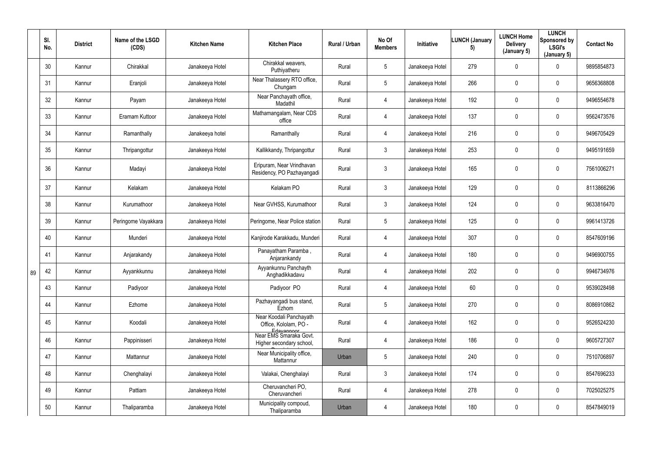|    | SI.<br>No. | <b>District</b> | Name of the LSGD<br>(CDS) | <b>Kitchen Name</b> | <b>Kitchen Place</b>                                           | Rural / Urban | No Of<br><b>Members</b> | Initiative      | <b>LUNCH (January</b><br>5) | <b>LUNCH Home</b><br><b>Delivery</b><br>(January 5) | <b>LUNCH</b><br>Sponsored by<br><b>LSGI's</b><br>(January 5) | <b>Contact No</b> |
|----|------------|-----------------|---------------------------|---------------------|----------------------------------------------------------------|---------------|-------------------------|-----------------|-----------------------------|-----------------------------------------------------|--------------------------------------------------------------|-------------------|
|    | 30         | Kannur          | Chirakkal                 | Janakeeya Hotel     | Chirakkal weavers,<br>Puthiyatheru                             | Rural         | $5\overline{)}$         | Janakeeya Hotel | 279                         | $\mathbf 0$                                         | $\mathbf 0$                                                  | 9895854873        |
|    | 31         | Kannur          | Eranjoli                  | Janakeeya Hotel     | Near Thalassery RTO office,<br>Chungam                         | Rural         | $5\overline{)}$         | Janakeeya Hotel | 266                         | 0                                                   | $\mathbf 0$                                                  | 9656368808        |
|    | 32         | Kannur          | Payam                     | Janakeeya Hotel     | Near Panchayath office,<br>Madathil                            | Rural         | 4                       | Janakeeya Hotel | 192                         | 0                                                   | $\overline{0}$                                               | 9496554678        |
|    | 33         | Kannur          | Eramam Kuttoor            | Janakeeya Hotel     | Mathamangalam, Near CDS<br>office                              | Rural         | 4                       | Janakeeya Hotel | 137                         | 0                                                   | $\mathbf 0$                                                  | 9562473576        |
|    | 34         | Kannur          | Ramanthally               | Janakeeya hotel     | Ramanthally                                                    | Rural         | 4                       | Janakeeya Hotel | 216                         | 0                                                   | $\overline{0}$                                               | 9496705429        |
|    | 35         | Kannur          | Thripangottur             | Janakeeya Hotel     | Kallikkandy, Thripangottur                                     | Rural         | 3                       | Janakeeya Hotel | 253                         | $\mathbf 0$                                         | $\overline{0}$                                               | 9495191659        |
|    | 36         | Kannur          | Madayi                    | Janakeeya Hotel     | Eripuram, Near Vrindhavan<br>Residency, PO Pazhayangadi        | Rural         | $\mathfrak{Z}$          | Janakeeya Hotel | 165                         | 0                                                   | $\pmb{0}$                                                    | 7561006271        |
|    | 37         | Kannur          | Kelakam                   | Janakeeya Hotel     | Kelakam PO                                                     | Rural         | 3 <sup>1</sup>          | Janakeeya Hotel | 129                         | 0                                                   | $\overline{0}$                                               | 8113866296        |
|    | 38         | Kannur          | Kurumathoor               | Janakeeya Hotel     | Near GVHSS, Kurumathoor                                        | Rural         | 3 <sup>1</sup>          | Janakeeya Hotel | 124                         | 0                                                   | $\overline{0}$                                               | 9633816470        |
|    | 39         | Kannur          | Peringome Vayakkara       | Janakeeya Hotel     | Peringome, Near Police station                                 | Rural         | 5 <sub>5</sub>          | Janakeeya Hotel | 125                         | 0                                                   | $\mathbf 0$                                                  | 9961413726        |
|    | 40         | Kannur          | Munderi                   | Janakeeya Hotel     | Kanjirode Karakkadu, Munderi                                   | Rural         | 4                       | Janakeeya Hotel | 307                         | 0                                                   | $\overline{0}$                                               | 8547609196        |
|    | 41         | Kannur          | Anjarakandy               | Janakeeya Hotel     | Panayatham Paramba,<br>Anjarankandy                            | Rural         | 4                       | Janakeeya Hotel | 180                         | 0                                                   | $\mathbf 0$                                                  | 9496900755        |
| 89 | 42         | Kannur          | Ayyankkunnu               | Janakeeya Hotel     | Ayyankunnu Panchayth<br>Anghadikkadavu                         | Rural         |                         | Janakeeya Hotel | 202                         | $\mathbf 0$                                         | $\boldsymbol{0}$                                             | 9946734976        |
|    | 43         | Kannur          | Padiyoor                  | Janakeeya Hotel     | Padiyoor PO                                                    | Rural         | 4                       | Janakeeya Hotel | 60                          | 0                                                   | $\overline{0}$                                               | 9539028498        |
|    | 44         | Kannur          | Ezhome                    | Janakeeya Hotel     | Pazhayangadi bus stand,<br>Ezhom                               | Rural         | $5\phantom{.0}$         | Janakeeya Hotel | 270                         | 0                                                   | $\overline{0}$                                               | 8086910862        |
|    | 45         | Kannur          | Koodali                   | Janakeeya Hotel     | Near Koodali Panchayath<br>Office, Kololam, PO -<br>Edavannoor | Rural         | 4                       | Janakeeya Hotel | 162                         | 0                                                   | $\overline{0}$                                               | 9526524230        |
|    | 46         | Kannur          | Pappinisseri              | Janakeeya Hotel     | Near EMS Smaraka Govt.<br>Higher secondary school,             | Rural         | 4                       | Janakeeya Hotel | 186                         | $\pmb{0}$                                           | $\overline{0}$                                               | 9605727307        |
|    | 47         | Kannur          | Mattannur                 | Janakeeya Hotel     | Near Municipality office,<br>Mattannur                         | Urban         | $5\phantom{.0}$         | Janakeeya Hotel | 240                         | 0                                                   | $\overline{0}$                                               | 7510706897        |
|    | 48         | Kannur          | Chenghalayi               | Janakeeya Hotel     | Valakai, Chenghalayi                                           | Rural         | 3 <sup>1</sup>          | Janakeeya Hotel | 174                         | 0                                                   | $\overline{0}$                                               | 8547696233        |
|    | 49         | Kannur          | Pattiam                   | Janakeeya Hotel     | Cheruvancheri PO,<br>Cheruvancheri                             | Rural         | $\overline{4}$          | Janakeeya Hotel | 278                         | 0                                                   | $\overline{0}$                                               | 7025025275        |
|    | 50         | Kannur          | Thaliparamba              | Janakeeya Hotel     | Municipality compoud,<br>Thaliparamba                          | Urban         | 4                       | Janakeeya Hotel | 180                         | $\pmb{0}$                                           | $\boldsymbol{0}$                                             | 8547849019        |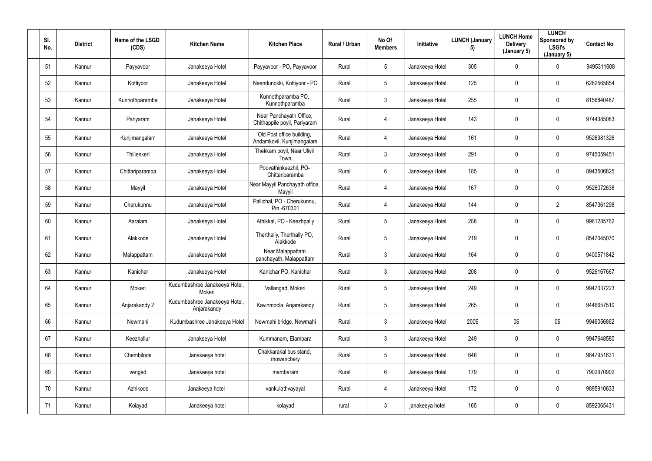| SI.<br>No. | <b>District</b> | Name of the LSGD<br>(CDS) | <b>Kitchen Name</b>                          | <b>Kitchen Place</b>                                    | Rural / Urban | No Of<br><b>Members</b> | Initiative      | <b>LUNCH (January</b><br>5) | <b>LUNCH Home</b><br><b>Delivery</b><br>(January 5) | <b>LUNCH</b><br>Sponsored by<br><b>LSGI's</b><br>(January 5) | <b>Contact No</b> |
|------------|-----------------|---------------------------|----------------------------------------------|---------------------------------------------------------|---------------|-------------------------|-----------------|-----------------------------|-----------------------------------------------------|--------------------------------------------------------------|-------------------|
| 51         | Kannur          | Payyavoor                 | Janakeeya Hotel                              | Payyavoor - PO, Payyavoor                               | Rural         | 5                       | Janakeeya Hotel | 305                         | 0                                                   | $\mathbf 0$                                                  | 9495311608        |
| 52         | Kannur          | Kottiyoor                 | Janakeeya Hotel                              | Neendunokki, Kottiyoor - PO                             | Rural         | 5                       | Janakeeya Hotel | 125                         | 0                                                   | $\mathbf 0$                                                  | 6282565854        |
| 53         | Kannur          | Kunnothparamba            | Janakeeya Hotel                              | Kunnothparamba PO,<br>Kunnothparamba                    | Rural         | $3\phantom{.0}$         | Janakeeya Hotel | 255                         | 0                                                   | $\mathbf 0$                                                  | 8156840487        |
| 54         | Kannur          | Pariyaram                 | Janakeeya Hotel                              | Near Panchayath Office,<br>Chithappile poyil, Pariyaram | Rural         | 4                       | Janakeeya Hotel | 143                         | 0                                                   | $\mathbf 0$                                                  | 9744385083        |
| 55         | Kannur          | Kunjimangalam             | Janakeeya Hotel                              | Old Post office building,<br>Andamkovil, Kunjimangalam  | Rural         | 4                       | Janakeeya Hotel | 161                         | 0                                                   | $\mathbf 0$                                                  | 9526981326        |
| 56         | Kannur          | Thillenkeri               | Janakeeya Hotel                              | Thekkam poyil, Near Uliyil<br>Town                      | Rural         | $\mathfrak{Z}$          | Janakeeya Hotel | 291                         | 0                                                   | $\mathbf 0$                                                  | 9745059451        |
| 57         | Kannur          | Chittariparamba           | Janakeeya Hotel                              | Poovathinkeezhil, PO-<br>Chittariparamba                | Rural         | 6                       | Janakeeya Hotel | 185                         | 0                                                   | $\overline{0}$                                               | 8943506825        |
| 58         | Kannur          | Mayyil                    | Janakeeya Hotel                              | Near Mayyil Panchayath office,<br>Mayyil                | Rural         | 4                       | Janakeeya Hotel | 167                         | 0                                                   | $\mathbf 0$                                                  | 9526072638        |
| 59         | Kannur          | Cherukunnu                | Janakeeya Hotel                              | Pallichal, PO - Cherukunnu,<br>Pin-670301               | Rural         | 4                       | Janakeeya Hotel | 144                         | 0                                                   | $\overline{2}$                                               | 8547361298        |
| 60         | Kannur          | Aaralam                   | Janakeeya Hotel                              | Athikkal, PO - Keezhpally                               | Rural         | 5                       | Janakeeya Hotel | 288                         | 0                                                   | $\mathbf 0$                                                  | 9961285762        |
| 61         | Kannur          | Alakkode                  | Janakeeya Hotel                              | Therthally, Therthally PO,<br>Alakkode                  | Rural         | 5                       | Janakeeya Hotel | 219                         | 0                                                   | $\mathbf 0$                                                  | 8547045070        |
| 62         | Kannur          | Malappattam               | Janakeeya Hotel                              | Near Malappattam<br>panchayath, Malappattam             | Rural         | $\mathbf{3}$            | Janakeeya Hotel | 164                         | 0                                                   | $\mathbf 0$                                                  | 9400571842        |
| 63         | Kannur          | Kanichar                  | Janakeeya Hotel                              | Kanichar PO, Kanichar                                   | Rural         | 3                       | Janakeeya Hotel | 208                         | 0                                                   | $\pmb{0}$                                                    | 9526167667        |
| 64         | Kannur          | Mokeri                    | Kudumbashree Janakeeya Hotel,<br>Mokeri      | Vallangad, Mokeri                                       | Rural         | $5\phantom{.0}$         | Janakeeya Hotel | 249                         | $\mathbf 0$                                         | $\mathbf 0$                                                  | 9947037223        |
| 65         | Kannur          | Anjarakandy 2             | Kudumbashree Janakeeya Hotel,<br>Anjarakandy | Kavinmoola, Anjarakandy                                 | Rural         | 5                       | Janakeeya Hotel | 265                         | 0                                                   | $\overline{0}$                                               | 9446657510        |
| 66         | Kannur          | Newmahi                   | Kudumbashree Janakeeya Hotel                 | Newmahi bridge, Newmahi                                 | Rural         | 3 <sup>1</sup>          | Janakeeya Hotel | 200\$                       | 0\$                                                 | 0\$                                                          | 9946056862        |
| 67         | Kannur          | Keezhallur                | Janakeeya Hotel                              | Kummanam, Elambara                                      | Rural         | $\mathfrak{Z}$          | Janakeeya Hotel | 249                         | $\pmb{0}$                                           | $\mathbf 0$                                                  | 9947648580        |
| 68         | Kannur          | Chembilode                | Janakeeya hotel                              | Chakkarakal bus stand,<br>mowanchery                    | Rural         | $5\phantom{.0}$         | Janakeeya Hotel | 646                         | $\pmb{0}$                                           | $\mathbf 0$                                                  | 9847951631        |
| 69         | Kannur          | vengad                    | Janakeeya hotel                              | mambaram                                                | Rural         | $6\overline{6}$         | Janakeeya Hotel | 179                         | $\pmb{0}$                                           | $\mathbf 0$                                                  | 7902970902        |
| 70         | Kannur          | Azhikode                  | Janakeeya hotel                              | vankulathvayayal                                        | Rural         | $\overline{4}$          | Janakeeya Hotel | 172                         | 0                                                   | $\mathbf 0$                                                  | 9895910633        |
| 71         | Kannur          | Kolayad                   | Janakeeya hotel                              | kolayad                                                 | rural         | $\mathfrak{Z}$          | janakeeya hotel | 165                         | 0                                                   | $\overline{0}$                                               | 8592065431        |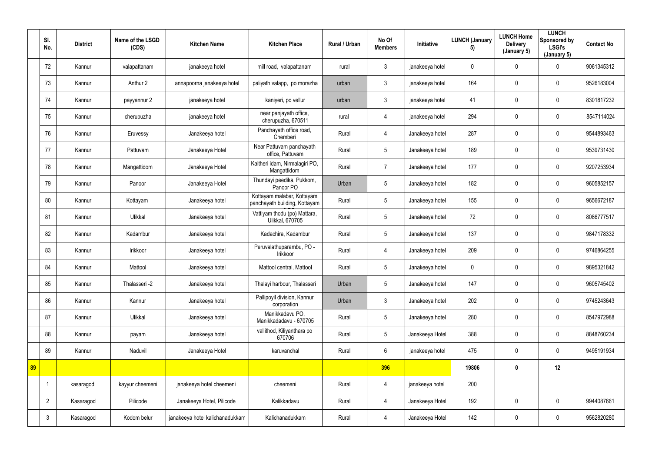|    | SI.<br>No.     | <b>District</b> | Name of the LSGD<br>(CDS) | <b>Kitchen Name</b>             | <b>Kitchen Place</b>                                        | Rural / Urban | No Of<br><b>Members</b> | Initiative      | <b>LUNCH (January</b><br>5) | <b>LUNCH Home</b><br><b>Delivery</b><br>(January 5) | <b>LUNCH</b><br>Sponsored by<br><b>LSGI's</b><br>(January 5) | <b>Contact No</b> |
|----|----------------|-----------------|---------------------------|---------------------------------|-------------------------------------------------------------|---------------|-------------------------|-----------------|-----------------------------|-----------------------------------------------------|--------------------------------------------------------------|-------------------|
|    | 72             | Kannur          | valapattanam              | janakeeya hotel                 | mill road, valapattanam                                     | rural         | $\mathbf{3}$            | janakeeya hotel | $\overline{0}$              | $\mathbf 0$                                         | $\mathbf 0$                                                  | 9061345312        |
|    | 73             | Kannur          | Anthur 2                  | annapoorna janakeeya hotel      | paliyath valapp, po morazha                                 | urban         | $\mathbf{3}$            | janakeeya hotel | 164                         | $\pmb{0}$                                           | $\overline{0}$                                               | 9526183004        |
|    | 74             | Kannur          | payyannur 2               | janakeeya hotel                 | kaniyeri, po vellur                                         | urban         | $\mathbf{3}$            | janakeeya hotel | 41                          | 0                                                   | $\mathbf 0$                                                  | 8301817232        |
|    | 75             | Kannur          | cherupuzha                | janakeeya hotel                 | near panjayath office,<br>cherupuzha, 670511                | rural         | 4                       | janakeeya hotel | 294                         | 0                                                   | $\overline{0}$                                               | 8547114024        |
|    | 76             | Kannur          | Eruvessy                  | Janakeeya hotel                 | Panchayath office road,<br>Chemberi                         | Rural         | 4                       | Janakeeya hotel | 287                         | $\pmb{0}$                                           | $\overline{0}$                                               | 9544893463        |
|    | 77             | Kannur          | Pattuvam                  | Janakeeya Hotel                 | Near Pattuvam panchayath<br>office, Pattuvam                | Rural         | $5\overline{)}$         | Janakeeya hotel | 189                         | $\mathbf 0$                                         | $\mathbf 0$                                                  | 9539731430        |
|    | 78             | Kannur          | Mangattidom               | Janakeeya Hotel                 | Kaitheri idam, Nirmalagiri PO,<br>Mangattidom               | Rural         | $\overline{7}$          | Janakeeya hotel | 177                         | $\mathbf 0$                                         | $\overline{0}$                                               | 9207253934        |
|    | 79             | Kannur          | Panoor                    | Janakeeya Hotel                 | Thundayi peedika, Pukkom,<br>Panoor PO                      | Urban         | 5 <sub>5</sub>          | Janakeeya hotel | 182                         | $\pmb{0}$                                           | $\overline{0}$                                               | 9605852157        |
|    | 80             | Kannur          | Kottayam                  | Janakeeya hotel                 | Kottayam malabar, Kottayam<br>panchayath building, Kottayam | Rural         | 5 <sup>5</sup>          | Janakeeya hotel | 155                         | 0                                                   | $\mathbf 0$                                                  | 9656672187        |
|    | 81             | Kannur          | Ulikkal                   | Janakeeya hotel                 | Vattiyam thodu (po) Mattara,<br><b>Ulikkal, 670705</b>      | Rural         | 5 <sup>5</sup>          | Janakeeya hotel | 72                          | $\pmb{0}$                                           | $\overline{0}$                                               | 8086777517        |
|    | 82             | Kannur          | Kadambur                  | Janakeeya hotel                 | Kadachira, Kadambur                                         | Rural         | 5 <sup>5</sup>          | Janakeeya hotel | 137                         | $\mathbf 0$                                         | $\mathbf 0$                                                  | 9847178332        |
|    | 83             | Kannur          | Irikkoor                  | Janakeeya hotel                 | Peruvalathuparambu, PO -<br>Irikkoor                        | Rural         | 4                       | Janakeeya hotel | 209                         | $\pmb{0}$                                           | $\overline{0}$                                               | 9746864255        |
|    | 84             | Kannur          | Mattool                   | Janakeeya hotel                 | Mattool central, Mattool                                    | Rural         | 5                       | Janakeeya hotel | 0                           | 0                                                   | $\mathbf 0$                                                  | 9895321842        |
|    | 85             | Kannur          | Thalasseri -2             | Janakeeya hotel                 | Thalayi harbour, Thalasseri                                 | Urban         | $5\overline{)}$         | Janakeeya hotel | 147                         | $\pmb{0}$                                           | $\mathbf 0$                                                  | 9605745402        |
|    | 86             | Kannur          | Kannur                    | Janakeeya hotel                 | Pallipoyil division, Kannur<br>corporation                  | Urban         | 3 <sup>1</sup>          | Janakeeya hotel | 202                         | $\pmb{0}$                                           | $\mathbf 0$                                                  | 9745243643        |
|    | 87             | Kannur          | Ulikkal                   | Janakeeya hotel                 | Manikkadavu PO,<br>Manikkadadavu - 670705                   | Rural         | 5 <sub>5</sub>          | Janakeeya hotel | 280                         | $\pmb{0}$                                           | $\mathbf 0$                                                  | 8547972988        |
|    | 88             | Kannur          | payam                     | Janakeeya hotel                 | vallithod, Kiliyanthara po<br>670706                        | Rural         | 5 <sup>5</sup>          | Janakeeya Hotel | 388                         | $\pmb{0}$                                           | $\overline{0}$                                               | 8848760234        |
|    | 89             | Kannur          | Naduvil                   | Janakeeya Hotel                 | karuvanchal                                                 | Rural         | $6\overline{6}$         | janakeeya hotel | 475                         | $\pmb{0}$                                           | $\mathbf 0$                                                  | 9495191934        |
| 89 |                |                 |                           |                                 |                                                             |               | 396                     |                 | 19806                       | $\mathbf 0$                                         | 12                                                           |                   |
|    |                | kasaragod       | kayyur cheemeni           | janakeeya hotel cheemeni        | cheemeni                                                    | Rural         | $\overline{4}$          | janakeeya hotel | 200                         |                                                     |                                                              |                   |
|    | $\overline{2}$ | Kasaragod       | Pilicode                  | Janakeeya Hotel, Pilicode       | Kalikkadavu                                                 | Rural         | $\overline{4}$          | Janakeeya Hotel | 192                         | $\pmb{0}$                                           | $\overline{0}$                                               | 9944087661        |
|    | $\mathbf{3}$   | Kasaragod       | Kodom belur               | janakeeya hotel kalichanadukkam | Kalichanadukkam                                             | Rural         | 4                       | Janakeeya Hotel | 142                         | $\pmb{0}$                                           | $\mathbf 0$                                                  | 9562820280        |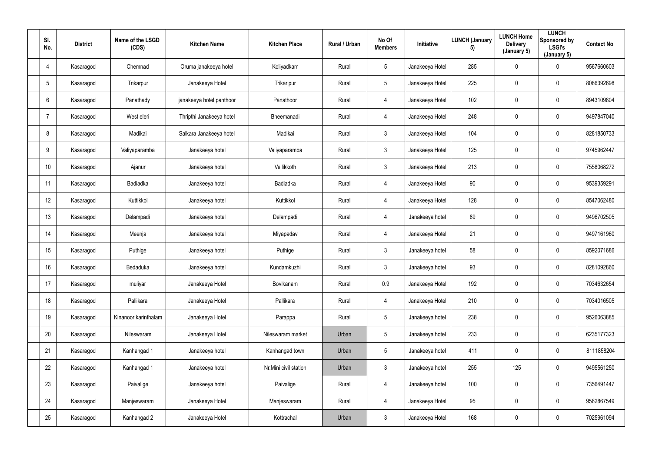| SI.<br>No.      | <b>District</b> | Name of the LSGD<br>(CDS) | <b>Kitchen Name</b>      | <b>Kitchen Place</b>  | Rural / Urban | No Of<br><b>Members</b> | <b>Initiative</b> | <b>LUNCH (January</b><br>5) | <b>LUNCH Home</b><br><b>Delivery</b><br>(January 5) | <b>LUNCH</b><br>Sponsored by<br><b>LSGI's</b><br>(January 5) | <b>Contact No</b> |
|-----------------|-----------------|---------------------------|--------------------------|-----------------------|---------------|-------------------------|-------------------|-----------------------------|-----------------------------------------------------|--------------------------------------------------------------|-------------------|
| 4               | Kasaragod       | Chemnad                   | Oruma janakeeya hotel    | Koliyadkam            | Rural         | 5 <sup>5</sup>          | Janakeeya Hotel   | 285                         | 0                                                   | $\mathbf 0$                                                  | 9567660603        |
| $5\phantom{.0}$ | Kasaragod       | Trikarpur                 | Janakeeya Hotel          | Trikaripur            | Rural         | $5\overline{)}$         | Janakeeya Hotel   | 225                         | $\mathbf 0$                                         | $\overline{0}$                                               | 8086392698        |
| 6               | Kasaragod       | Panathady                 | janakeeya hotel panthoor | Panathoor             | Rural         | 4                       | Janakeeya Hotel   | 102                         | $\pmb{0}$                                           | $\mathbf 0$                                                  | 8943109804        |
|                 | Kasaragod       | West eleri                | Thripthi Janakeeya hotel | Bheemanadi            | Rural         | 4                       | Janakeeya Hotel   | 248                         | 0                                                   | $\overline{0}$                                               | 9497847040        |
| 8               | Kasaragod       | Madikai                   | Salkara Janakeeya hotel  | Madikai               | Rural         | 3 <sup>1</sup>          | Janakeeya Hotel   | 104                         | 0                                                   | $\mathbf 0$                                                  | 8281850733        |
| 9               | Kasaragod       | Valiyaparamba             | Janakeeya hotel          | Valiyaparamba         | Rural         | 3 <sup>1</sup>          | Janakeeya Hotel   | 125                         | 0                                                   | $\overline{0}$                                               | 9745962447        |
| 10              | Kasaragod       | Ajanur                    | Janakeeya hotel          | Vellikkoth            | Rural         | 3 <sup>1</sup>          | Janakeeya Hotel   | 213                         | $\boldsymbol{0}$                                    | $\overline{0}$                                               | 7558068272        |
| 11              | Kasaragod       | Badiadka                  | Janakeeya hotel          | <b>Badiadka</b>       | Rural         | 4                       | Janakeeya Hotel   | 90                          | $\boldsymbol{0}$                                    | $\overline{0}$                                               | 9539359291        |
| 12              | Kasaragod       | Kuttikkol                 | Janakeeya hotel          | Kuttikkol             | Rural         | 4                       | Janakeeya Hotel   | 128                         | 0                                                   | $\mathbf 0$                                                  | 8547062480        |
| 13              | Kasaragod       | Delampadi                 | Janakeeya hotel          | Delampadi             | Rural         | 4                       | Janakeeya hotel   | 89                          | 0                                                   | $\mathbf 0$                                                  | 9496702505        |
| 14              | Kasaragod       | Meenja                    | Janakeeya hotel          | Miyapadav             | Rural         | 4                       | Janakeeya Hotel   | 21                          | 0                                                   | $\overline{0}$                                               | 9497161960        |
| 15              | Kasaragod       | Puthige                   | Janakeeya hotel          | Puthige               | Rural         | 3 <sup>1</sup>          | Janakeeya hotel   | 58                          | $\boldsymbol{0}$                                    | $\overline{0}$                                               | 8592071686        |
| 16              | Kasaragod       | Bedaduka                  | Janakeeya hotel          | Kundamkuzhi           | Rural         | $\mathfrak{Z}$          | Janakeeya hotel   | 93                          | $\mathbf 0$                                         | $\mathbf 0$                                                  | 8281092860        |
| 17              | Kasaragod       | muliyar                   | Janakeeya Hotel          | Bovikanam             | Rural         | 0.9                     | Janakeeya Hotel   | 192                         | $\mathbf 0$                                         | $\overline{0}$                                               | 7034632654        |
| 18              | Kasaragod       | Pallikara                 | Janakeeya Hotel          | Pallikara             | Rural         | 4                       | Janakeeya Hotel   | 210                         | $\pmb{0}$                                           | $\overline{0}$                                               | 7034016505        |
| 19              | Kasaragod       | Kinanoor karinthalam      | Janakeeya Hotel          | Parappa               | Rural         | $5\overline{)}$         | Janakeeya hotel   | 238                         | $\boldsymbol{0}$                                    | $\overline{0}$                                               | 9526063885        |
| 20              | Kasaragod       | Nileswaram                | Janakeeya Hotel          | Nileswaram market     | Urban         | $5\phantom{.0}$         | Janakeeya hotel   | 233                         | $\mathbf 0$                                         | $\overline{0}$                                               | 6235177323        |
| 21              | Kasaragod       | Kanhangad 1               | Janakeeya hotel          | Kanhangad town        | Urban         | $5\phantom{.0}$         | Janakeeya hotel   | 411                         | $\mathbf 0$                                         | $\overline{0}$                                               | 8111858204        |
| 22              | Kasaragod       | Kanhangad 1               | Janakeeya hotel          | Nr.Mini civil station | Urban         | 3 <sup>1</sup>          | Janakeeya hotel   | 255                         | 125                                                 | $\overline{0}$                                               | 9495561250        |
| 23              | Kasaragod       | Paivalige                 | Janakeeya hotel          | Paivalige             | Rural         | $\overline{4}$          | Janakeeya hotel   | 100                         | $\mathbf 0$                                         | $\overline{0}$                                               | 7356491447        |
| 24              | Kasaragod       | Manjeswaram               | Janakeeya Hotel          | Manjeswaram           | Rural         | 4                       | Janakeeya Hotel   | 95                          | $\boldsymbol{0}$                                    | $\overline{0}$                                               | 9562867549        |
| 25              | Kasaragod       | Kanhangad 2               | Janakeeya Hotel          | Kottrachal            | Urban         | 3 <sup>1</sup>          | Janakeeya Hotel   | 168                         | $\boldsymbol{0}$                                    | $\overline{0}$                                               | 7025961094        |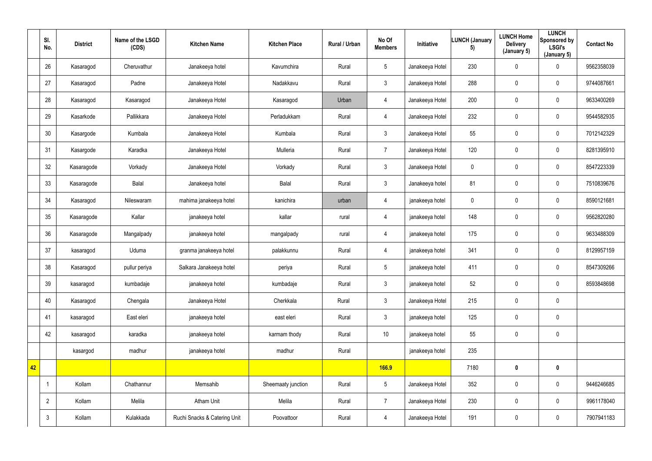|    | SI.<br>No.     | <b>District</b> | Name of the LSGD<br>(CDS) | <b>Kitchen Name</b>          | <b>Kitchen Place</b> | Rural / Urban | No Of<br><b>Members</b> | Initiative      | <b>LUNCH (January</b><br>5) | <b>LUNCH Home</b><br><b>Delivery</b><br>(January 5) | <b>LUNCH</b><br>Sponsored by<br><b>LSGI's</b><br>(January 5) | <b>Contact No</b> |
|----|----------------|-----------------|---------------------------|------------------------------|----------------------|---------------|-------------------------|-----------------|-----------------------------|-----------------------------------------------------|--------------------------------------------------------------|-------------------|
|    | 26             | Kasaragod       | Cheruvathur               | Janakeeya hotel              | Kavumchira           | Rural         | $5\overline{)}$         | Janakeeya Hotel | 230                         | $\mathbf 0$                                         | $\mathbf 0$                                                  | 9562358039        |
|    | 27             | Kasaragod       | Padne                     | Janakeeya Hotel              | Nadakkavu            | Rural         | $\mathbf{3}$            | Janakeeya Hotel | 288                         | $\pmb{0}$                                           | $\overline{0}$                                               | 9744087661        |
|    | 28             | Kasaragod       | Kasaragod                 | Janakeeya Hotel              | Kasaragod            | Urban         | 4                       | Janakeeya Hotel | 200                         | $\boldsymbol{0}$                                    | $\mathbf 0$                                                  | 9633400269        |
|    | 29             | Kasarkode       | Pallikkara                | Janakeeya Hotel              | Perladukkam          | Rural         | 4                       | Janakeeya Hotel | 232                         | $\boldsymbol{0}$                                    | $\mathbf 0$                                                  | 9544582935        |
|    | 30             | Kasargode       | Kumbala                   | Janakeeya Hotel              | Kumbala              | Rural         | 3 <sup>1</sup>          | Janakeeya Hotel | 55                          | $\pmb{0}$                                           | $\overline{0}$                                               | 7012142329        |
|    | 31             | Kasargode       | Karadka                   | Janakeeya Hotel              | Mulleria             | Rural         | $\overline{7}$          | Janakeeya Hotel | 120                         | $\boldsymbol{0}$                                    | $\mathbf 0$                                                  | 8281395910        |
|    | 32             | Kasaragode      | Vorkady                   | Janakeeya Hotel              | Vorkady              | Rural         | 3 <sup>1</sup>          | Janakeeya Hotel | $\mathbf 0$                 | $\boldsymbol{0}$                                    | $\overline{0}$                                               | 8547223339        |
|    | 33             | Kasaragode      | Balal                     | Janakeeya hotel              | Balal                | Rural         | 3 <sup>1</sup>          | Janakeeya hotel | 81                          | $\pmb{0}$                                           | $\mathbf 0$                                                  | 7510839676        |
|    | 34             | Kasaragod       | Nileswaram                | mahima janakeeya hotel       | kanichira            | urban         | 4                       | janakeeya hotel | $\mathbf 0$                 | $\pmb{0}$                                           | $\overline{0}$                                               | 8590121681        |
|    | 35             | Kasaragode      | Kallar                    | janakeeya hotel              | kallar               | rural         | 4                       | janakeeya hotel | 148                         | $\pmb{0}$                                           | $\overline{0}$                                               | 9562820280        |
|    | 36             | Kasaragode      | Mangalpady                | janakeeya hotel              | mangalpady           | rural         | 4                       | janakeeya hotel | 175                         | $\mathbf 0$                                         | $\overline{0}$                                               | 9633488309        |
|    | 37             | kasaragod       | Uduma                     | granma janakeeya hotel       | palakkunnu           | Rural         | 4                       | janakeeya hotel | 341                         | $\mathbf 0$                                         | $\overline{0}$                                               | 8129957159        |
|    | 38             | Kasaragod       | pullur periya             | Salkara Janakeeya hotel      | periya               | Rural         | 5                       | janakeeya hotel | 411                         | $\boldsymbol{0}$                                    | $\mathbf 0$                                                  | 8547309266        |
|    | 39             | kasaragod       | kumbadaje                 | janakeeya hotel              | kumbadaje            | Rural         | 3 <sup>1</sup>          | janakeeya hotel | 52                          | $\mathbf 0$                                         | $\overline{0}$                                               | 8593848698        |
|    | 40             | Kasaragod       | Chengala                  | Janakeeya Hotel              | Cherkkala            | Rural         | 3 <sup>1</sup>          | Janakeeya Hotel | 215                         | $\mathbf 0$                                         | $\overline{0}$                                               |                   |
|    | 41             | kasaragod       | East eleri                | janakeeya hotel              | east eleri           | Rural         | 3 <sup>1</sup>          | janakeeya hotel | 125                         | $\mathbf 0$                                         | $\overline{0}$                                               |                   |
|    | 42             | kasaragod       | karadka                   | janakeeya hotel              | karmam thody         | Rural         | 10                      | janakeeya hotel | 55                          | $\mathbf 0$                                         | $\overline{0}$                                               |                   |
|    |                | kasargod        | madhur                    | janakeeya hotel              | madhur               | Rural         |                         | janakeeya hotel | 235                         |                                                     |                                                              |                   |
| 42 |                |                 |                           |                              |                      |               | <b>166.9</b>            |                 | 7180                        | $\pmb{0}$                                           | $\mathbf 0$                                                  |                   |
|    | $\overline{1}$ | Kollam          | Chathannur                | Memsahib                     | Sheemaaty junction   | Rural         | $5\overline{)}$         | Janakeeya Hotel | 352                         | $\mathbf 0$                                         | $\overline{0}$                                               | 9446246685        |
|    | $\overline{2}$ | Kollam          | Melila                    | Atham Unit                   | Melila               | Rural         | $\overline{7}$          | Janakeeya Hotel | 230                         | $\mathbf 0$                                         | $\overline{0}$                                               | 9961178040        |
|    | $\mathbf{3}$   | Kollam          | Kulakkada                 | Ruchi Snacks & Catering Unit | Poovattoor           | Rural         | $\overline{4}$          | Janakeeya Hotel | 191                         | $\boldsymbol{0}$                                    | $\overline{0}$                                               | 7907941183        |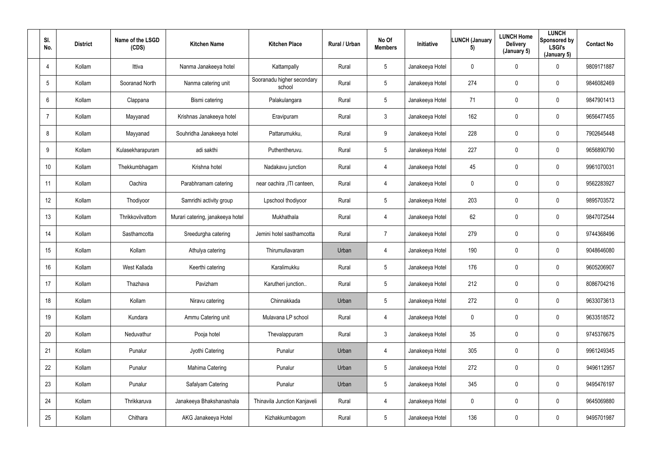| SI.<br>No.     | <b>District</b> | Name of the LSGD<br>(CDS) | <b>Kitchen Name</b>              | <b>Kitchen Place</b>                 | Rural / Urban | No Of<br><b>Members</b> | Initiative      | <b>LUNCH (January</b><br>5) | <b>LUNCH Home</b><br><b>Delivery</b><br>(January 5) | <b>LUNCH</b><br>Sponsored by<br><b>LSGI's</b><br>(January 5) | <b>Contact No</b> |
|----------------|-----------------|---------------------------|----------------------------------|--------------------------------------|---------------|-------------------------|-----------------|-----------------------------|-----------------------------------------------------|--------------------------------------------------------------|-------------------|
| $\overline{4}$ | Kollam          | Ittiva                    | Nanma Janakeeya hotel            | Kattampally                          | Rural         | 5 <sup>5</sup>          | Janakeeya Hotel | $\mathbf 0$                 | $\mathbf 0$                                         | $\mathbf 0$                                                  | 9809171887        |
| 5              | Kollam          | Sooranad North            | Nanma catering unit              | Sooranadu higher secondary<br>school | Rural         | 5 <sup>5</sup>          | Janakeeya Hotel | 274                         | 0                                                   | $\mathbf 0$                                                  | 9846082469        |
| 6              | Kollam          | Clappana                  | Bismi catering                   | Palakulangara                        | Rural         | 5 <sup>5</sup>          | Janakeeya Hotel | 71                          | 0                                                   | $\overline{0}$                                               | 9847901413        |
| $\overline{7}$ | Kollam          | Mayyanad                  | Krishnas Janakeeya hotel         | Eravipuram                           | Rural         | 3 <sup>1</sup>          | Janakeeya Hotel | 162                         | 0                                                   | $\mathbf 0$                                                  | 9656477455        |
| 8              | Kollam          | Mayyanad                  | Souhridha Janakeeya hotel        | Pattarumukku,                        | Rural         | 9                       | Janakeeya Hotel | 228                         | 0                                                   | $\mathbf 0$                                                  | 7902645448        |
| 9              | Kollam          | Kulasekharapuram          | adi sakthi                       | Puthentheruvu.                       | Rural         | 5 <sup>5</sup>          | Janakeeya Hotel | 227                         | 0                                                   | $\mathbf 0$                                                  | 9656890790        |
| 10             | Kollam          | Thekkumbhagam             | Krishna hotel                    | Nadakavu junction                    | Rural         | 4                       | Janakeeya Hotel | 45                          | 0                                                   | $\mathbf 0$                                                  | 9961070031        |
| 11             | Kollam          | Oachira                   | Parabhramam catering             | near oachira , ITI canteen,          | Rural         | 4                       | Janakeeya Hotel | $\mathbf 0$                 | 0                                                   | $\mathbf 0$                                                  | 9562283927        |
| 12             | Kollam          | Thodiyoor                 | Samridhi activity group          | Lpschool thodiyoor                   | Rural         | 5 <sup>5</sup>          | Janakeeya Hotel | 203                         | 0                                                   | $\mathbf 0$                                                  | 9895703572        |
| 13             | Kollam          | Thrikkovilvattom          | Murari catering, janakeeya hotel | Mukhathala                           | Rural         | 4                       | Janakeeya Hotel | 62                          | 0                                                   | $\mathbf 0$                                                  | 9847072544        |
| 14             | Kollam          | Sasthamcotta              | Sreedurgha catering              | Jemini hotel sasthamcotta            | Rural         | $\overline{7}$          | Janakeeya Hotel | 279                         | 0                                                   | $\mathbf 0$                                                  | 9744368496        |
| 15             | Kollam          | Kollam                    | Athulya catering                 | Thirumullavaram                      | Urban         | 4                       | Janakeeya Hotel | 190                         | 0                                                   | $\mathbf 0$                                                  | 9048646080        |
| 16             | Kollam          | West Kallada              | Keerthi catering                 | Karalimukku                          | Rural         | $5\phantom{.0}$         | Janakeeya Hotel | 176                         | 0                                                   | $\overline{0}$                                               | 9605206907        |
| 17             | Kollam          | Thazhava                  | Pavizham                         | Karutheri junction                   | Rural         | $5\overline{)}$         | Janakeeya Hotel | 212                         | 0                                                   | $\mathbf 0$                                                  | 8086704216        |
| 18             | Kollam          | Kollam                    | Niravu catering                  | Chinnakkada                          | Urban         | $5\overline{)}$         | Janakeeya Hotel | 272                         | 0                                                   | $\mathbf 0$                                                  | 9633073613        |
| 19             | Kollam          | Kundara                   | Ammu Catering unit               | Mulavana LP school                   | Rural         | $\overline{4}$          | Janakeeya Hotel | $\mathbf 0$                 | 0                                                   | $\mathbf 0$                                                  | 9633518572        |
| 20             | Kollam          | Neduvathur                | Pooja hotel                      | Thevalappuram                        | Rural         | 3 <sup>1</sup>          | Janakeeya Hotel | 35                          | 0                                                   | $\mathbf 0$                                                  | 9745376675        |
| 21             | Kollam          | Punalur                   | Jyothi Catering                  | Punalur                              | Urban         | $\overline{4}$          | Janakeeya Hotel | 305                         | 0                                                   | $\mathbf 0$                                                  | 9961249345        |
| 22             | Kollam          | Punalur                   | Mahima Catering                  | Punalur                              | Urban         | $5\phantom{.0}$         | Janakeeya Hotel | 272                         | 0                                                   | $\mathbf 0$                                                  | 9496112957        |
| 23             | Kollam          | Punalur                   | Safalyam Catering                | Punalur                              | Urban         | 5 <sub>5</sub>          | Janakeeya Hotel | 345                         | 0                                                   | $\mathbf 0$                                                  | 9495476197        |
| 24             | Kollam          | Thrikkaruva               | Janakeeya Bhakshanashala         | <b>Thinavila Junction Kanjaveli</b>  | Rural         | $\overline{4}$          | Janakeeya Hotel | $\mathbf 0$                 | 0                                                   | $\mathbf 0$                                                  | 9645069880        |
| 25             | Kollam          | Chithara                  | AKG Janakeeya Hotel              | Kizhakkumbagom                       | Rural         | 5 <sub>5</sub>          | Janakeeya Hotel | 136                         | 0                                                   | $\overline{0}$                                               | 9495701987        |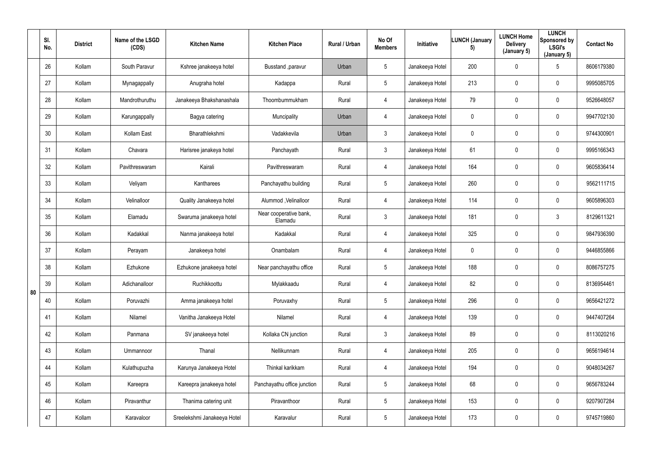|    | SI.<br>No. | <b>District</b> | Name of the LSGD<br>(CDS) | <b>Kitchen Name</b>         | <b>Kitchen Place</b>              | Rural / Urban | No Of<br><b>Members</b> | Initiative      | <b>LUNCH (January</b><br>5) | <b>LUNCH Home</b><br><b>Delivery</b><br>(January 5) | <b>LUNCH</b><br>Sponsored by<br><b>LSGI's</b><br>(January 5) | <b>Contact No</b> |
|----|------------|-----------------|---------------------------|-----------------------------|-----------------------------------|---------------|-------------------------|-----------------|-----------------------------|-----------------------------------------------------|--------------------------------------------------------------|-------------------|
|    | 26         | Kollam          | South Paravur             | Kshree janakeeya hotel      | Busstand , paravur                | Urban         | 5                       | Janakeeya Hotel | 200                         | $\mathbf 0$                                         | $5\overline{)}$                                              | 8606179380        |
|    | 27         | Kollam          | Mynagappally              | Anugraha hotel              | Kadappa                           | Rural         | $5\phantom{.0}$         | Janakeeya Hotel | 213                         | $\mathbf 0$                                         | $\mathbf 0$                                                  | 9995085705        |
|    | 28         | Kollam          | Mandrothuruthu            | Janakeeya Bhakshanashala    | Thoombummukham                    | Rural         | 4                       | Janakeeya Hotel | 79                          | $\mathbf 0$                                         | $\mathbf 0$                                                  | 9526648057        |
|    | 29         | Kollam          | Karungappally             | Bagya catering              | Muncipality                       | Urban         | 4                       | Janakeeya Hotel | $\overline{0}$              | $\mathbf 0$                                         | $\mathbf 0$                                                  | 9947702130        |
|    | 30         | Kollam          | Kollam East               | Bharathlekshmi              | Vadakkevila                       | Urban         | $\mathbf{3}$            | Janakeeya Hotel | $\overline{0}$              | $\mathbf 0$                                         | $\mathbf 0$                                                  | 9744300901        |
|    | 31         | Kollam          | Chavara                   | Harisree janakeya hotel     | Panchayath                        | Rural         | $\mathbf{3}$            | Janakeeya Hotel | 61                          | $\mathbf 0$                                         | $\mathbf 0$                                                  | 9995166343        |
|    | 32         | Kollam          | Pavithreswaram            | Kairali                     | Pavithreswaram                    | Rural         | 4                       | Janakeeya Hotel | 164                         | $\mathbf 0$                                         | $\mathbf 0$                                                  | 9605836414        |
|    | 33         | Kollam          | Veliyam                   | Kantharees                  | Panchayathu building              | Rural         | 5                       | Janakeeya Hotel | 260                         | 0                                                   | $\mathbf 0$                                                  | 9562111715        |
|    | 34         | Kollam          | Velinalloor               | Quality Janakeeya hotel     | Alummod, Velinalloor              | Rural         | 4                       | Janakeeya Hotel | 114                         | 0                                                   | $\mathbf 0$                                                  | 9605896303        |
|    | 35         | Kollam          | Elamadu                   | Swaruma janakeeya hotel     | Near cooperative bank,<br>Elamadu | Rural         | 3                       | Janakeeya Hotel | 181                         | $\mathbf 0$                                         | $\mathbf{3}$                                                 | 8129611321        |
|    | 36         | Kollam          | Kadakkal                  | Nanma janakeeya hotel       | Kadakkal                          | Rural         | 4                       | Janakeeya Hotel | 325                         | $\mathbf 0$                                         | $\mathbf 0$                                                  | 9847936390        |
|    | 37         | Kollam          | Perayam                   | Janakeeya hotel             | Onambalam                         | Rural         | 4                       | Janakeeya Hotel | $\overline{0}$              | $\mathbf 0$                                         | $\mathbf 0$                                                  | 9446855866        |
|    | 38         | Kollam          | Ezhukone                  | Ezhukone janakeeya hotel    | Near panchayathu office           | Rural         | 5                       | Janakeeya Hotel | 188                         | $\mathbf 0$                                         | $\overline{0}$                                               | 8086757275        |
| 80 | 39         | Kollam          | Adichanalloor             | Ruchikkoottu                | Mylakkaadu                        | Rural         | $\overline{4}$          | Janakeeya Hotel | 82                          | $\pmb{0}$                                           | $\mathbf 0$                                                  | 8136954461        |
|    | 40         | Kollam          | Poruvazhi                 | Amma janakeeya hotel        | Poruvaxhy                         | Rural         | 5                       | Janakeeya Hotel | 296                         | $\pmb{0}$                                           | $\mathbf 0$                                                  | 9656421272        |
|    | 41         | Kollam          | Nilamel                   | Vanitha Janakeeya Hotel     | Nilamel                           | Rural         | $\overline{4}$          | Janakeeya Hotel | 139                         | $\pmb{0}$                                           | $\mathbf 0$                                                  | 9447407264        |
|    | 42         | Kollam          | Panmana                   | SV janakeeya hotel          | Kollaka CN junction               | Rural         | 3 <sup>1</sup>          | Janakeeya Hotel | 89                          | $\mathbf 0$                                         | $\mathbf 0$                                                  | 8113020216        |
|    | 43         | Kollam          | Ummannoor                 | Thanal                      | Nellikunnam                       | Rural         | $\overline{4}$          | Janakeeya Hotel | 205                         | 0                                                   | $\mathbf 0$                                                  | 9656194614        |
|    | 44         | Kollam          | Kulathupuzha              | Karunya Janakeeya Hotel     | Thinkal karikkam                  | Rural         | $\overline{4}$          | Janakeeya Hotel | 194                         | $\pmb{0}$                                           | $\overline{0}$                                               | 9048034267        |
|    | 45         | Kollam          | Kareepra                  | Kareepra janakeeya hotel    | Panchayathu office junction       | Rural         | $5\phantom{.0}$         | Janakeeya Hotel | 68                          | $\pmb{0}$                                           | $\overline{0}$                                               | 9656783244        |
|    | 46         | Kollam          | Piravanthur               | Thanima catering unit       | Piravanthoor                      | Rural         | $5\phantom{.0}$         | Janakeeya Hotel | 153                         | $\mathbf 0$                                         | $\mathbf 0$                                                  | 9207907284        |
|    | 47         | Kollam          | Karavaloor                | Sreelekshmi Janakeeya Hotel | Karavalur                         | Rural         | $5\phantom{.0}$         | Janakeeya Hotel | 173                         | $\boldsymbol{0}$                                    | $\overline{0}$                                               | 9745719860        |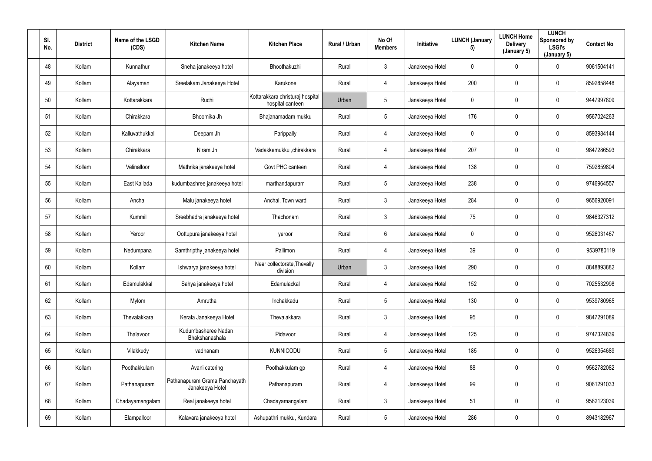| SI.<br>No. | <b>District</b> | Name of the LSGD<br>(CDS) | <b>Kitchen Name</b>                              | <b>Kitchen Place</b>                                 | Rural / Urban | No Of<br><b>Members</b> | Initiative      | <b>LUNCH (January</b><br>5) | <b>LUNCH Home</b><br><b>Delivery</b><br>(January 5) | <b>LUNCH</b><br>Sponsored by<br><b>LSGI's</b><br>(January 5) | <b>Contact No</b> |
|------------|-----------------|---------------------------|--------------------------------------------------|------------------------------------------------------|---------------|-------------------------|-----------------|-----------------------------|-----------------------------------------------------|--------------------------------------------------------------|-------------------|
| 48         | Kollam          | Kunnathur                 | Sneha janakeeya hotel                            | Bhoothakuzhi                                         | Rural         | $\mathbf{3}$            | Janakeeya Hotel | $\mathbf 0$                 | $\mathbf 0$                                         | $\mathbf 0$                                                  | 9061504141        |
| 49         | Kollam          | Alayaman                  | Sreelakam Janakeeya Hotel                        | Karukone                                             | Rural         | 4                       | Janakeeya Hotel | 200                         | 0                                                   | $\mathbf 0$                                                  | 8592858448        |
| $50\,$     | Kollam          | Kottarakkara              | Ruchi                                            | Kottarakkara christuraj hospital<br>hospital canteen | Urban         | $5\overline{)}$         | Janakeeya Hotel | $\mathbf 0$                 | 0                                                   | $\mathbf 0$                                                  | 9447997809        |
| 51         | Kollam          | Chirakkara                | Bhoomika Jh                                      | Bhajanamadam mukku                                   | Rural         | 5 <sub>5</sub>          | Janakeeya Hotel | 176                         | 0                                                   | $\overline{0}$                                               | 9567024263        |
| 52         | Kollam          | Kalluvathukkal            | Deepam Jh                                        | Parippally                                           | Rural         | 4                       | Janakeeya Hotel | $\mathbf 0$                 | 0                                                   | $\mathbf 0$                                                  | 8593984144        |
| 53         | Kollam          | Chirakkara                | Niram Jh                                         | Vadakkemukku ,chirakkara                             | Rural         | 4                       | Janakeeya Hotel | 207                         | 0                                                   | $\mathbf 0$                                                  | 9847286593        |
| 54         | Kollam          | Velinalloor               | Mathrika janakeeya hotel                         | Govt PHC canteen                                     | Rural         | 4                       | Janakeeya Hotel | 138                         | 0                                                   | $\mathbf 0$                                                  | 7592859804        |
| 55         | Kollam          | East Kallada              | kudumbashree janakeeya hotel                     | marthandapuram                                       | Rural         | 5 <sub>5</sub>          | Janakeeya Hotel | 238                         | 0                                                   | $\mathbf 0$                                                  | 9746964557        |
| 56         | Kollam          | Anchal                    | Malu janakeeya hotel                             | Anchal, Town ward                                    | Rural         | 3 <sup>1</sup>          | Janakeeya Hotel | 284                         | 0                                                   | $\overline{0}$                                               | 9656920091        |
| 57         | Kollam          | Kummil                    | Sreebhadra janakeeya hotel                       | Thachonam                                            | Rural         | 3 <sup>1</sup>          | Janakeeya Hotel | 75                          | 0                                                   | $\overline{0}$                                               | 9846327312        |
| 58         | Kollam          | Yeroor                    | Oottupura janakeeya hotel                        | yeroor                                               | Rural         | $6\overline{6}$         | Janakeeya Hotel | $\mathbf 0$                 | 0                                                   | $\mathbf 0$                                                  | 9526031467        |
| 59         | Kollam          | Nedumpana                 | Samthripthy janakeeya hotel                      | Pallimon                                             | Rural         | 4                       | Janakeeya Hotel | 39                          | 0                                                   | $\mathbf 0$                                                  | 9539780119        |
| 60         | Kollam          | Kollam                    | Ishwarya janakeeya hotel                         | Near collectorate, Thevally<br>division              | Urban         | $\mathfrak{Z}$          | Janakeeya Hotel | 290                         | 0                                                   | $\overline{0}$                                               | 8848893882        |
| 61         | Kollam          | Edamulakkal               | Sahya janakeeya hotel                            | Edamulackal                                          | Rural         | $\overline{4}$          | Janakeeya Hotel | 152                         | 0                                                   | $\mathbf 0$                                                  | 7025532998        |
| 62         | Kollam          | Mylom                     | Amrutha                                          | Inchakkadu                                           | Rural         | $5\overline{)}$         | Janakeeya Hotel | 130                         | $\mathbf 0$                                         | $\mathbf 0$                                                  | 9539780965        |
| 63         | Kollam          | Thevalakkara              | Kerala Janakeeya Hotel                           | Thevalakkara                                         | Rural         | $\mathfrak{Z}$          | Janakeeya Hotel | 95                          | 0                                                   | $\mathbf 0$                                                  | 9847291089        |
| 64         | Kollam          | Thalavoor                 | Kudumbasheree Nadan<br>Bhakshanashala            | Pidavoor                                             | Rural         | $\overline{4}$          | Janakeeya Hotel | 125                         | 0                                                   | $\mathbf 0$                                                  | 9747324839        |
| 65         | Kollam          | Vilakkudy                 | vadhanam                                         | <b>KUNNICODU</b>                                     | Rural         | $5\phantom{.0}$         | Janakeeya Hotel | 185                         | 0                                                   | $\mathbf 0$                                                  | 9526354689        |
| 66         | Kollam          | Poothakkulam              | Avani catering                                   | Poothakkulam gp                                      | Rural         | $\overline{4}$          | Janakeeya Hotel | 88                          | 0                                                   | $\mathbf 0$                                                  | 9562782082        |
| 67         | Kollam          | Pathanapuram              | Pathanapuram Grama Panchayath<br>Janakeeya Hotel | Pathanapuram                                         | Rural         | $\overline{4}$          | Janakeeya Hotel | 99                          | 0                                                   | $\mathbf 0$                                                  | 9061291033        |
| 68         | Kollam          | Chadayamangalam           | Real janakeeya hotel                             | Chadayamangalam                                      | Rural         | $\mathbf{3}$            | Janakeeya Hotel | 51                          | 0                                                   | $\mathbf 0$                                                  | 9562123039        |
| 69         | Kollam          | Elampalloor               | Kalavara janakeeya hotel                         | Ashupathri mukku, Kundara                            | Rural         | 5 <sub>5</sub>          | Janakeeya Hotel | 286                         | 0                                                   | $\mathbf 0$                                                  | 8943182967        |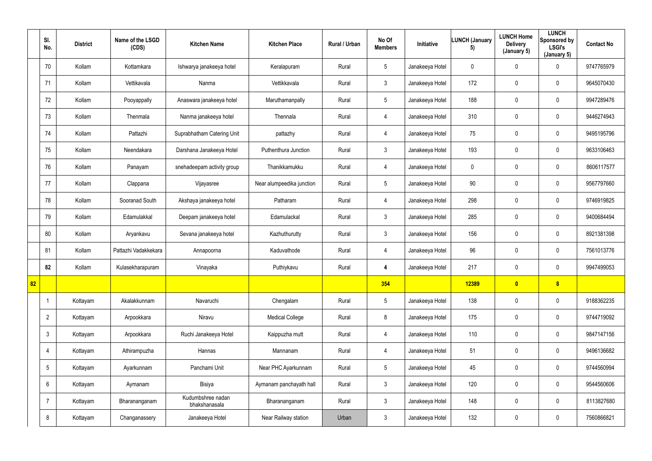|    | SI.<br>No.      | <b>District</b> | Name of the LSGD<br>(CDS) | <b>Kitchen Name</b>                | <b>Kitchen Place</b>      | Rural / Urban | No Of<br><b>Members</b> | Initiative      | LUNCH (January<br>5) | <b>LUNCH Home</b><br><b>Delivery</b><br>(January 5) | <b>LUNCH</b><br>Sponsored by<br><b>LSGI's</b><br>(January 5) | <b>Contact No</b> |
|----|-----------------|-----------------|---------------------------|------------------------------------|---------------------------|---------------|-------------------------|-----------------|----------------------|-----------------------------------------------------|--------------------------------------------------------------|-------------------|
|    | 70              | Kollam          | Kottamkara                | Ishwarya janakeeya hotel           | Keralapuram               | Rural         | $5\overline{)}$         | Janakeeya Hotel | $\mathbf 0$          | $\overline{0}$                                      | $\mathbf 0$                                                  | 9747765979        |
|    | 71              | Kollam          | Vettikavala               | Nanma                              | Vettikkavala              | Rural         | $\mathbf{3}$            | Janakeeya Hotel | 172                  | $\mathbf 0$                                         | $\overline{0}$                                               | 9645070430        |
|    | 72              | Kollam          | Pooyappally               | Anaswara janakeeya hotel           | Maruthamanpally           | Rural         | $5\phantom{.0}$         | Janakeeya Hotel | 188                  | $\mathbf 0$                                         | $\overline{0}$                                               | 9947289476        |
|    | 73              | Kollam          | Thenmala                  | Nanma janakeeya hotel              | Thennala                  | Rural         | $\overline{4}$          | Janakeeya Hotel | 310                  | $\overline{0}$                                      | $\pmb{0}$                                                    | 9446274943        |
|    | 74              | Kollam          | Pattazhi                  | Suprabhatham Catering Unit         | pattazhy                  | Rural         | $\overline{4}$          | Janakeeya Hotel | 75                   | $\mathbf 0$                                         | $\mathbf 0$                                                  | 9495195796        |
|    | 75              | Kollam          | Neendakara                | Darshana Janakeeya Hotel           | Puthenthura Junction      | Rural         | $\mathbf{3}$            | Janakeeya Hotel | 193                  | $\overline{0}$                                      | $\overline{0}$                                               | 9633106463        |
|    | 76              | Kollam          | Panayam                   | snehadeepam activity group         | Thanikkamukku             | Rural         | 4                       | Janakeeya Hotel | $\mathbf 0$          | $\mathbf 0$                                         | $\mathbf 0$                                                  | 8606117577        |
|    | 77              | Kollam          | Clappana                  | Vijayasree                         | Near alumpeedika junction | Rural         | $5\overline{)}$         | Janakeeya Hotel | 90                   | $\mathbf 0$                                         | $\overline{0}$                                               | 9567797660        |
|    | 78              | Kollam          | Sooranad South            | Akshaya janakeeya hotel            | Patharam                  | Rural         | 4                       | Janakeeya Hotel | 298                  | $\overline{0}$                                      | $\pmb{0}$                                                    | 9746919825        |
|    | 79              | Kollam          | Edamulakkal               | Deepam janakeeya hotel             | Edamulackal               | Rural         | $\mathbf{3}$            | Janakeeya Hotel | 285                  | $\mathbf 0$                                         | $\pmb{0}$                                                    | 9400684494        |
|    | 80              | Kollam          | Aryankavu                 | Sevana janakeeya hotel             | Kazhuthurutty             | Rural         | 3 <sup>1</sup>          | Janakeeya Hotel | 156                  | $\overline{0}$                                      | $\mathbf 0$                                                  | 8921381398        |
|    | 81              | Kollam          | Pattazhi Vadakkekara      | Annapoorna                         | Kaduvathode               | Rural         | 4                       | Janakeeya Hotel | 96                   | $\overline{0}$                                      | $\mathbf 0$                                                  | 7561013776        |
|    | 82              | Kollam          | Kulasekharapuram          | Vinayaka                           | Puthiykavu                | Rural         | 4                       | Janakeeya Hotel | 217                  | $\mathbf 0$                                         | $\mathbf 0$                                                  | 9947499053        |
| 82 |                 |                 |                           |                                    |                           |               | 354                     |                 | 12389                | $\bullet$                                           | 8                                                            |                   |
|    | -1              | Kottayam        | Akalakkunnam              | Navaruchi                          | Chengalam                 | Rural         | $5\overline{)}$         | Janakeeya Hotel | 138                  | $\mathbf 0$                                         | $\overline{0}$                                               | 9188362235        |
|    | $\overline{2}$  | Kottayam        | Arpookkara                | Niravu                             | <b>Medical College</b>    | Rural         | 8                       | Janakeeya Hotel | 175                  | $\mathbf 0$                                         | $\overline{0}$                                               | 9744719092        |
|    | $\mathfrak{Z}$  | Kottayam        | Arpookkara                | Ruchi Janakeeya Hotel              | Kaippuzha mutt            | Rural         | 4                       | Janakeeya Hotel | 110                  | $\mathbf 0$                                         | $\mathbf 0$                                                  | 9847147156        |
|    | $\overline{4}$  | Kottayam        | Athirampuzha              | Hannas                             | Mannanam                  | Rural         | $\overline{4}$          | Janakeeya Hotel | 51                   | $\pmb{0}$                                           | $\mathbf 0$                                                  | 9496136682        |
|    | $5\phantom{.0}$ | Kottayam        | Ayarkunnam                | Panchami Unit                      | Near PHC Ayarkunnam       | Rural         | $5\phantom{.0}$         | Janakeeya Hotel | 45                   | $\pmb{0}$                                           | $\overline{0}$                                               | 9744560994        |
|    | $6\phantom{.}$  | Kottayam        | Aymanam                   | Bisiya                             | Aymanam panchayath hall   | Rural         | 3 <sup>1</sup>          | Janakeeya Hotel | 120                  | $\mathbf 0$                                         | $\overline{0}$                                               | 9544560606        |
|    | $\overline{7}$  | Kottayam        | Bharananganam             | Kudumbshree nadan<br>bhakshanasala | Bharananganam             | Rural         | $\mathbf{3}$            | Janakeeya Hotel | 148                  | $\pmb{0}$                                           | $\overline{0}$                                               | 8113827680        |
|    | 8               | Kottayam        | Changanassery             | Janakeeya Hotel                    | Near Railway station      | Urban         | $\mathbf{3}$            | Janakeeya Hotel | 132                  | $\pmb{0}$                                           | $\pmb{0}$                                                    | 7560866821        |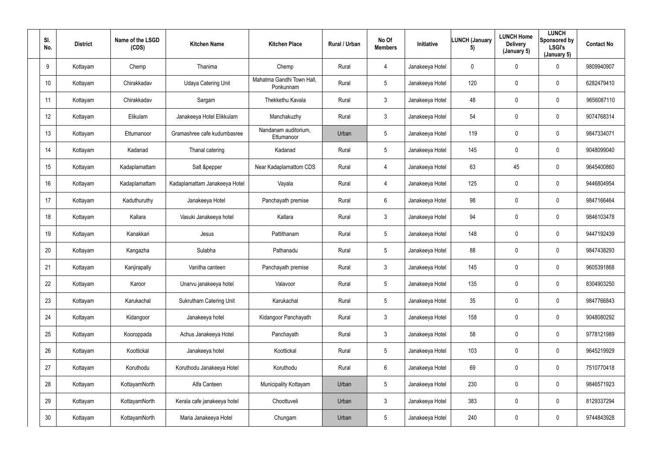| SI.<br>No.      | <b>District</b> | Name of the LSGD<br>(CDS) | <b>Kitchen Name</b>            | <b>Kitchen Place</b>                   | Rural / Urban | No Of<br><b>Members</b> | Initiative      | <b>LUNCH (January</b><br>5) | <b>LUNCH Home</b><br><b>Delivery</b><br>(January 5) | <b>LUNCH</b><br>Sponsored by<br><b>LSGI's</b><br>(January 5) | <b>Contact No</b> |
|-----------------|-----------------|---------------------------|--------------------------------|----------------------------------------|---------------|-------------------------|-----------------|-----------------------------|-----------------------------------------------------|--------------------------------------------------------------|-------------------|
| 9               | Kottayam        | Chemp                     | Thanima                        | Chemp                                  | Rural         | 4                       | Janakeeya Hotel | $\mathbf 0$                 | 0                                                   | $\mathbf 0$                                                  | 9809940907        |
| 10              | Kottayam        | Chirakkadav               | <b>Udaya Catering Unit</b>     | Mahatma Gandhi Town Hall,<br>Ponkunnam | Rural         | $5\phantom{.0}$         | Janakeeya Hotel | 120                         | 0                                                   | $\overline{0}$                                               | 6282479410        |
| 11              | Kottayam        | Chirakkadav               | Sargam                         | Thekkethu Kavala                       | Rural         | $\mathbf{3}$            | Janakeeya Hotel | 48                          | 0                                                   | $\overline{0}$                                               | 9656087110        |
| 12              | Kottayam        | Elikulam                  | Janakeeya Hotel Elikkulam      | Manchakuzhy                            | Rural         | $\mathbf{3}$            | Janakeeya Hotel | 54                          | 0                                                   | $\overline{0}$                                               | 9074768314        |
| 13              | Kottayam        | Ettumanoor                | Gramashree cafe kudumbasree    | Nandanam auditorium,<br>Ettumanoor     | Urban         | $5\overline{)}$         | Janakeeya Hotel | 119                         | 0                                                   | $\mathbf 0$                                                  | 9847334071        |
| 14              | Kottayam        | Kadanad                   | Thanal catering                | Kadanad                                | Rural         | $5\overline{)}$         | Janakeeya Hotel | 145                         | 0                                                   | $\mathbf 0$                                                  | 9048099040        |
| 15              | Kottayam        | Kadaplamattam             | Salt &pepper                   | Near Kadaplamattom CDS                 | Rural         | 4                       | Janakeeya Hotel | 63                          | 45                                                  | $\overline{0}$                                               | 9645400860        |
| 16              | Kottayam        | Kadaplamattam             | Kadaplamattam Janakeeya Hotel  | Vayala                                 | Rural         | 4                       | Janakeeya Hotel | 125                         | 0                                                   | $\overline{0}$                                               | 9446804954        |
| 17              | Kottayam        | Kaduthuruthy              | Janakeeya Hotel                | Panchayath premise                     | Rural         | 6                       | Janakeeya Hotel | 98                          | 0                                                   | $\overline{0}$                                               | 9847166464        |
| 18              | Kottayam        | Kallara                   | Vasuki Janakeeya hotel         | Kallara                                | Rural         | $\mathbf{3}$            | Janakeeya Hotel | 94                          | 0                                                   | $\overline{0}$                                               | 9846103478        |
| 19              | Kottayam        | Kanakkari                 | Jesus                          | Pattithanam                            | Rural         | 5 <sub>5</sub>          | Janakeeya Hotel | 148                         | 0                                                   | $\mathbf 0$                                                  | 9447192439        |
| 20              | Kottayam        | Kangazha                  | Sulabha                        | Pathanadu                              | Rural         | $5\overline{)}$         | Janakeeya Hotel | 88                          | 0                                                   | $\mathbf 0$                                                  | 9847438293        |
| 21              | Kottayam        | Kanjirapally              | Vanitha canteen                | Panchayath premise                     | Rural         | $\mathbf{3}$            | Janakeeya Hotel | 145                         | 0                                                   | $\overline{0}$                                               | 9605391868        |
| 22              | Kottayam        | Karoor                    | Unarvu janakeeya hotel         | Valavoor                               | Rural         | $5\phantom{.0}$         | Janakeeya Hotel | 135                         | 0                                                   | $\mathbf 0$                                                  | 8304903250        |
| 23              | Kottayam        | Karukachal                | <b>Sukrutham Catering Unit</b> | Karukachal                             | Rural         | $5\phantom{.0}$         | Janakeeya Hotel | 35                          | 0                                                   | $\mathbf 0$                                                  | 9847766843        |
| 24              | Kottayam        | Kidangoor                 | Janakeeya hotel                | Kidangoor Panchayath                   | Rural         | 3                       | Janakeeya Hotel | 158                         | 0                                                   | $\mathbf 0$                                                  | 9048080292        |
| 25              | Kottayam        | Kooroppada                | Achus Janakeeya Hotel          | Panchayath                             | Rural         | 3 <sup>1</sup>          | Janakeeya Hotel | 58                          | 0                                                   | $\mathbf 0$                                                  | 9778121989        |
| 26              | Kottayam        | Koottickal                | Janakeeya hotel                | Koottickal                             | Rural         | $5\phantom{.0}$         | Janakeeya Hotel | 103                         | 0                                                   | $\mathbf 0$                                                  | 9645219929        |
| 27              | Kottayam        | Koruthodu                 | Koruthodu Janakeeya Hotel      | Koruthodu                              | Rural         | $6\overline{6}$         | Janakeeya Hotel | 69                          | 0                                                   | $\mathbf 0$                                                  | 7510770418        |
| 28              | Kottayam        | KottayamNorth             | Alfa Canteen                   | Municipality Kottayam                  | Urban         | $5\phantom{.0}$         | Janakeeya Hotel | 230                         | 0                                                   | $\mathbf 0$                                                  | 9846571923        |
| 29              | Kottayam        | KottayamNorth             | Kerala cafe janakeeya hotel    | Choottuveli                            | Urban         | 3 <sup>1</sup>          | Janakeeya Hotel | 383                         | $\pmb{0}$                                           | $\mathbf 0$                                                  | 8129337294        |
| 30 <sup>°</sup> | Kottayam        | KottayamNorth             | Maria Janakeeya Hotel          | Chungam                                | Urban         | $5\phantom{.0}$         | Janakeeya Hotel | 240                         | 0                                                   | $\overline{0}$                                               | 9744843928        |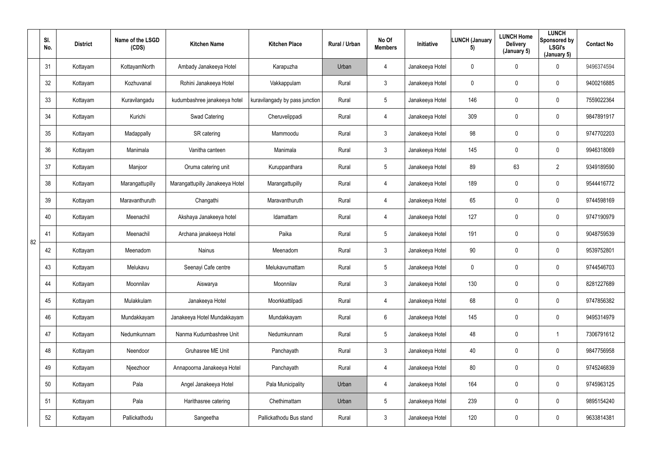|    | SI.<br>No. | <b>District</b> | Name of the LSGD<br>(CDS) | <b>Kitchen Name</b>             | <b>Kitchen Place</b>           | Rural / Urban | No Of<br><b>Members</b> | Initiative      | <b>LUNCH (January</b><br>5) | <b>LUNCH Home</b><br><b>Delivery</b><br>(January 5) | <b>LUNCH</b><br>Sponsored by<br><b>LSGI's</b><br>(January 5) | <b>Contact No</b> |
|----|------------|-----------------|---------------------------|---------------------------------|--------------------------------|---------------|-------------------------|-----------------|-----------------------------|-----------------------------------------------------|--------------------------------------------------------------|-------------------|
|    | 31         | Kottayam        | KottayamNorth             | Ambady Janakeeya Hotel          | Karapuzha                      | Urban         | 4                       | Janakeeya Hotel | $\mathbf 0$                 | 0                                                   | $\mathbf 0$                                                  | 9496374594        |
|    | 32         | Kottayam        | Kozhuvanal                | Rohini Janakeeya Hotel          | Vakkappulam                    | Rural         | $3\phantom{.0}$         | Janakeeya Hotel | $\mathbf 0$                 | 0                                                   | $\mathbf 0$                                                  | 9400216885        |
|    | 33         | Kottayam        | Kuravilangadu             | kudumbashree janakeeya hotel    | kuravilangady by pass junction | Rural         | $5\phantom{.0}$         | Janakeeya Hotel | 146                         | 0                                                   | $\mathbf 0$                                                  | 7559022364        |
|    | 34         | Kottayam        | Kurichi                   | Swad Catering                   | Cheruvelippadi                 | Rural         | 4                       | Janakeeya Hotel | 309                         | 0                                                   | $\mathbf 0$                                                  | 9847891917        |
|    | 35         | Kottayam        | Madappally                | SR catering                     | Mammoodu                       | Rural         | $3\phantom{.0}$         | Janakeeya Hotel | 98                          | 0                                                   | $\overline{0}$                                               | 9747702203        |
|    | 36         | Kottayam        | Manimala                  | Vanitha canteen                 | Manimala                       | Rural         | $\mathbf{3}$            | Janakeeya Hotel | 145                         | 0                                                   | $\mathbf 0$                                                  | 9946318069        |
|    | 37         | Kottayam        | Manjoor                   | Oruma catering unit             | Kuruppanthara                  | Rural         | $5\phantom{.0}$         | Janakeeya Hotel | 89                          | 63                                                  | $\overline{2}$                                               | 9349189590        |
|    | 38         | Kottayam        | Marangattupilly           | Marangattupilly Janakeeya Hotel | Marangattupilly                | Rural         | 4                       | Janakeeya Hotel | 189                         | 0                                                   | $\mathbf 0$                                                  | 9544416772        |
|    | 39         | Kottayam        | Maravanthuruth            | Changathi                       | Maravanthuruth                 | Rural         | 4                       | Janakeeya Hotel | 65                          | 0                                                   | $\overline{0}$                                               | 9744598169        |
|    | 40         | Kottayam        | Meenachil                 | Akshaya Janakeeya hotel         | Idamattam                      | Rural         | 4                       | Janakeeya Hotel | 127                         | 0                                                   | $\overline{0}$                                               | 9747190979        |
| 82 | 41         | Kottayam        | Meenachil                 | Archana janakeeya Hotel         | Paika                          | Rural         | $5\phantom{.0}$         | Janakeeya Hotel | 191                         | 0                                                   | $\mathbf 0$                                                  | 9048759539        |
|    | 42         | Kottayam        | Meenadom                  | <b>Nainus</b>                   | Meenadom                       | Rural         | $3\phantom{.0}$         | Janakeeya Hotel | 90                          | 0                                                   | $\mathbf 0$                                                  | 9539752801        |
|    | 43         | Kottayam        | Melukavu                  | Seenayi Cafe centre             | Melukavumattam                 | Rural         | 5                       | Janakeeya Hotel | $\mathbf 0$                 | 0                                                   | $\overline{0}$                                               | 9744546703        |
|    | 44         | Kottayam        | Moonnilav                 | Aiswarya                        | Moonnilav                      | Rural         | $\mathfrak{Z}$          | Janakeeya Hotel | 130                         | $\mathbf 0$                                         | $\mathbf 0$                                                  | 8281227689        |
|    | 45         | Kottayam        | Mulakkulam                | Janakeeya Hotel                 | Moorkkattilpadi                | Rural         | $\overline{4}$          | Janakeeya Hotel | 68                          | $\pmb{0}$                                           | $\mathbf 0$                                                  | 9747856382        |
|    | 46         | Kottayam        | Mundakkayam               | Janakeeya Hotel Mundakkayam     | Mundakkayam                    | Rural         | $6\overline{6}$         | Janakeeya Hotel | 145                         | 0                                                   | $\mathbf 0$                                                  | 9495314979        |
|    | 47         | Kottayam        | Nedumkunnam               | Nanma Kudumbashree Unit         | Nedumkunnam                    | Rural         | $5\phantom{.0}$         | Janakeeya Hotel | 48                          | $\pmb{0}$                                           |                                                              | 7306791612        |
|    | 48         | Kottayam        | Neendoor                  | Gruhasree ME Unit               | Panchayath                     | Rural         | 3 <sup>1</sup>          | Janakeeya Hotel | 40                          | 0                                                   | $\mathbf 0$                                                  | 9847756958        |
|    | 49         | Kottayam        | Njeezhoor                 | Annapoorna Janakeeya Hotel      | Panchayath                     | Rural         | $\overline{4}$          | Janakeeya Hotel | 80                          | 0                                                   | $\overline{0}$                                               | 9745246839        |
|    | 50         | Kottayam        | Pala                      | Angel Janakeeya Hotel           | Pala Municipality              | Urban         | $\overline{4}$          | Janakeeya Hotel | 164                         | $\pmb{0}$                                           | $\mathbf 0$                                                  | 9745963125        |
|    | 51         | Kottayam        | Pala                      | Harithasree catering            | Chethimattam                   | Urban         | $5\phantom{.0}$         | Janakeeya Hotel | 239                         | 0                                                   | $\mathbf 0$                                                  | 9895154240        |
|    | 52         | Kottayam        | Pallickathodu             | Sangeetha                       | Pallickathodu Bus stand        | Rural         | 3 <sup>1</sup>          | Janakeeya Hotel | 120                         | 0                                                   | $\overline{0}$                                               | 9633814381        |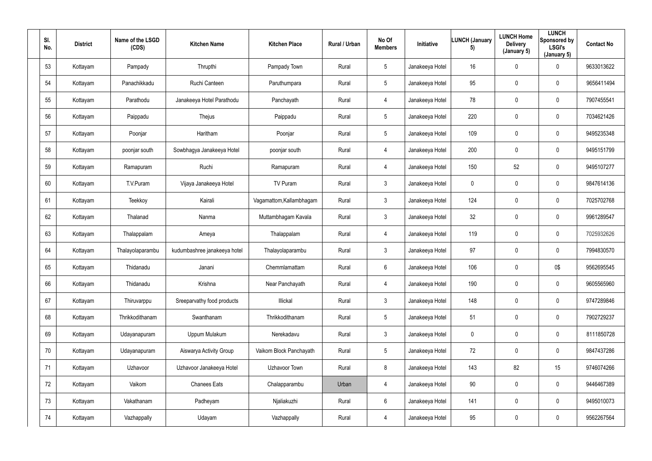| SI.<br>No. | <b>District</b> | Name of the LSGD<br>(CDS) | <b>Kitchen Name</b>          | <b>Kitchen Place</b>     | Rural / Urban | No Of<br><b>Members</b> | Initiative      | <b>LUNCH (January</b><br>5) | <b>LUNCH Home</b><br><b>Delivery</b><br>(January 5) | <b>LUNCH</b><br>Sponsored by<br><b>LSGI's</b><br>(January 5) | <b>Contact No</b> |
|------------|-----------------|---------------------------|------------------------------|--------------------------|---------------|-------------------------|-----------------|-----------------------------|-----------------------------------------------------|--------------------------------------------------------------|-------------------|
| 53         | Kottayam        | Pampady                   | Thrupthi                     | Pampady Town             | Rural         | $5\overline{)}$         | Janakeeya Hotel | 16                          | $\mathbf 0$                                         | $\mathbf 0$                                                  | 9633013622        |
| 54         | Kottayam        | Panachikkadu              | Ruchi Canteen                | Paruthumpara             | Rural         | $5\overline{)}$         | Janakeeya Hotel | 95                          | 0                                                   | $\mathbf 0$                                                  | 9656411494        |
| 55         | Kottayam        | Parathodu                 | Janakeeya Hotel Parathodu    | Panchayath               | Rural         | 4                       | Janakeeya Hotel | 78                          | 0                                                   | $\mathbf 0$                                                  | 7907455541        |
| 56         | Kottayam        | Paippadu                  | Thejus                       | Paippadu                 | Rural         | $5\phantom{.0}$         | Janakeeya Hotel | 220                         | 0                                                   | $\overline{0}$                                               | 7034621426        |
| 57         | Kottayam        | Poonjar                   | Haritham                     | Poonjar                  | Rural         | $5\overline{)}$         | Janakeeya Hotel | 109                         | 0                                                   | $\mathbf 0$                                                  | 9495235348        |
| 58         | Kottayam        | poonjar south             | Sowbhagya Janakeeya Hotel    | poonjar south            | Rural         | 4                       | Janakeeya Hotel | 200                         | 0                                                   | $\mathbf 0$                                                  | 9495151799        |
| 59         | Kottayam        | Ramapuram                 | Ruchi                        | Ramapuram                | Rural         | 4                       | Janakeeya Hotel | 150                         | 52                                                  | $\mathbf 0$                                                  | 9495107277        |
| 60         | Kottayam        | T.V.Puram                 | Vijaya Janakeeya Hotel       | TV Puram                 | Rural         | $\mathbf{3}$            | Janakeeya Hotel | $\mathbf 0$                 | 0                                                   | $\mathbf 0$                                                  | 9847614136        |
| 61         | Kottayam        | Teekkoy                   | Kairali                      | Vagamattom, Kallambhagam | Rural         | 3 <sup>1</sup>          | Janakeeya Hotel | 124                         | 0                                                   | $\overline{0}$                                               | 7025702768        |
| 62         | Kottayam        | Thalanad                  | Nanma                        | Muttambhagam Kavala      | Rural         | $\mathbf{3}$            | Janakeeya Hotel | 32                          | 0                                                   | $\overline{0}$                                               | 9961289547        |
| 63         | Kottayam        | Thalappalam               | Ameya                        | Thalappalam              | Rural         | 4                       | Janakeeya Hotel | 119                         | 0                                                   | $\mathbf 0$                                                  | 7025932626        |
| 64         | Kottayam        | Thalayolaparambu          | kudumbashree janakeeya hotel | Thalayolaparambu         | Rural         | $\mathbf{3}$            | Janakeeya Hotel | 97                          | 0                                                   | $\mathbf 0$                                                  | 7994830570        |
| 65         | Kottayam        | Thidanadu                 | Janani                       | Chemmlamattam            | Rural         | 6                       | Janakeeya Hotel | 106                         | 0                                                   | 0\$                                                          | 9562695545        |
| 66         | Kottayam        | Thidanadu                 | Krishna                      | Near Panchayath          | Rural         | $\overline{4}$          | Janakeeya Hotel | 190                         | 0                                                   | $\mathbf 0$                                                  | 9605565960        |
| 67         | Kottayam        | Thiruvarppu               | Sreeparvathy food products   | Illickal                 | Rural         | $\mathbf{3}$            | Janakeeya Hotel | 148                         | 0                                                   | $\mathbf 0$                                                  | 9747289846        |
| 68         | Kottayam        | Thrikkodithanam           | Swanthanam                   | Thrikkodithanam          | Rural         | $5\overline{)}$         | Janakeeya Hotel | 51                          | $\pmb{0}$                                           | $\mathbf 0$                                                  | 7902729237        |
| 69         | Kottayam        | Udayanapuram              | Uppum Mulakum                | Nerekadavu               | Rural         | 3 <sup>1</sup>          | Janakeeya Hotel | $\mathbf 0$                 | 0                                                   | $\mathbf 0$                                                  | 8111850728        |
| 70         | Kottayam        | Udayanapuram              | Aiswarya Activity Group      | Vaikom Block Panchayath  | Rural         | $5\phantom{.0}$         | Janakeeya Hotel | 72                          | 0                                                   | $\mathbf 0$                                                  | 9847437286        |
| 71         | Kottayam        | Uzhavoor                  | Uzhavoor Janakeeya Hotel     | Uzhavoor Town            | Rural         | $8\phantom{1}$          | Janakeeya Hotel | 143                         | 82                                                  | 15                                                           | 9746074266        |
| 72         | Kottayam        | Vaikom                    | <b>Chanees Eats</b>          | Chalapparambu            | Urban         | $\overline{4}$          | Janakeeya Hotel | $90\,$                      | $\pmb{0}$                                           | $\mathbf 0$                                                  | 9446467389        |
| 73         | Kottayam        | Vakathanam                | Padheyam                     | Njaliakuzhi              | Rural         | $6\overline{6}$         | Janakeeya Hotel | 141                         | 0                                                   | $\mathbf 0$                                                  | 9495010073        |
| 74         | Kottayam        | Vazhappally               | Udayam                       | Vazhappally              | Rural         | $\overline{4}$          | Janakeeya Hotel | 95                          | 0                                                   | $\overline{0}$                                               | 9562267564        |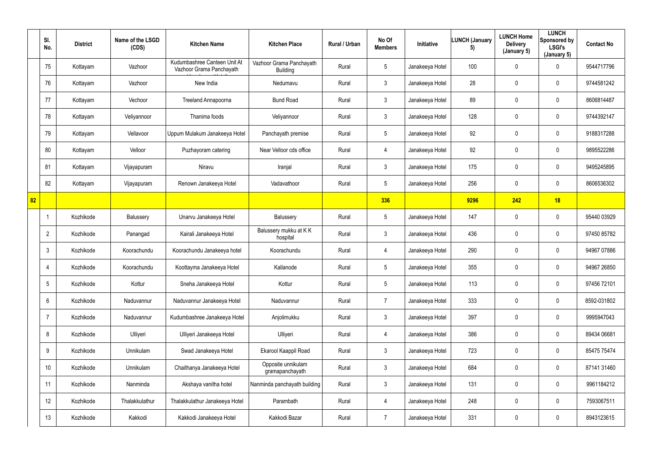|    | SI.<br>No.      | <b>District</b> | Name of the LSGD<br>(CDS) | <b>Kitchen Name</b>                                      | <b>Kitchen Place</b>                        | Rural / Urban | No Of<br><b>Members</b> | Initiative      | <b>LUNCH (January</b><br>5) | <b>LUNCH Home</b><br><b>Delivery</b><br>(January 5) | <b>LUNCH</b><br>Sponsored by<br><b>LSGI's</b><br>(January 5) | <b>Contact No</b> |
|----|-----------------|-----------------|---------------------------|----------------------------------------------------------|---------------------------------------------|---------------|-------------------------|-----------------|-----------------------------|-----------------------------------------------------|--------------------------------------------------------------|-------------------|
|    | 75              | Kottayam        | Vazhoor                   | Kudumbashree Canteen Unit At<br>Vazhoor Grama Panchayath | Vazhoor Grama Panchayath<br><b>Building</b> | Rural         | $5\phantom{.0}$         | Janakeeya Hotel | 100                         | 0                                                   | $\overline{0}$                                               | 9544717796        |
|    | 76              | Kottayam        | Vazhoor                   | New India                                                | Nedumavu                                    | Rural         | $\mathbf{3}$            | Janakeeya Hotel | 28                          | 0                                                   | $\overline{0}$                                               | 9744581242        |
|    | 77              | Kottayam        | Vechoor                   | Treeland Annapoorna                                      | <b>Bund Road</b>                            | Rural         | $\mathbf{3}$            | Janakeeya Hotel | 89                          | 0                                                   | $\overline{0}$                                               | 8606814487        |
|    | 78              | Kottayam        | Veliyannoor               | Thanima foods                                            | Veliyannoor                                 | Rural         | $\mathfrak{Z}$          | Janakeeya Hotel | 128                         | 0                                                   | $\overline{0}$                                               | 9744392147        |
|    | 79              | Kottayam        | Vellavoor                 | Uppum Mulakum Janakeeya Hotel                            | Panchayath premise                          | Rural         | $5\phantom{.0}$         | Janakeeya Hotel | 92                          | 0                                                   | $\mathbf 0$                                                  | 9188317288        |
|    | 80              | Kottayam        | Velloor                   | Puzhayoram catering                                      | Near Velloor cds office                     | Rural         | $\overline{4}$          | Janakeeya Hotel | 92                          | 0                                                   | $\mathbf 0$                                                  | 9895522286        |
|    | 81              | Kottayam        | Vijayapuram               | Niravu                                                   | Iranjal                                     | Rural         | $\mathbf{3}$            | Janakeeya Hotel | 175                         | 0                                                   | $\overline{0}$                                               | 9495245895        |
|    | 82              | Kottayam        | Vijayapuram               | Renown Janakeeya Hotel                                   | Vadavathoor                                 | Rural         | $5\phantom{.0}$         | Janakeeya Hotel | 256                         | 0                                                   | $\overline{0}$                                               | 8606536302        |
| 82 |                 |                 |                           |                                                          |                                             |               | 336                     |                 | 9296                        | 242                                                 | 18                                                           |                   |
|    |                 | Kozhikode       | Balussery                 | Unarvu Janakeeya Hotel                                   | Balussery                                   | Rural         | $5\phantom{.0}$         | Janakeeya Hotel | 147                         | 0                                                   | $\mathbf 0$                                                  | 95440 03929       |
|    | $\overline{2}$  | Kozhikode       | Panangad                  | Kairali Janakeeya Hotel                                  | Balussery mukku at K K<br>hospital          | Rural         | $\mathbf{3}$            | Janakeeya Hotel | 436                         | 0                                                   | $\mathbf 0$                                                  | 97450 85782       |
|    | $\mathfrak{Z}$  | Kozhikode       | Koorachundu               | Koorachundu Janakeeya hotel                              | Koorachundu                                 | Rural         | 4                       | Janakeeya Hotel | 290                         | 0                                                   | $\mathbf 0$                                                  | 94967 07886       |
|    |                 | Kozhikode       | Koorachundu               | Koottayma Janakeeya Hotel                                | Kallanode                                   | Rural         | 5                       | Janakeeya Hotel | 355                         | 0                                                   | $\mathbf 0$                                                  | 94967 26850       |
|    | $5\phantom{.0}$ | Kozhikode       | Kottur                    | Sneha Janakeeya Hotel                                    | Kottur                                      | Rural         | $5\phantom{.0}$         | Janakeeya Hotel | 113                         | $\pmb{0}$                                           | $\mathbf 0$                                                  | 97456 72101       |
|    | $6\overline{6}$ | Kozhikode       | Naduvannur                | Naduvannur Janakeeya Hotel                               | Naduvannur                                  | Rural         | $\overline{7}$          | Janakeeya Hotel | 333                         | $\pmb{0}$                                           | $\mathbf 0$                                                  | 8592-031802       |
|    | $\overline{7}$  | Kozhikode       | Naduvannur                | Kudumbashree Janakeeya Hotel                             | Anjolimukku                                 | Rural         | $\mathbf{3}$            | Janakeeya Hotel | 397                         | $\pmb{0}$                                           | $\mathbf 0$                                                  | 9995947043        |
|    | 8               | Kozhikode       | Ulliyeri                  | Ulliyeri Janakeeya Hotel                                 | Ulliyeri                                    | Rural         | $\overline{4}$          | Janakeeya Hotel | 386                         | $\mathbf 0$                                         | $\mathbf 0$                                                  | 89434 06681       |
|    | 9               | Kozhikode       | Unnikulam                 | Swad Janakeeya Hotel                                     | Ekarool Kaappil Road                        | Rural         | 3 <sup>7</sup>          | Janakeeya Hotel | 723                         | $\pmb{0}$                                           | $\mathbf 0$                                                  | 85475 75474       |
|    | 10 <sup>°</sup> | Kozhikode       | Unnikulam                 | Chaithanya Janakeeya Hotel                               | Opposite unnikulam<br>gramapanchayath       | Rural         | $\mathfrak{Z}$          | Janakeeya Hotel | 684                         | $\pmb{0}$                                           | $\mathbf 0$                                                  | 87141 31460       |
|    | 11              | Kozhikode       | Nanminda                  | Akshaya vanitha hotel                                    | Nanminda panchayath building                | Rural         | $\mathbf{3}$            | Janakeeya Hotel | 131                         | 0                                                   | $\mathbf 0$                                                  | 9961184212        |
|    | 12              | Kozhikode       | Thalakkulathur            | Thalakkulathur Janakeeya Hotel                           | Parambath                                   | Rural         | $\overline{4}$          | Janakeeya Hotel | 248                         | $\pmb{0}$                                           | $\mathbf 0$                                                  | 7593067511        |
|    | 13              | Kozhikode       | Kakkodi                   | Kakkodi Janakeeya Hotel                                  | Kakkodi Bazar                               | Rural         | $\overline{7}$          | Janakeeya Hotel | 331                         | 0                                                   | $\mathbf 0$                                                  | 8943123615        |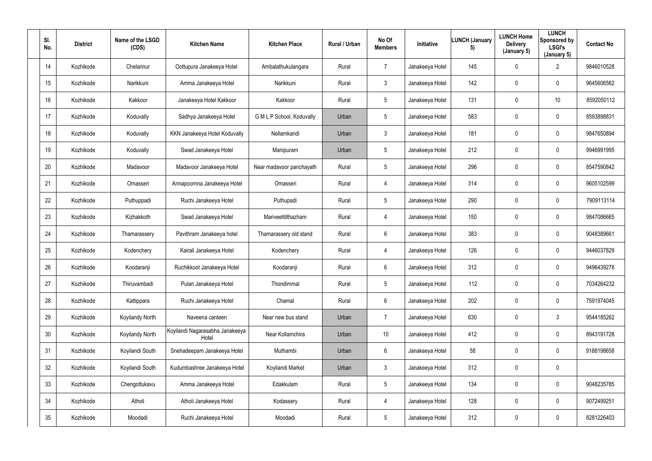| SI.<br>No. | <b>District</b> | Name of the LSGD<br>(CDS) | <b>Kitchen Name</b>                      | <b>Kitchen Place</b>      | Rural / Urban | No Of<br><b>Members</b> | Initiative      | <b>LUNCH (January</b><br>5) | <b>LUNCH Home</b><br><b>Delivery</b><br>(January 5) | <b>LUNCH</b><br>Sponsored by<br><b>LSGI's</b><br>(January 5) | <b>Contact No</b> |
|------------|-----------------|---------------------------|------------------------------------------|---------------------------|---------------|-------------------------|-----------------|-----------------------------|-----------------------------------------------------|--------------------------------------------------------------|-------------------|
| 14         | Kozhikode       | Chelannur                 | Oottupura Janakeeya Hotel                | Ambalathukulangara        | Rural         | $\overline{7}$          | Janakeeya Hotel | 145                         | $\mathbf 0$                                         | $\overline{2}$                                               | 9846010528        |
| 15         | Kozhikode       | Narikkuni                 | Amma Janakeeya Hotel                     | Narikkuni                 | Rural         | $\mathbf{3}$            | Janakeeya Hotel | 142                         | 0                                                   | $\mathbf 0$                                                  | 9645606562        |
| 16         | Kozhikode       | Kakkoor                   | Janakeeya Hotel Kakkoor                  | Kakkoor                   | Rural         | $5\phantom{.0}$         | Janakeeya Hotel | 131                         | 0                                                   | 10 <sup>1</sup>                                              | 8592050112        |
| 17         | Kozhikode       | Koduvally                 | Sadhya Janakeeya Hotel                   | G M L P School, Koduvally | Urban         | $5\phantom{.0}$         | Janakeeya Hotel | 583                         | 0                                                   | $\mathbf 0$                                                  | 8593898831        |
| 18         | Kozhikode       | Koduvally                 | KKN Janakeeya Hotel Koduvally            | Nellamkandi               | Urban         | $\mathbf{3}$            | Janakeeya Hotel | 181                         | 0                                                   | $\mathbf 0$                                                  | 9847650894        |
| 19         | Kozhikode       | Koduvally                 | Swad Janakeeya Hotel                     | Manipuram                 | Urban         | $5\phantom{.0}$         | Janakeeya Hotel | 212                         | 0                                                   | $\mathbf 0$                                                  | 9946991995        |
| 20         | Kozhikode       | Madavoor                  | Madavoor Janakeeya Hotel                 | Near madavoor panchayath  | Rural         | $5\phantom{.0}$         | Janakeeya Hotel | 296                         | 0                                                   | $\mathbf 0$                                                  | 8547590842        |
| 21         | Kozhikode       | Omasseri                  | Annapoornna Janakeeya Hotel              | Omasseri                  | Rural         | $\overline{4}$          | Janakeeya Hotel | 314                         | 0                                                   | $\mathbf 0$                                                  | 9605102599        |
| 22         | Kozhikode       | Puthuppadi                | Ruchi Janakeeya Hotel                    | Puthupadi                 | Rural         | $5\phantom{.0}$         | Janakeeya Hotel | 290                         | 0                                                   | $\overline{0}$                                               | 7909113114        |
| 23         | Kozhikode       | Kizhakkoth                | Swad Janakeeya Hotel                     | Mariveettilthazham        | Rural         | $\overline{4}$          | Janakeeya Hotel | 150                         | 0                                                   | $\overline{0}$                                               | 9847086665        |
| 24         | Kozhikode       | Thamarassery              | Pavithram Janakeeya hotel                | Thamarassery old stand    | Rural         | $6^{\circ}$             | Janakeeya Hotel | 383                         | 0                                                   | $\mathbf 0$                                                  | 9048389661        |
| 25         | Kozhikode       | Kodenchery                | Kairali Janakeeya Hotel                  | Kodenchery                | Rural         | $\overline{4}$          | Janakeeya Hotel | 126                         | 0                                                   | $\mathbf 0$                                                  | 9446037829        |
| 26         | Kozhikode       | Koodaranji                | Ruchikkoot Janakeeya Hotel               | Koodaranji                | Rural         | $6\phantom{.}6$         | Janakeeya Hotel | 312                         | 0                                                   | $\overline{0}$                                               | 9496439278        |
| 27         | Kozhikode       | Thiruvambadi              | Pulari Janakeeya Hotel                   | Thondimmal                | Rural         | $5\phantom{.0}$         | Janakeeya Hotel | 112                         | 0                                                   | $\mathbf 0$                                                  | 7034264232        |
| 28         | Kozhikode       | Kattippara                | Ruchi Janakeeya Hotel                    | Chamal                    | Rural         | $6\phantom{.}6$         | Janakeeya Hotel | 202                         | 0                                                   | $\mathbf 0$                                                  | 7591974045        |
| 29         | Kozhikode       | Koyilandy North           | Naveena canteen                          | Near new bus stand        | Urban         | $\overline{7}$          | Janakeeya Hotel | 630                         | 0                                                   | 3                                                            | 9544185262        |
| 30         | Kozhikode       | Koyilandy North           | Koyilandi Nagarasabha Janakeeya<br>Hotel | Near Kollamchira          | Urban         | 10                      | Janakeeya Hotel | 412                         | $\mathbf 0$                                         | $\mathbf 0$                                                  | 8943191728        |
| 31         | Kozhikode       | Koyilandi South           | Snehadeepam Janakeeya Hotel              | Muthambi                  | Urban         | $6\phantom{.0}$         | Janakeeya Hotel | 58                          | 0                                                   | $\mathbf 0$                                                  | 9188198658        |
| 32         | Kozhikode       | Koyilandi South           | Kudumbashree Janakeeya Hotel             | Koyilandi Market          | Urban         | $\mathbf{3}$            | Janakeeya Hotel | 312                         | $\mathbf 0$                                         | $\mathbf 0$                                                  |                   |
| 33         | Kozhikode       | Chengottukavu             | Amma Janakeeya Hotel                     | Edakkulam                 | Rural         | $5\phantom{.0}$         | Janakeeya Hotel | 134                         | 0                                                   | $\mathbf 0$                                                  | 9048235785        |
| 34         | Kozhikode       | Atholi                    | Atholi Janakeeya Hotel                   | Kodassery                 | Rural         | $\overline{4}$          | Janakeeya Hotel | 128                         | 0                                                   | $\mathbf 0$                                                  | 9072499251        |
| $35\,$     | Kozhikode       | Moodadi                   | Ruchi Janakeeya Hotel                    | Moodadi                   | Rural         | $5\phantom{.0}$         | Janakeeya Hotel | 312                         | 0                                                   | $\overline{0}$                                               | 8281226403        |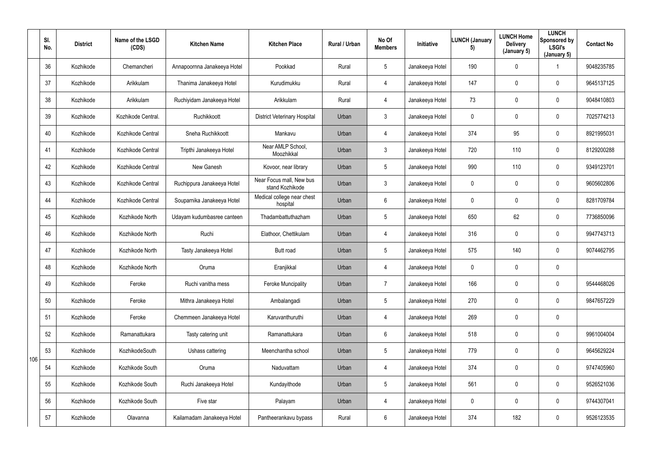|     | SI.<br>No. | <b>District</b> | Name of the LSGD<br>(CDS) | <b>Kitchen Name</b>         | <b>Kitchen Place</b>                        | Rural / Urban | No Of<br><b>Members</b> | Initiative      | <b>LUNCH (January</b><br>5) | <b>LUNCH Home</b><br><b>Delivery</b><br>(January 5) | <b>LUNCH</b><br>Sponsored by<br><b>LSGI's</b><br>(January 5) | <b>Contact No</b> |
|-----|------------|-----------------|---------------------------|-----------------------------|---------------------------------------------|---------------|-------------------------|-----------------|-----------------------------|-----------------------------------------------------|--------------------------------------------------------------|-------------------|
|     | 36         | Kozhikode       | Chemancheri               | Annapoornna Janakeeya Hotel | Pookkad                                     | Rural         | 5 <sup>5</sup>          | Janakeeya Hotel | 190                         | $\mathbf 0$                                         |                                                              | 9048235785        |
|     | 37         | Kozhikode       | Arikkulam                 | Thanima Janakeeya Hotel     | Kurudimukku                                 | Rural         | 4                       | Janakeeya Hotel | 147                         | 0                                                   | $\mathbf 0$                                                  | 9645137125        |
|     | 38         | Kozhikode       | Arikkulam                 | Ruchiyidam Janakeeya Hotel  | Arikkulam                                   | Rural         | 4                       | Janakeeya Hotel | 73                          | 0                                                   | $\mathbf 0$                                                  | 9048410803        |
|     | 39         | Kozhikode       | Kozhikode Central.        | Ruchikkoott                 | <b>District Veterinary Hospital</b>         | Urban         | $\mathfrak{Z}$          | Janakeeya Hotel | $\mathbf{0}$                | $\mathbf 0$                                         | $\pmb{0}$                                                    | 7025774213        |
|     | 40         | Kozhikode       | Kozhikode Central         | Sneha Ruchikkoott           | Mankavu                                     | Urban         | 4                       | Janakeeya Hotel | 374                         | 95                                                  | $\mathbf 0$                                                  | 8921995031        |
|     | 41         | Kozhikode       | Kozhikode Central         | Tripthi Janakeeya Hotel     | Near AMLP School,<br>Moozhikkal             | Urban         | $\mathfrak{Z}$          | Janakeeya Hotel | 720                         | 110                                                 | $\mathbf 0$                                                  | 8129200288        |
|     | 42         | Kozhikode       | Kozhikode Central         | New Ganesh                  | Kovoor, near library                        | Urban         | $5\phantom{.0}$         | Janakeeya Hotel | 990                         | 110                                                 | $\overline{0}$                                               | 9349123701        |
|     | 43         | Kozhikode       | Kozhikode Central         | Ruchippura Janakeeya Hotel  | Near Focus mall, New bus<br>stand Kozhikode | Urban         | $\mathfrak{Z}$          | Janakeeya Hotel | $\mathbf 0$                 | 0                                                   | $\mathbf 0$                                                  | 9605602806        |
|     | 44         | Kozhikode       | Kozhikode Central         | Souparnika Janakeeya Hotel  | Medical college near chest<br>hospital      | Urban         | 6                       | Janakeeya Hotel | $\mathbf{0}$                | 0                                                   | $\mathbf 0$                                                  | 8281709784        |
|     | 45         | Kozhikode       | Kozhikode North           | Udayam kudumbasree canteen  | Thadambattuthazham                          | Urban         | 5                       | Janakeeya Hotel | 650                         | 62                                                  | $\mathbf 0$                                                  | 7736850096        |
|     | 46         | Kozhikode       | Kozhikode North           | Ruchi                       | Elathoor, Chettikulam                       | Urban         | 4                       | Janakeeya Hotel | 316                         | $\mathbf 0$                                         | $\mathbf 0$                                                  | 9947743713        |
|     | 47         | Kozhikode       | Kozhikode North           | Tasty Janakeeya Hotel       | Butt road                                   | Urban         | 5 <sub>5</sub>          | Janakeeya Hotel | 575                         | 140                                                 | $\mathbf 0$                                                  | 9074462795        |
|     | 48         | Kozhikode       | Kozhikode North           | Oruma                       | Eranjikkal                                  | Urban         | 4                       | Janakeeya Hotel | $\mathbf 0$                 | $\mathbf 0$                                         | $\boldsymbol{0}$                                             |                   |
|     | 49         | Kozhikode       | Feroke                    | Ruchi vanitha mess          | <b>Feroke Muncipality</b>                   | Urban         | $\overline{7}$          | Janakeeya Hotel | 166                         | 0                                                   | $\mathbf 0$                                                  | 9544468026        |
|     | 50         | Kozhikode       | Feroke                    | Mithra Janakeeya Hotel      | Ambalangadi                                 | Urban         | $5\phantom{.0}$         | Janakeeya Hotel | 270                         | 0                                                   | $\overline{0}$                                               | 9847657229        |
|     | 51         | Kozhikode       | Feroke                    | Chemmeen Janakeeya Hotel    | Karuvanthuruthi                             | Urban         | 4                       | Janakeeya Hotel | 269                         | $\pmb{0}$                                           | $\mathbf 0$                                                  |                   |
|     | 52         | Kozhikode       | Ramanattukara             | Tasty catering unit         | Ramanattukara                               | Urban         | $6\phantom{.}6$         | Janakeeya Hotel | 518                         | 0                                                   | $\overline{0}$                                               | 9961004004        |
| 106 | 53         | Kozhikode       | KozhikodeSouth            | Ushass cattering            | Meenchantha school                          | Urban         | $5\phantom{.0}$         | Janakeeya Hotel | 779                         | 0                                                   | $\overline{0}$                                               | 9645629224        |
|     | 54         | Kozhikode       | Kozhikode South           | Oruma                       | Naduvattam                                  | Urban         | 4                       | Janakeeya Hotel | 374                         | 0                                                   | $\overline{0}$                                               | 9747405960        |
|     | 55         | Kozhikode       | Kozhikode South           | Ruchi Janakeeya Hotel       | Kundayithode                                | Urban         | $5\phantom{.0}$         | Janakeeya Hotel | 561                         | 0                                                   | $\pmb{0}$                                                    | 9526521036        |
|     | 56         | Kozhikode       | Kozhikode South           | Five star                   | Palayam                                     | Urban         | 4                       | Janakeeya Hotel | $\mathbf 0$                 | 0                                                   | $\mathbf 0$                                                  | 9744307041        |
|     | 57         | Kozhikode       | Olavanna                  | Kailamadam Janakeeya Hotel  | Pantheerankavu bypass                       | Rural         | $6\overline{6}$         | Janakeeya Hotel | 374                         | 182                                                 | $\pmb{0}$                                                    | 9526123535        |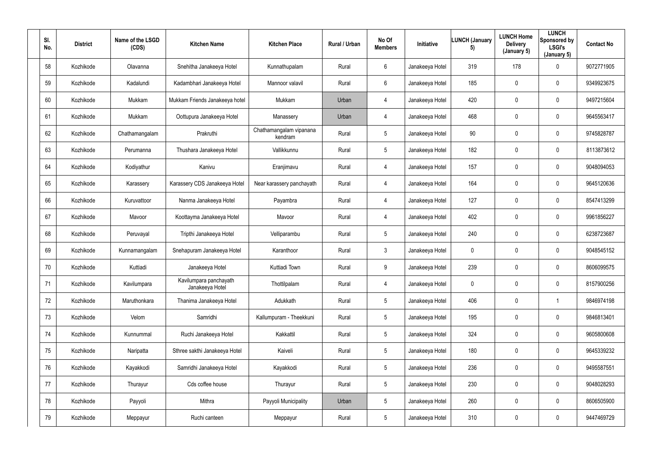| SI.<br>No. | <b>District</b> | Name of the LSGD<br>(CDS) | <b>Kitchen Name</b>                       | <b>Kitchen Place</b>               | Rural / Urban | No Of<br><b>Members</b> | Initiative      | <b>LUNCH (January</b><br>5) | <b>LUNCH Home</b><br><b>Delivery</b><br>(January 5) | <b>LUNCH</b><br>Sponsored by<br><b>LSGI's</b><br>(January 5) | <b>Contact No</b> |
|------------|-----------------|---------------------------|-------------------------------------------|------------------------------------|---------------|-------------------------|-----------------|-----------------------------|-----------------------------------------------------|--------------------------------------------------------------|-------------------|
| 58         | Kozhikode       | Olavanna                  | Snehitha Janakeeya Hotel                  | Kunnathupalam                      | Rural         | $6^{\circ}$             | Janakeeya Hotel | 319                         | 178                                                 | $\mathbf 0$                                                  | 9072771905        |
| 59         | Kozhikode       | Kadalundi                 | Kadambhari Janakeeya Hotel                | Mannoor valavil                    | Rural         | $6^{\circ}$             | Janakeeya Hotel | 185                         | 0                                                   | $\mathbf 0$                                                  | 9349923675        |
| 60         | Kozhikode       | Mukkam                    | Mukkam Friends Janakeeya hotel            | Mukkam                             | Urban         | $\overline{4}$          | Janakeeya Hotel | 420                         | 0                                                   | $\mathbf 0$                                                  | 9497215604        |
| 61         | Kozhikode       | Mukkam                    | Oottupura Janakeeya Hotel                 | Manassery                          | Urban         | 4                       | Janakeeya Hotel | 468                         | 0                                                   | $\overline{0}$                                               | 9645563417        |
| 62         | Kozhikode       | Chathamangalam            | Prakruthi                                 | Chathamangalam vipanana<br>kendram | Rural         | $5\overline{)}$         | Janakeeya Hotel | 90                          | 0                                                   | $\mathbf 0$                                                  | 9745828787        |
| 63         | Kozhikode       | Perumanna                 | Thushara Janakeeya Hotel                  | Vallikkunnu                        | Rural         | $5\overline{)}$         | Janakeeya Hotel | 182                         | 0                                                   | $\mathbf 0$                                                  | 8113873612        |
| 64         | Kozhikode       | Kodiyathur                | Kanivu                                    | Eranjimavu                         | Rural         | 4                       | Janakeeya Hotel | 157                         | 0                                                   | $\mathbf 0$                                                  | 9048094053        |
| 65         | Kozhikode       | Karassery                 | Karassery CDS Janakeeya Hotel             | Near karassery panchayath          | Rural         | 4                       | Janakeeya Hotel | 164                         | 0                                                   | $\mathbf 0$                                                  | 9645120636        |
| 66         | Kozhikode       | Kuruvattoor               | Nanma Janakeeya Hotel                     | Payambra                           | Rural         | 4                       | Janakeeya Hotel | 127                         | 0                                                   | $\overline{0}$                                               | 8547413299        |
| 67         | Kozhikode       | Mavoor                    | Koottayma Janakeeya Hotel                 | Mavoor                             | Rural         | 4                       | Janakeeya Hotel | 402                         | 0                                                   | $\mathbf 0$                                                  | 9961856227        |
| 68         | Kozhikode       | Peruvayal                 | Tripthi Janakeeya Hotel                   | Velliparambu                       | Rural         | $5\overline{)}$         | Janakeeya Hotel | 240                         | 0                                                   | $\mathbf 0$                                                  | 6238723687        |
| 69         | Kozhikode       | Kunnamangalam             | Snehapuram Janakeeya Hotel                | Karanthoor                         | Rural         | $\mathbf{3}$            | Janakeeya Hotel | $\mathbf 0$                 | 0                                                   | $\mathbf 0$                                                  | 9048545152        |
| 70         | Kozhikode       | Kuttiadi                  | Janakeeya Hotel                           | Kuttiadi Town                      | Rural         | 9                       | Janakeeya Hotel | 239                         | 0                                                   | $\mathbf 0$                                                  | 8606099575        |
| 71         | Kozhikode       | Kavilumpara               | Kavilumpara panchayath<br>Janakeeya Hotel | Thottilpalam                       | Rural         | $\overline{4}$          | Janakeeya Hotel | $\mathbf 0$                 | 0                                                   | $\mathbf 0$                                                  | 8157900256        |
| 72         | Kozhikode       | Maruthonkara              | Thanima Janakeeya Hotel                   | Adukkath                           | Rural         | $5\phantom{.0}$         | Janakeeya Hotel | 406                         | 0                                                   |                                                              | 9846974198        |
| 73         | Kozhikode       | Velom                     | Samridhi                                  | Kallumpuram - Theekkuni            | Rural         | $5\overline{)}$         | Janakeeya Hotel | 195                         | 0                                                   | $\mathbf 0$                                                  | 9846813401        |
| 74         | Kozhikode       | Kunnummal                 | Ruchi Janakeeya Hotel                     | Kakkattil                          | Rural         | 5 <sup>5</sup>          | Janakeeya Hotel | 324                         | 0                                                   | $\mathbf 0$                                                  | 9605800608        |
| 75         | Kozhikode       | Naripatta                 | Sthree sakthi Janakeeya Hotel             | Kaiveli                            | Rural         | $5\phantom{.0}$         | Janakeeya Hotel | 180                         | 0                                                   | $\mathbf 0$                                                  | 9645339232        |
| 76         | Kozhikode       | Kayakkodi                 | Samridhi Janakeeya Hotel                  | Kayakkodi                          | Rural         | $5\overline{)}$         | Janakeeya Hotel | 236                         | 0                                                   | $\mathbf 0$                                                  | 9495587551        |
| 77         | Kozhikode       | Thurayur                  | Cds coffee house                          | Thurayur                           | Rural         | $5\overline{)}$         | Janakeeya Hotel | 230                         | $\pmb{0}$                                           | $\mathbf 0$                                                  | 9048028293        |
| 78         | Kozhikode       | Payyoli                   | Mithra                                    | Payyoli Municipality               | Urban         | $5\overline{)}$         | Janakeeya Hotel | 260                         | 0                                                   | $\mathbf 0$                                                  | 8606505900        |
| 79         | Kozhikode       | Meppayur                  | Ruchi canteen                             | Meppayur                           | Rural         | $5\overline{)}$         | Janakeeya Hotel | 310                         | 0                                                   | $\mathbf 0$                                                  | 9447469729        |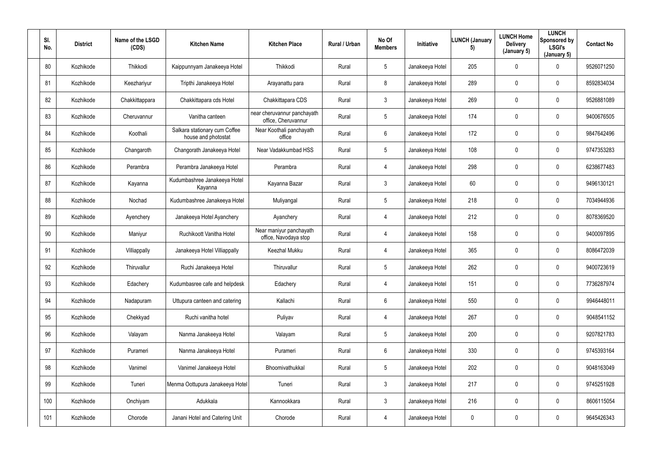| SI.<br>No. | <b>District</b> | Name of the LSGD<br>(CDS) | <b>Kitchen Name</b>                                  | <b>Kitchen Place</b>                               | Rural / Urban | No Of<br><b>Members</b> | Initiative      | <b>LUNCH (January</b><br>5) | <b>LUNCH Home</b><br><b>Delivery</b><br>(January 5) | <b>LUNCH</b><br>Sponsored by<br><b>LSGI's</b><br>(January 5) | <b>Contact No</b> |
|------------|-----------------|---------------------------|------------------------------------------------------|----------------------------------------------------|---------------|-------------------------|-----------------|-----------------------------|-----------------------------------------------------|--------------------------------------------------------------|-------------------|
| 80         | Kozhikode       | Thikkodi                  | Kaippunnyam Janakeeya Hotel                          | Thikkodi                                           | Rural         | $5\overline{)}$         | Janakeeya Hotel | 205                         | $\mathbf 0$                                         | $\mathbf 0$                                                  | 9526071250        |
| 81         | Kozhikode       | Keezhariyur               | Tripthi Janakeeya Hotel                              | Arayanattu para                                    | Rural         | 8                       | Janakeeya Hotel | 289                         | 0                                                   | $\mathbf 0$                                                  | 8592834034        |
| 82         | Kozhikode       | Chakkittappara            | Chakkittapara cds Hotel                              | Chakkittapara CDS                                  | Rural         | $\mathbf{3}$            | Janakeeya Hotel | 269                         | 0                                                   | $\mathbf 0$                                                  | 9526881089        |
| 83         | Kozhikode       | Cheruvannur               | Vanitha canteen                                      | near cheruvannur panchayath<br>office, Cheruvannur | Rural         | $5\phantom{.0}$         | Janakeeya Hotel | 174                         | 0                                                   | 0                                                            | 9400676505        |
| 84         | Kozhikode       | Koothali                  | Salkara stationary cum Coffee<br>house and photostat | Near Koothali panchayath<br>office                 | Rural         | $6\overline{6}$         | Janakeeya Hotel | 172                         | 0                                                   | $\mathbf 0$                                                  | 9847642496        |
| 85         | Kozhikode       | Changaroth                | Changorath Janakeeya Hotel                           | Near Vadakkumbad HSS                               | Rural         | 5 <sup>5</sup>          | Janakeeya Hotel | 108                         | 0                                                   | $\mathbf 0$                                                  | 9747353283        |
| 86         | Kozhikode       | Perambra                  | Perambra Janakeeya Hotel                             | Perambra                                           | Rural         | 4                       | Janakeeya Hotel | 298                         | 0                                                   | $\mathbf 0$                                                  | 6238677483        |
| 87         | Kozhikode       | Kayanna                   | Kudumbashree Janakeeya Hotel<br>Kayanna              | Kayanna Bazar                                      | Rural         | $\mathbf{3}$            | Janakeeya Hotel | 60                          | 0                                                   | $\mathbf 0$                                                  | 9496130121        |
| 88         | Kozhikode       | Nochad                    | Kudumbashree Janakeeya Hotel                         | Muliyangal                                         | Rural         | 5 <sup>5</sup>          | Janakeeya Hotel | 218                         | 0                                                   | $\mathbf 0$                                                  | 7034944936        |
| 89         | Kozhikode       | Ayenchery                 | Janakeeya Hotel Ayanchery                            | Ayanchery                                          | Rural         | 4                       | Janakeeya Hotel | 212                         | 0                                                   | $\mathbf 0$                                                  | 8078369520        |
| 90         | Kozhikode       | Maniyur                   | Ruchikoott Vanitha Hotel                             | Near maniyur panchayath<br>office, Navodaya stop   | Rural         | 4                       | Janakeeya Hotel | 158                         | 0                                                   | $\mathbf 0$                                                  | 9400097895        |
| 91         | Kozhikode       | Villiappally              | Janakeeya Hotel Villiappally                         | <b>Keezhal Mukku</b>                               | Rural         | 4                       | Janakeeya Hotel | 365                         | 0                                                   | $\mathbf 0$                                                  | 8086472039        |
| 92         | Kozhikode       | Thiruvallur               | Ruchi Janakeeya Hotel                                | Thiruvallur                                        | Rural         | $5\phantom{.0}$         | Janakeeya Hotel | 262                         | 0                                                   | $\mathbf 0$                                                  | 9400723619        |
| 93         | Kozhikode       | Edachery                  | Kudumbasree cafe and helpdesk                        | Edachery                                           | Rural         | $\overline{4}$          | Janakeeya Hotel | 151                         | 0                                                   | $\mathbf 0$                                                  | 7736287974        |
| 94         | Kozhikode       | Nadapuram                 | Uttupura canteen and catering                        | Kallachi                                           | Rural         | 6                       | Janakeeya Hotel | 550                         | 0                                                   | $\mathbf 0$                                                  | 9946448011        |
| 95         | Kozhikode       | Chekkyad                  | Ruchi vanitha hotel                                  | Puliyav                                            | Rural         | $\overline{4}$          | Janakeeya Hotel | 267                         | 0                                                   | $\mathbf 0$                                                  | 9048541152        |
| 96         | Kozhikode       | Valayam                   | Nanma Janakeeya Hotel                                | Valayam                                            | Rural         | $5\overline{)}$         | Janakeeya Hotel | 200                         | 0                                                   | $\mathbf 0$                                                  | 9207821783        |
| 97         | Kozhikode       | Purameri                  | Nanma Janakeeya Hotel                                | Purameri                                           | Rural         | $6\phantom{.}6$         | Janakeeya Hotel | 330                         | 0                                                   | $\mathbf 0$                                                  | 9745393164        |
| 98         | Kozhikode       | Vanimel                   | Vanimel Janakeeya Hotel                              | Bhoomivathukkal                                    | Rural         | $5\phantom{.0}$         | Janakeeya Hotel | 202                         | 0                                                   | $\mathbf 0$                                                  | 9048163049        |
| 99         | Kozhikode       | Tuneri                    | Menma Oottupura Janakeeya Hotel                      | Tuneri                                             | Rural         | 3 <sup>1</sup>          | Janakeeya Hotel | 217                         | 0                                                   | $\mathbf 0$                                                  | 9745251928        |
| 100        | Kozhikode       | Onchiyam                  | Adukkala                                             | Kannookkara                                        | Rural         | 3                       | Janakeeya Hotel | 216                         | $\pmb{0}$                                           | $\mathbf 0$                                                  | 8606115054        |
| 101        | Kozhikode       | Chorode                   | Janani Hotel and Catering Unit                       | Chorode                                            | Rural         | 4                       | Janakeeya Hotel | $\boldsymbol{0}$            | 0                                                   | $\overline{0}$                                               | 9645426343        |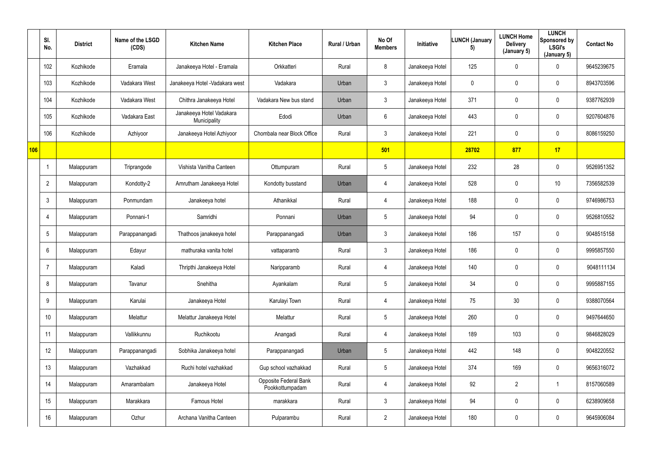|     | SI.<br>No.     | <b>District</b> | Name of the LSGD<br>(CDS) | <b>Kitchen Name</b>                      | <b>Kitchen Place</b>                            | Rural / Urban | No Of<br><b>Members</b> | Initiative      | <b>LUNCH (January</b><br>5) | <b>LUNCH Home</b><br><b>Delivery</b><br>(January 5) | <b>LUNCH</b><br>Sponsored by<br><b>LSGI's</b><br>(January 5) | <b>Contact No</b> |
|-----|----------------|-----------------|---------------------------|------------------------------------------|-------------------------------------------------|---------------|-------------------------|-----------------|-----------------------------|-----------------------------------------------------|--------------------------------------------------------------|-------------------|
|     | 102            | Kozhikode       | Eramala                   | Janakeeya Hotel - Eramala                | Orkkatteri                                      | Rural         | 8                       | Janakeeya Hotel | 125                         | $\mathbf 0$                                         | $\mathbf 0$                                                  | 9645239675        |
|     | 103            | Kozhikode       | Vadakara West             | Janakeeya Hotel - Vadakara west          | Vadakara                                        | Urban         | $\mathfrak{Z}$          | Janakeeya Hotel | $\mathbf 0$                 | 0                                                   | $\mathbf 0$                                                  | 8943703596        |
|     | 104            | Kozhikode       | Vadakara West             | Chithra Janakeeya Hotel                  | Vadakara New bus stand                          | Urban         | $\mathfrak{Z}$          | Janakeeya Hotel | 371                         | 0                                                   | $\mathbf 0$                                                  | 9387762939        |
|     | 105            | Kozhikode       | Vadakara East             | Janakeeya Hotel Vadakara<br>Municipality | Edodi                                           | Urban         | 6                       | Janakeeya Hotel | 443                         | 0                                                   | $\pmb{0}$                                                    | 9207604876        |
|     | 106            | Kozhikode       | Azhiyoor                  | Janakeeya Hotel Azhiyoor                 | Chombala near Block Office                      | Rural         | $\mathfrak{Z}$          | Janakeeya Hotel | 221                         | 0                                                   | $\mathbf 0$                                                  | 8086159250        |
| 106 |                |                 |                           |                                          |                                                 |               | 501                     |                 | 28702                       | 877                                                 | 17                                                           |                   |
|     |                | Malappuram      | Triprangode               | Vishista Vanitha Canteen                 | Ottumpuram                                      | Rural         | $5\phantom{.0}$         | Janakeeya Hotel | 232                         | 28                                                  | $\mathbf 0$                                                  | 9526951352        |
|     | $\overline{2}$ | Malappuram      | Kondotty-2                | Amrutham Janakeeya Hotel                 | Kondotty busstand                               | Urban         | 4                       | Janakeeya Hotel | 528                         | 0                                                   | 10 <sup>°</sup>                                              | 7356582539        |
|     | 3              | Malappuram      | Ponmundam                 | Janakeeya hotel                          | Athanikkal                                      | Rural         | 4                       | Janakeeya Hotel | 188                         | 0                                                   | $\mathbf 0$                                                  | 9746986753        |
|     | 4              | Malappuram      | Ponnani-1                 | Samridhi                                 | Ponnani                                         | Urban         | $5\phantom{.0}$         | Janakeeya Hotel | 94                          | 0                                                   | $\pmb{0}$                                                    | 9526810552        |
|     | 5              | Malappuram      | Parappanangadi            | Thathoos janakeeya hotel                 | Parappanangadi                                  | Urban         | 3 <sup>1</sup>          | Janakeeya Hotel | 186                         | 157                                                 | $\mathbf 0$                                                  | 9048515158        |
|     | 6              | Malappuram      | Edayur                    | mathuraka vanita hotel                   | vattaparamb                                     | Rural         | $\mathfrak{Z}$          | Janakeeya Hotel | 186                         | 0                                                   | $\mathbf 0$                                                  | 9995857550        |
|     |                | Malappuram      | Kaladi                    | Thripthi Janakeeya Hotel                 | Naripparamb                                     | Rural         | 4                       | Janakeeya Hotel | 140                         | 0                                                   | $\pmb{0}$                                                    | 9048111134        |
|     | 8              | Malappuram      | Tavanur                   | Snehitha                                 | Ayankalam                                       | Rural         | $5\phantom{.0}$         | Janakeeya Hotel | 34                          | $\mathbf 0$                                         | $\mathbf 0$                                                  | 9995887155        |
|     | 9              | Malappuram      | Karulai                   | Janakeeya Hotel                          | Karulayi Town                                   | Rural         | 4                       | Janakeeya Hotel | 75                          | $30\,$                                              | $\overline{0}$                                               | 9388070564        |
|     | 10             | Malappuram      | Melattur                  | Melattur Janakeeya Hotel                 | Melattur                                        | Rural         | $5\overline{)}$         | Janakeeya Hotel | 260                         | 0                                                   | $\overline{0}$                                               | 9497644650        |
|     | 11             | Malappuram      | Vallikkunnu               | Ruchikootu                               | Anangadi                                        | Rural         | 4                       | Janakeeya Hotel | 189                         | 103                                                 | $\overline{0}$                                               | 9846828029        |
|     | 12             | Malappuram      | Parappanangadi            | Sobhika Janakeeya hotel                  | Parappanangadi                                  | Urban         | $5\phantom{.0}$         | Janakeeya Hotel | 442                         | 148                                                 | $\overline{0}$                                               | 9048220552        |
|     | 13             | Malappuram      | Vazhakkad                 | Ruchi hotel vazhakkad                    | Gup school vazhakkad                            | Rural         | $5\phantom{.0}$         | Janakeeya Hotel | 374                         | 169                                                 | $\overline{0}$                                               | 9656316072        |
|     | 14             | Malappuram      | Amarambalam               | Janakeeya Hotel                          | <b>Opposite Federal Bank</b><br>Pookkottumpadam | Rural         | 4                       | Janakeeya Hotel | 92                          | $\overline{2}$                                      | $\mathbf{1}$                                                 | 8157060589        |
|     | 15             | Malappuram      | Marakkara                 | Famous Hotel                             | marakkara                                       | Rural         | 3 <sup>1</sup>          | Janakeeya Hotel | 94                          | 0                                                   | $\overline{0}$                                               | 6238909658        |
|     | 16             | Malappuram      | Ozhur                     | Archana Vanitha Canteen                  | Pulparambu                                      | Rural         | $2^{\circ}$             | Janakeeya Hotel | 180                         | 0                                                   | $\boldsymbol{0}$                                             | 9645906084        |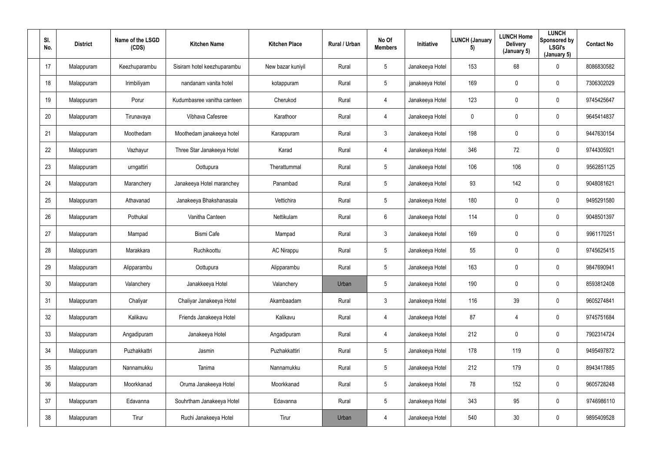| SI.<br>No.      | <b>District</b> | Name of the LSGD<br>(CDS) | <b>Kitchen Name</b>         | <b>Kitchen Place</b> | Rural / Urban | No Of<br><b>Members</b> | Initiative      | <b>LUNCH (January</b><br>5) | <b>LUNCH Home</b><br><b>Delivery</b><br>(January 5) | <b>LUNCH</b><br>Sponsored by<br><b>LSGI's</b><br>(January 5) | <b>Contact No</b> |
|-----------------|-----------------|---------------------------|-----------------------------|----------------------|---------------|-------------------------|-----------------|-----------------------------|-----------------------------------------------------|--------------------------------------------------------------|-------------------|
| 17              | Malappuram      | Keezhuparambu             | Sisiram hotel keezhuparambu | New bazar kuniyil    | Rural         | $5\overline{)}$         | Janakeeya Hotel | 153                         | 68                                                  | $\mathbf 0$                                                  | 8086830582        |
| 18              | Malappuram      | Irimbiliyam               | nandanam vanita hotel       | kotappuram           | Rural         | $5\phantom{.0}$         | janakeeya Hotel | 169                         | 0                                                   | $\mathbf 0$                                                  | 7306302029        |
| 19              | Malappuram      | Porur                     | Kudumbasree vanitha canteen | Cherukod             | Rural         | 4                       | Janakeeya Hotel | 123                         | $\pmb{0}$                                           | $\mathbf 0$                                                  | 9745425647        |
| 20              | Malappuram      | Tirunavaya                | Vibhava Cafesree            | Karathoor            | Rural         | 4                       | Janakeeya Hotel | $\mathbf 0$                 | 0                                                   | $\mathbf 0$                                                  | 9645414837        |
| 21              | Malappuram      | Moothedam                 | Moothedam janakeeya hotel   | Karappuram           | Rural         | $\mathbf{3}$            | Janakeeya Hotel | 198                         | 0                                                   | $\mathbf 0$                                                  | 9447630154        |
| 22              | Malappuram      | Vazhayur                  | Three Star Janakeeya Hotel  | Karad                | Rural         | 4                       | Janakeeya Hotel | 346                         | 72                                                  | $\mathbf 0$                                                  | 9744305921        |
| 23              | Malappuram      | urngattiri                | Oottupura                   | Therattummal         | Rural         | $5\phantom{.0}$         | Janakeeya Hotel | 106                         | 106                                                 | $\mathbf 0$                                                  | 9562851125        |
| 24              | Malappuram      | Maranchery                | Janakeeya Hotel maranchey   | Panambad             | Rural         | $5\phantom{.0}$         | Janakeeya Hotel | 93                          | 142                                                 | $\mathbf 0$                                                  | 9048081621        |
| 25              | Malappuram      | Athavanad                 | Janakeeya Bhakshanasala     | Vettichira           | Rural         | 5 <sup>5</sup>          | Janakeeya Hotel | 180                         | 0                                                   | $\mathbf 0$                                                  | 9495291580        |
| 26              | Malappuram      | Pothukal                  | Vanitha Canteen             | Nettikulam           | Rural         | 6                       | Janakeeya Hotel | 114                         | 0                                                   | $\mathbf 0$                                                  | 9048501397        |
| 27              | Malappuram      | Mampad                    | <b>Bismi Cafe</b>           | Mampad               | Rural         | $\mathbf{3}$            | Janakeeya Hotel | 169                         | 0                                                   | $\mathbf 0$                                                  | 9961170251        |
| 28              | Malappuram      | Marakkara                 | Ruchikoottu                 | <b>AC Nirappu</b>    | Rural         | $5\overline{)}$         | Janakeeya Hotel | 55                          | 0                                                   | $\mathbf 0$                                                  | 9745625415        |
| 29              | Malappuram      | Alipparambu               | Oottupura                   | Alipparambu          | Rural         | $5\phantom{.0}$         | Janakeeya Hotel | 163                         | 0                                                   | $\mathbf 0$                                                  | 9847690941        |
| 30 <sup>°</sup> | Malappuram      | Valanchery                | Janakkeeya Hotel            | Valanchery           | Urban         | $5\phantom{.0}$         | Janakeeya Hotel | 190                         | 0                                                   | $\mathbf 0$                                                  | 8593812408        |
| 31              | Malappuram      | Chaliyar                  | Chaliyar Janakeeya Hotel    | Akambaadam           | Rural         | $\mathbf{3}$            | Janakeeya Hotel | 116                         | 39                                                  | $\overline{0}$                                               | 9605274841        |
| 32              | Malappuram      | Kalikavu                  | Friends Janakeeya Hotel     | Kalikavu             | Rural         | $\overline{4}$          | Janakeeya Hotel | 87                          | $\overline{4}$                                      | $\mathbf 0$                                                  | 9745751684        |
| 33              | Malappuram      | Angadipuram               | Janakeeya Hotel             | Angadipuram          | Rural         | $\overline{4}$          | Janakeeya Hotel | 212                         | 0                                                   | $\mathbf 0$                                                  | 7902314724        |
| 34              | Malappuram      | Puzhakkattri              | Jasmin                      | Puzhakkattiri        | Rural         | $5\phantom{.0}$         | Janakeeya Hotel | 178                         | 119                                                 | $\mathbf 0$                                                  | 9495497872        |
| 35              | Malappuram      | Nannamukku                | Tanima                      | Nannamukku           | Rural         | $5\phantom{.0}$         | Janakeeya Hotel | 212                         | 179                                                 | $\mathbf 0$                                                  | 8943417885        |
| 36              | Malappuram      | Moorkkanad                | Oruma Janakeeya Hotel       | Moorkkanad           | Rural         | $5\phantom{.0}$         | Janakeeya Hotel | 78                          | 152                                                 | $\mathbf 0$                                                  | 9605728248        |
| 37              | Malappuram      | Edavanna                  | Souhrtham Janakeeya Hotel   | Edavanna             | Rural         | $5\overline{)}$         | Janakeeya Hotel | 343                         | 95                                                  | $\mathbf 0$                                                  | 9746986110        |
| 38              | Malappuram      | Tirur                     | Ruchi Janakeeya Hotel       | Tirur                | Urban         | 4                       | Janakeeya Hotel | 540                         | 30 <sub>2</sub>                                     | $\overline{0}$                                               | 9895409528        |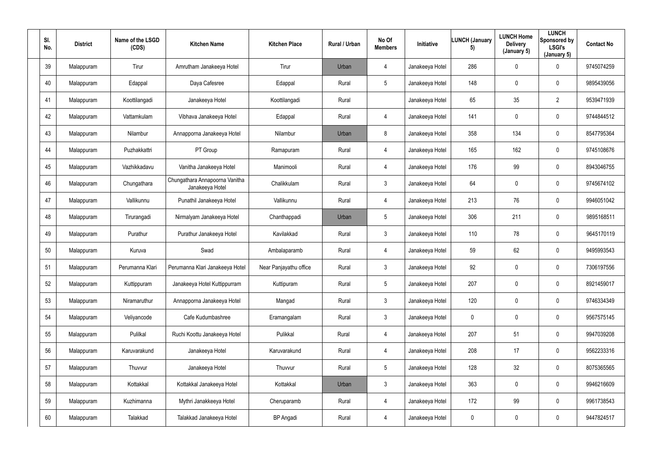| SI.<br>No. | <b>District</b> | Name of the LSGD<br>(CDS) | <b>Kitchen Name</b>                               | <b>Kitchen Place</b>   | Rural / Urban | No Of<br><b>Members</b> | Initiative      | <b>LUNCH (January</b><br>5) | <b>LUNCH Home</b><br><b>Delivery</b><br>(January 5) | <b>LUNCH</b><br>Sponsored by<br><b>LSGI's</b><br>(January 5) | <b>Contact No</b> |
|------------|-----------------|---------------------------|---------------------------------------------------|------------------------|---------------|-------------------------|-----------------|-----------------------------|-----------------------------------------------------|--------------------------------------------------------------|-------------------|
| 39         | Malappuram      | Tirur                     | Amrutham Janakeeya Hotel                          | Tirur                  | Urban         | $\overline{4}$          | Janakeeya Hotel | 286                         | $\mathbf 0$                                         | $\mathbf 0$                                                  | 9745074259        |
| 40         | Malappuram      | Edappal                   | Daya Cafesree                                     | Edappal                | Rural         | $5\phantom{.0}$         | Janakeeya Hotel | 148                         | 0                                                   | $\mathbf 0$                                                  | 9895439056        |
| 41         | Malappuram      | Koottilangadi             | Janakeeya Hotel                                   | Koottilangadi          | Rural         |                         | Janakeeya Hotel | 65                          | 35                                                  | $\overline{2}$                                               | 9539471939        |
| 42         | Malappuram      | Vattamkulam               | Vibhava Janakeeya Hotel                           | Edappal                | Rural         | $\overline{4}$          | Janakeeya Hotel | 141                         | 0                                                   | $\mathbf 0$                                                  | 9744844512        |
| 43         | Malappuram      | Nilambur                  | Annapporna Janakeeya Hotel                        | Nilambur               | Urban         | 8                       | Janakeeya Hotel | 358                         | 134                                                 | $\mathbf 0$                                                  | 8547795364        |
| 44         | Malappuram      | Puzhakkattri              | PT Group                                          | Ramapuram              | Rural         | $\overline{4}$          | Janakeeya Hotel | 165                         | 162                                                 | $\mathbf 0$                                                  | 9745108676        |
| 45         | Malappuram      | Vazhikkadavu              | Vanitha Janakeeya Hotel                           | Manimooli              | Rural         | $\overline{4}$          | Janakeeya Hotel | 176                         | 99                                                  | $\mathbf 0$                                                  | 8943046755        |
| 46         | Malappuram      | Chungathara               | Chungathara Annapoorna Vanitha<br>Janakeeya Hotel | Chalikkulam            | Rural         | $\mathbf{3}$            | Janakeeya Hotel | 64                          | 0                                                   | $\mathbf 0$                                                  | 9745674102        |
| 47         | Malappuram      | Vallikunnu                | Punathil Janakeeya Hotel                          | Vallikunnu             | Rural         | $\overline{4}$          | Janakeeya Hotel | 213                         | 76                                                  | $\overline{0}$                                               | 9946051042        |
| 48         | Malappuram      | Tirurangadi               | Nirmalyam Janakeeya Hotel                         | Chanthappadi           | Urban         | $5\phantom{.0}$         | Janakeeya Hotel | 306                         | 211                                                 | $\mathbf 0$                                                  | 9895168511        |
| 49         | Malappuram      | Purathur                  | Purathur Janakeeya Hotel                          | Kavilakkad             | Rural         | $\mathbf{3}$            | Janakeeya Hotel | 110                         | 78                                                  | $\mathbf 0$                                                  | 9645170119        |
| 50         | Malappuram      | Kuruva                    | Swad                                              | Ambalaparamb           | Rural         | $\overline{4}$          | Janakeeya Hotel | 59                          | 62                                                  | $\mathbf 0$                                                  | 9495993543        |
| 51         | Malappuram      | Perumanna Klari           | Perumanna Klari Janakeeya Hotel                   | Near Panjayathu office | Rural         | $\mathbf{3}$            | Janakeeya Hotel | 92                          | 0                                                   | $\mathbf 0$                                                  | 7306197556        |
| 52         | Malappuram      | Kuttippuram               | Janakeeya Hotel Kuttippurram                      | Kuttipuram             | Rural         | $5\phantom{.0}$         | Janakeeya Hotel | 207                         | 0                                                   | $\mathbf 0$                                                  | 8921459017        |
| 53         | Malappuram      | Niramaruthur              | Annapporna Janakeeya Hotel                        | Mangad                 | Rural         | $\mathbf{3}$            | Janakeeya Hotel | 120                         | 0                                                   | $\mathbf 0$                                                  | 9746334349        |
| 54         | Malappuram      | Veliyancode               | Cafe Kudumbashree                                 | Eramangalam            | Rural         | 3 <sup>1</sup>          | Janakeeya Hotel | $\mathbf 0$                 | 0                                                   | $\mathbf 0$                                                  | 9567575145        |
| 55         | Malappuram      | Pulilkal                  | Ruchi Koottu Janakeeya Hotel                      | Pulikkal               | Rural         | $\overline{4}$          | Janakeeya Hotel | 207                         | 51                                                  | $\mathbf 0$                                                  | 9947039208        |
| 56         | Malappuram      | Karuvarakund              | Janakeeya Hotel                                   | Karuvarakund           | Rural         | $\overline{4}$          | Janakeeya Hotel | 208                         | 17                                                  | $\mathbf 0$                                                  | 9562233316        |
| 57         | Malappuram      | Thuvvur                   | Janakeeya Hotel                                   | Thuvvur                | Rural         | $5\overline{)}$         | Janakeeya Hotel | 128                         | 32                                                  | $\mathbf 0$                                                  | 8075365565        |
| 58         | Malappuram      | Kottakkal                 | Kottakkal Janakeeya Hotel                         | Kottakkal              | Urban         | $\mathbf{3}$            | Janakeeya Hotel | 363                         | 0                                                   | $\mathbf 0$                                                  | 9946216609        |
| 59         | Malappuram      | Kuzhimanna                | Mythri Janakkeeya Hotel                           | Cheruparamb            | Rural         | 4                       | Janakeeya Hotel | 172                         | 99                                                  | $\mathbf 0$                                                  | 9961738543        |
| 60         | Malappuram      | Talakkad                  | Talakkad Janakeeya Hotel                          | <b>BP</b> Angadi       | Rural         | $\overline{4}$          | Janakeeya Hotel | $\pmb{0}$                   | 0                                                   | $\overline{0}$                                               | 9447824517        |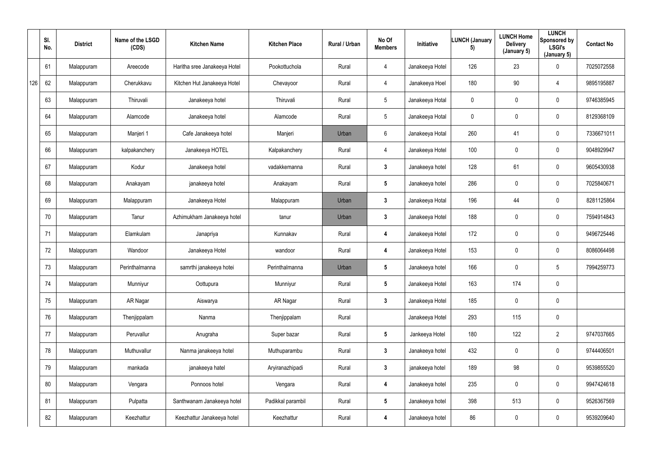|     | SI.<br>No. | <b>District</b> | Name of the LSGD<br>(CDS) | <b>Kitchen Name</b>          | <b>Kitchen Place</b> | Rural / Urban | No Of<br><b>Members</b> | Initiative      | <b>LUNCH (January</b><br>5) | <b>LUNCH Home</b><br><b>Delivery</b><br>(January 5) | <b>LUNCH</b><br>Sponsored by<br><b>LSGI's</b><br>(January 5) | <b>Contact No</b> |
|-----|------------|-----------------|---------------------------|------------------------------|----------------------|---------------|-------------------------|-----------------|-----------------------------|-----------------------------------------------------|--------------------------------------------------------------|-------------------|
|     | 61         | Malappuram      | Areecode                  | Haritha sree Janakeeya Hotel | Pookottuchola        | Rural         | 4                       | Janakeeya Hotel | 126                         | 23                                                  | $\mathbf 0$                                                  | 7025072558        |
| 126 | 62         | Malappuram      | Cherukkavu                | Kitchen Hut Janakeeya Hotel  | Chevayoor            | Rural         | 4                       | Janakeeya Hoel  | 180                         | $90\,$                                              | 4                                                            | 9895195887        |
|     | 63         | Malappuram      | Thiruvali                 | Janakeeya hotel              | Thiruvali            | Rural         | $5\phantom{.0}$         | Janakeeya Hotal | $\pmb{0}$                   | 0                                                   | $\mathbf 0$                                                  | 9746385945        |
|     | 64         | Malappuram      | Alamcode                  | Janakeeya hotel              | Alamcode             | Rural         | $5\phantom{.0}$         | Janakeeya Hotal | $\mathbf 0$                 | $\mathbf 0$                                         | $\overline{0}$                                               | 8129368109        |
|     | 65         | Malappuram      | Manjeri 1                 | Cafe Janakeeya hotel         | Manjeri              | Urban         | $6\phantom{.}$          | Janakeeya Hotal | 260                         | 41                                                  | $\mathbf 0$                                                  | 7336671011        |
|     | 66         | Malappuram      | kalpakanchery             | Janakeeya HOTEL              | Kalpakanchery        | Rural         | 4                       | Janakeeya Hotel | 100                         | $\mathbf 0$                                         | $\overline{0}$                                               | 9048929947        |
|     | 67         | Malappuram      | Kodur                     | Janakeeya hotel              | vadakkemanna         | Rural         | $3\phantom{a}$          | Janakeeya hotel | 128                         | 61                                                  | $\mathbf 0$                                                  | 9605430938        |
|     | 68         | Malappuram      | Anakayam                  | janakeeya hotel              | Anakayam             | Rural         | $5\phantom{.0}$         | Janakeeya hotel | 286                         | 0                                                   | $\overline{0}$                                               | 7025840671        |
|     | 69         | Malappuram      | Malappuram                | Janakeeya Hotel              | Malappuram           | Urban         | $\mathbf{3}$            | Janakeeya Hotal | 196                         | 44                                                  | $\mathbf 0$                                                  | 8281125864        |
|     | 70         | Malappuram      | Tanur                     | Azhimukham Janakeeya hotel   | tanur                | Urban         | $\mathbf{3}$            | Janakeeya Hotel | 188                         | 0                                                   | $\mathbf 0$                                                  | 7594914843        |
|     | 71         | Malappuram      | Elamkulam                 | Janapriya                    | Kunnakav             | Rural         | 4                       | Janakeeya Hotel | 172                         | $\mathbf 0$                                         | $\overline{0}$                                               | 9496725446        |
|     | 72         | Malappuram      | Wandoor                   | Janakeeya Hotel              | wandoor              | Rural         | 4                       | Janakeeya Hotel | 153                         | 0                                                   | $\overline{0}$                                               | 8086064498        |
|     | 73         | Malappuram      | Perinthalmanna            | samrthi janakeeya hotei      | Perinthalmanna       | Urban         | $5\phantom{.0}$         | Janakeeya hotel | 166                         | $\mathbf 0$                                         | $5\phantom{.0}$                                              | 7994259773        |
|     | 74         | Malappuram      | Munniyur                  | Oottupura                    | Munniyur             | Rural         | $5\phantom{.0}$         | Janakeeya Hotel | 163                         | 174                                                 | $\pmb{0}$                                                    |                   |
|     | 75         | Malappuram      | AR Nagar                  | Aiswarya                     | AR Nagar             | Rural         | $\mathbf{3}$            | Janakeeya Hotel | 185                         | $\mathbf 0$                                         | $\overline{0}$                                               |                   |
|     | 76         | Malappuram      | Thenjippalam              | Nanma                        | Thenjippalam         | Rural         |                         | Janakeeya Hotel | 293                         | 115                                                 | $\overline{0}$                                               |                   |
|     | 77         | Malappuram      | Peruvallur                | Anugraha                     | Super bazar          | Rural         | 5 <sub>5</sub>          | Jankeeya Hotel  | 180                         | 122                                                 | $\overline{2}$                                               | 9747037665        |
|     | 78         | Malappuram      | Muthuvallur               | Nanma janakeeya hotel        | Muthuparambu         | Rural         | 3 <sup>1</sup>          | Janakeeya hotel | 432                         | $\mathbf 0$                                         | $\mathbf 0$                                                  | 9744406501        |
|     | 79         | Malappuram      | mankada                   | janakeeya hatel              | Aryiranazhipadi      | Rural         | $\mathbf{3}$            | janakeeya hotel | 189                         | 98                                                  | $\overline{0}$                                               | 9539855520        |
|     | 80         | Malappuram      | Vengara                   | Ponnoos hotel                | Vengara              | Rural         | 4                       | Janakeeya hotel | 235                         | 0                                                   | $\overline{0}$                                               | 9947424618        |
|     | 81         | Malappuram      | Pulpatta                  | Santhwanam Janakeeya hotel   | Padikkal parambil    | Rural         | 5 <sub>5</sub>          | Janakeeya hotel | 398                         | 513                                                 | $\overline{0}$                                               | 9526367569        |
|     | 82         | Malappuram      | Keezhattur                | Keezhattur Janakeeya hotel   | Keezhattur           | Rural         | 4                       | Janakeeya hotel | 86                          | 0                                                   | $\pmb{0}$                                                    | 9539209640        |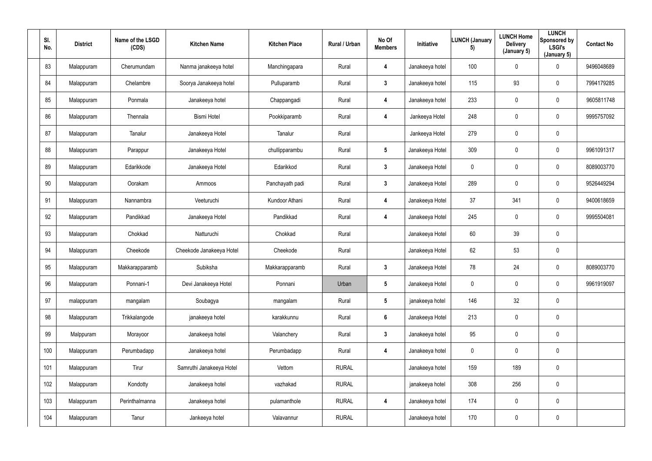| SI.<br>No. | <b>District</b> | Name of the LSGD<br>(CDS) | <b>Kitchen Name</b>      | <b>Kitchen Place</b> | Rural / Urban | No Of<br><b>Members</b> | Initiative      | <b>LUNCH (January</b><br>5) | <b>LUNCH Home</b><br><b>Delivery</b><br>(January 5) | <b>LUNCH</b><br>Sponsored by<br><b>LSGI's</b><br>(January 5) | <b>Contact No</b> |
|------------|-----------------|---------------------------|--------------------------|----------------------|---------------|-------------------------|-----------------|-----------------------------|-----------------------------------------------------|--------------------------------------------------------------|-------------------|
| 83         | Malappuram      | Cherumundam               | Nanma janakeeya hotel    | Manchingapara        | Rural         | 4                       | Janakeeya hotel | 100                         | $\mathbf 0$                                         | $\mathbf 0$                                                  | 9496048689        |
| 84         | Malappuram      | Chelambre                 | Soorya Janakeeya hotel   | Pulluparamb          | Rural         | $\mathbf{3}$            | Janakeeya hotel | 115                         | 93                                                  | $\mathbf 0$                                                  | 7994179285        |
| 85         | Malappuram      | Ponmala                   | Janakeeya hotel          | Chappangadi          | Rural         | 4                       | Janakeeya hotel | 233                         | 0                                                   | $\overline{0}$                                               | 9605811748        |
| 86         | Malappuram      | Thennala                  | <b>Bismi Hotel</b>       | Pookkiparamb         | Rural         | 4                       | Jankeeya Hotel  | 248                         | $\mathbf 0$                                         | $\mathbf 0$                                                  | 9995757092        |
| 87         | Malappuram      | Tanalur                   | Janakeeya Hotel          | Tanalur              | Rural         |                         | Jankeeya Hotel  | 279                         | $\mathbf 0$                                         | $\mathbf 0$                                                  |                   |
| 88         | Malappuram      | Parappur                  | Janakeeya Hotel          | chullipparambu       | Rural         | $5\phantom{.0}$         | Janakeeya Hotel | 309                         | 0                                                   | $\overline{0}$                                               | 9961091317        |
| 89         | Malappuram      | Edarikkode                | Janakeeya Hotel          | Edarikkod            | Rural         | $\mathbf{3}$            | Janakeeya Hotel | $\overline{0}$              | $\mathbf 0$                                         | $\overline{0}$                                               | 8089003770        |
| 90         | Malappuram      | Oorakam                   | Ammoos                   | Panchayath padi      | Rural         | $\mathbf{3}$            | Janakeeya Hotel | 289                         | 0                                                   | $\overline{0}$                                               | 9526449294        |
| 91         | Malappuram      | Nannambra                 | Veeturuchi               | Kundoor Athani       | Rural         | 4                       | Janakeeya Hotel | 37                          | 341                                                 | $\mathbf 0$                                                  | 9400618659        |
| 92         | Malappuram      | Pandikkad                 | Janakeeya Hotel          | Pandikkad            | Rural         | 4                       | Janakeeya Hotel | 245                         | $\mathbf 0$                                         | $\mathbf 0$                                                  | 9995504081        |
| 93         | Malappuram      | Chokkad                   | Natturuchi               | Chokkad              | Rural         |                         | Janakeeya Hotel | 60                          | 39                                                  | $\overline{0}$                                               |                   |
| 94         | Malappuram      | Cheekode                  | Cheekode Janakeeya Hotel | Cheekode             | Rural         |                         | Janakeeya Hotel | 62                          | 53                                                  | $\overline{0}$                                               |                   |
| 95         | Malappuram      | Makkarapparamb            | Subiksha                 | Makkarapparamb       | Rural         | $\mathbf{3}$            | Janakeeya Hotel | 78                          | 24                                                  | $\pmb{0}$                                                    | 8089003770        |
| 96         | Malappuram      | Ponnani-1                 | Devi Janakeeya Hotel     | Ponnani              | Urban         | $5\phantom{.0}$         | Janakeeya Hotel | $\mathbf 0$                 | $\mathbf 0$                                         | $\overline{0}$                                               | 9961919097        |
| 97         | malappuram      | mangalam                  | Soubagya                 | mangalam             | Rural         | $5\phantom{.0}$         | janakeeya hotel | 146                         | 32                                                  | $\overline{0}$                                               |                   |
| 98         | Malappuram      | Trikkalangode             | janakeeya hotel          | karakkunnu           | Rural         | 6                       | Janakeeya Hotel | 213                         | $\mathbf 0$                                         | $\overline{0}$                                               |                   |
| 99         | Malppuram       | Morayoor                  | Janakeeya hotel          | Valanchery           | Rural         | 3 <sup>1</sup>          | Janakeeya hotel | 95                          | $\overline{0}$                                      | $\overline{0}$                                               |                   |
| 100        | Malappuram      | Perumbadapp               | Janakeeya hotel          | Perumbadapp          | Rural         | 4                       | Janakeeya hotel | $\mathbf 0$                 | $\pmb{0}$                                           | $\overline{0}$                                               |                   |
| 101        | Malappuram      | Tirur                     | Samruthi Janakeeya Hotel | Vettom               | <b>RURAL</b>  |                         | Janakeeya hotel | 159                         | 189                                                 | $\overline{0}$                                               |                   |
| 102        | Malappuram      | Kondotty                  | Janakeeya hotel          | vazhakad             | <b>RURAL</b>  |                         | janakeeya hotel | 308                         | 256                                                 | $\overline{0}$                                               |                   |
| 103        | Malappuram      | Perinthalmanna            | Janakeeya hotel          | pulamanthole         | <b>RURAL</b>  | 4                       | Janakeeya hotel | 174                         | $\mathbf 0$                                         | $\overline{0}$                                               |                   |
| 104        | Malappuram      | Tanur                     | Jankeeya hotel           | Valavannur           | <b>RURAL</b>  |                         | Janakeeya hotel | 170                         | $\mathbf 0$                                         | $\overline{0}$                                               |                   |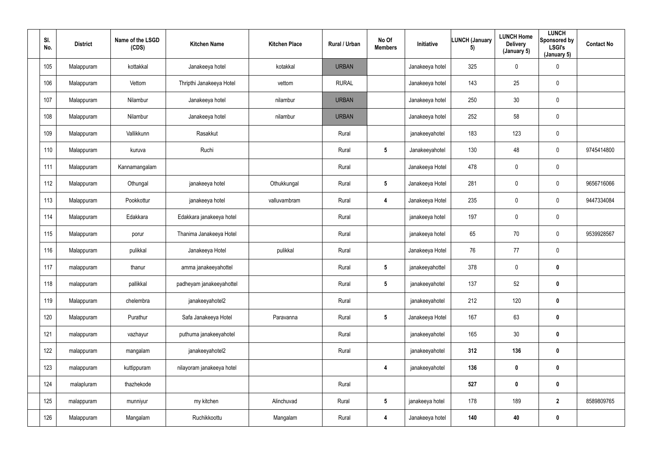| SI.<br>No. | <b>District</b> | Name of the LSGD<br>(CDS) | <b>Kitchen Name</b>       | <b>Kitchen Place</b> | Rural / Urban | No Of<br><b>Members</b> | Initiative      | LUNCH (January<br>5) | <b>LUNCH Home</b><br><b>Delivery</b><br>(January 5) | <b>LUNCH</b><br>Sponsored by<br><b>LSGI's</b><br>(January 5) | <b>Contact No</b> |
|------------|-----------------|---------------------------|---------------------------|----------------------|---------------|-------------------------|-----------------|----------------------|-----------------------------------------------------|--------------------------------------------------------------|-------------------|
| 105        | Malappuram      | kottakkal                 | Janakeeya hotel           | kotakkal             | <b>URBAN</b>  |                         | Janakeeya hotel | 325                  | $\mathbf 0$                                         | $\overline{0}$                                               |                   |
| 106        | Malappuram      | Vettom                    | Thripthi Janakeeya Hotel  | vettom               | <b>RURAL</b>  |                         | Janakeeya hotel | 143                  | 25                                                  | $\overline{0}$                                               |                   |
| 107        | Malappuram      | Nilambur                  | Janakeeya hotel           | nilambur             | <b>URBAN</b>  |                         | Janakeeya hotel | 250                  | 30                                                  | $\overline{0}$                                               |                   |
| 108        | Malappuram      | Nilambur                  | Janakeeya hotel           | nilambur             | <b>URBAN</b>  |                         | Janakeeya hotel | 252                  | 58                                                  | $\mathbf 0$                                                  |                   |
| 109        | Malappuram      | Vallikkunn                | Rasakkut                  |                      | Rural         |                         | janakeeyahotel  | 183                  | 123                                                 | $\mathbf 0$                                                  |                   |
| 110        | Malappuram      | kuruva                    | Ruchi                     |                      | Rural         | $5\phantom{.0}$         | Janakeeyahotel  | 130                  | 48                                                  | $\overline{0}$                                               | 9745414800        |
| 111        | Malappuram      | Kannamangalam             |                           |                      | Rural         |                         | Janakeeya Hotel | 478                  | $\mathbf 0$                                         | $\mathbf 0$                                                  |                   |
| 112        | Malappuram      | Othungal                  | janakeeya hotel           | Othukkungal          | Rural         | $5\phantom{.0}$         | Janakeeya Hotel | 281                  | $\mathbf 0$                                         | $\overline{0}$                                               | 9656716066        |
| 113        | Malappuram      | Pookkottur                | janakeeya hotel           | valluvambram         | Rural         | 4                       | Janakeeya Hotel | 235                  | $\mathbf 0$                                         | $\mathbf 0$                                                  | 9447334084        |
| 114        | Malappuram      | Edakkara                  | Edakkara janakeeya hotel  |                      | Rural         |                         | janakeeya hotel | 197                  | $\mathbf 0$                                         | $\bm{0}$                                                     |                   |
| 115        | Malappuram      | porur                     | Thanima Janakeeya Hotel   |                      | Rural         |                         | janakeeya hotel | 65                   | 70                                                  | $\overline{0}$                                               | 9539928567        |
| 116        | Malappuram      | pulikkal                  | Janakeeya Hotel           | pulikkal             | Rural         |                         | Janakeeya Hotel | 76                   | 77                                                  | $\overline{0}$                                               |                   |
| 117        | malappuram      | thanur                    | amma janakeeyahottel      |                      | Rural         | $5\phantom{.0}$         | janakeeyahottel | 378                  | $\mathbf 0$                                         | $\boldsymbol{0}$                                             |                   |
| 118        | malappuram      | pallikkal                 | padheyam janakeeyahottel  |                      | Rural         | $5\phantom{.0}$         | janakeeyahotel  | 137                  | 52                                                  | $\mathbf 0$                                                  |                   |
| 119        | Malappuram      | chelembra                 | janakeeyahotel2           |                      | Rural         |                         | janakeeyahotel  | 212                  | 120                                                 | $\mathbf 0$                                                  |                   |
| 120        | Malappuram      | Purathur                  | Safa Janakeeya Hotel      | Paravanna            | Rural         | $5\phantom{.0}$         | Janakeeya Hotel | 167                  | 63                                                  | $\mathbf 0$                                                  |                   |
| 121        | malappuram      | vazhayur                  | puthuma janakeeyahotel    |                      | Rural         |                         | janakeeyahotel  | 165                  | 30                                                  | $\mathbf 0$                                                  |                   |
| 122        | malappuram      | mangalam                  | janakeeyahotel2           |                      | Rural         |                         | janakeeyahotel  | 312                  | 136                                                 | $\mathbf 0$                                                  |                   |
| 123        | malappuram      | kuttippuram               | nilayoram janakeeya hotel |                      |               | 4                       | janakeeyahotel  | 136                  | $\pmb{0}$                                           | $\mathbf 0$                                                  |                   |
| 124        | malapluram      | thazhekode                |                           |                      | Rural         |                         |                 | 527                  | $\mathbf 0$                                         | $\mathbf 0$                                                  |                   |
| 125        | malappuram      | munniyur                  | my kitchen                | Alinchuvad           | Rural         | $5\overline{)}$         | janakeeya hotel | 178                  | 189                                                 | $\overline{2}$                                               | 8589809765        |
| 126        | Malappuram      | Mangalam                  | Ruchikkoottu              | Mangalam             | Rural         | 4                       | Janakeeya hotel | 140                  | 40                                                  | $\mathbf 0$                                                  |                   |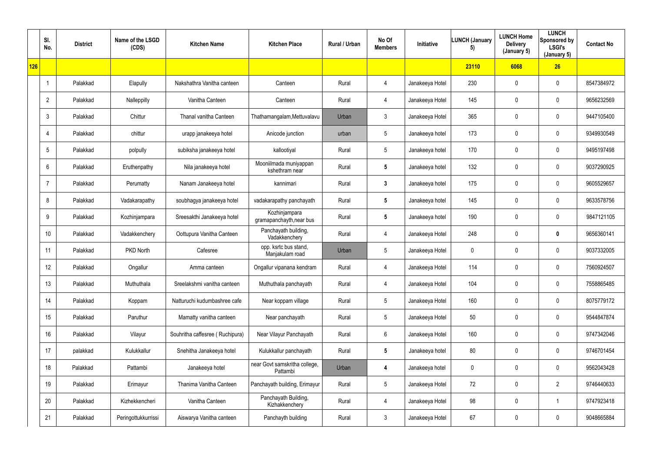|     | SI.<br>No.      | <b>District</b> | Name of the LSGD<br>(CDS) | <b>Kitchen Name</b>             | <b>Kitchen Place</b>                      | Rural / Urban | No Of<br><b>Members</b> | <b>Initiative</b> | <b>LUNCH (January</b><br>5) | <b>LUNCH Home</b><br><b>Delivery</b><br>(January 5) | <b>LUNCH</b><br>Sponsored by<br><b>LSGI's</b><br>(January 5) | <b>Contact No</b> |
|-----|-----------------|-----------------|---------------------------|---------------------------------|-------------------------------------------|---------------|-------------------------|-------------------|-----------------------------|-----------------------------------------------------|--------------------------------------------------------------|-------------------|
| 126 |                 |                 |                           |                                 |                                           |               |                         |                   | 23110                       | 6068                                                | 26                                                           |                   |
|     |                 | Palakkad        | Elapully                  | Nakshathra Vanitha canteen      | Canteen                                   | Rural         | 4                       | Janakeeya Hotel   | 230                         | $\mathbf 0$                                         | $\pmb{0}$                                                    | 8547384972        |
|     | $\overline{2}$  | Palakkad        | Nalleppilly               | Vanitha Canteen                 | Canteen                                   | Rural         | 4                       | Janakeeya Hotel   | 145                         | 0                                                   | $\mathbf 0$                                                  | 9656232569        |
|     | $\mathbf{3}$    | Palakkad        | Chittur                   | Thanal vanitha Canteen          | Thathamangalam, Mettuvalavu               | Urban         | 3                       | Janakeeya Hotel   | 365                         | 0                                                   | $\pmb{0}$                                                    | 9447105400        |
|     | $\overline{4}$  | Palakkad        | chittur                   | urapp janakeeya hotel           | Anicode junction                          | urban         | $5\phantom{.0}$         | Janakeeya hotel   | 173                         | $\mathbf 0$                                         | $\mathbf 0$                                                  | 9349930549        |
|     | $5\phantom{.0}$ | Palakkad        | polpully                  | subiksha janakeeya hotel        | kallootiyal                               | Rural         | $5\phantom{.0}$         | Janakeeya hotel   | 170                         | $\mathbf 0$                                         | $\pmb{0}$                                                    | 9495197498        |
|     | 6               | Palakkad        | Eruthenpathy              | Nila janakeeya hotel            | Mooniilmada muniyappan<br>kshethram near  | Rural         | $5\phantom{.0}$         | Janakeeya hotel   | 132                         | $\mathbf 0$                                         | $\mathbf 0$                                                  | 9037290925        |
|     | $\overline{7}$  | Palakkad        | Perumatty                 | Nanam Janakeeya hotel           | kannimari                                 | Rural         | $3\phantom{a}$          | Janakeeya hotel   | 175                         | $\mathbf 0$                                         | $\mathbf 0$                                                  | 9605529657        |
|     | 8               | Palakkad        | Vadakarapathy             | soubhagya janakeeya hotel       | vadakarapathy panchayath                  | Rural         | $5\phantom{.0}$         | Janakeeya hotel   | 145                         | 0                                                   | $\pmb{0}$                                                    | 9633578756        |
|     | 9               | Palakkad        | Kozhinjampara             | Sreesakthi Janakeeya hotel      | Kozhinjampara<br>gramapanchayth, near bus | Rural         | $5\phantom{.0}$         | Janakeeya hotel   | 190                         | 0                                                   | $\pmb{0}$                                                    | 9847121105        |
|     | 10              | Palakkad        | Vadakkenchery             | Oottupura Vanitha Canteen       | Panchayath building,<br>Vadakkenchery     | Rural         | 4                       | Janakeeya Hotel   | 248                         | $\mathbf 0$                                         | $\mathbf 0$                                                  | 9656360141        |
|     | 11              | Palakkad        | PKD North                 | Cafesree                        | opp. ksrtc bus stand,<br>Manjakulam road  | Urban         | $5\phantom{.0}$         | Janakeeya Hotel   | $\mathbf 0$                 | $\mathbf 0$                                         | $\pmb{0}$                                                    | 9037332005        |
|     | 12              | Palakkad        | Ongallur                  | Amma canteen                    | Ongallur vipanana kendram                 | Rural         | 4                       | Janakeeya Hotel   | 114                         | $\mathbf 0$                                         | $\pmb{0}$                                                    | 7560924507        |
|     | 13              | Palakkad        | Muthuthala                | Sreelakshmi vanitha canteen     | Muthuthala panchayath                     | Rural         | 4                       | Janakeeya Hotel   | 104                         | 0                                                   | $\overline{0}$                                               | 7558865485        |
|     | 14              | Palakkad        | Koppam                    | Natturuchi kudumbashree cafe    | Near koppam village                       | Rural         | $5\phantom{.0}$         | Janakeeya Hotel   | 160                         | 0                                                   | $\overline{0}$                                               | 8075779172        |
|     | 15              | Palakkad        | Paruthur                  | Mamatty vanitha canteen         | Near panchayath                           | Rural         | $5\phantom{.0}$         | Janakeeya Hotel   | 50                          | 0                                                   | $\overline{0}$                                               | 9544847874        |
|     | 16              | Palakkad        | Vilayur                   | Souhritha caffesree (Ruchipura) | Near Vilayur Panchayath                   | Rural         | $6\phantom{.}$          | Janakeeya Hotel   | 160                         | 0                                                   | $\overline{0}$                                               | 9747342046        |
|     | 17              | palakkad        | Kulukkallur               | Snehitha Janakeeya hotel        | Kulukkallur panchayath                    | Rural         | $5\phantom{.0}$         | Janakeeya hotel   | 80                          | 0                                                   | $\overline{0}$                                               | 9746701454        |
|     | 18              | Palakkad        | Pattambi                  | Janakeeya hotel                 | near Govt samskritha college,<br>Pattambi | Urban         | $\boldsymbol{4}$        | Janakeeya hotel   | $\mathbf 0$                 | 0                                                   | $\overline{0}$                                               | 9562043428        |
|     | 19              | Palakkad        | Erimayur                  | Thanima Vanitha Canteen         | Panchayath building, Erimayur             | Rural         | $5\phantom{.0}$         | Janakeeya Hotel   | 72                          | 0                                                   | $\overline{2}$                                               | 9746440633        |
|     | 20              | Palakkad        | Kizhekkencheri            | Vanitha Canteen                 | Panchayath Building,<br>Kizhakkenchery    | Rural         | 4                       | Janakeeya Hotel   | 98                          | 0                                                   | $\mathbf{1}$                                                 | 9747923418        |
|     | 21              | Palakkad        | Peringottukkurrissi       | Aiswarya Vanitha canteen        | Panchayth building                        | Rural         | 3                       | Janakeeya Hotel   | 67                          | 0                                                   | $\pmb{0}$                                                    | 9048665884        |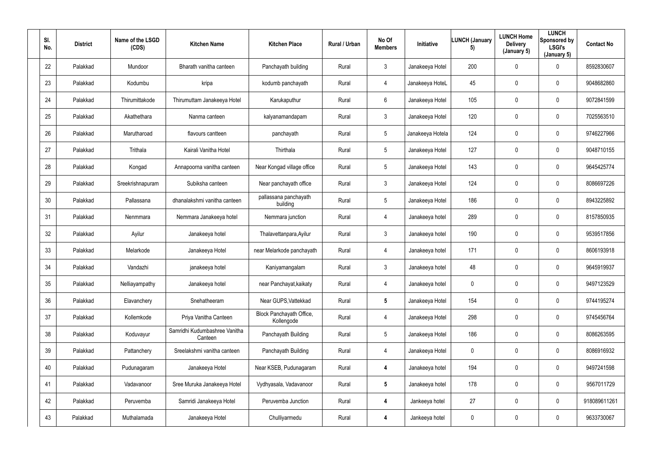| SI.<br>No. | <b>District</b> | Name of the LSGD<br>(CDS) | <b>Kitchen Name</b>                      | <b>Kitchen Place</b>                   | Rural / Urban | No Of<br><b>Members</b> | Initiative       | <b>LUNCH (January</b><br>5) | <b>LUNCH Home</b><br><b>Delivery</b><br>(January 5) | <b>LUNCH</b><br>Sponsored by<br><b>LSGI's</b><br>(January 5) | <b>Contact No</b> |
|------------|-----------------|---------------------------|------------------------------------------|----------------------------------------|---------------|-------------------------|------------------|-----------------------------|-----------------------------------------------------|--------------------------------------------------------------|-------------------|
| 22         | Palakkad        | Mundoor                   | Bharath vanitha canteen                  | Panchayath building                    | Rural         | $\mathbf{3}$            | Janakeeya Hotel  | 200                         | $\mathbf 0$                                         | $\mathbf 0$                                                  | 8592830607        |
| 23         | Palakkad        | Kodumbu                   | kripa                                    | kodumb panchayath                      | Rural         | 4                       | Janakeeya HoteL  | 45                          | 0                                                   | $\mathbf 0$                                                  | 9048682860        |
| 24         | Palakkad        | Thirumittakode            | Thirumuttam Janakeeya Hotel              | Karukaputhur                           | Rural         | $6\overline{6}$         | Janakeeya Hotel  | 105                         | 0                                                   | $\mathbf 0$                                                  | 9072841599        |
| 25         | Palakkad        | Akathethara               | Nanma canteen                            | kalyanamandapam                        | Rural         | $\mathfrak{Z}$          | Janakeeya Hotel  | 120                         | 0                                                   | $\mathbf 0$                                                  | 7025563510        |
| 26         | Palakkad        | Marutharoad               | flavours cantteen                        | panchayath                             | Rural         | $5\phantom{.0}$         | Janakeeya Hotela | 124                         | 0                                                   | $\mathbf 0$                                                  | 9746227966        |
| 27         | Palakkad        | Trithala                  | Kairali Vanitha Hotel                    | Thirthala                              | Rural         | $5\overline{)}$         | Janakeeya Hotel  | 127                         | 0                                                   | $\mathbf 0$                                                  | 9048710155        |
| 28         | Palakkad        | Kongad                    | Annapoorna vanitha canteen               | Near Kongad village office             | Rural         | $5\phantom{.0}$         | Janakeeya Hotel  | 143                         | 0                                                   | $\mathbf 0$                                                  | 9645425774        |
| 29         | Palakkad        | Sreekrishnapuram          | Subiksha canteen                         | Near panchayath office                 | Rural         | $\mathbf{3}$            | Janakeeya Hotel  | 124                         | 0                                                   | $\mathbf 0$                                                  | 8086697226        |
| 30         | Palakkad        | Pallassana                | dhanalakshmi vanitha canteen             | pallassana panchayath<br>building      | Rural         | 5 <sup>5</sup>          | Janakeeya Hotel  | 186                         | 0                                                   | $\overline{0}$                                               | 8943225892        |
| 31         | Palakkad        | Nenmmara                  | Nemmara Janakeeya hotel                  | Nemmara junction                       | Rural         | 4                       | Janakeeya hotel  | 289                         | 0                                                   | $\mathbf 0$                                                  | 8157850935        |
| 32         | Palakkad        | Ayilur                    | Janakeeya hotel                          | Thalavettanpara, Ayilur                | Rural         | $\mathbf{3}$            | Janakeeya hotel  | 190                         | 0                                                   | $\mathbf 0$                                                  | 9539517856        |
| 33         | Palakkad        | Melarkode                 | Janakeeya Hotel                          | near Melarkode panchayath              | Rural         | 4                       | Janakeeya hotel  | 171                         | $\mathbf 0$                                         | $\mathbf 0$                                                  | 8606193918        |
| 34         | Palakkad        | Vandazhi                  | janakeeya hotel                          | Kaniyamangalam                         | Rural         | $\mathbf{3}$            | Janakeeya hotel  | 48                          | 0                                                   | $\mathbf 0$                                                  | 9645919937        |
| 35         | Palakkad        | Nelliayampathy            | Janakeeya hotel                          | near Panchayat, kaikaty                | Rural         | $\overline{4}$          | Janakeeya hotel  | $\mathbf 0$                 | 0                                                   | $\mathbf 0$                                                  | 9497123529        |
| 36         | Palakkad        | Elavanchery               | Snehatheeram                             | Near GUPS, Vattekkad                   | Rural         | $5\phantom{.0}$         | Janakeeya Hotel  | 154                         | 0                                                   | $\mathbf 0$                                                  | 9744195274        |
| 37         | Palakkad        | Kollemkode                | Priya Vanitha Canteen                    | Block Panchayath Office,<br>Kollengode | Rural         | 4                       | Janakeeya Hotel  | 298                         | 0                                                   | $\mathbf 0$                                                  | 9745456764        |
| 38         | Palakkad        | Koduvayur                 | Samridhi Kudumbashree Vanitha<br>Canteen | Panchayath Building                    | Rural         | $5\overline{)}$         | Janakeeya Hotel  | 186                         | 0                                                   | $\mathbf 0$                                                  | 8086263595        |
| 39         | Palakkad        | Pattanchery               | Sreelakshmi vanitha canteen              | Panchayath Building                    | Rural         | $\overline{4}$          | Janakeeya Hotel  | $\mathbf 0$                 | 0                                                   | $\mathbf 0$                                                  | 8086916932        |
| 40         | Palakkad        | Pudunagaram               | Janakeeya Hotel                          | Near KSEB, Pudunagaram                 | Rural         | 4                       | Janakeeya hotel  | 194                         | 0                                                   | $\mathbf 0$                                                  | 9497241598        |
| 41         | Palakkad        | Vadavanoor                | Sree Muruka Janakeeya Hotel              | Vydhyasala, Vadavanoor                 | Rural         | $5\overline{)}$         | Janakeeya hotel  | 178                         | 0                                                   | $\mathbf 0$                                                  | 9567011729        |
| 42         | Palakkad        | Peruvemba                 | Samridi Janakeeya Hotel                  | Peruvemba Junction                     | Rural         | 4                       | Jankeeya hotel   | 27                          | 0                                                   | $\mathbf 0$                                                  | 918089611261      |
| 43         | Palakkad        | Muthalamada               | Janakeeya Hotel                          | Chulliyarmedu                          | Rural         | 4                       | Jankeeya hotel   | $\boldsymbol{0}$            | 0                                                   | $\overline{0}$                                               | 9633730067        |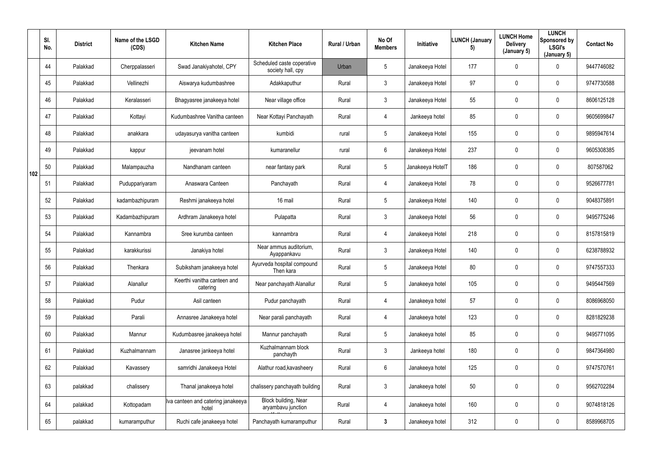|     | SI.<br>No. | <b>District</b> | Name of the LSGD<br>(CDS) | <b>Kitchen Name</b>                         | <b>Kitchen Place</b>                            | Rural / Urban | No Of<br><b>Members</b> | <b>Initiative</b> | <b>LUNCH (January</b><br>5) | <b>LUNCH Home</b><br><b>Delivery</b><br>(January 5) | <b>LUNCH</b><br>Sponsored by<br><b>LSGI's</b><br>(January 5) | <b>Contact No</b> |
|-----|------------|-----------------|---------------------------|---------------------------------------------|-------------------------------------------------|---------------|-------------------------|-------------------|-----------------------------|-----------------------------------------------------|--------------------------------------------------------------|-------------------|
|     | 44         | Palakkad        | Cherppalasseri            | Swad Janakiyahotel, CPY                     | Scheduled caste coperative<br>society hall, cpy | Urban         | 5                       | Janakeeya Hotel   | 177                         | 0                                                   | 0                                                            | 9447746082        |
|     | 45         | Palakkad        | Vellinezhi                | Aiswarya kudumbashree                       | Adakkaputhur                                    | Rural         | $\mathfrak{Z}$          | Janakeeya Hotel   | 97                          | 0                                                   | $\mathbf 0$                                                  | 9747730588        |
|     | 46         | Palakkad        | Keralasseri               | Bhagyasree janakeeya hotel                  | Near village office                             | Rural         | $\mathbf{3}$            | Janakeeya Hotel   | 55                          | 0                                                   | $\mathbf 0$                                                  | 8606125128        |
|     | 47         | Palakkad        | Kottayi                   | Kudumbashree Vanitha canteen                | Near Kottayi Panchayath                         | Rural         | 4                       | Jankeeya hotel    | 85                          | 0                                                   | $\mathbf 0$                                                  | 9605699847        |
|     | 48         | Palakkad        | anakkara                  | udayasurya vanitha canteen                  | kumbidi                                         | rural         | 5                       | Janakeeya Hotel   | 155                         | 0                                                   | $\mathbf 0$                                                  | 9895947614        |
|     | 49         | Palakkad        | kappur                    | jeevanam hotel                              | kumaranellur                                    | rural         | 6                       | Janakeeya Hotel   | 237                         | 0                                                   | $\mathbf 0$                                                  | 9605308385        |
| 102 | 50         | Palakkad        | Malampauzha               | Nandhanam canteen                           | near fantasy park                               | Rural         | $5\phantom{.0}$         | Janakeeya HotelT  | 186                         | 0                                                   | $\mathbf 0$                                                  | 807587062         |
|     | 51         | Palakkad        | Puduppariyaram            | Anaswara Canteen                            | Panchayath                                      | Rural         | 4                       | Janakeeya Hotel   | 78                          | 0                                                   | $\mathbf 0$                                                  | 9526677781        |
|     | 52         | Palakkad        | kadambazhipuram           | Reshmi janakeeya hotel                      | 16 mail                                         | Rural         | 5                       | Janakeeya Hotel   | 140                         | 0                                                   | $\mathbf 0$                                                  | 9048375891        |
|     | 53         | Palakkad        | Kadambazhipuram           | Ardhram Janakeeya hotel                     | Pulapatta                                       | Rural         | $\mathfrak{Z}$          | Janakeeya Hotel   | 56                          | 0                                                   | $\mathbf 0$                                                  | 9495775246        |
|     | 54         | Palakkad        | Kannambra                 | Sree kurumba canteen                        | kannambra                                       | Rural         | 4                       | Janakeeya Hotel   | 218                         | 0                                                   | $\mathbf 0$                                                  | 8157815819        |
|     | 55         | Palakkad        | karakkurissi              | Janakiya hotel                              | Near ammus auditorium,<br>Ayappankavu           | Rural         | $\mathfrak{Z}$          | Janakeeya Hotel   | 140                         | 0                                                   | $\mathbf 0$                                                  | 6238788932        |
|     | 56         | Palakkad        | Thenkara                  | Subiksham janakeeya hotel                   | Ayurveda hospital compound<br>Then kara         | Rural         | 5                       | Janakeeya Hotel   | 80                          | 0                                                   | $\overline{0}$                                               | 9747557333        |
|     | 57         | Palakkad        | Alanallur                 | Keerthi vanitha canteen and<br>catering     | Near panchayath Alanallur                       | Rural         | $5\phantom{.0}$         | Janakeeya hotel   | 105                         | $\mathbf 0$                                         | $\mathbf 0$                                                  | 9495447569        |
|     | 58         | Palakkad        | Pudur                     | Asil canteen                                | Pudur panchayath                                | Rural         | 4                       | Janakeeya hotel   | 57                          | $\pmb{0}$                                           | $\mathbf 0$                                                  | 8086968050        |
|     | 59         | Palakkad        | Parali                    | Annasree Janakeeya hotel                    | Near parali panchayath                          | Rural         | 4                       | Janakeeya hotel   | 123                         | $\pmb{0}$                                           | $\mathbf 0$                                                  | 8281829238        |
|     | 60         | Palakkad        | Mannur                    | Kudumbasree janakeeya hotel                 | Mannur panchayath                               | Rural         | $5\phantom{.0}$         | Janakeeya hotel   | 85                          | $\pmb{0}$                                           | $\mathbf 0$                                                  | 9495771095        |
|     | 61         | Palakkad        | Kuzhalmannam              | Janasree jankeeya hotel                     | Kuzhalmannam block<br>panchayth                 | Rural         | $\mathbf{3}$            | Jankeeya hotel    | 180                         | 0                                                   | $\mathbf 0$                                                  | 9847364980        |
|     | 62         | Palakkad        | Kavassery                 | samridhi Janakeeya Hotel                    | Alathur road, kavasheery                        | Rural         | $6\phantom{.}6$         | Janakeeya hotel   | 125                         | $\mathbf 0$                                         | $\mathbf 0$                                                  | 9747570761        |
|     | 63         | palakkad        | chalissery                | Thanal janakeeya hotel                      | chalissery panchayath building                  | Rural         | $\mathfrak{Z}$          | Janakeeya hotel   | 50                          | $\pmb{0}$                                           | $\mathbf 0$                                                  | 9562702284        |
|     | 64         | palakkad        | Kottopadam                | Iva canteen and catering janakeeya<br>hotel | Block building, Near<br>aryambavu junction      | Rural         | $\overline{4}$          | Janakeeya hotel   | 160                         | $\pmb{0}$                                           | $\mathbf 0$                                                  | 9074818126        |
|     | 65         | palakkad        | kumaramputhur             | Ruchi cafe janakeeya hotel                  | Panchayath kumaramputhur                        | Rural         | $\mathbf{3}$            | Janakeeya hotel   | 312                         | 0                                                   | $\overline{0}$                                               | 8589968705        |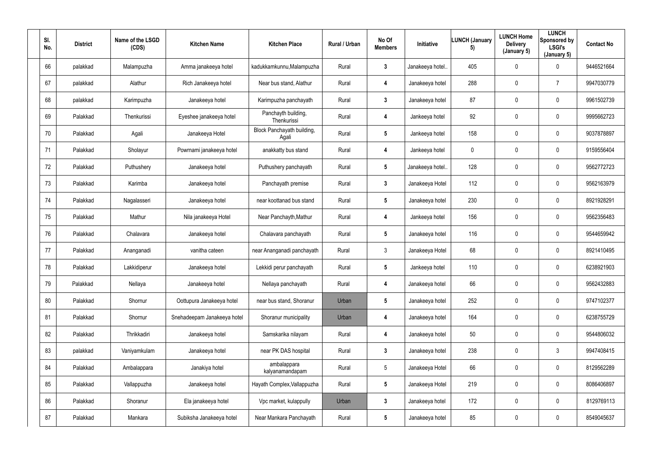| SI.<br>No. | <b>District</b> | Name of the LSGD<br>(CDS) | <b>Kitchen Name</b>         | <b>Kitchen Place</b>                | Rural / Urban | No Of<br><b>Members</b> | Initiative      | <b>LUNCH (January</b><br>5) | <b>LUNCH Home</b><br><b>Delivery</b><br>(January 5) | <b>LUNCH</b><br>Sponsored by<br><b>LSGI's</b><br>(January 5) | <b>Contact No</b> |
|------------|-----------------|---------------------------|-----------------------------|-------------------------------------|---------------|-------------------------|-----------------|-----------------------------|-----------------------------------------------------|--------------------------------------------------------------|-------------------|
| 66         | palakkad        | Malampuzha                | Amma janakeeya hotel        | kadukkamkunnu, Malampuzha           | Rural         | $\mathbf{3}$            | Janakeeya hotel | 405                         | $\mathbf 0$                                         | $\mathbf 0$                                                  | 9446521664        |
| 67         | palakkad        | Alathur                   | Rich Janakeeya hotel        | Near bus stand, Alathur             | Rural         | 4                       | Janakeeya hotel | 288                         | 0                                                   | $\overline{7}$                                               | 9947030779        |
| 68         | palakkad        | Karimpuzha                | Janakeeya hotel             | Karimpuzha panchayath               | Rural         | $\mathbf{3}$            | Janakeeya hotel | 87                          | $\pmb{0}$                                           | $\overline{0}$                                               | 9961502739        |
| 69         | Palakkad        | Thenkurissi               | Eyeshee janakeeya hotel     | Panchayth building,<br>Thenkurissi  | Rural         | 4                       | Jankeeya hotel  | 92                          | 0                                                   | $\overline{0}$                                               | 9995662723        |
| 70         | Palakkad        | Agali                     | Janakeeya Hotel             | Block Panchayath building,<br>Agali | Rural         | $5\phantom{.0}$         | Jankeeya hotel  | 158                         | 0                                                   | $\mathbf 0$                                                  | 9037878897        |
| 71         | Palakkad        | Sholayur                  | Powrnami janakeeya hotel    | anakkatty bus stand                 | Rural         | 4                       | Jankeeya hotel  | $\mathbf 0$                 | 0                                                   | $\mathbf 0$                                                  | 9159556404        |
| 72         | Palakkad        | Puthushery                | Janakeeya hotel             | Puthushery panchayath               | Rural         | $5\phantom{.0}$         | Janakeeya hotel | 128                         | 0                                                   | $\mathbf 0$                                                  | 9562772723        |
| 73         | Palakkad        | Karimba                   | Janakeeya hotel             | Panchayath premise                  | Rural         | $\mathbf{3}$            | Janakeeya Hotel | 112                         | 0                                                   | $\mathbf 0$                                                  | 9562163979        |
| 74         | Palakkad        | Nagalasseri               | Janakeeya hotel             | near koottanad bus stand            | Rural         | $5\phantom{.0}$         | Janakeeya hotel | 230                         | 0                                                   | $\overline{0}$                                               | 8921928291        |
| 75         | Palakkad        | Mathur                    | Nila janakeeya Hotel        | Near Panchayth, Mathur              | Rural         | 4                       | Jankeeya hotel  | 156                         | 0                                                   | $\overline{0}$                                               | 9562356483        |
| 76         | Palakkad        | Chalavara                 | Janakeeya hotel             | Chalavara panchayath                | Rural         | $5\overline{)}$         | Janakeeya hotel | 116                         | 0                                                   | $\mathbf 0$                                                  | 9544659942        |
| 77         | Palakkad        | Ananganadi                | vanitha cateen              | near Ananganadi panchayath          | Rural         | $\mathbf{3}$            | Janakeeya Hotel | 68                          | 0                                                   | $\mathbf 0$                                                  | 8921410495        |
| 78         | Palakkad        | Lakkidiperur              | Janakeeya hotel             | Lekkidi perur panchayath            | Rural         | $5\phantom{.0}$         | Jankeeya hotel  | 110                         | 0                                                   | $\overline{0}$                                               | 6238921903        |
| 79         | Palakkad        | Nellaya                   | Janakeeya hotel             | Nellaya panchayath                  | Rural         | 4                       | Janakeeya hotel | 66                          | 0                                                   | $\mathbf 0$                                                  | 9562432883        |
| 80         | Palakkad        | Shornur                   | Oottupura Janakeeya hotel   | near bus stand, Shoranur            | Urban         | $5\phantom{.0}$         | Janakeeya hotel | 252                         | 0                                                   | $\mathbf 0$                                                  | 9747102377        |
| 81         | Palakkad        | Shornur                   | Snehadeepam Janakeeya hotel | Shoranur municipality               | Urban         | 4                       | Janakeeya hotel | 164                         | 0                                                   | $\mathbf 0$                                                  | 6238755729        |
| 82         | Palakkad        | Thrikkadiri               | Janakeeya hotel             | Samskarika nilayam                  | Rural         | 4                       | Janakeeya hotel | 50                          | 0                                                   | $\mathbf 0$                                                  | 9544806032        |
| 83         | palakkad        | Vaniyamkulam              | Janakeeya hotel             | near PK DAS hospital                | Rural         | $3\phantom{a}$          | Janakeeya hotel | 238                         | 0                                                   | 3                                                            | 9947408415        |
| 84         | Palakkad        | Ambalappara               | Janakiya hotel              | ambalappara<br>kalyanamandapam      | Rural         | $5\overline{)}$         | Janakeeya Hotel | 66                          | 0                                                   | $\mathbf 0$                                                  | 8129562289        |
| 85         | Palakkad        | Vallappuzha               | Janakeeya hotel             | Hayath Complex, Vallappuzha         | Rural         | 5 <sub>5</sub>          | Janakeeya Hotel | 219                         | 0                                                   | $\mathbf 0$                                                  | 8086406897        |
| 86         | Palakkad        | Shoranur                  | Ela janakeeya hotel         | Vpc market, kulappully              | Urban         | $\mathbf{3}$            | Janakeeya hotel | 172                         | 0                                                   | $\mathbf 0$                                                  | 8129769113        |
| 87         | Palakkad        | Mankara                   | Subiksha Janakeeya hotel    | Near Mankara Panchayath             | Rural         | $5\phantom{.0}$         | Janakeeya hotel | 85                          | 0                                                   | $\mathbf 0$                                                  | 8549045637        |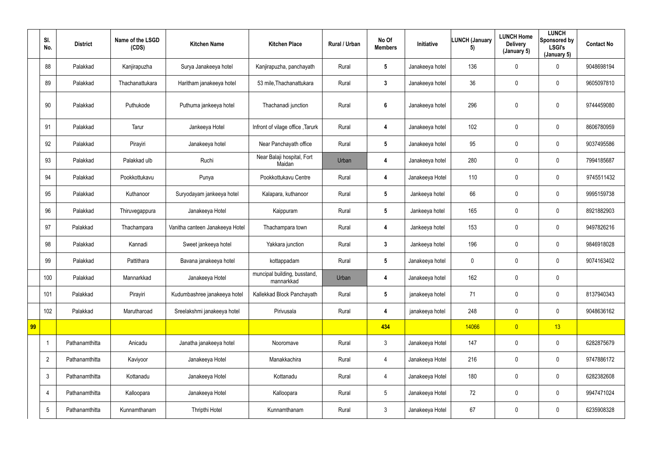|    | SI.<br>No.               | <b>District</b> | Name of the LSGD<br>(CDS) | <b>Kitchen Name</b>             | <b>Kitchen Place</b>                       | Rural / Urban | No Of<br><b>Members</b> | Initiative      | LUNCH (January<br>5) | <b>LUNCH Home</b><br><b>Delivery</b><br>(January 5) | <b>LUNCH</b><br>Sponsored by<br><b>LSGI's</b><br>(January 5) | <b>Contact No</b> |
|----|--------------------------|-----------------|---------------------------|---------------------------------|--------------------------------------------|---------------|-------------------------|-----------------|----------------------|-----------------------------------------------------|--------------------------------------------------------------|-------------------|
|    | 88                       | Palakkad        | Kanjirapuzha              | Surya Janakeeya hotel           | Kanjirapuzha, panchayath                   | Rural         | $5\phantom{.0}$         | Janakeeya hotel | 136                  | $\overline{0}$                                      | $\mathbf 0$                                                  | 9048698194        |
|    | 89                       | Palakkad        | Thachanattukara           | Haritham janakeeya hotel        | 53 mile, Thachanattukara                   | Rural         | $3\phantom{a}$          | Janakeeya hotel | 36                   | $\mathbf 0$                                         | $\overline{0}$                                               | 9605097810        |
|    | 90                       | Palakkad        | Puthukode                 | Puthuma jankeeya hotel          | Thachanadi junction                        | Rural         | 6                       | Janakeeya hotel | 296                  | $\mathbf 0$                                         | $\mathbf 0$                                                  | 9744459080        |
|    | 91                       | Palakkad        | Tarur                     | Jankeeya Hotel                  | Infront of vilage office, Tarurk           | Rural         | 4                       | Janakeeya hotel | 102                  | $\overline{0}$                                      | $\overline{0}$                                               | 8606780959        |
|    | 92                       | Palakkad        | Pirayiri                  | Janakeeya hotel                 | Near Panchayath office                     | Rural         | $5\phantom{.0}$         | Janakeeya hotel | 95                   | $\overline{0}$                                      | $\overline{0}$                                               | 9037495586        |
|    | 93                       | Palakkad        | Palakkad ulb              | Ruchi                           | Near Balaji hospital, Fort<br>Maidan       | Urban         | 4                       | Janakeeya hotel | 280                  | $\mathbf 0$                                         | $\overline{0}$                                               | 7994185687        |
|    | 94                       | Palakkad        | Pookkottukavu             | Punya                           | Pookkottukavu Centre                       | Rural         | 4                       | Janakeeya Hotel | 110                  | $\mathbf 0$                                         | $\mathbf 0$                                                  | 9745511432        |
|    | 95                       | Palakkad        | Kuthanoor                 | Suryodayam jankeeya hotel       | Kalapara, kuthanoor                        | Rural         | $5\phantom{.0}$         | Jankeeya hotel  | 66                   | $\overline{0}$                                      | $\mathbf 0$                                                  | 9995159738        |
|    | 96                       | Palakkad        | Thiruvegappura            | Janakeeya Hotel                 | Kaippuram                                  | Rural         | $5\phantom{.0}$         | Jankeeya hotel  | 165                  | $\pmb{0}$                                           | $\pmb{0}$                                                    | 8921882903        |
|    | 97                       | Palakkad        | Thachampara               | Vanitha canteen Janakeeya Hotel | Thachampara town                           | Rural         | 4                       | Jankeeya hotel  | 153                  | $\overline{0}$                                      | $\overline{0}$                                               | 9497826216        |
|    | 98                       | Palakkad        | Kannadi                   | Sweet jankeeya hotel            | Yakkara junction                           | Rural         | $3\phantom{a}$          | Jankeeya hotel  | 196                  | $\pmb{0}$                                           | $\overline{0}$                                               | 9846918028        |
|    | 99                       | Palakkad        | Pattithara                | Bavana janakeeya hotel          | kottappadam                                | Rural         | $5\phantom{.0}$         | Janakeeya hotel | $\boldsymbol{0}$     | $\pmb{0}$                                           | $\mathbf 0$                                                  | 9074163402        |
|    | 100                      | Palakkad        | Mannarkkad                | Janakeeya Hotel                 | muncipal building, busstand,<br>mannarkkad | Urban         | 4                       | Janakeeya hotel | 162                  | $\mathbf 0$                                         | $\boldsymbol{0}$                                             |                   |
|    | 101                      | Palakkad        | Pirayiri                  | Kudumbashree janakeeya hotel    | Kallekkad Block Panchayath                 | Rural         | $5\phantom{.0}$         | janakeeya hotel | 71                   | $\pmb{0}$                                           | $\overline{0}$                                               | 8137940343        |
|    | 102                      | Palakkad        | Marutharoad               | Sreelakshmi janakeeya hotel     | Pirivusala                                 | Rural         | 4                       | janakeeya hotel | 248                  | $\pmb{0}$                                           | $\overline{0}$                                               | 9048636162        |
| 99 |                          |                 |                           |                                 |                                            |               | 434                     |                 | 14066                | $\overline{0}$                                      | 13                                                           |                   |
|    | $\overline{\phantom{a}}$ | Pathanamthitta  | Anicadu                   | Janatha janakeeya hotel         | Nooromave                                  | Rural         | $\mathbf{3}$            | Janakeeya Hotel | 147                  | $\pmb{0}$                                           | $\overline{0}$                                               | 6282875679        |
|    | $\overline{2}$           | Pathanamthitta  | Kaviyoor                  | Janakeeya Hotel                 | Manakkachira                               | Rural         | 4                       | Janakeeya Hotel | 216                  | $\pmb{0}$                                           | $\overline{0}$                                               | 9747886172        |
|    | $\mathbf{3}$             | Pathanamthitta  | Kottanadu                 | Janakeeya Hotel                 | Kottanadu                                  | Rural         | $\overline{4}$          | Janakeeya Hotel | 180                  | $\pmb{0}$                                           | $\overline{0}$                                               | 6282382608        |
|    | $\overline{4}$           | Pathanamthitta  | Kalloopara                | Janakeeya Hotel                 | Kalloopara                                 | Rural         | $5\overline{)}$         | Janakeeya Hotel | 72                   | $\pmb{0}$                                           | $\overline{0}$                                               | 9947471024        |
|    | $5\phantom{.0}$          | Pathanamthitta  | Kunnamthanam              | Thripthi Hotel                  | Kunnamthanam                               | Rural         | 3 <sup>1</sup>          | Janakeeya Hotel | 67                   | $\pmb{0}$                                           | $\overline{0}$                                               | 6235908328        |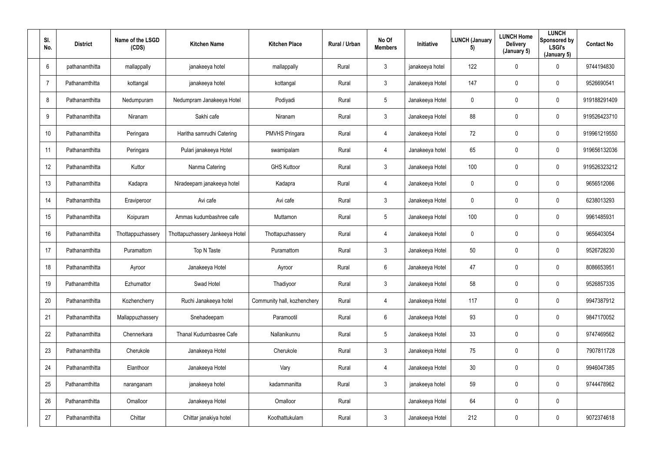| SI.<br>No.      | <b>District</b> | Name of the LSGD<br>(CDS) | <b>Kitchen Name</b>             | <b>Kitchen Place</b>        | Rural / Urban | No Of<br><b>Members</b> | Initiative      | <b>LUNCH (January</b><br>5) | <b>LUNCH Home</b><br><b>Delivery</b><br>(January 5) | <b>LUNCH</b><br>Sponsored by<br><b>LSGI's</b><br>(January 5) | <b>Contact No</b> |
|-----------------|-----------------|---------------------------|---------------------------------|-----------------------------|---------------|-------------------------|-----------------|-----------------------------|-----------------------------------------------------|--------------------------------------------------------------|-------------------|
| $6\overline{6}$ | pathanamthitta  | mallappally               | janakeeya hotel                 | mallappally                 | Rural         | $\mathbf{3}$            | janakeeya hotel | 122                         | $\mathbf 0$                                         | $\mathbf 0$                                                  | 9744194830        |
| $\overline{7}$  | Pathanamthitta  | kottangal                 | janakeeya hotel                 | kottangal                   | Rural         | $\mathbf{3}$            | Janakeeya Hotel | 147                         | 0                                                   | $\mathbf 0$                                                  | 9526690541        |
| 8               | Pathanamthitta  | Nedumpuram                | Nedumpram Janakeeya Hotel       | Podiyadi                    | Rural         | $5\phantom{.0}$         | Janakeeya Hotel | $\mathbf 0$                 | 0                                                   | $\overline{0}$                                               | 919188291409      |
| 9               | Pathanamthitta  | Niranam                   | Sakhi cafe                      | Niranam                     | Rural         | $\mathfrak{Z}$          | Janakeeya Hotel | 88                          | 0                                                   | $\mathbf 0$                                                  | 919526423710      |
| 10              | Pathanamthitta  | Peringara                 | Haritha samrudhi Catering       | <b>PMVHS Pringara</b>       | Rural         | $\overline{4}$          | Janakeeya Hotel | 72                          | 0                                                   | $\mathbf 0$                                                  | 919961219550      |
| 11              | Pathanamthitta  | Peringara                 | Pulari janakeeya Hotel          | swamipalam                  | Rural         | $\overline{4}$          | Janakeeya hotel | 65                          | 0                                                   | $\mathbf 0$                                                  | 919656132036      |
| 12              | Pathanamthitta  | Kuttor                    | Nanma Catering                  | <b>GHS Kuttoor</b>          | Rural         | $\mathbf{3}$            | Janakeeya Hotel | 100                         | 0                                                   | $\mathbf 0$                                                  | 919526323212      |
| 13              | Pathanamthitta  | Kadapra                   | Niradeepam janakeeya hotel      | Kadapra                     | Rural         | $\overline{4}$          | Janakeeya Hotel | $\overline{0}$              | 0                                                   | $\mathbf 0$                                                  | 9656512066        |
| 14              | Pathanamthitta  | Eraviperoor               | Avi cafe                        | Avi cafe                    | Rural         | $\mathbf{3}$            | Janakeeya Hotel | $\mathbf 0$                 | 0                                                   | $\mathbf 0$                                                  | 6238013293        |
| 15              | Pathanamthitta  | Koipuram                  | Ammas kudumbashree cafe         | Muttamon                    | Rural         | $5\phantom{.0}$         | Janakeeya Hotel | 100                         | 0                                                   | $\overline{0}$                                               | 9961485931        |
| 16              | Pathanamthitta  | Thottappuzhassery         | Thottapuzhassery Jankeeya Hotel | Thottapuzhassery            | Rural         | $\overline{4}$          | Janakeeya Hotel | $\overline{0}$              | 0                                                   | $\mathbf 0$                                                  | 9656403054        |
| 17              | Pathanamthitta  | Puramattom                | Top N Taste                     | Puramattom                  | Rural         | $\mathbf{3}$            | Janakeeya Hotel | 50                          | 0                                                   | $\mathbf 0$                                                  | 9526728230        |
| 18              | Pathanamthitta  | Ayroor                    | Janakeeya Hotel                 | Ayroor                      | Rural         | 6                       | Janakeeya Hotel | 47                          | 0                                                   | $\overline{0}$                                               | 8086653951        |
| 19              | Pathanamthitta  | Ezhumattor                | Swad Hotel                      | Thadiyoor                   | Rural         | $\mathbf{3}$            | Janakeeya Hotel | 58                          | $\mathbf 0$                                         | $\mathbf 0$                                                  | 9526857335        |
| 20              | Pathanamthitta  | Kozhencherry              | Ruchi Janakeeya hotel           | Community hall, kozhenchery | Rural         | $\overline{4}$          | Janakeeya Hotel | 117                         | $\mathbf 0$                                         | $\mathbf 0$                                                  | 9947387912        |
| 21              | Pathanamthitta  | Mallappuzhassery          | Snehadeepam                     | Paramootil                  | Rural         | $6\overline{6}$         | Janakeeya Hotel | 93                          | 0                                                   | $\mathbf 0$                                                  | 9847170052        |
| 22              | Pathanamthitta  | Chennerkara               | Thanal Kudumbasree Cafe         | Nallanikunnu                | Rural         | $5\overline{)}$         | Janakeeya Hotel | 33                          | 0                                                   | $\mathbf 0$                                                  | 9747469562        |
| 23              | Pathanamthitta  | Cherukole                 | Janakeeya Hotel                 | Cherukole                   | Rural         | $\mathbf{3}$            | Janakeeya Hotel | 75                          | 0                                                   | $\mathbf 0$                                                  | 7907811728        |
| 24              | Pathanamthitta  | Elanthoor                 | Janakeeya Hotel                 | Vary                        | Rural         | $\overline{4}$          | Janakeeya Hotel | 30                          | 0                                                   | $\mathbf 0$                                                  | 9946047385        |
| 25              | Pathanamthitta  | naranganam                | janakeeya hotel                 | kadammanitta                | Rural         | $\mathbf{3}$            | janakeeya hotel | 59                          | 0                                                   | $\mathbf 0$                                                  | 9744478962        |
| 26              | Pathanamthitta  | Omalloor                  | Janakeeya Hotel                 | Omalloor                    | Rural         |                         | Janakeeya Hotel | 64                          | 0                                                   | $\mathbf 0$                                                  |                   |
| 27              | Pathanamthitta  | Chittar                   | Chittar janakiya hotel          | Koothattukulam              | Rural         | $\mathbf{3}$            | Janakeeya Hotel | 212                         | 0                                                   | $\mathbf 0$                                                  | 9072374618        |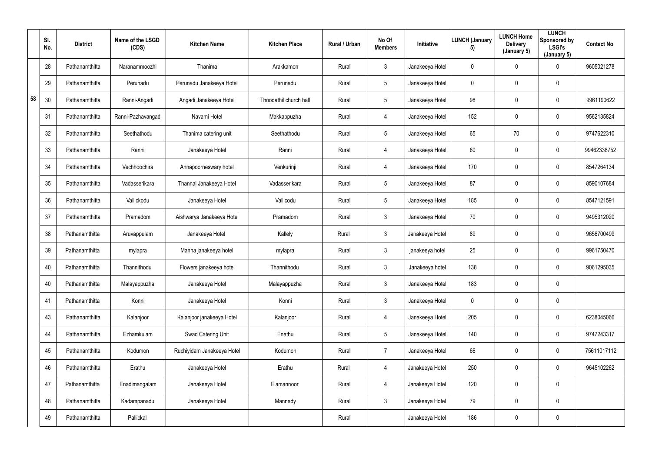|    | SI.<br>No. | <b>District</b> | Name of the LSGD<br>(CDS) | <b>Kitchen Name</b>        | <b>Kitchen Place</b>   | Rural / Urban | No Of<br><b>Members</b> | Initiative      | <b>LUNCH (January</b><br>5) | <b>LUNCH Home</b><br><b>Delivery</b><br>(January 5) | <b>LUNCH</b><br>Sponsored by<br><b>LSGI's</b><br>(January 5) | <b>Contact No</b> |
|----|------------|-----------------|---------------------------|----------------------------|------------------------|---------------|-------------------------|-----------------|-----------------------------|-----------------------------------------------------|--------------------------------------------------------------|-------------------|
|    | 28         | Pathanamthitta  | Naranammoozhi             | Thanima                    | Arakkamon              | Rural         | $\mathfrak{Z}$          | Janakeeya Hotel | $\mathbf 0$                 | $\mathbf 0$                                         | $\overline{0}$                                               | 9605021278        |
|    | 29         | Pathanamthitta  | Perunadu                  | Perunadu Janakeeya Hotel   | Perunadu               | Rural         | $5\phantom{.0}$         | Janakeeya Hotel | $\mathbf 0$                 | 0                                                   | $\mathbf 0$                                                  |                   |
| 58 | 30         | Pathanamthitta  | Ranni-Angadi              | Angadi Janakeeya Hotel     | Thoodathil church hall | Rural         | $5\phantom{.0}$         | Janakeeya Hotel | 98                          | $\mathbf 0$                                         | $\mathbf 0$                                                  | 9961190622        |
|    | 31         | Pathanamthitta  | Ranni-Pazhavangadi        | Navami Hotel               | Makkappuzha            | Rural         | 4                       | Janakeeya Hotel | 152                         | $\mathbf 0$                                         | $\mathbf 0$                                                  | 9562135824        |
|    | 32         | Pathanamthitta  | Seethathodu               | Thanima catering unit      | Seethathodu            | Rural         | $5\phantom{.0}$         | Janakeeya Hotel | 65                          | 70                                                  | $\overline{0}$                                               | 9747622310        |
|    | 33         | Pathanamthitta  | Ranni                     | Janakeeya Hotel            | Ranni                  | Rural         | 4                       | Janakeeya Hotel | 60                          | $\mathbf 0$                                         | $\overline{0}$                                               | 99462338752       |
|    | 34         | Pathanamthitta  | Vechhoochira              | Annapoorneswary hotel      | Venkurinji             | Rural         | 4                       | Janakeeya Hotel | 170                         | $\mathbf 0$                                         | $\mathbf 0$                                                  | 8547264134        |
|    | 35         | Pathanamthitta  | Vadasserikara             | Thannal Janakeeya Hotel    | Vadasserikara          | Rural         | $5\phantom{.0}$         | Janakeeya Hotel | 87                          | $\mathbf 0$                                         | $\mathbf 0$                                                  | 8590107684        |
|    | 36         | Pathanamthitta  | Vallickodu                | Janakeeya Hotel            | Vallicodu              | Rural         | $5\phantom{.0}$         | Janakeeya Hotel | 185                         | $\mathbf 0$                                         | $\mathbf 0$                                                  | 8547121591        |
|    | 37         | Pathanamthitta  | Pramadom                  | Aishwarya Janakeeya Hotel  | Pramadom               | Rural         | 3                       | Janakeeya Hotel | 70                          | 0                                                   | $\mathbf 0$                                                  | 9495312020        |
|    | 38         | Pathanamthitta  | Aruvappulam               | Janakeeya Hotel            | Kallely                | Rural         | 3 <sup>1</sup>          | Janakeeya Hotel | 89                          | $\mathbf 0$                                         | $\mathbf 0$                                                  | 9656700499        |
|    | 39         | Pathanamthitta  | mylapra                   | Manna janakeeya hotel      | mylapra                | Rural         | $\mathfrak{Z}$          | janakeeya hotel | 25                          | 0                                                   | $\mathbf 0$                                                  | 9961750470        |
|    | 40         | Pathanamthitta  | Thannithodu               | Flowers janakeeya hotel    | Thannithodu            | Rural         | 3                       | Janakeeya hotel | 138                         | $\mathbf 0$                                         | $\pmb{0}$                                                    | 9061295035        |
|    | 40         | Pathanamthitta  | Malayappuzha              | Janakeeya Hotel            | Malayappuzha           | Rural         | $\mathfrak{Z}$          | Janakeeya Hotel | 183                         | $\mathbf 0$                                         | $\mathbf 0$                                                  |                   |
|    | 41         | Pathanamthitta  | Konni                     | Janakeeya Hotel            | Konni                  | Rural         | $\mathfrak{Z}$          | Janakeeya Hotel | $\mathbf 0$                 | $\pmb{0}$                                           | $\overline{0}$                                               |                   |
|    | 43         | Pathanamthitta  | Kalanjoor                 | Kalanjoor janakeeya Hotel  | Kalanjoor              | Rural         | $\overline{4}$          | Janakeeya Hotel | 205                         | 0                                                   | $\overline{0}$                                               | 6238045066        |
|    | 44         | Pathanamthitta  | Ezhamkulam                | Swad Catering Unit         | Enathu                 | Rural         | $5\phantom{.0}$         | Janakeeya Hotel | 140                         | $\mathbf 0$                                         | $\overline{0}$                                               | 9747243317        |
|    | 45         | Pathanamthitta  | Kodumon                   | Ruchiyidam Janakeeya Hotel | Kodumon                | Rural         | $\overline{7}$          | Janakeeya Hotel | 66                          | $\pmb{0}$                                           | $\overline{0}$                                               | 75611017112       |
|    | 46         | Pathanamthitta  | Erathu                    | Janakeeya Hotel            | Erathu                 | Rural         | 4                       | Janakeeya Hotel | 250                         | 0                                                   | $\overline{0}$                                               | 9645102262        |
|    | 47         | Pathanamthitta  | Enadimangalam             | Janakeeya Hotel            | Elamannoor             | Rural         | $\overline{4}$          | Janakeeya Hotel | 120                         | $\pmb{0}$                                           | $\overline{0}$                                               |                   |
|    | 48         | Pathanamthitta  | Kadampanadu               | Janakeeya Hotel            | Mannady                | Rural         | 3 <sup>1</sup>          | Janakeeya Hotel | 79                          | 0                                                   | $\overline{0}$                                               |                   |
|    | 49         | Pathanamthitta  | Pallickal                 |                            |                        | Rural         |                         | Janakeeya Hotel | 186                         | 0                                                   | $\overline{0}$                                               |                   |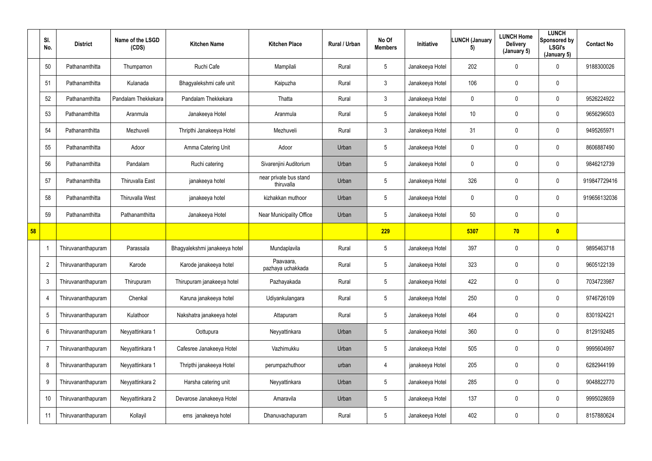|    | SI.<br>No.      | <b>District</b>    | Name of the LSGD<br>(CDS) | <b>Kitchen Name</b>           | <b>Kitchen Place</b>                 | Rural / Urban | No Of<br><b>Members</b> | Initiative      | <b>LUNCH (January</b><br>5) | <b>LUNCH Home</b><br><b>Delivery</b><br>(January 5) | <b>LUNCH</b><br>Sponsored by<br><b>LSGI's</b><br>(January 5) | <b>Contact No</b> |
|----|-----------------|--------------------|---------------------------|-------------------------------|--------------------------------------|---------------|-------------------------|-----------------|-----------------------------|-----------------------------------------------------|--------------------------------------------------------------|-------------------|
|    | 50              | Pathanamthitta     | Thumpamon                 | Ruchi Cafe                    | Mampilali                            | Rural         | $5\phantom{.0}$         | Janakeeya Hotel | 202                         | $\mathbf 0$                                         | $\overline{0}$                                               | 9188300026        |
|    | 51              | Pathanamthitta     | Kulanada                  | Bhagyalekshmi cafe unit       | Kaipuzha                             | Rural         | $\mathbf{3}$            | Janakeeya Hotel | 106                         | $\mathbf 0$                                         | $\mathbf 0$                                                  |                   |
|    | 52              | Pathanamthitta     | Pandalam Thekkekara       | Pandalam Thekkekara           | Thatta                               | Rural         | 3 <sup>1</sup>          | Janakeeya Hotel | $\mathbf 0$                 | $\mathbf 0$                                         | $\mathbf 0$                                                  | 9526224922        |
|    | 53              | Pathanamthitta     | Aranmula                  | Janakeeya Hotel               | Aranmula                             | Rural         | $5\phantom{.0}$         | Janakeeya Hotel | 10                          | $\mathbf 0$                                         | $\mathbf 0$                                                  | 9656296503        |
|    | 54              | Pathanamthitta     | Mezhuveli                 | Thripthi Janakeeya Hotel      | Mezhuveli                            | Rural         | $\mathbf{3}$            | Janakeeya Hotel | 31                          | $\mathbf 0$                                         | $\mathbf 0$                                                  | 9495265971        |
|    | 55              | Pathanamthitta     | Adoor                     | Amma Catering Unit            | Adoor                                | Urban         | $5\phantom{.0}$         | Janakeeya Hotel | $\mathbf 0$                 | $\mathbf 0$                                         | $\mathbf 0$                                                  | 8606887490        |
|    | 56              | Pathanamthitta     | Pandalam                  | Ruchi catering                | Sivarenjini Auditorium               | Urban         | $5\phantom{.0}$         | Janakeeya Hotel | $\mathbf 0$                 | $\mathbf 0$                                         | $\mathbf 0$                                                  | 9846212739        |
|    | 57              | Pathanamthitta     | <b>Thiruvalla East</b>    | janakeeya hotel               | near private bus stand<br>thiruvalla | Urban         | $5\phantom{.0}$         | Janakeeya Hotel | 326                         | 0                                                   | $\mathbf 0$                                                  | 919847729416      |
|    | 58              | Pathanamthitta     | Thiruvalla West           | janakeeya hotel               | kizhakkan muthoor                    | Urban         | $5\phantom{.0}$         | Janakeeya Hotel | $\mathbf 0$                 | $\mathbf 0$                                         | $\overline{0}$                                               | 919656132036      |
|    | 59              | Pathanamthitta     | Pathanamthitta            | Janakeeya Hotel               | <b>Near Municipality Office</b>      | Urban         | $5\phantom{.0}$         | Janakeeya Hotel | 50                          | 0                                                   | $\mathbf 0$                                                  |                   |
| 58 |                 |                    |                           |                               |                                      |               | 229                     |                 | 5307                        | 70                                                  | $\bullet$                                                    |                   |
|    | -1              | Thiruvananthapuram | Parassala                 | Bhagyalekshmi janakeeya hotel | Mundaplavila                         | Rural         | $5\phantom{.0}$         | Janakeeya Hotel | 397                         | 0                                                   | $\mathbf 0$                                                  | 9895463718        |
|    | $\overline{2}$  | Thiruvananthapuram | Karode                    | Karode janakeeya hotel        | Paavaara,<br>pazhaya uchakkada       | Rural         | $5\phantom{.0}$         | Janakeeya Hotel | 323                         | $\mathbf 0$                                         | $\overline{0}$                                               | 9605122139        |
|    | $\mathfrak{3}$  | Thiruvananthapuram | Thirupuram                | Thirupuram janakeeya hotel    | Pazhayakada                          | Rural         | $5\phantom{.0}$         | Janakeeya Hotel | 422                         | $\mathbf 0$                                         | $\mathbf 0$                                                  | 7034723987        |
|    | $\overline{4}$  | Thiruvananthapuram | Chenkal                   | Karuna janakeeya hotel        | Udiyankulangara                      | Rural         | $5\phantom{.0}$         | Janakeeya Hotel | 250                         | 0                                                   | $\overline{0}$                                               | 9746726109        |
|    | $\overline{5}$  | Thiruvananthapuram | Kulathoor                 | Nakshatra janakeeya hotel     | Attapuram                            | Rural         | $5\phantom{.0}$         | Janakeeya Hotel | 464                         | 0                                                   | $\overline{0}$                                               | 8301924221        |
|    | $6\phantom{.}6$ | Thiruvananthapuram | Neyyattinkara 1           | Oottupura                     | Neyyattinkara                        | Urban         | $5\phantom{.0}$         | Janakeeya Hotel | 360                         | 0                                                   | $\pmb{0}$                                                    | 8129192485        |
|    | $\overline{7}$  | Thiruvananthapuram | Neyyattinkara 1           | Cafesree Janakeeya Hotel      | Vazhimukku                           | Urban         | $5\phantom{.0}$         | Janakeeya Hotel | 505                         | 0                                                   | $\bf{0}$                                                     | 9995604997        |
|    | 8               | Thiruvananthapuram | Neyyattinkara 1           | Thripthi janakeeya Hotel      | perumpazhuthoor                      | urban         | 4                       | janakeeya Hotel | 205                         | 0                                                   | $\overline{0}$                                               | 6282944199        |
|    | 9               | Thiruvananthapuram | Neyyattinkara 2           | Harsha catering unit          | Neyyattinkara                        | Urban         | $5\phantom{.0}$         | Janakeeya Hotel | 285                         | 0                                                   | $\bf{0}$                                                     | 9048822770        |
|    | 10              | Thiruvananthapuram | Neyyattinkara 2           | Devarose Janakeeya Hotel      | Amaravila                            | Urban         | $5\phantom{.0}$         | Janakeeya Hotel | 137                         | 0                                                   | $\overline{0}$                                               | 9995028659        |
|    | 11              | Thiruvananthapuram | Kollayil                  | ems janakeeya hotel           | Dhanuvachapuram                      | Rural         | $5\phantom{.0}$         | Janakeeya Hotel | 402                         | 0                                                   | $\pmb{0}$                                                    | 8157880624        |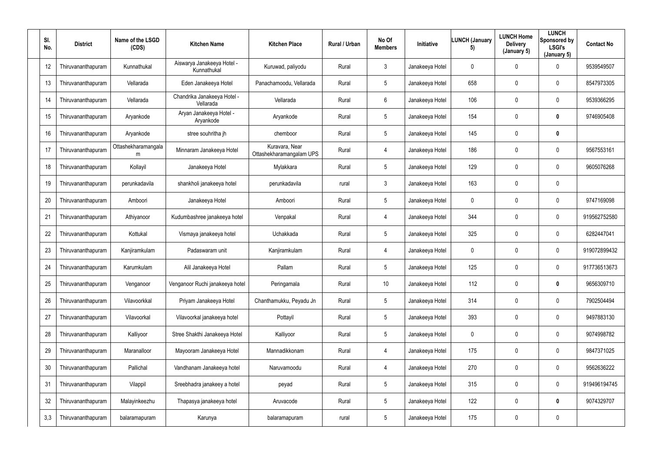| SI.<br>No. |    | <b>District</b>    | Name of the LSGD<br>(CDS) | <b>Kitchen Name</b>                       | <b>Kitchen Place</b>                       | Rural / Urban | No Of<br><b>Members</b> | Initiative      | <b>LUNCH (January</b><br>5) | <b>LUNCH Home</b><br><b>Delivery</b><br>(January 5) | <b>LUNCH</b><br>Sponsored by<br><b>LSGI's</b><br>(January 5) | <b>Contact No</b> |
|------------|----|--------------------|---------------------------|-------------------------------------------|--------------------------------------------|---------------|-------------------------|-----------------|-----------------------------|-----------------------------------------------------|--------------------------------------------------------------|-------------------|
|            | 12 | Thiruvananthapuram | Kunnathukal               | Aiswarya Janakeeya Hotel -<br>Kunnathukal | Kuruwad, paliyodu                          | Rural         | $\mathbf{3}$            | Janakeeya Hotel | $\mathbf 0$                 | $\mathbf 0$                                         | $\mathbf 0$                                                  | 9539549507        |
|            | 13 | Thiruvananthapuram | Vellarada                 | Eden Janakeeya Hotel                      | Panachamoodu, Vellarada                    | Rural         | $5\phantom{.0}$         | Janakeeya Hotel | 658                         | 0                                                   | $\mathbf 0$                                                  | 8547973305        |
|            | 14 | Thiruvananthapuram | Vellarada                 | Chandrika Janakeeya Hotel -<br>Vellarada  | Vellarada                                  | Rural         | $6\overline{6}$         | Janakeeya Hotel | 106                         | 0                                                   | $\mathbf 0$                                                  | 9539366295        |
|            | 15 | Thiruvananthapuram | Aryankode                 | Aryan Janakeeya Hotel -<br>Aryankode      | Aryankode                                  | Rural         | $5\phantom{.0}$         | Janakeeya Hotel | 154                         | 0                                                   | $\mathbf 0$                                                  | 9746905408        |
|            | 16 | Thiruvananthapuram | Aryankode                 | stree souhritha jh                        | chemboor                                   | Rural         | $5\overline{)}$         | Janakeeya Hotel | 145                         | $\mathbf 0$                                         | $\mathbf 0$                                                  |                   |
|            | 17 | Thiruvananthapuram | Ottashekharamangala<br>m  | Minnaram Janakeeya Hotel                  | Kuravara, Near<br>Ottashekharamangalam UPS | Rural         | $\overline{4}$          | Janakeeya Hotel | 186                         | 0                                                   | $\mathbf 0$                                                  | 9567553161        |
|            | 18 | Thiruvananthapuram | Kollayil                  | Janakeeya Hotel                           | Mylakkara                                  | Rural         | $5\phantom{.0}$         | Janakeeya Hotel | 129                         | $\mathbf 0$                                         | $\mathbf 0$                                                  | 9605076268        |
|            | 19 | Thiruvananthapuram | perunkadavila             | shankholi janakeeya hotel                 | perunkadavila                              | rural         | $\mathbf{3}$            | Janakeeya Hotel | 163                         | 0                                                   | $\mathbf 0$                                                  |                   |
|            | 20 | Thiruvananthapuram | Amboori                   | Janakeeya Hotel                           | Amboori                                    | Rural         | $5\phantom{.0}$         | Janakeeya Hotel | $\Omega$                    | 0                                                   | $\mathbf 0$                                                  | 9747169098        |
| 21         |    | Thiruvananthapuram | Athiyanoor                | Kudumbashree janakeeya hotel              | Venpakal                                   | Rural         | $\overline{4}$          | Janakeeya Hotel | 344                         | $\overline{0}$                                      | $\mathbf 0$                                                  | 919562752580      |
|            | 22 | Thiruvananthapuram | Kottukal                  | Vismaya janakeeya hotel                   | Uchakkada                                  | Rural         | $5\overline{)}$         | Janakeeya Hotel | 325                         | $\mathbf 0$                                         | $\mathbf 0$                                                  | 6282447041        |
|            | 23 | Thiruvananthapuram | Kanjiramkulam             | Padaswaram unit                           | Kanjiramkulam                              | Rural         | $\overline{4}$          | Janakeeya Hotel | $\mathbf 0$                 | $\mathbf 0$                                         | $\mathbf 0$                                                  | 919072899432      |
|            | 24 | Thiruvananthapuram | Karumkulam                | Alil Janakeeya Hotel                      | Pallam                                     | Rural         | 5                       | Janakeeya Hotel | 125                         | 0                                                   | $\mathbf 0$                                                  | 917736513673      |
|            | 25 | Thiruvananthapuram | Venganoor                 | Venganoor Ruchi janakeeya hotel           | Peringamala                                | Rural         | $10$                    | Janakeeya Hotel | 112                         | $\mathbf 0$                                         | $\mathbf 0$                                                  | 9656309710        |
|            | 26 | Thiruvananthapuram | Vilavoorkkal              | Priyam Janakeeya Hotel                    | Chanthamukku, Peyadu Jn                    | Rural         | $5\overline{)}$         | Janakeeya Hotel | 314                         | $\mathbf 0$                                         | $\mathbf 0$                                                  | 7902504494        |
|            | 27 | Thiruvananthapuram | Vilavoorkal               | Vilavoorkal janakeeya hotel               | Pottayil                                   | Rural         | $5\phantom{.0}$         | Janakeeya Hotel | 393                         | $\mathbf 0$                                         | $\overline{0}$                                               | 9497883130        |
|            | 28 | Thiruvananthapuram | Kalliyoor                 | Stree Shakthi Janakeeya Hotel             | Kalliyoor                                  | Rural         | $5\phantom{.0}$         | Janakeeya Hotel | $\pmb{0}$                   | $\mathbf 0$                                         | $\overline{0}$                                               | 9074998782        |
|            | 29 | Thiruvananthapuram | Maranalloor               | Mayooram Janakeeya Hotel                  | Mannadikkonam                              | Rural         | $\overline{4}$          | Janakeeya Hotel | 175                         | $\mathbf 0$                                         | $\mathbf 0$                                                  | 9847371025        |
|            | 30 | Thiruvananthapuram | Pallichal                 | Vandhanam Janakeeya hotel                 | Naruvamoodu                                | Rural         | $\overline{4}$          | Janakeeya Hotel | 270                         | 0                                                   | $\mathbf 0$                                                  | 9562636222        |
|            | 31 | Thiruvananthapuram | Vilappil                  | Sreebhadra janakeey a hotel               | peyad                                      | Rural         | $5\phantom{.0}$         | Janakeeya Hotel | 315                         | $\mathbf 0$                                         | $\mathbf 0$                                                  | 919496194745      |
|            | 32 | Thiruvananthapuram | Malayinkeezhu             | Thapasya janakeeya hotel                  | Aruvacode                                  | Rural         | $5\overline{)}$         | Janakeeya Hotel | 122                         | $\mathbf 0$                                         | $\mathbf 0$                                                  | 9074329707        |
| 3,3        |    | Thiruvananthapuram | balaramapuram             | Karunya                                   | balaramapuram                              | rural         | $5\phantom{.0}$         | Janakeeya Hotel | 175                         | $\pmb{0}$                                           | $\overline{0}$                                               |                   |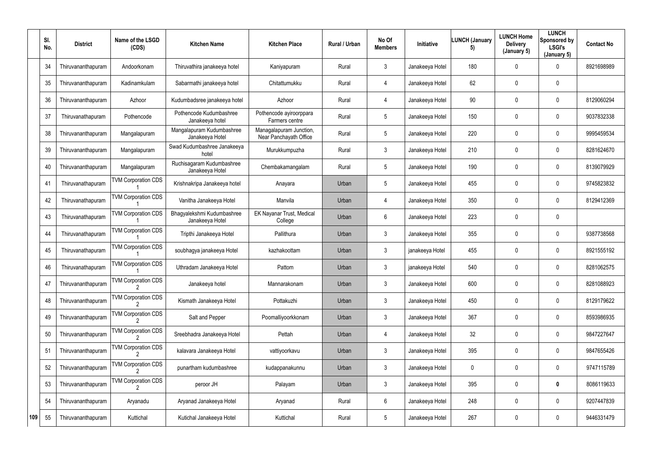|     | SI.<br>No. | <b>District</b>    | Name of the LSGD<br>(CDS)  | <b>Kitchen Name</b>                           | <b>Kitchen Place</b>                              | Rural / Urban | No Of<br><b>Members</b> | Initiative      | <b>LUNCH (January</b><br>5) | <b>LUNCH Home</b><br><b>Delivery</b><br>(January 5) | <b>LUNCH</b><br>Sponsored by<br><b>LSGI's</b><br>(January 5) | <b>Contact No</b> |
|-----|------------|--------------------|----------------------------|-----------------------------------------------|---------------------------------------------------|---------------|-------------------------|-----------------|-----------------------------|-----------------------------------------------------|--------------------------------------------------------------|-------------------|
|     | 34         | Thiruvananthapuram | Andoorkonam                | Thiruvathira janakeeya hotel                  | Kaniyapuram                                       | Rural         | $\mathbf{3}$            | Janakeeya Hotel | 180                         | 0                                                   | $\mathbf 0$                                                  | 8921698989        |
|     | 35         | Thiruvananthapuram | Kadinamkulam               | Sabarmathi janakeeya hotel                    | Chitattumukku                                     | Rural         | 4                       | Janakeeya Hotel | 62                          | 0                                                   | $\overline{0}$                                               |                   |
|     | 36         | Thiruvananthapuram | Azhoor                     | Kudumbadsree janakeeya hotel                  | Azhoor                                            | Rural         | 4                       | Janakeeya Hotel | 90                          | 0                                                   | $\overline{0}$                                               | 8129060294        |
|     | 37         | Thiruvanathapuram  | Pothencode                 | Pothencode Kudumbashree<br>Janakeeya hotel    | Pothencode ayiroorppara<br>Farmers centre         | Rural         | 5                       | Janakeeya Hotel | 150                         | 0                                                   | $\overline{0}$                                               | 9037832338        |
|     | 38         | Thiruvananthapuram | Mangalapuram               | Mangalapuram Kudumbashree<br>Janakeeya Hotel  | Managalapuram Junction,<br>Near Panchayath Office | Rural         | $5\phantom{.0}$         | Janakeeya Hotel | 220                         | 0                                                   | $\mathbf 0$                                                  | 9995459534        |
|     | 39         | Thiruvananthapuram | Mangalapuram               | Swad Kudumbashree Janakeeya<br>hotel          | Murukkumpuzha                                     | Rural         | $\mathbf{3}$            | Janakeeya Hotel | 210                         | 0                                                   | $\mathbf 0$                                                  | 8281624670        |
|     | 40         | Thiruvananthapuram | Mangalapuram               | Ruchisagaram Kudumbashree<br>Janakeeya Hotel  | Chembakamangalam                                  | Rural         | 5                       | Janakeeya Hotel | 190                         | 0                                                   | $\overline{0}$                                               | 8139079929        |
|     | 41         | Thiruvanathapuram  | <b>TVM Corporation CDS</b> | Krishnakripa Janakeeya hotel                  | Anayara                                           | Urban         | 5                       | Janakeeya Hotel | 455                         | 0                                                   | $\mathbf 0$                                                  | 9745823832        |
|     | 42         | Thiruvanathapuram  | <b>TVM Corporation CDS</b> | Vanitha Janakeeya Hotel                       | Manvila                                           | Urban         | 4                       | Janakeeya Hotel | 350                         | 0                                                   | $\overline{0}$                                               | 8129412369        |
|     | 43         | Thiruvanathapuram  | <b>TVM Corporation CDS</b> | Bhagyalekshmi Kudumbashree<br>Janakeeya Hotel | EK Nayanar Trust, Medical<br>College              | Urban         | $6\phantom{.}$          | Janakeeya Hotel | 223                         | 0                                                   | $\overline{0}$                                               |                   |
|     | 44         | Thiruvanathapuram  | <b>TVM Corporation CDS</b> | Tripthi Janakeeya Hotel                       | Pallithura                                        | Urban         | $\mathbf{3}$            | Janakeeya Hotel | 355                         | 0                                                   | $\mathbf 0$                                                  | 9387738568        |
|     | 45         | Thiruvanathapuram  | <b>TVM Corporation CDS</b> | soubhagya janakeeya Hotel                     | kazhakoottam                                      | Urban         | $\mathbf{3}$            | janakeeya Hotel | 455                         | 0                                                   | $\overline{0}$                                               | 8921555192        |
|     | 46         | Thiruvanathapuram  | <b>TVM Corporation CDS</b> | Uthradam Janakeeya Hotel                      | Pattom                                            | Urban         | $\mathfrak{Z}$          | janakeeya Hotel | 540                         | 0                                                   | $\mathbf 0$                                                  | 8281062575        |
|     | 47         | Thiruvananthapuram | <b>TVM Corporation CDS</b> | Janakeeya hotel                               | Mannarakonam                                      | Urban         | 3 <sup>1</sup>          | Janakeeya Hotel | 600                         | 0                                                   | $\mathbf 0$                                                  | 8281088923        |
|     | 48         | Thiruvananthapuram | <b>TVM Corporation CDS</b> | Kismath Janakeeya Hotel                       | Pottakuzhi                                        | Urban         | $3\phantom{.0}$         | Janakeeya Hotel | 450                         | 0                                                   | $\overline{0}$                                               | 8129179622        |
|     | 49         | Thiruvananthapuram | <b>TVM Corporation CDS</b> | Salt and Pepper                               | Poomalliyoorkkonam                                | Urban         | $3\phantom{.0}$         | Janakeeya Hotel | 367                         | 0                                                   | $\mathbf 0$                                                  | 8593986935        |
|     | $50\,$     | Thiruvananthapuram | <b>TVM Corporation CDS</b> | Sreebhadra Janakeeya Hotel                    | Pettah                                            | Urban         | 4                       | Janakeeya Hotel | 32                          | 0                                                   | $\mathbf 0$                                                  | 9847227647        |
|     | 51         | Thiruvananthapuram | <b>TVM Corporation CDS</b> | kalavara Janakeeya Hotel                      | vattiyoorkavu                                     | Urban         | 3 <sup>1</sup>          | Janakeeya Hotel | 395                         | 0                                                   | $\overline{0}$                                               | 9847655426        |
|     | 52         | Thiruvananthapuram | <b>TVM Corporation CDS</b> | punartham kudumbashree                        | kudappanakunnu                                    | Urban         | $\mathfrak{Z}$          | Janakeeya Hotel | $\mathbf 0$                 | 0                                                   | $\mathbf 0$                                                  | 9747115789        |
|     | 53         | Thiruvananthapuram | <b>TVM Corporation CDS</b> | peroor JH                                     | Palayam                                           | Urban         | $\mathfrak{Z}$          | Janakeeya Hotel | 395                         | 0                                                   | $\mathbf 0$                                                  | 8086119633        |
|     | 54         | Thiruvananthapuram | Aryanadu                   | Aryanad Janakeeya Hotel                       | Aryanad                                           | Rural         | 6                       | Janakeeya Hotel | 248                         | 0                                                   | $\mathbf 0$                                                  | 9207447839        |
| 109 | 55         | Thiruvananthapuram | Kuttichal                  | Kutichal Janakeeya Hotel                      | Kuttichal                                         | Rural         | $5\phantom{.0}$         | Janakeeya Hotel | 267                         | 0                                                   | $\overline{0}$                                               | 9446331479        |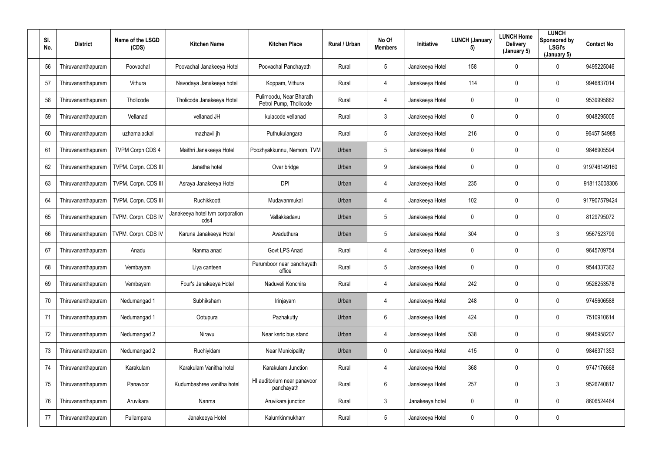| SI.<br>No. | <b>District</b>    | Name of the LSGD<br>(CDS) | <b>Kitchen Name</b>                     | <b>Kitchen Place</b>                              | Rural / Urban | No Of<br><b>Members</b> | Initiative      | <b>LUNCH (January</b><br>5) | <b>LUNCH Home</b><br><b>Delivery</b><br>(January 5) | <b>LUNCH</b><br>Sponsored by<br><b>LSGI's</b><br>(January 5) | <b>Contact No</b> |
|------------|--------------------|---------------------------|-----------------------------------------|---------------------------------------------------|---------------|-------------------------|-----------------|-----------------------------|-----------------------------------------------------|--------------------------------------------------------------|-------------------|
| 56         | Thiruvananthapuram | Poovachal                 | Poovachal Janakeeya Hotel               | Poovachal Panchayath                              | Rural         | $5\phantom{.0}$         | Janakeeya Hotel | 158                         | 0                                                   | 0                                                            | 9495225046        |
| 57         | Thiruvananthapuram | Vithura                   | Navodaya Janakeeya hotel                | Koppam, Vithura                                   | Rural         | $\overline{4}$          | Janakeeya Hotel | 114                         | 0                                                   | $\overline{0}$                                               | 9946837014        |
| 58         | Thiruvananthapuram | Tholicode                 | Tholicode Janakeeya Hotel               | Pulimoodu, Near Bharath<br>Petrol Pump, Tholicode | Rural         | $\overline{4}$          | Janakeeya Hotel | $\pmb{0}$                   | 0                                                   | $\overline{0}$                                               | 9539995862        |
| 59         | Thiruvananthapuram | Vellanad                  | vellanad JH                             | kulacode vellanad                                 | Rural         | $\mathfrak{Z}$          | Janakeeya Hotel | $\mathbf 0$                 | 0                                                   | 0                                                            | 9048295005        |
| 60         | Thiruvananthapuram | uzhamalackal              | mazhavil jh                             | Puthukulangara                                    | Rural         | $5\phantom{.0}$         | Janakeeya Hotel | 216                         | 0                                                   | $\mathbf 0$                                                  | 96457 54988       |
| 61         | Thiruvananthapuram | <b>TVPM Corpn CDS 4</b>   | Maithri Janakeeya Hotel                 | Poozhyakkunnu, Nemom, TVM                         | Urban         | $5\phantom{.0}$         | Janakeeya Hotel | $\mathbf 0$                 | 0                                                   | $\mathbf 0$                                                  | 9846905594        |
| 62         | Thiruvananthapuram | TVPM. Corpn. CDS III      | Janatha hotel                           | Over bridge                                       | Urban         | 9                       | Janakeeya Hotel | $\mathbf 0$                 | 0                                                   | $\mathbf 0$                                                  | 919746149160      |
| 63         | Thiruvananthapuram | TVPM. Corpn. CDS III      | Asraya Janakeeya Hotel                  | <b>DPI</b>                                        | Urban         | $\overline{4}$          | Janakeeya Hotel | 235                         | 0                                                   | $\overline{0}$                                               | 918113008306      |
| 64         | Thiruvananthapuram | TVPM. Corpn. CDS III      | Ruchikkoott                             | Mudavanmukal                                      | Urban         | $\overline{4}$          | Janakeeya Hotel | 102                         | 0                                                   | $\overline{0}$                                               | 917907579424      |
| 65         | Thiruvananthapuram | TVPM. Corpn. CDS IV       | Janakeeya hotel tvm corporation<br>cds4 | Vallakkadavu                                      | Urban         | $5\phantom{.0}$         | Janakeeya Hotel | $\mathbf 0$                 | 0                                                   | $\overline{0}$                                               | 8129795072        |
| 66         | Thiruvananthapuram | TVPM. Corpn. CDS IV       | Karuna Janakeeya Hotel                  | Avaduthura                                        | Urban         | $5\overline{)}$         | Janakeeya Hotel | 304                         | 0                                                   | $\mathbf{3}$                                                 | 9567523799        |
| 67         | Thiruvananthapuram | Anadu                     | Nanma anad                              | Govt LPS Anad                                     | Rural         | $\overline{4}$          | Janakeeya Hotel | $\mathbf 0$                 | 0                                                   | $\overline{0}$                                               | 9645709754        |
| 68         | Thiruvananthapuram | Vembayam                  | Liya canteen                            | Perumboor near panchayath<br>office               | Rural         | $5\phantom{.0}$         | Janakeeya Hotel | $\mathbf 0$                 | 0                                                   | $\overline{0}$                                               | 9544337362        |
| 69         | Thiruvananthapuram | Vembayam                  | Four's Janakeeya Hotel                  | Naduveli Konchira                                 | Rural         | $\overline{4}$          | Janakeeya Hotel | 242                         | 0                                                   | $\overline{0}$                                               | 9526253578        |
| 70         | Thiruvananthapuram | Nedumangad 1              | Subhiksham                              | Irinjayam                                         | Urban         | $\overline{4}$          | Janakeeya Hotel | 248                         | 0                                                   | $\mathbf 0$                                                  | 9745606588        |
| 71         | Thiruvananthapuram | Nedumangad 1              | Ootupura                                | Pazhakutty                                        | Urban         | $6\overline{6}$         | Janakeeya Hotel | 424                         | 0                                                   | $\mathbf 0$                                                  | 7510910614        |
| 72         | Thiruvananthapuram | Nedumangad 2              | Niravu                                  | Near ksrtc bus stand                              | Urban         | $\overline{4}$          | Janakeeya Hotel | 538                         | 0                                                   | $\mathbf 0$                                                  | 9645958207        |
| 73         | Thiruvananthapuram | Nedumangad 2              | Ruchiyidam                              | <b>Near Municipality</b>                          | Urban         | $\mathbf 0$             | Janakeeya Hotel | 415                         | 0                                                   | $\mathbf 0$                                                  | 9846371353        |
| 74         | Thiruvananthapuram | Karakulam                 | Karakulam Vanitha hotel                 | Karakulam Junction                                | Rural         | 4                       | Janakeeya Hotel | 368                         | 0                                                   | $\overline{0}$                                               | 9747176668        |
| 75         | Thiruvananthapuram | Panavoor                  | Kudumbashree vanitha hotel              | HI auditorium near panavoor<br>panchayath         | Rural         | $6\overline{6}$         | Janakeeya Hotel | 257                         | 0                                                   | $\mathbf{3}$                                                 | 9526740817        |
| 76         | Thiruvananthapuram | Aruvikara                 | Nanma                                   | Aruvikara junction                                | Rural         | $\mathbf{3}$            | Janakeeya hotel | $\overline{0}$              | 0                                                   | $\mathbf 0$                                                  | 8606524464        |
| 77         | Thiruvananthapuram | Pullampara                | Janakeeya Hotel                         | Kalumkinmukham                                    | Rural         | $5\phantom{.0}$         | Janakeeya Hotel | $\boldsymbol{0}$            | 0                                                   | $\boldsymbol{0}$                                             |                   |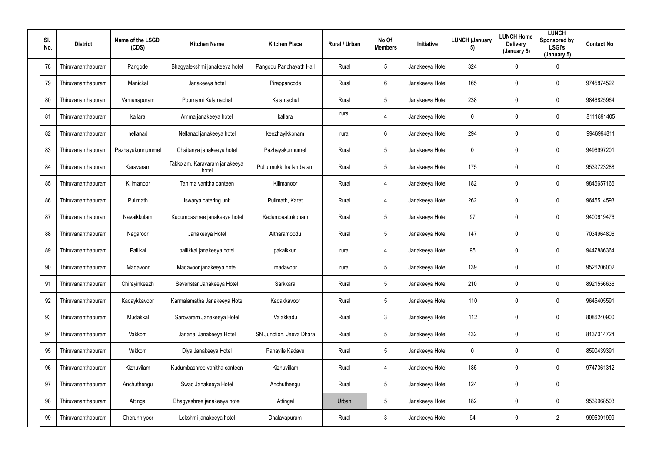| SI.<br>No. | <b>District</b>    | Name of the LSGD<br>(CDS) | <b>Kitchen Name</b>                    | <b>Kitchen Place</b>     | Rural / Urban | No Of<br><b>Members</b> | Initiative      | <b>LUNCH (January</b><br>5) | <b>LUNCH Home</b><br><b>Delivery</b><br>(January 5) | <b>LUNCH</b><br>Sponsored by<br><b>LSGI's</b><br>(January 5) | <b>Contact No</b> |
|------------|--------------------|---------------------------|----------------------------------------|--------------------------|---------------|-------------------------|-----------------|-----------------------------|-----------------------------------------------------|--------------------------------------------------------------|-------------------|
| 78         | Thiruvananthapuram | Pangode                   | Bhagyalekshmi janakeeya hotel          | Pangodu Panchayath Hall  | Rural         | $5\phantom{.0}$         | Janakeeya Hotel | 324                         | 0                                                   | $\overline{0}$                                               |                   |
| 79         | Thiruvananthapuram | Manickal                  | Janakeeya hotel                        | Pirappancode             | Rural         | $6^{\circ}$             | Janakeeya Hotel | 165                         | 0                                                   | $\mathbf 0$                                                  | 9745874522        |
| 80         | Thiruvananthapuram | Vamanapuram               | Pournami Kalamachal                    | Kalamachal               | Rural         | $5\phantom{.0}$         | Janakeeya Hotel | 238                         | 0                                                   | $\overline{0}$                                               | 9846825964        |
| 81         | Thiruvananthapuram | kallara                   | Amma janakeeya hotel                   | kallara                  | rural         | $\overline{4}$          | Janakeeya Hotel | $\mathbf 0$                 | 0                                                   | $\overline{0}$                                               | 8111891405        |
| 82         | Thiruvananthapuram | nellanad                  | Nellanad janakeeya hotel               | keezhayikkonam           | rural         | $6\phantom{.}$          | Janakeeya Hotel | 294                         | 0                                                   | $\mathbf 0$                                                  | 9946994811        |
| 83         | Thiruvananthapuram | Pazhayakunnummel          | Chaitanya janakeeya hotel              | Pazhayakunnumel          | Rural         | $5\phantom{.0}$         | Janakeeya Hotel | $\mathbf 0$                 | 0                                                   | $\mathbf 0$                                                  | 9496997201        |
| 84         | Thiruvananthapuram | Karavaram                 | Takkolam, Karavaram janakeeya<br>hotel | Pullurmukk, kallambalam  | Rural         | $5\phantom{.0}$         | Janakeeya Hotel | 175                         | 0                                                   | $\overline{0}$                                               | 9539723288        |
| 85         | Thiruvananthapuram | Kilimanoor                | Tanima vanitha canteen                 | Kilimanoor               | Rural         | $\overline{4}$          | Janakeeya Hotel | 182                         | 0                                                   | $\mathbf 0$                                                  | 9846657166        |
| 86         | Thiruvananthapuram | Pulimath                  | Iswarya catering unit                  | Pulimath, Karet          | Rural         | $\overline{4}$          | Janakeeya Hotel | 262                         | 0                                                   | $\mathbf 0$                                                  | 9645514593        |
| 87         | Thiruvananthapuram | Navaikkulam               | Kudumbashree janakeeya hotel           | Kadambaattukonam         | Rural         | $5\phantom{.0}$         | Janakeeya Hotel | 97                          | 0                                                   | $\overline{0}$                                               | 9400619476        |
| 88         | Thiruvananthapuram | Nagaroor                  | Janakeeya Hotel                        | Altharamoodu             | Rural         | $5\overline{)}$         | Janakeeya Hotel | 147                         | 0                                                   | $\mathbf 0$                                                  | 7034964806        |
| 89         | Thiruvananthapuram | Pallikal                  | pallikkal janakeeya hotel              | pakalkkuri               | rural         | 4                       | Janakeeya Hotel | 95                          | 0                                                   | $\mathbf 0$                                                  | 9447886364        |
| 90         | Thiruvananthapuram | Madavoor                  | Madavoor janakeeya hotel               | madavoor                 | rural         | $5\phantom{.0}$         | Janakeeya Hotel | 139                         | 0                                                   | $\overline{0}$                                               | 9526206002        |
| 91         | Thiruvananthapuram | Chirayinkeezh             | Sevenstar Janakeeya Hotel              | Sarkkara                 | Rural         | $5\phantom{.0}$         | Janakeeya Hotel | 210                         | 0                                                   | $\mathbf 0$                                                  | 8921556636        |
| 92         | Thiruvananthapuram | Kadaykkavoor              | Karmalamatha Janakeeya Hotel           | Kadakkavoor              | Rural         | $5\overline{)}$         | Janakeeya Hotel | 110                         | $\mathbf 0$                                         | $\mathbf 0$                                                  | 9645405591        |
| 93         | Thiruvananthapuram | Mudakkal                  | Sarovaram Janakeeya Hotel              | Valakkadu                | Rural         | $\mathfrak{Z}$          | Janakeeya Hotel | 112                         | 0                                                   | $\mathbf 0$                                                  | 8086240900        |
| 94         | Thiruvananthapuram | Vakkom                    | Jananai Janakeeya Hotel                | SN Junction, Jeeva Dhara | Rural         | $5\phantom{.0}$         | Janakeeya Hotel | 432                         | 0                                                   | $\mathbf 0$                                                  | 8137014724        |
| 95         | Thiruvananthapuram | Vakkom                    | Diya Janakeeya Hotel                   | Panayile Kadavu          | Rural         | $5\phantom{.0}$         | Janakeeya Hotel | $\overline{0}$              | 0                                                   | $\mathbf 0$                                                  | 8590439391        |
| 96         | Thiruvananthapuram | Kizhuvilam                | Kudumbashree vanitha canteen           | Kizhuvillam              | Rural         | $\overline{4}$          | Janakeeya Hotel | 185                         | 0                                                   | $\mathbf 0$                                                  | 9747361312        |
| 97         | Thiruvananthapuram | Anchuthengu               | Swad Janakeeya Hotel                   | Anchuthengu              | Rural         | $5\phantom{.0}$         | Janakeeya Hotel | 124                         | 0                                                   | $\mathbf 0$                                                  |                   |
| 98         | Thiruvananthapuram | Attingal                  | Bhagyashree janakeeya hotel            | Attingal                 | Urban         | $5\overline{)}$         | Janakeeya Hotel | 182                         | 0                                                   | $\mathbf 0$                                                  | 9539968503        |
| 99         | Thiruvananthapuram | Cherunniyoor              | Lekshmi janakeeya hotel                | Dhalavapuram             | Rural         | $\mathbf{3}$            | Janakeeya Hotel | 94                          | 0                                                   | $\overline{2}$                                               | 9995391999        |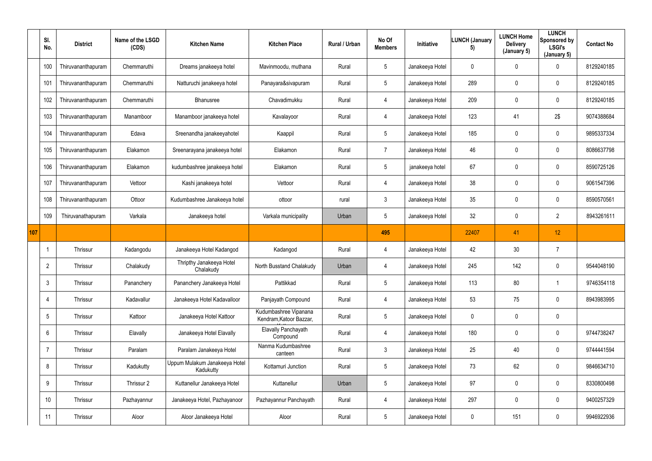|     | SI.<br>No.      | <b>District</b>    | Name of the LSGD<br>(CDS) | <b>Kitchen Name</b>                        | <b>Kitchen Place</b>                             | Rural / Urban | No Of<br><b>Members</b> | Initiative      | <b>LUNCH (January</b><br>5) | <b>LUNCH Home</b><br><b>Delivery</b><br>(January 5) | <b>LUNCH</b><br>Sponsored by<br><b>LSGI's</b><br>(January 5) | <b>Contact No</b> |
|-----|-----------------|--------------------|---------------------------|--------------------------------------------|--------------------------------------------------|---------------|-------------------------|-----------------|-----------------------------|-----------------------------------------------------|--------------------------------------------------------------|-------------------|
|     | 100             | Thiruvananthapuram | Chemmaruthi               | Dreams janakeeya hotel                     | Mavinmoodu, muthana                              | Rural         | 5                       | Janakeeya Hotel | $\mathbf 0$                 | $\mathbf 0$                                         | $\mathbf 0$                                                  | 8129240185        |
|     | 101             | Thiruvananthapuram | Chemmaruthi               | Natturuchi janakeeya hotel                 | Panayara&sivapuram                               | Rural         | $5\phantom{.0}$         | Janakeeya Hotel | 289                         | $\mathbf 0$                                         | $\pmb{0}$                                                    | 8129240185        |
|     | 102             | Thiruvananthapuram | Chemmaruthi               | Bhanusree                                  | Chavadimukku                                     | Rural         | 4                       | Janakeeya Hotel | 209                         | 0                                                   | $\mathbf 0$                                                  | 8129240185        |
|     | 103             | Thiruvananthapuram | Manamboor                 | Manamboor janakeeya hotel                  | Kavalayoor                                       | Rural         | 4                       | Janakeeya Hotel | 123                         | 41                                                  | 2\$                                                          | 9074388684        |
|     | 104             | Thiruvananthapuram | Edava                     | Sreenandha janakeeyahotel                  | Kaappil                                          | Rural         | 5                       | Janakeeya Hotel | 185                         | 0                                                   | $\mathbf 0$                                                  | 9895337334        |
|     | 105             | Thiruvananthapuram | Elakamon                  | Sreenarayana janakeeya hotel               | Elakamon                                         | Rural         | $\overline{7}$          | Janakeeya Hotel | 46                          | 0                                                   | $\mathbf 0$                                                  | 8086637798        |
|     | 106             | Thiruvananthapuram | Elakamon                  | kudumbashree janakeeya hotel               | Elakamon                                         | Rural         | $5\phantom{.0}$         | janakeeya hotel | 67                          | $\mathbf 0$                                         | $\mathbf 0$                                                  | 8590725126        |
|     | 107             | Thiruvananthapuram | Vettoor                   | Kashi janakeeya hotel                      | Vettoor                                          | Rural         | 4                       | Janakeeya Hotel | 38                          | $\mathbf 0$                                         | $\pmb{0}$                                                    | 9061547396        |
|     | 108             | Thiruvananthapuram | Ottoor                    | Kudumbashree Janakeeya hotel               | ottoor                                           | rural         | $\mathfrak{Z}$          | Janakeeya Hotel | 35                          | 0                                                   | $\pmb{0}$                                                    | 8590570561        |
|     | 109             | Thiruvanathapuram  | Varkala                   | Janakeeya hotel                            | Varkala municipality                             | Urban         | 5                       | Janakeeya Hotel | 32                          | $\mathbf 0$                                         | $\overline{2}$                                               | 8943261611        |
| 107 |                 |                    |                           |                                            |                                                  |               | 495                     |                 | 22407                       | 41                                                  | 12                                                           |                   |
|     |                 | Thrissur           | Kadangodu                 | Janakeeya Hotel Kadangod                   | Kadangod                                         | Rural         | 4                       | Janakeeya Hotel | 42                          | 30                                                  |                                                              |                   |
|     | $\overline{2}$  | Thrissur           | Chalakudy                 | Thripthy Janakeeya Hotel<br>Chalakudy      | North Busstand Chalakudy                         | Urban         | 4                       | Janakeeya Hotel | 245                         | 142                                                 | $\mathbf 0$                                                  | 9544048190        |
|     | $\mathbf{3}$    | Thrissur           | Pananchery                | Pananchery Janakeeya Hotel                 | Pattikkad                                        | Rural         | 5 <sup>5</sup>          | Janakeeya Hotel | 113                         | 80                                                  | $\mathbf 1$                                                  | 9746354118        |
|     | $\overline{4}$  | Thrissur           | Kadavallur                | Janakeeya Hotel Kadavalloor                | Panjayath Compound                               | Rural         | $\overline{4}$          | Janakeeya Hotel | 53                          | 75                                                  | $\overline{0}$                                               | 8943983995        |
|     | $5\phantom{.0}$ | Thrissur           | Kattoor                   | Janakeeya Hotel Kattoor                    | Kudumbashree Vipanana<br>Kendram, Katoor Bazzar, | Rural         | $5\overline{)}$         | Janakeeya Hotel | $\mathbf 0$                 | 0                                                   | $\overline{0}$                                               |                   |
|     | $6\overline{6}$ | Thrissur           | Elavally                  | Janakeeya Hotel Elavally                   | <b>Elavally Panchayath</b><br>Compound           | Rural         | 4                       | Janakeeya Hotel | 180                         | 0                                                   | $\overline{0}$                                               | 9744738247        |
|     |                 | Thrissur           | Paralam                   | Paralam Janakeeya Hotel                    | Nanma Kudumbashree<br>canteen                    | Rural         | $\mathfrak{Z}$          | Janakeeya Hotel | 25                          | 40                                                  | $\overline{0}$                                               | 9744441594        |
|     | 8               | Thrissur           | Kadukutty                 | Uppum Mulakum Janakeeya Hotel<br>Kadukutty | Kottamuri Junction                               | Rural         | $5\overline{)}$         | Janakeeya Hotel | 73                          | 62                                                  | $\overline{0}$                                               | 9846634710        |
|     | 9               | Thrissur           | Thrissur 2                | Kuttanellur Janakeeya Hotel                | Kuttanellur                                      | Urban         | $5\phantom{.0}$         | Janakeeya Hotel | 97                          | 0                                                   | $\overline{0}$                                               | 8330800498        |
|     | 10              | Thrissur           | Pazhayannur               | Janakeeya Hotel, Pazhayanoor               | Pazhayannur Panchayath                           | Rural         | 4                       | Janakeeya Hotel | 297                         | 0                                                   | $\overline{0}$                                               | 9400257329        |
|     | 11              | Thrissur           | Aloor                     | Aloor Janakeeya Hotel                      | Aloor                                            | Rural         | $5\phantom{.0}$         | Janakeeya Hotel | $\mathbf 0$                 | 151                                                 | $\overline{0}$                                               | 9946922936        |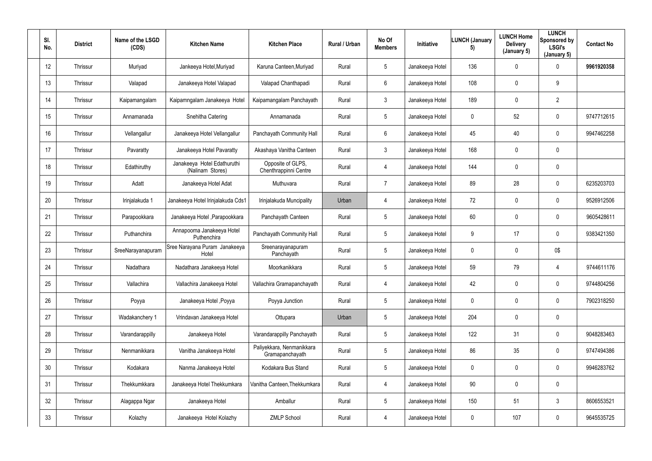| SI.<br>No. | <b>District</b> | Name of the LSGD<br>(CDS) | <b>Kitchen Name</b>                             | <b>Kitchen Place</b>                         | Rural / Urban | No Of<br><b>Members</b> | Initiative      | <b>LUNCH (January</b><br>5) | <b>LUNCH Home</b><br><b>Delivery</b><br>(January 5) | <b>LUNCH</b><br>Sponsored by<br><b>LSGI's</b><br>(January 5) | <b>Contact No</b> |
|------------|-----------------|---------------------------|-------------------------------------------------|----------------------------------------------|---------------|-------------------------|-----------------|-----------------------------|-----------------------------------------------------|--------------------------------------------------------------|-------------------|
| 12         | Thrissur        | Muriyad                   | Jankeeya Hotel, Muriyad                         | Karuna Canteen, Muriyad                      | Rural         | $5\overline{)}$         | Janakeeya Hotel | 136                         | $\mathbf 0$                                         | $\mathbf 0$                                                  | 9961920358        |
| 13         | Thrissur        | Valapad                   | Janakeeya Hotel Valapad                         | Valapad Chanthapadi                          | Rural         | $6\phantom{.}6$         | Janakeeya Hotel | 108                         | 0                                                   | 9                                                            |                   |
| 14         | Thrissur        | Kaipamangalam             | Kaipamngalam Janakeeya Hotel                    | Kaipamangalam Panchayath                     | Rural         | $\mathfrak{Z}$          | Janakeeya Hotel | 189                         | 0                                                   | $\overline{2}$                                               |                   |
| 15         | Thrissur        | Annamanada                | Snehitha Catering                               | Annamanada                                   | Rural         | $5\overline{)}$         | Janakeeya Hotel | $\mathbf 0$                 | 52                                                  | $\mathbf 0$                                                  | 9747712615        |
| 16         | Thrissur        | Vellangallur              | Janakeeya Hotel Vellangallur                    | Panchayath Community Hall                    | Rural         | $6\overline{6}$         | Janakeeya Hotel | 45                          | 40                                                  | $\mathbf 0$                                                  | 9947462258        |
| 17         | Thrissur        | Pavaratty                 | Janakeeya Hotel Pavaratty                       | Akashaya Vanitha Canteen                     | Rural         | 3 <sup>1</sup>          | Janakeeya Hotel | 168                         | 0                                                   | $\overline{0}$                                               |                   |
| 18         | Thrissur        | Edathiruthy               | Janakeeya Hotel Edathuruthi<br>(Nalinam Stores) | Opposite of GLPS,<br>Chenthrappinni Centre   | Rural         | 4                       | Janakeeya Hotel | 144                         | 0                                                   | $\overline{0}$                                               |                   |
| 19         | Thrissur        | Adatt                     | Janakeeya Hotel Adat                            | Muthuvara                                    | Rural         | $\overline{7}$          | Janakeeya Hotel | 89                          | 28                                                  | $\mathbf 0$                                                  | 6235203703        |
| 20         | Thrissur        | Irinjalakuda 1            | Janakeeya Hotel Irinjalakuda Cds1               | Irinjalakuda Muncipality                     | Urban         | 4                       | Janakeeya Hotel | 72                          | 0                                                   | $\overline{0}$                                               | 9526912506        |
| 21         | Thrissur        | Parapookkara              | Janakeeya Hotel, Parapookkara                   | Panchayath Canteen                           | Rural         | $5\overline{)}$         | Janakeeya Hotel | 60                          | 0                                                   | $\mathbf 0$                                                  | 9605428611        |
| 22         | Thrissur        | Puthanchira               | Annapoorna Janakeeya Hotel<br>Puthenchira       | Panchayath Community Hall                    | Rural         | $5\overline{)}$         | Janakeeya Hotel | 9                           | 17                                                  | $\mathbf 0$                                                  | 9383421350        |
| 23         | Thrissur        | SreeNarayanapuram         | Sree Narayana Puram Janakeeya<br>Hotel          | Sreenarayanapuram<br>Panchayath              | Rural         | $5\phantom{.0}$         | Janakeeya Hotel | $\mathbf 0$                 | 0                                                   | 0\$                                                          |                   |
| 24         | Thrissur        | Nadathara                 | Nadathara Janakeeya Hotel                       | Moorkanikkara                                | Rural         | $5\phantom{.0}$         | Janakeeya Hotel | 59                          | 79                                                  | 4                                                            | 9744611176        |
| 25         | Thrissur        | Vallachira                | Vallachira Janakeeya Hotel                      | Vallachira Gramapanchayath                   | Rural         | $\overline{4}$          | Janakeeya Hotel | 42                          | $\mathbf 0$                                         | $\mathbf 0$                                                  | 9744804256        |
| 26         | Thrissur        | Poyya                     | Janakeeya Hotel, Poyya                          | Poyya Junction                               | Rural         | $5\overline{)}$         | Janakeeya Hotel | $\pmb{0}$                   | 0                                                   | $\mathbf 0$                                                  | 7902318250        |
| 27         | Thrissur        | Wadakanchery 1            | Vrindavan Janakeeya Hotel                       | Ottupara                                     | Urban         | $5\overline{)}$         | Janakeeya Hotel | 204                         | 0                                                   | $\mathbf 0$                                                  |                   |
| 28         | Thrissur        | Varandarappilly           | Janakeeya Hotel                                 | Varandarappilly Panchayath                   | Rural         | $5\overline{)}$         | Janakeeya Hotel | 122                         | 31                                                  | $\mathbf 0$                                                  | 9048283463        |
| 29         | Thrissur        | Nenmanikkara              | Vanitha Janakeeya Hotel                         | Paliyekkara, Nenmanikkara<br>Gramapanchayath | Rural         | $5\overline{)}$         | Janakeeya Hotel | 86                          | 35                                                  | $\mathbf 0$                                                  | 9747494386        |
| 30         | Thrissur        | Kodakara                  | Nanma Janakeeya Hotel                           | Kodakara Bus Stand                           | Rural         | $5\phantom{.0}$         | Janakeeya Hotel | $\mathbf 0$                 | 0                                                   | $\mathbf 0$                                                  | 9946283762        |
| 31         | Thrissur        | Thekkumkkara              | Janakeeya Hotel Thekkumkara                     | Vanitha Canteen, Thekkumkara                 | Rural         | $\overline{4}$          | Janakeeya Hotel | 90                          | $\pmb{0}$                                           | $\mathbf 0$                                                  |                   |
| 32         | Thrissur        | Alagappa Ngar             | Janakeeya Hotel                                 | Amballur                                     | Rural         | 5 <sup>5</sup>          | Janakeeya Hotel | 150                         | 51                                                  | $\mathbf{3}$                                                 | 8606553521        |
| 33         | Thrissur        | Kolazhy                   | Janakeeya Hotel Kolazhy                         | <b>ZMLP School</b>                           | Rural         | 4                       | Janakeeya Hotel | $\boldsymbol{0}$            | 107                                                 | $\mathbf 0$                                                  | 9645535725        |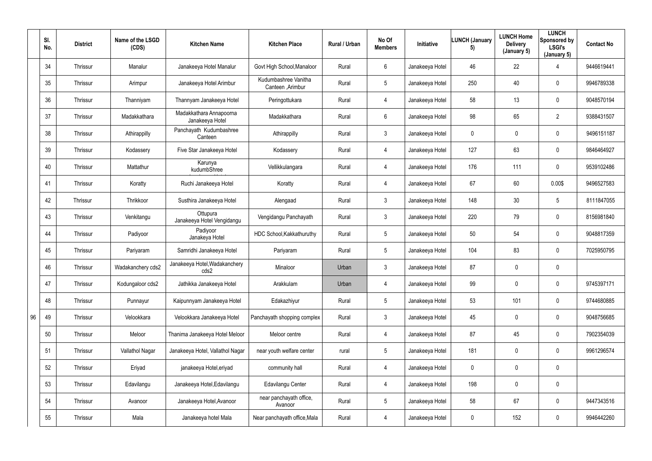|    | SI.<br>No. | <b>District</b> | Name of the LSGD<br>(CDS) | <b>Kitchen Name</b>                        | <b>Kitchen Place</b>                      | Rural / Urban | No Of<br><b>Members</b> | Initiative      | <b>LUNCH (January</b><br>5) | <b>LUNCH Home</b><br><b>Delivery</b><br>(January 5) | <b>LUNCH</b><br>Sponsored by<br><b>LSGI's</b><br>(January 5) | <b>Contact No</b> |
|----|------------|-----------------|---------------------------|--------------------------------------------|-------------------------------------------|---------------|-------------------------|-----------------|-----------------------------|-----------------------------------------------------|--------------------------------------------------------------|-------------------|
|    | 34         | Thrissur        | Manalur                   | Janakeeya Hotel Manalur                    | Govt High School, Manaloor                | Rural         | 6                       | Janakeeya Hotel | 46                          | 22                                                  | 4                                                            | 9446619441        |
|    | 35         | Thrissur        | Arimpur                   | Janakeeya Hotel Arimbur                    | Kudumbashree Vanitha<br>Canteen , Arimbur | Rural         | $5\phantom{.0}$         | Janakeeya Hotel | 250                         | 40                                                  | $\mathbf 0$                                                  | 9946789338        |
|    | 36         | Thrissur        | Thanniyam                 | Thannyam Janakeeya Hotel                   | Peringottukara                            | Rural         | 4                       | Janakeeya Hotel | 58                          | 13                                                  | $\mathbf 0$                                                  | 9048570194        |
|    | 37         | Thrissur        | Madakkathara              | Madakkathara Annapoorna<br>Janakeeya Hotel | Madakkathara                              | Rural         | $6\phantom{.}$          | Janakeeya Hotel | 98                          | 65                                                  | $\overline{2}$                                               | 9388431507        |
|    | 38         | Thrissur        | Athirappilly              | Panchayath Kudumbashree<br>Canteen         | Athirappilly                              | Rural         | $\mathbf{3}$            | Janakeeya Hotel | $\mathbf 0$                 | $\mathbf 0$                                         | $\overline{0}$                                               | 9496151187        |
|    | 39         | Thrissur        | Kodassery                 | Five Star Janakeeya Hotel                  | Kodassery                                 | Rural         | $\overline{4}$          | Janakeeya Hotel | 127                         | 63                                                  | $\mathbf 0$                                                  | 9846464927        |
|    | 40         | Thrissur        | Mattathur                 | Karunya<br>kudumbShree                     | Vellikkulangara                           | Rural         | 4                       | Janakeeya Hotel | 176                         | 111                                                 | $\overline{0}$                                               | 9539102486        |
|    | 41         | Thrissur        | Koratty                   | Ruchi Janakeeya Hotel                      | Koratty                                   | Rural         | $\overline{4}$          | Janakeeya Hotel | 67                          | 60                                                  | 0.00\$                                                       | 9496527583        |
|    | 42         | Thrissur        | Thrikkoor                 | Susthira Janakeeya Hotel                   | Alengaad                                  | Rural         | $\mathbf{3}$            | Janakeeya Hotel | 148                         | 30                                                  | $5\phantom{.0}$                                              | 8111847055        |
|    | 43         | Thrissur        | Venkitangu                | Ottupura<br>Janakeeya Hotel Vengidangu     | Vengidangu Panchayath                     | Rural         | $\mathbf{3}$            | Janakeeya Hotel | 220                         | 79                                                  | $\mathbf 0$                                                  | 8156981840        |
|    | 44         | Thrissur        | Padiyoor                  | Padiyoor<br>Janakeya Hotel                 | HDC School, Kakkathuruthy                 | Rural         | 5                       | Janakeeya Hotel | 50                          | 54                                                  | $\mathbf 0$                                                  | 9048817359        |
|    | 45         | Thrissur        | Pariyaram                 | Samridhi Janakeeya Hotel                   | Pariyaram                                 | Rural         | $5\phantom{.0}$         | Janakeeya Hotel | 104                         | 83                                                  | $\mathbf 0$                                                  | 7025950795        |
|    | 46         | Thrissur        | Wadakanchery cds2         | Janakeeya Hotel, Wadakanchery<br>cds2      | Minaloor                                  | Urban         | 3                       | Janakeeya Hotel | 87                          | $\mathbf 0$                                         | $\mathbf 0$                                                  |                   |
|    | 47         | Thrissur        | Kodungaloor cds2          | Jathikka Janakeeya Hotel                   | Arakkulam                                 | Urban         | $\overline{4}$          | Janakeeya Hotel | 99                          | $\mathbf 0$                                         | $\overline{0}$                                               | 9745397171        |
|    | 48         | Thrissur        | Punnayur                  | Kaipunnyam Janakeeya Hotel                 | Edakazhiyur                               | Rural         | $5\phantom{.0}$         | Janakeeya Hotel | 53                          | 101                                                 | $\overline{0}$                                               | 9744680885        |
| 96 | 49         | Thrissur        | Velookkara                | Velookkara Janakeeya Hotel                 | Panchayath shopping complex               | Rural         | $\mathfrak{Z}$          | Janakeeya Hotel | 45                          | $\pmb{0}$                                           | $\overline{0}$                                               | 9048756685        |
|    | 50         | Thrissur        | Meloor                    | Thanima Janakeeya Hotel Meloor             | Meloor centre                             | Rural         | 4                       | Janakeeya Hotel | 87                          | 45                                                  | $\overline{0}$                                               | 7902354039        |
|    | 51         | Thrissur        | Vallathol Nagar           | Janakeeya Hotel, Vallathol Nagar           | near youth welfare center                 | rural         | $5\phantom{.0}$         | Janakeeya Hotel | 181                         | 0                                                   | $\overline{0}$                                               | 9961296574        |
|    | 52         | Thrissur        | Eriyad                    | janakeeya Hotel, eriyad                    | community hall                            | Rural         | 4                       | Janakeeya Hotel | $\mathbf 0$                 | $\pmb{0}$                                           | $\overline{0}$                                               |                   |
|    | 53         | Thrissur        | Edavilangu                | Janakeeya Hotel, Edavilangu                | Edavilangu Center                         | Rural         | 4                       | Janakeeya Hotel | 198                         | $\pmb{0}$                                           | $\overline{0}$                                               |                   |
|    | 54         | Thrissur        | Avanoor                   | Janakeeya Hotel, Avanoor                   | near panchayath office,<br>Avanoor        | Rural         | $5\overline{)}$         | Janakeeya Hotel | 58                          | 67                                                  | $\overline{0}$                                               | 9447343516        |
|    | 55         | Thrissur        | Mala                      | Janakeeya hotel Mala                       | Near panchayath office, Mala              | Rural         | 4                       | Janakeeya Hotel | $\overline{0}$              | 152                                                 | $\overline{0}$                                               | 9946442260        |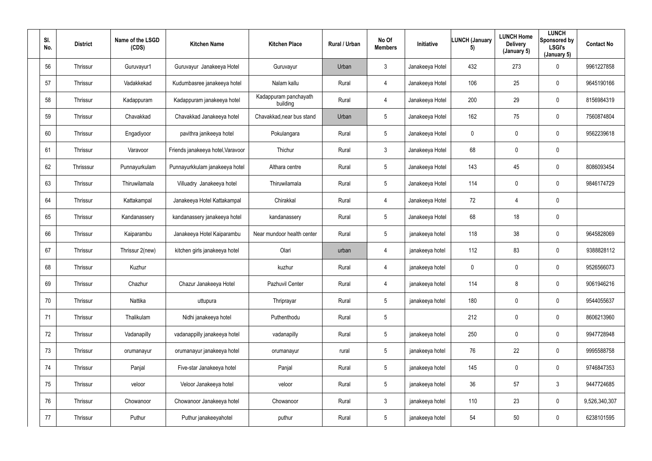| SI.<br>No. | <b>District</b> | Name of the LSGD<br>(CDS) | <b>Kitchen Name</b>               | <b>Kitchen Place</b>              | Rural / Urban | No Of<br><b>Members</b> | Initiative      | <b>LUNCH (January</b><br>5) | <b>LUNCH Home</b><br><b>Delivery</b><br>(January 5) | <b>LUNCH</b><br>Sponsored by<br><b>LSGI's</b><br>(January 5) | <b>Contact No</b> |
|------------|-----------------|---------------------------|-----------------------------------|-----------------------------------|---------------|-------------------------|-----------------|-----------------------------|-----------------------------------------------------|--------------------------------------------------------------|-------------------|
| 56         | Thrissur        | Guruvayur1                | Guruvayur Janakeeya Hotel         | Guruvayur                         | Urban         | 3 <sup>1</sup>          | Janakeeya Hotel | 432                         | 273                                                 | $\mathbf 0$                                                  | 9961227858        |
| 57         | Thrissur        | Vadakkekad                | Kudumbasree janakeeya hotel       | Nalam kallu                       | Rural         | 4                       | Janakeeya Hotel | 106                         | 25                                                  | $\mathbf 0$                                                  | 9645190166        |
| 58         | Thrissur        | Kadappuram                | Kadappuram janakeeya hotel        | Kadappuram panchayath<br>building | Rural         | $\overline{4}$          | Janakeeya Hotel | 200                         | 29                                                  | $\mathbf 0$                                                  | 8156984319        |
| 59         | Thrissur        | Chavakkad                 | Chavakkad Janakeeya hotel         | Chavakkad, near bus stand         | Urban         | 5                       | Janakeeya Hotel | 162                         | 75                                                  | $\mathbf 0$                                                  | 7560874804        |
| 60         | Thrissur        | Engadiyoor                | pavithra janikeeya hotel          | Pokulangara                       | Rural         | $5\phantom{.0}$         | Janakeeya Hotel | $\overline{0}$              | 0                                                   | $\mathbf 0$                                                  | 9562239618        |
| 61         | Thrissur        | Varavoor                  | Friends janakeeya hotel, Varavoor | Thichur                           | Rural         | $3\phantom{.0}$         | Janakeeya Hotel | 68                          | 0                                                   | $\mathbf 0$                                                  |                   |
| 62         | Thrisssur       | Punnayurkulam             | Punnayurkkulam janakeeya hotel    | Althara centre                    | Rural         | $5\phantom{.0}$         | Janakeeya Hotel | 143                         | 45                                                  | $\mathbf 0$                                                  | 8086093454        |
| 63         | Thrissur        | Thiruwilamala             | Villuadry Janakeeya hotel         | Thiruwilamala                     | Rural         | $5\phantom{.0}$         | Janakeeya Hotel | 114                         | 0                                                   | $\mathbf 0$                                                  | 9846174729        |
| 64         | Thrissur        | Kattakampal               | Janakeeya Hotel Kattakampal       | Chirakkal                         | Rural         | 4                       | Janakeeya Hotel | 72                          | 4                                                   | $\mathbf 0$                                                  |                   |
| 65         | Thrissur        | Kandanassery              | kandanassery janakeeya hotel      | kandanassery                      | Rural         | $5\phantom{.0}$         | Janakeeya Hotel | 68                          | 18                                                  | $\mathbf 0$                                                  |                   |
| 66         | Thrissur        | Kaiparambu                | Janakeeya Hotel Kaiparambu        | Near mundoor health center        | Rural         | $5\overline{)}$         | janakeeya hotel | 118                         | 38                                                  | $\mathbf 0$                                                  | 9645828069        |
| 67         | Thrissur        | Thrissur 2(new)           | kitchen girls janakeeya hotel     | Olari                             | urban         | 4                       | janakeeya hotel | 112                         | 83                                                  | $\mathbf 0$                                                  | 9388828112        |
| 68         | Thrissur        | Kuzhur                    |                                   | kuzhur                            | Rural         | 4                       | janakeeya hotel | $\mathbf 0$                 | 0                                                   | $\overline{0}$                                               | 9526566073        |
| 69         | Thrissur        | Chazhur                   | Chazur Janakeeya Hotel            | Pazhuvil Center                   | Rural         | $\overline{4}$          | janakeeya hotel | 114                         | 8                                                   | $\mathbf 0$                                                  | 9061946216        |
| 70         | Thrissur        | Nattika                   | uttupura                          | Thriprayar                        | Rural         | $5\phantom{.0}$         | janakeeya hotel | 180                         | $\pmb{0}$                                           | $\mathbf 0$                                                  | 9544055637        |
| 71         | Thrissur        | Thalikulam                | Nidhi janakeeya hotel             | Puthenthodu                       | Rural         | $5\phantom{.0}$         |                 | 212                         | $\pmb{0}$                                           | $\mathbf 0$                                                  | 8606213960        |
| 72         | Thrissur        | Vadanapilly               | vadanappilly janakeeya hotel      | vadanapilly                       | Rural         | $5\phantom{.0}$         | janakeeya hotel | 250                         | 0                                                   | $\mathbf 0$                                                  | 9947728948        |
| 73         | Thrissur        | orumanayur                | orumanayur janakeeya hotel        | orumanayur                        | rural         | $5\phantom{.0}$         | janakeeya hotel | 76                          | 22                                                  | $\mathbf 0$                                                  | 9995588758        |
| 74         | Thrissur        | Panjal                    | Five-star Janakeeya hotel         | Panjal                            | Rural         | $5\phantom{.0}$         | janakeeya hotel | 145                         | $\pmb{0}$                                           | $\mathbf 0$                                                  | 9746847353        |
| 75         | Thrissur        | veloor                    | Veloor Janakeeya hotel            | veloor                            | Rural         | $5\phantom{.0}$         | janakeeya hotel | 36                          | 57                                                  | 3 <sup>1</sup>                                               | 9447724685        |
| 76         | Thrissur        | Chowanoor                 | Chowanoor Janakeeya hotel         | Chowanoor                         | Rural         | $3\phantom{.0}$         | janakeeya hotel | 110                         | 23                                                  | $\mathbf 0$                                                  | 9,526,340,307     |
| 77         | Thrissur        | Puthur                    | Puthur janakeeyahotel             | puthur                            | Rural         | $5\phantom{.0}$         | janakeeya hotel | 54                          | 50                                                  | $\overline{0}$                                               | 6238101595        |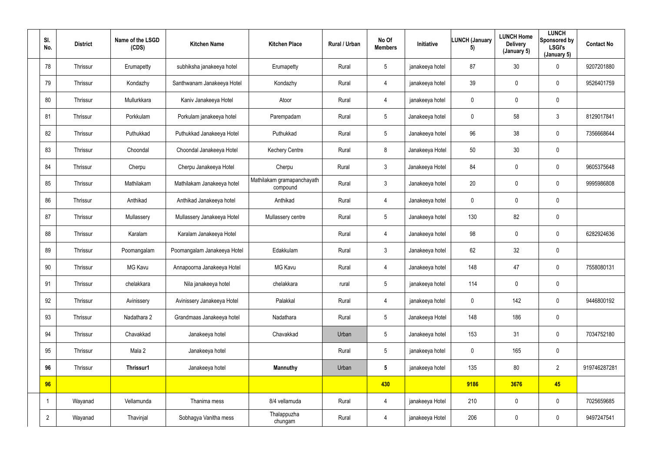| SI.<br>No.     | <b>District</b> | Name of the LSGD<br>(CDS) | <b>Kitchen Name</b>         | <b>Kitchen Place</b>                   | Rural / Urban | No Of<br><b>Members</b> | Initiative      | <b>LUNCH (January</b><br>5) | <b>LUNCH Home</b><br><b>Delivery</b><br>(January 5) | <b>LUNCH</b><br>Sponsored by<br><b>LSGI's</b><br>(January 5) | <b>Contact No</b> |
|----------------|-----------------|---------------------------|-----------------------------|----------------------------------------|---------------|-------------------------|-----------------|-----------------------------|-----------------------------------------------------|--------------------------------------------------------------|-------------------|
| 78             | Thrissur        | Erumapetty                | subhiksha janakeeya hotel   | Erumapetty                             | Rural         | $5\phantom{.0}$         | janakeeya hotel | 87                          | 30                                                  | $\mathbf 0$                                                  | 9207201880        |
| 79             | Thrissur        | Kondazhy                  | Santhwanam Janakeeya Hotel  | Kondazhy                               | Rural         | 4                       | janakeeya hotel | 39                          | 0                                                   | $\mathbf 0$                                                  | 9526401759        |
| 80             | Thrissur        | Mullurkkara               | Kaniv Janakeeya Hotel       | Atoor                                  | Rural         | 4                       | janakeeya hotel | $\mathbf 0$                 | 0                                                   | $\overline{0}$                                               |                   |
| 81             | Thrissur        | Porkkulam                 | Porkulam janakeeya hotel    | Parempadam                             | Rural         | 5                       | Janakeeya hotel | $\mathbf 0$                 | 58                                                  | $\mathbf{3}$                                                 | 8129017841        |
| 82             | Thrissur        | Puthukkad                 | Puthukkad Janakeeya Hotel   | Puthukkad                              | Rural         | $5\phantom{.0}$         | Janakeeya hotel | 96                          | 38                                                  | $\overline{0}$                                               | 7356668644        |
| 83             | Thrissur        | Choondal                  | Choondal Janakeeya Hotel    | <b>Kechery Centre</b>                  | Rural         | 8                       | Janakeeya Hotel | 50                          | 30                                                  | $\overline{0}$                                               |                   |
| 84             | Thrissur        | Cherpu                    | Cherpu Janakeeya Hotel      | Cherpu                                 | Rural         | $\mathbf{3}$            | Janakeeya Hotel | 84                          | 0                                                   | $\mathbf 0$                                                  | 9605375648        |
| 85             | Thrissur        | Mathilakam                | Mathilakam Janakeeya hotel  | Mathilakam gramapanchayath<br>compound | Rural         | $\mathfrak{Z}$          | Janakeeya hotel | 20                          | 0                                                   | $\mathbf 0$                                                  | 9995986808        |
| 86             | Thrissur        | Anthikad                  | Anthikad Janakeeya hotel    | Anthikad                               | Rural         | 4                       | Janakeeya hotel | $\mathbf 0$                 | $\mathbf 0$                                         | $\mathbf 0$                                                  |                   |
| 87             | Thrissur        | Mullassery                | Mullassery Janakeeya Hotel  | Mullassery centre                      | Rural         | $5\phantom{.0}$         | Janakeeya hotel | 130                         | 82                                                  | $\overline{0}$                                               |                   |
| 88             | Thrissur        | Karalam                   | Karalam Janakeeya Hotel     |                                        | Rural         | 4                       | Janakeeya hotel | 98                          | $\mathbf 0$                                         | $\overline{0}$                                               | 6282924636        |
| 89             | Thrissur        | Poomangalam               | Poomangalam Janakeeya Hotel | Edakkulam                              | Rural         | $\mathbf{3}$            | Janakeeya hotel | 62                          | 32                                                  | $\overline{0}$                                               |                   |
| 90             | Thrissur        | <b>MG Kavu</b>            | Annapoorna Janakeeya Hotel  | <b>MG Kavu</b>                         | Rural         | 4                       | Janakeeya hotel | 148                         | 47                                                  | $\pmb{0}$                                                    | 7558080131        |
| 91             | Thrissur        | chelakkara                | Nila janakeeya hotel        | chelakkara                             | rural         | $5\phantom{.0}$         | janakeeya hotel | 114                         | $\mathbf 0$                                         | $\pmb{0}$                                                    |                   |
| 92             | Thrissur        | Avinissery                | Avinissery Janakeeya Hotel  | Palakkal                               | Rural         | 4                       | janakeeya hotel | $\mathbf 0$                 | 142                                                 | $\overline{0}$                                               | 9446800192        |
| 93             | Thrissur        | Nadathara 2               | Grandmaas Janakeeya hotel   | Nadathara                              | Rural         | $5\overline{)}$         | Janakeeya Hotel | 148                         | 186                                                 | $\overline{0}$                                               |                   |
| 94             | Thrissur        | Chavakkad                 | Janakeeya hotel             | Chavakkad                              | Urban         | $5\phantom{.0}$         | Janakeeya hotel | 153                         | 31                                                  | $\mathbf 0$                                                  | 7034752180        |
| 95             | Thrissur        | Mala 2                    | Janakeeya hotel             |                                        | Rural         | $5\phantom{.0}$         | janakeeya hotel | $\mathbf 0$                 | 165                                                 | $\overline{0}$                                               |                   |
| 96             | Thrissur        | Thrissur1                 | Janakeeya hotel             | <b>Mannuthy</b>                        | Urban         | $5\phantom{.0}$         | janakeeya hotel | 135                         | 80                                                  | $\overline{2}$                                               | 919746287281      |
| 96             |                 |                           |                             |                                        |               | 430                     |                 | 9186                        | 3676                                                | 45                                                           |                   |
| $\overline{1}$ | Wayanad         | Vellamunda                | Thanima mess                | 8/4 vellamuda                          | Rural         | $\overline{4}$          | janakeeya Hotel | 210                         | $\pmb{0}$                                           | $\overline{0}$                                               | 7025659685        |
| $\overline{2}$ | Wayanad         | Thavinjal                 | Sobhagya Vanitha mess       | Thalappuzha<br>chungam                 | Rural         | 4                       | janakeeya Hotel | 206                         | 0                                                   | $\mathbf 0$                                                  | 9497247541        |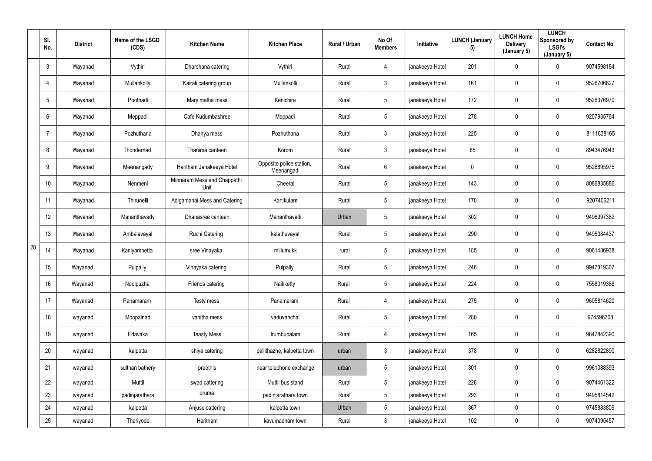|    | SI.<br>No.      | <b>District</b> | Name of the LSGD<br>(CDS) | <b>Kitchen Name</b>                 | <b>Kitchen Place</b>                   | Rural / Urban | No Of<br><b>Members</b> | Initiative      | <b>LUNCH (January</b><br>5) | <b>LUNCH Home</b><br><b>Delivery</b><br>(January 5) | <b>LUNCH</b><br>Sponsored by<br><b>LSGI's</b><br>(January 5) | <b>Contact No</b> |
|----|-----------------|-----------------|---------------------------|-------------------------------------|----------------------------------------|---------------|-------------------------|-----------------|-----------------------------|-----------------------------------------------------|--------------------------------------------------------------|-------------------|
|    | $\mathfrak{Z}$  | Wayanad         | Vythiri                   | Dharshana catering                  | Vythiri                                | Rural         | 4                       | janakeeya Hotel | 201                         | 0                                                   | $\mathbf 0$                                                  | 9074598184        |
|    | $\overline{4}$  | Wayanad         | Mullankolly               | Kairali catering group              | Mullankolli                            | Rural         | $\mathbf{3}$            | janakeeya Hotel | 161                         | 0                                                   | $\mathbf 0$                                                  | 9526706627        |
|    | 5               | Wayanad         | Poothadi                  | Mary matha mess                     | Kenichira                              | Rural         | $5\phantom{.0}$         | janakeeya Hotel | 172                         | $\mathbf 0$                                         | $\mathbf 0$                                                  | 9526376970        |
|    | $6\phantom{.}$  | Wayanad         | Meppadi                   | Cafe Kudumbashree                   | Meppadi                                | Rural         | 5 <sup>5</sup>          | janakeeya Hotel | 278                         | 0                                                   | $\mathbf 0$                                                  | 9207935764        |
|    | $\overline{7}$  | Wayanad         | Pozhuthana                | Dhanya mess                         | Pozhuthana                             | Rural         | $\mathbf{3}$            | janakeeya Hotel | 225                         | 0                                                   | $\mathbf 0$                                                  | 8111838165        |
|    | 8               | Wayanad         | Thondernad                | Thanima canteen                     | Korom                                  | Rural         | $\mathbf{3}$            | janakeeya Hotel | 65                          | 0                                                   | $\mathbf 0$                                                  | 8943476943        |
|    | 9               | Wayanad         | Meenangady                | Haritham Janakeeya Hotel            | Opposite police station,<br>Meenangadi | Rural         | 6                       | janakeeya Hotel | $\mathbf 0$                 | 0                                                   | $\mathbf 0$                                                  | 9526895975        |
|    | 10 <sup>°</sup> | Wayanad         | Nenmeni                   | Minnaram Mess and Chappathi<br>Unit | Cheeral                                | Rural         | 5 <sup>5</sup>          | janakeeya Hotel | 143                         | 0                                                   | $\mathbf 0$                                                  | 8086835886        |
|    | 11              | Wayanad         | Thirunelli                | Adigamanai Mess and Catering        | Kartikulam                             | Rural         | 5 <sup>5</sup>          | janakeeya Hotel | 170                         | 0                                                   | $\mathbf 0$                                                  | 9207406211        |
|    | 12              | Wayanad         | Mananthavady              | Dhanasree canteen                   | Mananthavadi                           | Urban         | $5\phantom{.0}$         | janakeeya Hotel | 302                         | 0                                                   | $\mathbf 0$                                                  | 9496997382        |
|    | 13              | Wayanad         | Ambalavayal               | <b>Ruchi Catering</b>               | kalathuvayal                           | Rural         | 5 <sup>5</sup>          | janakeeya Hotel | 290                         | 0                                                   | $\mathbf 0$                                                  | 9495084437        |
| 28 | 14              | Wayanad         | Kaniyambetta              | sree Vinayaka                       | millumukk                              | rural         | 5 <sup>5</sup>          | janakeeya Hotel | 185                         | 0                                                   | $\mathbf 0$                                                  | 9061486938        |
|    | 15              | Wayanad         | Pulpally                  | Vinayaka catering                   | Pulpally                               | Rural         | $5\phantom{.0}$         | janakeeya Hotel | 246                         | 0                                                   | $\mathbf 0$                                                  | 9947319307        |
|    | 16 <sup>°</sup> | Wayanad         | Noolpuzha                 | Friends catering                    | Naikketty                              | Rural         | $5\overline{)}$         | janakeeya Hotel | 224                         | $\mathbf 0$                                         | $\mathbf 0$                                                  | 7558019388        |
|    | 17              | Wayanad         | Panamaram                 | Testy mess                          | Panamaram                              | Rural         | $\overline{4}$          | janakeeya Hotel | 275                         | 0                                                   | $\mathbf 0$                                                  | 9605814620        |
|    | 18              | wayanad         | Moopainad                 | vanitha mess                        | vaduvanchal                            | Rural         | $5\overline{)}$         | janakeeya Hotel | 280                         | 0                                                   | $\mathbf 0$                                                  | 974596708         |
|    | 19              | wayanad         | Edavaka                   | <b>Teasty Mess</b>                  | Irumbupalam                            | Rural         | $\overline{4}$          | janakeeya Hotel | 165                         | $\mathbf 0$                                         | $\mathbf 0$                                                  | 9847842390        |
|    | $20\,$          | wayanad         | kalpetta                  | shiya catering                      | pallithazhe, kalpetta town             | urban         | $\mathfrak{Z}$          | janakeeya Hotel | 378                         | 0                                                   | $\mathbf 0$                                                  | 6282822890        |
|    | 21              | wayanad         | sulthan bathery           | preethis                            | near telephone exchange                | urban         | $5\phantom{.0}$         | janakeeya Hotel | 301                         | $\mathbf 0$                                         | $\overline{0}$                                               | 9961088393        |
|    | 22              | wayanad         | Muttil                    | swad cattering                      | Muttil bus stand                       | Rural         | 5 <sub>5</sub>          | janakeeya Hotel | 228                         | 0                                                   | $\mathbf 0$                                                  | 9074461322        |
|    | 23              | wayanad         | padinjarathara            | oruma                               | padinjarathara town                    | Rural         | 5 <sub>5</sub>          | janakeeya Hotel | 293                         | 0                                                   | $\mathbf 0$                                                  | 9495814542        |
|    | 24              | wayanad         | kalpetta                  | Anjuse cattering                    | kalpetta town                          | Urban         | 5 <sub>5</sub>          | janakeeya Hotel | 367                         | 0                                                   | $\mathbf 0$                                                  | 9745883809        |
|    | 25              | wayanad         | Thariyode                 | Haritham                            | kavumadham town                        | Rural         | 3 <sup>1</sup>          | janakeeya Hotel | 102                         | 0                                                   | $\mathbf 0$                                                  | 9074095457        |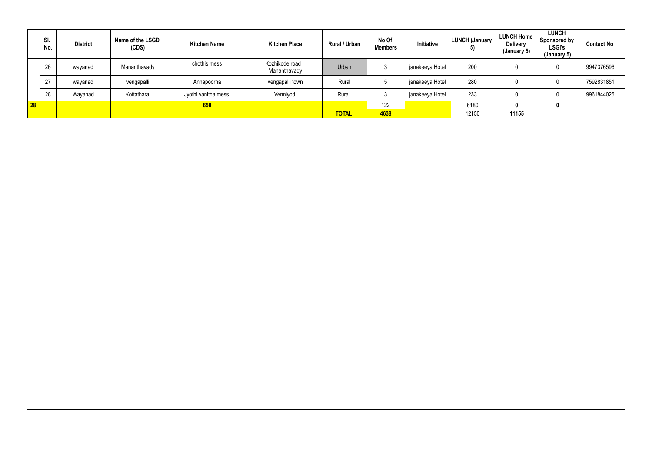|              | SI.<br>No. | <b>District</b> | Name of the LSGD<br>(CDS) | <b>Kitchen Name</b> | <b>Kitchen Place</b>            | Rural / Urban | No Of<br><b>Members</b> | Initiative      | <b>LUNCH (January</b><br>$\vert 5 \vert$ | <b>LUNCH Home</b><br><b>Delivery</b><br>(January 5) | <b>LUNCH</b><br>Sponsored by<br><b>LSGI's</b><br>(January 5) | <b>Contact No</b> |
|--------------|------------|-----------------|---------------------------|---------------------|---------------------------------|---------------|-------------------------|-----------------|------------------------------------------|-----------------------------------------------------|--------------------------------------------------------------|-------------------|
|              | 26         | wayanad         | Mananthavady              | chothis mess        | Kozhikode road,<br>Mananthavady | Urban         |                         | janakeeya Hotel | 200                                      |                                                     |                                                              | 9947376596        |
|              | 27         | wayanad         | vengapalli                | Annapoorna          | vengapalli town                 | Rural         |                         | janakeeya Hotel | 280                                      |                                                     |                                                              | 7592831851        |
|              | 28         | Wayanad         | Kottathara                | Jyothi vanitha mess | Venniyod                        | Rural         |                         | janakeeya Hotel | 233                                      |                                                     |                                                              | 9961844026        |
| $\boxed{28}$ |            |                 |                           | 658                 |                                 |               | 122                     |                 | 6180                                     |                                                     |                                                              |                   |
|              |            |                 |                           |                     |                                 | <b>TOTAL</b>  | 4638                    |                 | 12150                                    | 11155                                               |                                                              |                   |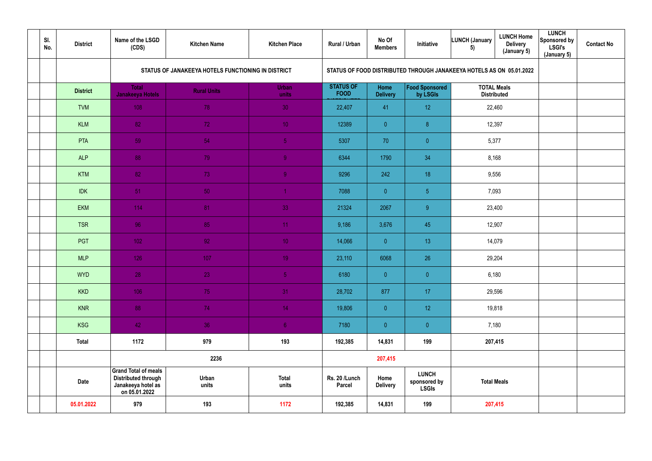| SI.<br>No. | <b>District</b> | Name of the LSGD<br>(CDS)                                                                        | <b>Kitchen Name</b>                                | <b>Kitchen Place</b>  | Rural / Urban                   | No Of<br><b>Members</b> | Initiative                                                           | <b>LUNCH (January</b><br>5)              | <b>LUNCH Home</b><br><b>Delivery</b><br>(January 5) | <b>LUNCH</b><br>Sponsored by<br><b>LSGI's</b><br>(January 5) | <b>Contact No</b> |
|------------|-----------------|--------------------------------------------------------------------------------------------------|----------------------------------------------------|-----------------------|---------------------------------|-------------------------|----------------------------------------------------------------------|------------------------------------------|-----------------------------------------------------|--------------------------------------------------------------|-------------------|
|            |                 |                                                                                                  | STATUS OF JANAKEEYA HOTELS FUNCTIONING IN DISTRICT |                       |                                 |                         | STATUS OF FOOD DISTRIBUTED THROUGH JANAKEEYA HOTELS AS ON 05.01.2022 |                                          |                                                     |                                                              |                   |
|            | <b>District</b> | <b>Total</b><br><b>Janakeeya Hotels</b>                                                          | <b>Rural Units</b>                                 | <b>Urban</b><br>units | <b>STATUS OF</b><br><b>FOOD</b> | Home<br><b>Delivery</b> | <b>Food Sponsored</b><br>by LSGIs                                    | <b>TOTAL Meals</b><br><b>Distributed</b> |                                                     |                                                              |                   |
|            | <b>TVM</b>      | 108                                                                                              | 78                                                 | 30                    | 22,407                          | 41                      | 12 <sub>1</sub>                                                      | 22,460                                   |                                                     |                                                              |                   |
|            | <b>KLM</b>      | 82                                                                                               | 72                                                 | 10 <sup>°</sup>       | 12389                           | $\overline{0}$          | $\boldsymbol{8}$                                                     | 12,397                                   |                                                     |                                                              |                   |
|            | PTA             | 59                                                                                               | 54                                                 | 5 <sub>5</sub>        | 5307                            | 70                      | $\pmb{0}$                                                            | 5,377                                    |                                                     |                                                              |                   |
|            | <b>ALP</b>      | 88                                                                                               | 79                                                 | $\overline{9}$        | 6344                            | 1790                    | 34                                                                   | 8,168                                    |                                                     |                                                              |                   |
|            | <b>KTM</b>      | 82                                                                                               | 73                                                 | 9 <sup>°</sup>        | 9296                            | 242                     | 18                                                                   | 9,556                                    |                                                     |                                                              |                   |
|            | <b>IDK</b>      | 51                                                                                               | 50                                                 |                       | 7088                            | $\overline{0}$          | $\sqrt{5}$                                                           | 7,093                                    |                                                     |                                                              |                   |
|            | <b>EKM</b>      | 114                                                                                              | 81                                                 | 33                    | 21324                           | 2067                    | 9                                                                    | 23,400                                   |                                                     |                                                              |                   |
|            | <b>TSR</b>      | 96                                                                                               | 85                                                 | 11                    | 9,186                           | 3,676                   | 45                                                                   | 12,907                                   |                                                     |                                                              |                   |
|            | <b>PGT</b>      | 102                                                                                              | 92                                                 | 10 <sub>1</sub>       | 14,066                          | $\overline{0}$          | 13 <sup>°</sup>                                                      | 14,079                                   |                                                     |                                                              |                   |
|            | <b>MLP</b>      | 126                                                                                              | 107                                                | 19 <sup>°</sup>       | 23,110                          | 6068                    | 26                                                                   | 29,204                                   |                                                     |                                                              |                   |
|            | <b>WYD</b>      | 28                                                                                               | 23                                                 | 5 <sub>1</sub>        | 6180                            | $\overline{0}$          | $\pmb{0}$                                                            | 6,180                                    |                                                     |                                                              |                   |
|            | <b>KKD</b>      | 106                                                                                              | 75                                                 | 31                    | 28,702                          | 877                     | 17 <sub>2</sub>                                                      | 29,596                                   |                                                     |                                                              |                   |
|            | <b>KNR</b>      | 88                                                                                               | 74                                                 | 14 <sub>1</sub>       | 19,806                          | $\overline{0}$          | 12 <sup>°</sup>                                                      |                                          | 19,818                                              |                                                              |                   |
|            | <b>KSG</b>      | 42                                                                                               | 36                                                 | 6 <sub>1</sub>        | 7180                            | $\overline{0}$          | $\overline{0}$                                                       | 7,180                                    |                                                     |                                                              |                   |
|            | <b>Total</b>    | 1172                                                                                             | 979                                                | 193                   | 192,385                         | 14,831                  | 199                                                                  | 207,415                                  |                                                     |                                                              |                   |
|            |                 |                                                                                                  | 2236                                               |                       |                                 | 207,415                 |                                                                      |                                          |                                                     |                                                              |                   |
|            | Date            | <b>Grand Total of meals</b><br><b>Distributed through</b><br>Janakeeya hotel as<br>on 05.01.2022 | Urban<br>units                                     | <b>Total</b><br>units | Rs. 20 /Lunch<br><b>Parcel</b>  | Home<br><b>Delivery</b> | <b>LUNCH</b><br>sponsored by<br><b>LSGIs</b>                         | <b>Total Meals</b>                       |                                                     |                                                              |                   |
|            | 05.01.2022      | 979                                                                                              | 193                                                | 1172                  | 192,385                         | 14,831                  | 199                                                                  |                                          | 207,415                                             |                                                              |                   |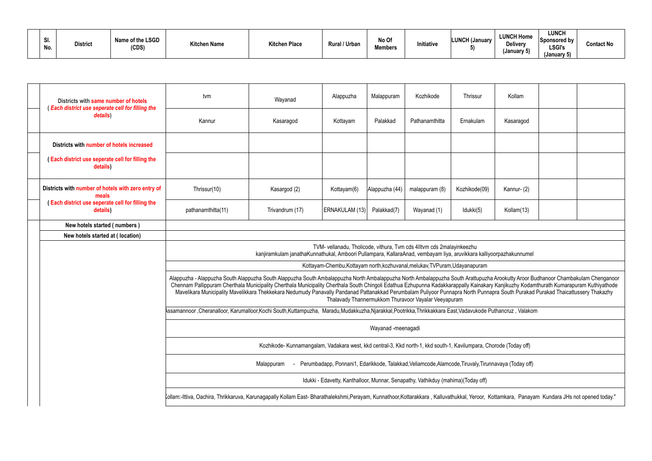| וט.<br>No. | <b>District</b> | Name of the LSGD<br>(CDS) | <b>Kitchen Name</b> | <b>Kitchen Place</b> | Rural / Urban | No Of<br><b>Members</b> | <b>Initiative</b> | <b>LUNCH (January</b> | <b>LUNCH Home</b><br><b>Delivery</b><br>(January 5) | LUNCH<br>Sponsored by<br><b>LSGI's</b><br>(January 5) | Contact No |
|------------|-----------------|---------------------------|---------------------|----------------------|---------------|-------------------------|-------------------|-----------------------|-----------------------------------------------------|-------------------------------------------------------|------------|
|------------|-----------------|---------------------------|---------------------|----------------------|---------------|-------------------------|-------------------|-----------------------|-----------------------------------------------------|-------------------------------------------------------|------------|

| Districts with same number of hotels                               | tvm                                                                                                                                                                                                                                                                                                                                                                                                                                                                                                                                           | Wayanad                                                                                                             | Alappuzha      | Malappuram     | Kozhikode                                                                                            | Thrissur      | Kollam     |  |  |  |  |
|--------------------------------------------------------------------|-----------------------------------------------------------------------------------------------------------------------------------------------------------------------------------------------------------------------------------------------------------------------------------------------------------------------------------------------------------------------------------------------------------------------------------------------------------------------------------------------------------------------------------------------|---------------------------------------------------------------------------------------------------------------------|----------------|----------------|------------------------------------------------------------------------------------------------------|---------------|------------|--|--|--|--|
| (Each district use seperate cell for filling the<br>details)       | Kannur                                                                                                                                                                                                                                                                                                                                                                                                                                                                                                                                        | Kasaragod                                                                                                           | Kottayam       | Palakkad       | Pathanamthitta                                                                                       | Ernakulam     | Kasaragod  |  |  |  |  |
| Districts with number of hotels increased                          |                                                                                                                                                                                                                                                                                                                                                                                                                                                                                                                                               |                                                                                                                     |                |                |                                                                                                      |               |            |  |  |  |  |
| <b>Each district use seperate cell for filling the</b><br>details) |                                                                                                                                                                                                                                                                                                                                                                                                                                                                                                                                               |                                                                                                                     |                |                |                                                                                                      |               |            |  |  |  |  |
| Districts with number of hotels with zero entry of<br>meals        | Thrissur(10)                                                                                                                                                                                                                                                                                                                                                                                                                                                                                                                                  | Kasargod (2)                                                                                                        | Kottayam(6)    | Alappuzha (44) | malappuram (8)                                                                                       | Kozhikode(09) | Kannur-(2) |  |  |  |  |
| (Each district use seperate cell for filling the<br>details)       | pathanamthitta(11)                                                                                                                                                                                                                                                                                                                                                                                                                                                                                                                            | Trivandrum (17)                                                                                                     | ERNAKULAM (13) | Palakkad(7)    | Wayanad (1)                                                                                          | Idukki(5)     | Kollam(13) |  |  |  |  |
| New hotels started (numbers)                                       |                                                                                                                                                                                                                                                                                                                                                                                                                                                                                                                                               |                                                                                                                     |                |                |                                                                                                      |               |            |  |  |  |  |
| New hotels started at (location)                                   |                                                                                                                                                                                                                                                                                                                                                                                                                                                                                                                                               |                                                                                                                     |                |                |                                                                                                      |               |            |  |  |  |  |
|                                                                    |                                                                                                                                                                                                                                                                                                                                                                                                                                                                                                                                               | kanjiramkulam janathaKunnathukal, Amboori Pullampara, KallaraAnad, vembayam liya, aruvikkara kalliyoorpazhakunnumel |                |                | TVM- vellanadu, Tholicode, vithura, Tvm cds 4IItvm cds 2malayinkeezhu                                |               |            |  |  |  |  |
|                                                                    |                                                                                                                                                                                                                                                                                                                                                                                                                                                                                                                                               |                                                                                                                     |                |                | Kottayam-Chembu, Kottayam north, kozhuvanal, melukav, TVPuram, Udayanapuram                          |               |            |  |  |  |  |
|                                                                    | Alappuzha - Alappuzha South Alappuzha South Alappuzha South Ambalappuzha North Ambalappuzha South Arattupuzha Arookutty Aroor Budhanoor Chambakulam Chenganoor<br>Chennam Pallippuram Cherthala Municipality Cherthala Municipality Cherthala South Chingoli Edathua Ezhupunna Kadakkarappally Kainakary Kanjikuzhy Kodamthurath Kumarapuram Kuthiyathode<br>Mavelikara Municipality Mavelikkara Thekkekara Nedumudy Panavally Pandanad Pattanakkad Perumbalam Puliyoor Punnapra North Punnapra South Purakad Purakad Thaicattussery Thakazhy |                                                                                                                     |                |                | Thalavady Thannermukkom Thuravoor Vayalar Veeyapuram                                                 |               |            |  |  |  |  |
|                                                                    | Assamannoor ,Cheranalloor, Karumalloor,Kochi South,Kuttampuzha, Maradu,Mudakkuzha,Njarakkal,Pootrikka,Thrikkakkara East,Vadavukode Puthancruz, Valakom                                                                                                                                                                                                                                                                                                                                                                                        |                                                                                                                     |                |                |                                                                                                      |               |            |  |  |  |  |
|                                                                    | Wayanad -meenagadi                                                                                                                                                                                                                                                                                                                                                                                                                                                                                                                            |                                                                                                                     |                |                |                                                                                                      |               |            |  |  |  |  |
|                                                                    | Kozhikode- Kunnamangalam, Vadakara west, kkd central-3, Kkd north-1, kkd south-1, Kavilumpara, Chorode (Today off)                                                                                                                                                                                                                                                                                                                                                                                                                            |                                                                                                                     |                |                |                                                                                                      |               |            |  |  |  |  |
|                                                                    |                                                                                                                                                                                                                                                                                                                                                                                                                                                                                                                                               | Malappuram                                                                                                          |                |                | Perumbadapp, Ponnani1, Edarikkode, Talakkad, Veliamcode, Alamcode, Tiruvaly, Tirunnavaya (Today off) |               |            |  |  |  |  |
|                                                                    |                                                                                                                                                                                                                                                                                                                                                                                                                                                                                                                                               |                                                                                                                     |                |                | Idukki - Edavetty, Kanthalloor, Munnar, Senapathy, Vathikduy (mahima) (Today off)                    |               |            |  |  |  |  |
|                                                                    | Kollam:-Ittiva, Oachira, Thrikkaruva, Karunagapally Kollam East- Bharathalekshmi,Perayam, Kunnathoor,Kottarakkara, Kalluvathukkal, Yeroor, Kottamkara, Panayam Kundara JHs not opened today."                                                                                                                                                                                                                                                                                                                                                 |                                                                                                                     |                |                |                                                                                                      |               |            |  |  |  |  |
|                                                                    |                                                                                                                                                                                                                                                                                                                                                                                                                                                                                                                                               |                                                                                                                     |                |                |                                                                                                      |               |            |  |  |  |  |

| Kollam             |                                                                                                                                                           |  |  |  |  |  |  |  |  |  |  |
|--------------------|-----------------------------------------------------------------------------------------------------------------------------------------------------------|--|--|--|--|--|--|--|--|--|--|
| Kasaragod          |                                                                                                                                                           |  |  |  |  |  |  |  |  |  |  |
|                    |                                                                                                                                                           |  |  |  |  |  |  |  |  |  |  |
|                    |                                                                                                                                                           |  |  |  |  |  |  |  |  |  |  |
| Kannur-(2)         |                                                                                                                                                           |  |  |  |  |  |  |  |  |  |  |
| Kollam(13)         |                                                                                                                                                           |  |  |  |  |  |  |  |  |  |  |
|                    |                                                                                                                                                           |  |  |  |  |  |  |  |  |  |  |
| orpazhakunnumel    |                                                                                                                                                           |  |  |  |  |  |  |  |  |  |  |
|                    |                                                                                                                                                           |  |  |  |  |  |  |  |  |  |  |
|                    | Arookutty Aroor Budhanoor Chambakulam Chenganoor<br>Kanjikuzhy Kodamthurath Kumarapuram Kuthiyathode<br>ora South Purakad Purakad Thaicattussery Thakazhy |  |  |  |  |  |  |  |  |  |  |
| uthancruz, Valakom |                                                                                                                                                           |  |  |  |  |  |  |  |  |  |  |
|                    |                                                                                                                                                           |  |  |  |  |  |  |  |  |  |  |
| brode (Today off)  |                                                                                                                                                           |  |  |  |  |  |  |  |  |  |  |
| iavaya (Today off) |                                                                                                                                                           |  |  |  |  |  |  |  |  |  |  |
|                    |                                                                                                                                                           |  |  |  |  |  |  |  |  |  |  |